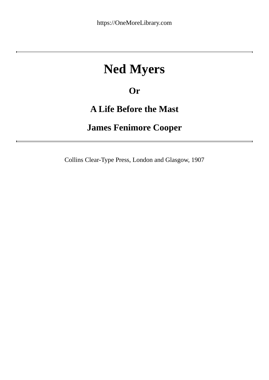## **Ned Myers**

### **Or**

### **A Life Before the Mast**

### **James Fenimore Cooper**

Collins Clear-Type Press, London and Glasgow, 1907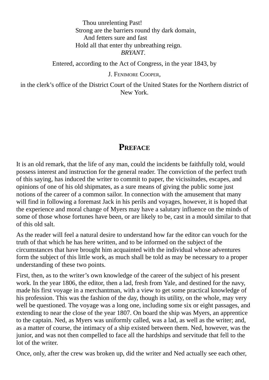#### Thou unrelenting Past! Strong are the barriers round thy dark domain, And fetters sure and fast Hold all that enter thy unbreathing reign. *BRYANT*.

Entered, according to the Act of Congress, in the year 1843, by

J. FENIMORE COOPER,

in the clerk's office of the District Court of the United States for the Northern district of New York.

#### **PREFACE**

It is an old remark, that the life of any man, could the incidents be faithfully told, would possess interest and instruction for the general reader. The conviction of the perfect truth of this saying, has induced the writer to commit to paper, the vicissitudes, escapes, and opinions of one of his old shipmates, as a sure means of giving the public some just notions of the career of a common sailor. In connection with the amusement that many will find in following a foremast Jack in his perils and voyages, however, it is hoped that the experience and moral change of Myers may have a salutary influence on the minds of some of those whose fortunes have been, or are likely to be, cast in a mould similar to that of this old salt.

As the reader will feel a natural desire to understand how far the editor can vouch for the truth of that which he has here written, and to be informed on the subject of the circumstances that have brought him acquainted with the individual whose adventures form the subject of this little work, as much shall be told as may be necessary to a proper understanding of these two points.

First, then, as to the writer's own knowledge of the career of the subject of his present work. In the year 1806, the editor, then a lad, fresh from Yale, and destined for the navy, made his first voyage in a merchantman, with a view to get some practical knowledge of his profession. This was the fashion of the day, though its utility, on the whole, may very well be questioned. The voyage was a long one, including some six or eight passages, and extending to near the close of the year 1807. On board the ship was Myers, an apprentice to the captain. Ned, as Myers was uniformly called, was a lad, as well as the writer; and, as a matter of course, the intimacy of a ship existed between them. Ned, however, was the junior, and was not then compelled to face all the hardships and servitude that fell to the lot of the writer.

Once, only, after the crew was broken up, did the writer and Ned actually see each other,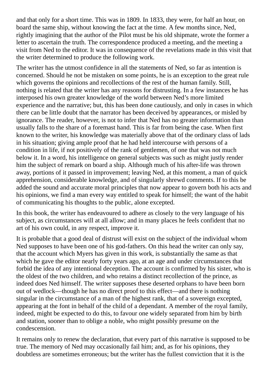and that only for a short time. This was in 1809. In 1833, they were, for half an hour, on board the same ship, without knowing the fact at the time. A few months since, Ned, rightly imagining that the author of the Pilot must be his old shipmate, wrote the former a letter to ascertain the truth. The correspondence produced a meeting, and the meeting a visit from Ned to the editor. It was in consequence of the revelations made in this visit that the writer determined to produce the following work.

The writer has the utmost confidence in all the statements of Ned, so far as intention is concerned. Should he not be mistaken on some points, he is an exception to the great rule which governs the opinions and recollections of the rest of the human family. Still, nothing is related that the writer has any reasons for distrusting. In a few instances he has interposed his own greater knowledge of the world between Ned's more limited experience and the narrative; but, this has been done cautiously, and only in cases in which there can be little doubt that the narrator has been deceived by appearances, or misled by ignorance. The reader, however, is not to infer that Ned has no greater information than usually falls to the share of a foremast hand. This is far from being the case. When first known to the writer, his knowledge was materially above that of the ordinary class of lads in his situation; giving ample proof that he had held intercourse with persons of a condition in life, if not positively of the rank of gentlemen, of one that was not much below it. In a word, his intelligence on general subjects was such as might justly render him the subject of remark on board a ship. Although much of his after-life was thrown away, portions of it passed in improvement; leaving Ned, at this moment, a man of quick apprehension, considerable knowledge, and of singularly shrewd comments. If to this be added the sound and accurate moral principles that now appear to govern both his acts and his opinions, we find a man every way entitled to speak for himself; the want of the habit of communicating his thoughts to the public, alone excepted.

In this book, the writer has endeavoured to adhere as closely to the very language of his subject, as circumstances will at all allow; and in many places he feels confident that no art of his own could, in any respect, improve it.

It is probable that a good deal of distrust will exist on the subject of the individual whom Ned supposes to have been one of his god-fathers. On this head the writer can only say, that the account which Myers has given in this work, is substantially the same as that which he gave the editor nearly forty years ago, at an age and under circumstances that forbid the idea of any intentional deception. The account is confirmed by his sister, who is the oldest of the two children, and who retains a distinct recollection of the prince, as indeed does Ned himself. The writer supposes these deserted orphans to have been born out of wedlock—though he has no direct proof to this effect—and there is nothing singular in the circumstance of a man of the highest rank, that of a sovereign excepted, appearing at the font in behalf of the child of a dependant. A member of the royal family, indeed, might be expected to do this, to favour one widely separated from him by birth and station, sooner than to oblige a noble, who might possibly presume on the condescension.

It remains only to renew the declaration, that every part of this narrative is supposed to be true. The memory of Ned may occasionally fail him; and, as for his opinions, they doubtless are sometimes erroneous; but the writer has the fullest conviction that it is the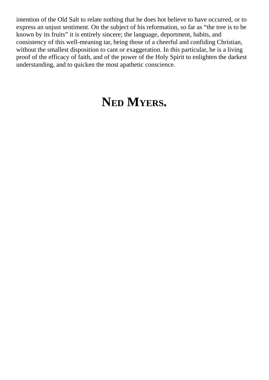intention of the Old Salt to relate nothing that he does hot believe to have occurred, or to express an unjust sentiment. On the subject of his reformation, so far as "the tree is to be known by its fruits" it is entirely sincere; the language, deportment, habits, and consistency of this well-meaning tar, being those of a cheerful and confiding Christian, without the smallest disposition to cant or exaggeration. In this particular, he is a living proof of the efficacy of faith, and of the power of the Holy Spirit to enlighten the darkest understanding, and to quicken the most apathetic conscience.

# **NED MYERS.**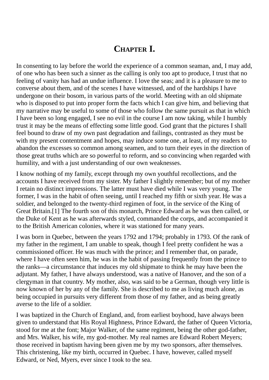### **CHAPTER I.**

In consenting to lay before the world the experience of a common seaman, and, I may add, of one who has been such a sinner as the calling is only too apt to produce, I trust that no feeling of vanity has had an undue influence. I love the seas; and it is a pleasure to me to converse about them, and of the scenes I have witnessed, and of the hardships I have undergone on their bosom, in various parts of the world. Meeting with an old shipmate who is disposed to put into proper form the facts which I can give him, and believing that my narrative may be useful to some of those who follow the same pursuit as that in which I have been so long engaged, I see no evil in the course I am now taking, while I humbly trust it may be the means of effecting some little good. God grant that the pictures I shall feel bound to draw of my own past degradation and failings, contrasted as they must be with my present contentment and hopes, may induce some one, at least, of my readers to abandon the excesses so common among seamen, and to turn their eyes in the direction of those great truths which are so powerful to reform, and so convincing when regarded with humility, and with a just understanding of our own weaknesses.

I know nothing of my family, except through my own youthful recollections, and the accounts I have received from my sister. My father I slightly remember; but of my mother I retain no distinct impressions. The latter must have died while I was very young. The former, I was in the habit of often seeing, until I reached my fifth or sixth year. He was a soldier, and belonged to the twenty-third regimen of foot, in the service of the King of Great Britain.[1] The fourth son of this monarch, Prince Edward as he was then called, or the Duke of Kent as he was afterwards styled, commanded the corps, and accompanied it to the British American colonies, where it was stationed for many years.

I was born in Quebec, between the years 1792 and 1794; probably in 1793. Of the rank of my father in the regiment, I am unable to speak, though I feel pretty confident he was a commissioned officer. He was much with the prince; and I remember that, on parade, where I have often seen him, he was in the habit of passing frequently from the prince to the ranks—a circumstance that induces my old shipmate to think he may have been the adjutant. My father, I have always understood, was a native of Hanover, and the son of a clergyman in that country. My mother, also, was said to be a German, though very little is now known of her by any of the family. She is described to me as living much alone, as being occupied in pursuits very different from those of my father, and as being greatly averse to the life of a soldier.

I was baptized in the Church of England, and, from earliest boyhood, have always been given to understand that His Royal Highness, Prince Edward, the father of Queen Victoria, stood for me at the font; Major Walker, of the same regiment, being the other god-father, and Mrs. Walker, his wife, my god-mother. My real names are Edward Robert Meyers; those received in baptism having been given me by my two sponsors, after themselves. This christening, like my birth, occurred in Quebec. I have, however, called myself Edward, or Ned, Myers, ever since I took to the sea.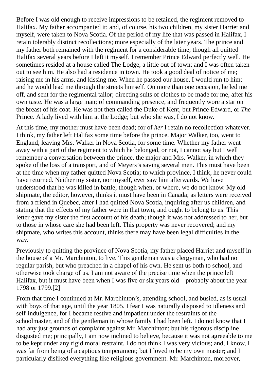Before I was old enough to receive impressions to be retained, the regiment removed to Halifax. My father accompanied it; and, of course, his two children, my sister Harriet and myself, were taken to Nova Scotia. Of the period of my life that was passed in Halifax, I retain tolerably distinct recollections; more especially of the later years. The prince and my father both remained with the regiment for a considerable time; though all quitted Halifax several years before I left it myself. I remember Prince Edward perfectly well. He sometimes resided at a house called The Lodge, a little out of town; and I was often taken out to see him. He also had a residence in town. He took a good deal of notice of me; raising me in his arms, and kissing me. When he passed our house, I would run to him; and he would lead me through the streets himself. On more than one occasion, he led me off, and sent for the regimental tailor; directing suits of clothes to be made for me, after his own taste. He was a large man; of commanding presence, and frequently wore a star on the breast of his coat. He was not then called the Duke of Kent, but Prince Edward, or *The* Prince. A lady lived with him at the Lodge; but who she was, I do not know.

At this time, my mother must have been dead; for of *her* I retain no recollection whatever. I think, my father left Halifax some time before the prince. Major Walker, too, went to England; leaving Mrs. Walker in Nova Scotia, for some time. Whether my father went away with a part of the regiment to which he belonged, or not, I cannot say but I well remember a conversation between the prince, the major and Mrs. Walker, in which they spoke of the loss of a transport, and of Meyers's saving several men. This must have been at the time when my father quitted Nova Scotia; to which province, I think, he never could have returned. Neither my sister, nor myself, ever saw him afterwards. We have understood that he was killed in battle; though when, or where, we do not know. My old shipmate, the editor, however, thinks it must have been in Canada; as letters were received from a friend in Quebec, after I had quitted Nova Scotia, inquiring after us children, and stating that the effects of my father were in that town, and ought to belong to us. This letter gave my sister the first account of his death; though it was not addressed to her, but to those in whose care she had been left. This property was never recovered; and my shipmate, who writes this account, thinks there may have been legal difficulties in the way.

Previously to quitting the province of Nova Scotia, my father placed Harriet and myself in the house of a Mr. Marchinton, to live. This gentleman was a clergyman, who had no regular parish, but who preached in a chapel of his own. He sent us both to school, and otherwise took charge of us. I am not aware of the precise time when the prince left Halifax, but it must have been when I was five or six years old—probably about the year 1798 or 1799.[2]

From that time I continued at Mr. Marchinton's, attending school, and busied, as is usual with boys of that age, until the year 1805. I fear I was naturally disposed to idleness and self-indulgence, for I became restive and impatient under the restraints of the schoolmaster, and of the gentleman in whose family I had been left. I do not know that I had any just grounds of complaint against Mr. Marchinton; but his rigorous discipline disgusted me; principally, I am now inclined to believe, because it was not agreeable to me to be kept under any rigid moral restraint. I do not think I was very vicious; and, I know, I was far from being of a captious temperament; but I loved to be my own master; and I particularly disliked everything like religious government. Mr. Marchinton, moreover,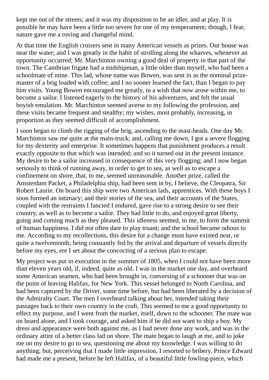kept me out of the streets; and it was my disposition to be an idler, and at play. It is possible he may have been a little too severe for one of my temperament; though, I fear, nature gave me a roving and changeful mind.

At that time the English cruisers sent in many American vessels as prizes. Our house was near the water; and I was greatly in the habit of strolling along the wharves, whenever an opportunity occurred; Mr. Marchinton owning a good deal of property in that part of the town. The Cambrian frigate had a midshipman, a little older than myself, who had been a schoolmate of mine. This lad, whose name was Bowen, was sent in as the nominal prizemaster of a brig loaded with coffee; and I no sooner learned the fact, than I began to pay him visits. Young Bowen encouraged me greatly, in a wish that now arose within me, to become a sailor. I listened eagerly to the history of his adventures, and felt the usual boyish emulation. Mr. Marchinton seemed averse to my following the profession, and these visits became frequent and stealthy; my wishes, most probably, increasing, in proportion as they seemed difficult of accomplishment.

I soon began to climb the rigging of the brig, ascending to the mast-heads. One day Mr. Marchinton saw me quite at the main-truck; and, calling me down, I got a severe flogging for my dexterity and enterprise. It sometimes happens that punishment produces a result exactly opposite to that which was intended; and so it turned out in the present instance. My desire to be a sailor increased in consequence of this very flogging; and I now began seriously to think of running away, in order to get to sea, as well as to escape a confinement on shore, that, to me, seemed unreasonable. Another prize, called the Amsterdam Packet, a Philadelphia ship, had been sent in by, I believe, the Cleopatra, Sir Robert Laurie. On board this ship were two American lads, apprentices. With these boys I soon formed an intimacy; and their stories of the sea, and their accounts of the States, coupled with the restraints I fancied I endured, gave rise to a strong desire to see their country, as well as to become a sailor. They had little to do, and enjoyed great liberty, going and coming much as they pleased. This idleness seemed, to me, to form the summit of human happiness. I did not often dare to play truant; and the school became odious to me. According to my recollections, this desire for a change must have existed near, or quite a twelvemonth; being constantly fed by the arrival and departure of vessels directly before my eyes, ere I set about the concocting of a serious plan to escape.

My project was put in execution in the summer of 1805, when I could not have been more than eleven years old, if, indeed, quite as old. I was in the market one day, and overheard some American seamen, who had been brought in, conversing of a schooner that was on the point of leaving Halifax, for New York. This vessel belonged to North Carolina, and had been captured by the Driver, some time before, but had been liberated by a decision of the Admiralty Court. The men I overheard talking about her, intended taking their passages back to their own country in the craft. This seemed to me a good opportunity to effect my purpose, and I went from the market, itself, down to the schooner. The mate was on board alone, and I took courage, and asked him if he did not want to ship a boy. My dress and appearance were both against me, as I had never done any work, and was in the ordinary attire of a better class lad on shore. The mate began to laugh at me, and to joke me on my desire to go to sea, questioning me about my knowledge. I was willing to do anything; but, perceiving that I made little impression, I resorted to bribery. Prince Edward had made me a present, before he left Halifax, of a beautiful little fowling-piece, which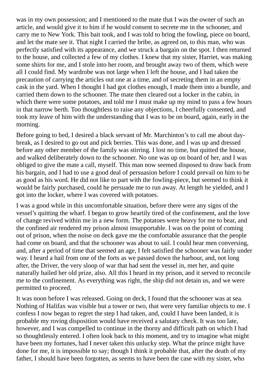was in my own possession; and I mentioned to the mate that I was the owner of such an article, and would give it to him if he would consent to secrete me in the schooner, and carry me to New York. This bait took, and I was told to bring the fowling, piece on board, and let the mate see it. That night I carried the bribe, as agreed on, to this man, who was perfectly satisfied with its appearance, and we struck a bargain on the spot. I then returned to the house, and collected a few of my clothes. I knew that my sister, Harriet, was making some shirts for me, and I stole into her room, and brought away two of them, which were all I could find. My wardrobe was not large when I left the house, and I had taken the precaution of carrying the articles out one at a time, and of secreting them in an empty cask in the yard. When I thought I had got clothes enough, I made them into a bundle, and carried them down to the schooner. The mate then cleared out a locker in the cabin, in which there were some potatoes, and told me I must make up my mind to pass a few hours in that narrow berth. Too thoughtless to raise any objections, I cheerfully consented, and took my leave of him with the understanding that I was to be on board, again, early in the morning.

Before going to bed, I desired a black servant of Mr. Marchinton's to call me about daybreak, as I desired to go out and pick berries. This was done, and I was up and dressed before any other member of the family was stirring. I lost no time, but quitted the house, and walked deliberately down to the schooner. No one was up on board of her, and I was obliged to give the mate a call, myself. This man now seemed disposed to draw back from his bargain, and I had to use a good deal of persuasion before I could prevail on him to be as good as his word. He did not like to part with the fowling-piece, but seemed to think it would be fairly purchased, could he persuade me to run away. At length he yielded, and I got into the locker, where I was covered with potatoes.

I was a good while in this uncomfortable situation, before there were any signs of the vessel's quitting the wharf. I began to grow heartily tired of the confinement, and the love of change revived within me in a new form. The potatoes were heavy for me to bear, and the confined air rendered my prison almost insupportable. I was on the point of coming out of prison, when the noise on deck gave me the comfortable assurance that the people had come on board, and that the schooner was about to sail. I could hear men conversing, and, after a period of time that seemed an age, I felt satisfied the schooner was fairly under way. I heard a hail from one of the forts as we passed down the harbour, and, not long after, the Driver, the very sloop of war that had sent the vessel in, met her, and quite naturally hailed her old prize, also. All this I heard in my prison, and it served to reconcile me to the confinement. As everything was right, the ship did not detain us, and we were permitted to proceed.

It was noon before I was released. Going on deck, I found that the schooner was at sea. Nothing of Halifax was visible but a tower or two, that were very familiar objects to me. I confess I now began to regret the step I had taken, and, could I have been landed, it is probable my roving disposition would have received a salutary check. It was too late, however, and I was compelled to continue in the thorny and difficult path on which I had so thoughtlessly entered. I often look back to this moment, and try to imagine what might have been my fortunes, had I never taken this unlucky step. What the prince might have done for me, it is impossible to say; though I think it probable that, after the death of my father, I should have been forgotten, as seems to have been the case with my sister, who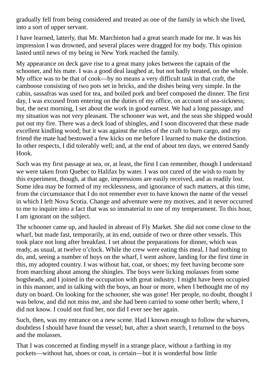gradually fell from being considered and treated as one of the family in which she lived, into a sort of upper servant.

I have learned, latterly, that Mr. Marchinton had a great search made for me. It was his impression I was drowned, and several places were dragged for my body. This opinion lasted until news of my being in New York reached the family.

My appearance on deck gave rise to a great many jokes between the captain of the schooner, and his mate. I was a good deal laughed at, but not badly treated, on the whole. My office was to be that of cook—by no means a very difficult task in that craft, the camboose consisting of two pots set in bricks, and the dishes being very simple. In the cabin, sassafras was used for tea, and boiled pork and beef composed the dinner. The first day, I was excused from entering on the duties of my office, on account of sea-sickness; but, the next morning, I set about the work in good earnest. We had a long passage, and my situation was not very pleasant. The schooner was wet, and the seas she shipped would put out my fire. There was a deck load of shingles, and I soon discovered that these made excellent kindling wood; but it was against the rules of the craft to burn cargo, and my friend the mate had bestowed a few kicks on me before I learned to make the distinction. In other respects, I did tolerably well; and, at the end of about ten days, we entered Sandy Hook.

Such was my first passage at sea, or, at least, the first I can remember, though I understand we were taken from Quebec to Halifax by water. I was not cured of the wish to roam by this experiment, though, at that age, impressions are easily received, and as readily lost. Some idea may be formed of my recklessness, and ignorance of such matters, at this time, from the circumstance that I do not remember ever to have known the name of the vessel in which I left Nova Scotia. Change and adventure were my motives, and it never occurred to me to inquire into a fact that was so immaterial to one of my temperament. To this hour, I am ignorant on the subject.

The schooner came up, and hauled in abreast of Fly Market. She did not come close to the wharf, but made fast, temporarily, at its end, outside of two or three other vessels. This took place not long after breakfast. I set about the preparations for dinner, which was ready, as usual, at twelve o'clock. While the crew were eating this meal, I had nothing to do, and, seeing a number of boys on the wharf, I went ashore, landing for the first time in this, my adopted country. I was without hat, coat, or shoes; my feet having become sore from marching about among the shingles. The boys were licking molasses from some hogsheads, and I joined in the occupation with great industry. I might have been occupied in this manner, and in talking with the boys, an hour or more, when I bethought me of my duty on board. On looking for the schooner, she was gone! Her people, no doubt, thought I was below, and did not miss me, and she had been carried to some other berth; where, I did not know. I could not find her, nor did I ever see her again.

Such, then, was my entrance on a new scene. Had I known enough to follow the wharves, doubtless I should have found the vessel; but, after a short search, I returned to the boys and the molasses.

That I was concerned at finding myself in a strange place, without a farthing in my pockets—without hat, shoes or coat, is certain—but it is wonderful how little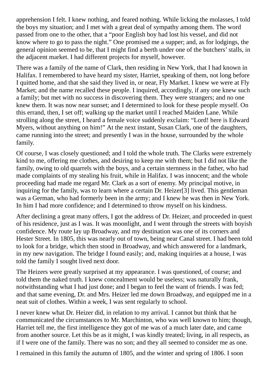apprehension I felt. I knew nothing, and feared nothing. While licking the molasses, I told the boys my situation; and I met with a great deal of sympathy among them. The word passed from one to the other, that a "poor English boy had lost his vessel, and did not know where to go to pass the night." One promised me a supper; and, as for lodgings, the general opinion seemed to be, that I might find a berth under one of the butchers' stalls, in the adjacent market. I had different projects for myself, however.

There was a family of the name of Clark, then residing in New York, that I had known in Halifax. I remembered to have heard my sister, Harriet, speaking of them, not long before I quitted home, and that she said they lived in, or near, Fly Market. I knew we were at Fly Market; and the name recalled these people. I inquired, accordingly, if any one knew such a family; but met with no success in discovering them. They were strangers; and no one knew them. It was now near sunset; and I determined to look for these people myself. On this errand, then, I set off; walking up the market until I reached Maiden Lane. While strolling along the street, I heard a female voice suddenly exclaim: "Lord! here is Edward Myers, without anything on him!" At the next instant, Susan Clark, one of the daughters, came running into the street; and presently I was in the house, surrounded by the whole family.

Of course, I was closely questioned; and I told the whole truth. The Clarks were extremely kind to me, offering me clothes, and desiring to keep me with them; but I did not like the family, owing to old quarrels with the boys, and a certain sternness in the father, who had made complaints of my stealing his fruit, while in Halifax. I was innocent; and the whole proceeding had made me regard Mr. Clark as a sort of enemy. My principal motive, in inquiring for the family, was to learn where a certain Dr. Heizer[3] lived. This gentleman was a German, who had formerly been in the army; and I knew he was then in New York. In him I had more confidence; and I determined to throw myself on his kindness.

After declining a great many offers, I got the address of Dr. Heizer, and proceeded in quest of his residence, just as I was. It was moonlight, and I went through the streets with boyish confidence. My route lay up Broadway, and my destination was one of its corners and Hester Street. In 1805, this was nearly out of town, being near Canal street. I had been told to look for a bridge, which then stood in Broadway, and which answered for a landmark, in my new navigation. The bridge I found easily; and, making inquiries at a house, I was told the family I sought lived next door.

The Heizers were greatly surprised at my appearance. I was questioned, of course; and told them the naked truth. I knew concealment would be useless; was naturally frank, notwithstanding what I had just done; and I began to feel the want of friends. I was fed; and that same evening, Dr. and Mrs. Heizer led me down Broadway, and equipped me in a neat suit of clothes. Within a week, I was sent regularly to school.

I never knew what Dr. Heizer did, in relation to my arrival. I cannot but think that he communicated the circumstances to Mr. Marchinton, who was well known to him; though, Harriet tell me, the first intelligence they got of me was of a much later date, and came from another source. Let this be as it might, I was kindly treated; living, in all respects, as if I were one of the family. There was no son; and they all seemed to consider me as one.

I remained in this family the autumn of 1805, and the winter and spring of 1806. I soon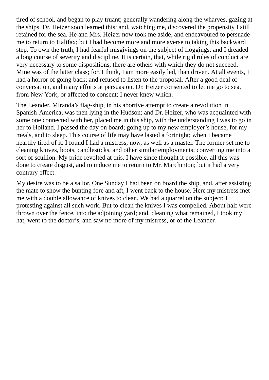tired of school, and began to play truant; generally wandering along the wharves, gazing at the ships. Dr. Heizer soon learned this; and, watching me, discovered the propensity I still retained for the sea. He and Mrs. Heizer now took me aside, and endeavoured to persuade me to return to Halifax; but I had become more and more averse to taking this backward step. To own the truth, I had fearful misgivings on the subject of floggings; and I dreaded a long course of severity and discipline. It is certain, that, while rigid rules of conduct are very necessary to some dispositions, there are others with which they do not succeed. Mine was of the latter class; for, I think, I am more easily led, than driven. At all events, I had a horror of going back; and refused to listen to the proposal. After a good deal of conversation, and many efforts at persuasion, Dr. Heizer consented to let me go to sea, from New York; or affected to consent; I never knew which.

The Leander, Miranda's flag-ship, in his abortive attempt to create a revolution in Spanish-America, was then lying in the Hudson; and Dr. Heizer, who was acquainted with some one connected with her, placed me in this ship, with the understanding I was to go in her to Holland. I passed the day on board; going up to my new employer's house, for my meals, and to sleep. This course of life may have lasted a fortnight; when I became heartily tired of it. I found I had a mistress, now, as well as a master. The former set me to cleaning knives, boots, candlesticks, and other similar employments; converting me into a sort of scullion. My pride revolted at this. I have since thought it possible, all this was done to create disgust, and to induce me to return to Mr. Marchinton; but it had a very contrary effect.

My desire was to be a sailor. One Sunday I had been on board the ship, and, after assisting the mate to show the bunting fore and aft, I went back to the house. Here my mistress met me with a double allowance of knives to clean. We had a quarrel on the subject; I protesting against all such work. But to clean the knives I was compelled. About half were thrown over the fence, into the adjoining yard; and, cleaning what remained, I took my hat, went to the doctor's, and saw no more of my mistress, or of the Leander.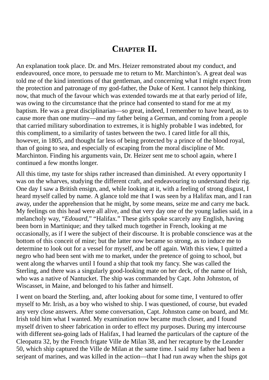### **CHAPTER II.**

An explanation took place. Dr. and Mrs. Heizer remonstrated about my conduct, and endeavoured, once more, to persuade me to return to Mr. Marchinton's. A great deal was told me of the kind intentions of that gentleman, and concerning what I might expect from the protection and patronage of my god-father, the Duke of Kent. I cannot help thinking, now, that much of the favour which was extended towards me at that early period of life, was owing to the circumstance that the prince had consented to stand for me at my baptism. He was a great disciplinarian—so great, indeed, I remember to have heard, as to cause more than one mutiny—and my father being a German, and coming from a people that carried military subordination to extremes, it is highly probable I was indebted, for this compliment, to a similarity of tastes between the two. I cared little for all this, however, in 1805, and thought far less of being protected by a prince of the blood royal, than of going to sea, and especially of escaping from the moral discipline of Mr. Marchinton. Finding his arguments vain, Dr. Heizer sent me to school again, where I continued a few months longer.

All this time, my taste for ships rather increased than diminished. At every opportunity I was on the wharves, studying the different craft, and endeavouring to understand their rig. One day I saw a British ensign, and, while looking at it, with a feeling of strong disgust, I heard myself called by name. A glance told me that I was seen by a Halifax man, and I ran away, under the apprehension that he might, by some means, seize me and carry me back. My feelings on this head were all alive, and that very day one of the young ladies said, in a melancholy way, "*Edouard,*" "Halifax." These girls spoke scarcely any English, having been born in Martinique; and they talked much together in French, looking at me occasionally, as if I were the subject of their discourse. It is probable conscience was at the bottom of this conceit of mine; but the latter now became so strong, as to induce me to determine to look out for a vessel for myself, and be off again. With this view, I quitted a negro who had been sent with me to market, under the pretence of going to school, but went along the wharves until I found a ship that took my fancy. She was called the Sterling, and there was a singularly good-looking mate on her deck, of the name of Irish, who was a native of Nantucket. The ship was commanded by Capt. John Johnston, of Wiscasset, in Maine, and belonged to his father and himself.

I went on board the Sterling, and, after looking about for some time, I ventured to offer myself to Mr. Irish, as a boy who wished to ship. I was questioned, of course, but evaded any very close answers. After some conversation, Capt. Johnston came on board, and Mr. Irish told him what I wanted. My examination now became much closer, and I found myself driven to sheer fabrication in order to effect my purposes. During my intercourse with different sea-going lads of Halifax, I had learned the particulars of the capture of the Cleopatra 32, by the French frigate Ville de Milan 38, and her recapture by the Leander 50, which ship captured the Ville de Milan at the same time. I said my father had been a serjeant of marines, and was killed in the action—that I had run away when the ships got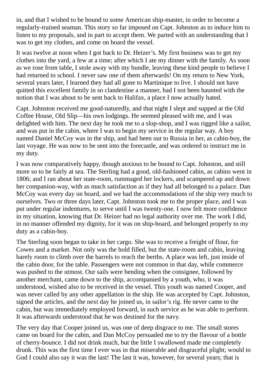in, and that I wished to be bound to some American ship-master, in order to become a regularly-trained seaman. This story so far imposed on Capt. Johnston as to induce him to listen to my proposals, and in part to accept them. We parted with an understanding that I was to get my clothes, and come on board the vessel.

It was twelve at noon when I got back to Dr. Heizer's. My first business was to get my clothes into the yard, a few at a time; after which I ate my dinner with the family. As soon as we rose from table, I stole away with my bundle, leaving these kind people to believe I had returned to school. I never saw one of them afterwards! On my return to New York, several years later, I learned they had all gone to Martinique to live. I should not have quitted this excellent family in so clandestine a manner, had I not been haunted with the notion that I was about to be sent back to Halifax, a place I now actually hated.

Capt. Johnston received me good-naturedly, and that night I slept and supped at the Old Coffee House, Old Slip—his own lodgings. He seemed pleased with me, and I was delighted with him. The next day he took me to a slop-shop, and I was rigged like a sailor, and was put in the cabin, where I was to begin my service in the regular way. A boy named Daniel McCoy was in the ship, and had been out to Russia in her, as cabin-boy, the last voyage. He was now to be sent into the forecastle, and was ordered to instruct me in my duty.

I was now comparatively happy, though anxious to be bound to Capt. Johnston, and still more so to be fairly at sea. The Sterling had a good, old-fashioned cabin, as cabins went in 1806; and I ran about her state-room, rummaged her lockers, and scampered up and down her companion-way, with as much satisfaction as if they had all belonged to a palace. Dan McCoy was every day on board, and we had the accommodations of the ship very much to ourselves. Two or three days later, Capt. Johnston took me to the proper place, and I was put under regular indentures, to serve until I was twenty-one. I now felt more confidence in my situation, knowing that Dr. Heizer had no legal authority over me. The work I did, in no manner offended my dignity, for it was on ship-board, and belonged properly to my duty as a cabin-boy.

The Sterling soon began to take in her cargo. She was to receive a freight of flour, for Cowes and a market. Not only was the hold filled, but the state-room and cabin, leaving barely room to climb over the barrels to reach the berths. A place was left, just inside of the cabin door, for the table. Passengers were not common in that day, while commerce was pushed to the utmost. Our sails were bending when the consignee, followed by another merchant, came down to the ship, accompanied by a youth, who, it was understood, wished also to be received in the vessel. This youth was named Cooper, and was never called by any other appellation in the ship. He was accepted by Capt. Johnston, signed the articles, and the next day he joined us, in sailor's rig. He never came to the cabin, but was immediately employed forward, in such service as he was able to perform. It was afterwards understood that he was destined for the navy.

The very day that Cooper joined us, was one of deep disgrace to me. The small stores came on board for the cabin, and Dan McCoy persuaded me to try the flavour of a bottle of cherry-bounce. I did not drink much, but the little I swallowed made me completely drunk. This was the first time I ever was in that miserable and disgraceful plight; would to God I could also say it was the last! The last it was, however, for several years; that is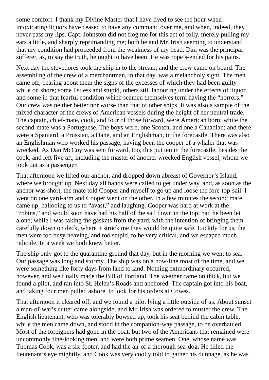some comfort. I thank my Divine Master that I have lived to see the hour when intoxicating liquors have ceased to have any command over me, and when, indeed, they never pass my lips. Capt. Johnston did not flog me for this act of folly, merely pulling my ears a little, and sharply reprimanding me; both he and Mr. Irish seeming to understand that my condition had proceeded from the weakness of my head. Dan was the principal sufferer, as, to say the truth, he ought to have been. He was rope's-ended for his pains.

Next day the stevedores took the ship in to the stream, and the crew came on board. The assembling of the crew of a merchantman, in that day, was a melancholy sight. The men came off, bearing about them the signs of the excesses of which they had been guilty while on shore; some listless and stupid, others still labouring under the effects of liquor, and some in that fearful condition which seamen themselves term having the "horrors." Our crew was neither better nor worse than that of other ships. It was also a sample of the mixed character of the crews of American vessels during the height of her neutral trade. The captain, chief-mate, cook, and four of those forward, were American born; while the second-mate was a Portuguese. The boys were, one Scotch, and one a Canadian; and there were a Spaniard, a Prussian, a Dane, and an Englishman, in the forecastle. There was also an Englishman who worked his passage, having been the cooper of a whaler that was wrecked. As Dan McCoy was sent forward, too, this put ten in the forecastle, besides the cook, and left five aft, including the master of another wrecked English vessel, whom we took out as a passenger.

That afternoon we lifted our anchor, and dropped down abreast of Governor's Island, where we brought up. Next day all hands were called to get under way, and, as soon as the anchor was short, the mate told Cooper and myself to go up and loose the fore-top-sail. I went on one yard-arm and Cooper went on the other. In a few minutes the second mate came up, hallooing to us to "avast," and laughing. Cooper was hard at work at the "robins," and would soon have had his half of the sail down in the top, had he been let alone; while I was taking the gaskets from the yard, with the intention of bringing them carefully down on deck, where it struck me they would be quite safe. Luckily for us, the men were too busy heaving, and too stupid, to be very critical, and we escaped much ridicule. In a week we both knew better.

The ship only got to the quarantine ground that day, but in the morning we went to sea. Our passage was long and stormy. The ship was on a bow-line most of the time, and we were something like forty days from land to land. Nothing extraordinary occurred, however, and we finally made the Bill of Portland. The weather came on thick, but we found a pilot, and ran into St. Helen's Roads and anchored. The captain got into his boat, and taking four men pulled ashore, to look for his orders at Cowes.

That afternoon it cleared off, and we found a pilot lying a little outside of us. About sunset a man-of-war's cutter came alongside, and Mr. Irish was ordered to muster the crew. The English lieutenant, who was tolerably bowsed up, took his seat behind the cabin table, while the men came down, and stood in the companion-way passage, to be overhauled. Most of the foreigners had gone in the boat, but two of the Americans that remained were uncommonly fine-looking men, and were both prime seamen. One, whose name was Thomas Cook, was a six-footer, and had the air of a thorough sea-dog. He filled the lieutenant's eye mightily, and Cook was very coolly told to gather his dunnage, as he was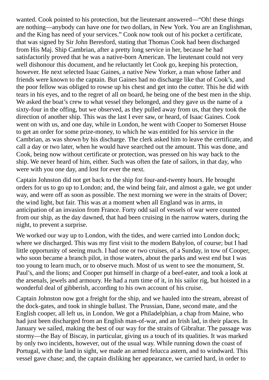wanted. Cook pointed to his protection, but the lieutenant answered—"Oh! these things are nothing—anybody can have one for two dollars, in New York. You are an Englishman, and the King has need of your services." Cook now took out of his pocket a certificate, that was signed by Sir John Beresford, stating that Thomas Cook had been discharged from His Maj. Ship Cambrian, after a pretty long service in her, because he had satisfactorily proved that he was a native-born American. The lieutenant could not very well dishonour this document, and he reluctantly let Cook go, keeping his protection, however. He next selected Isaac Gaines, a native New Yorker, a man whose father and friends were known to the captain. But Gaines had no discharge like that of Cook's, and the poor fellow was obliged to rowse up his chest and get into the cutter. This he did with tears in his eyes, and to the regret of all on board, he being one of the best men in the ship. We asked the boat's crew to what vessel they belonged, and they gave us the name of a sixty-four in the offing, but we observed, as they pulled away from us, that they took the direction of another ship. This was the last I ever saw, or heard, of Isaac Gaines. Cook went on with us, and one day, while in London, he went with Cooper to Somerset House to get an order for some prize-money, to which he was entitled for his service in the Cambrian, as was shown by his discharge. The clerk asked him to leave the certificate, and call a day or two later, when he would have searched out the amount. This was done, and Cook, being now without certificate or protection, was pressed on his way back to the ship. We never heard of him, either. Such was often the fate of sailors, in that day, who were with you one day, and lost for ever the next.

Captain Johnston did not get back to the ship for four-and-twenty hours. He brought orders for us to go up to London; and, the wind being fair, and almost a gale, we got under way, and were off as soon as possible. The next morning we were in the straits of Dover; the wind light, but fair. This was at a moment when all England was in arms, in anticipation of an invasion from France. Forty odd sail of vessels of war were counted from our ship, as the day dawned, that had been cruising in the narrow waters, during the night, to prevent a surprise.

We worked our way up to London, with the tides, and were carried into London dock; where we discharged. This was my first visit to the modern Babylon, of course; but I had little opportunity of seeing much. I had one or two cruises, of a Sunday, in tow of Cooper, who soon became a branch pilot, in those waters, about the parks and west end but I was too young to learn much, or to observe much. Most of us went to see the monument, St. Paul's, and the lions; and Cooper put himself in charge of a beef-eater, and took a look at the arsenals, jewels and armoury. He had a rum time of it, in his sailor rig, but hoisted in a wonderful deal of gibberish, according to his own account of his cruise.

Captain Johnston now got a freight for the ship, and we hauled into the stream, abreast of the dock-gates, and took in shingle ballast. The Prussian, Dane, second mate, and the English cooper, all left us, in London. We got a Philadelphian, a chap from Maine, who had just been discharged from an English man-of-war, and an Irish lad, in their places. In January we sailed, making the best of our way for the straits of Gibraltar. The passage was stormy—the Bay of Biscay, in particular, giving us a touch of its qualities. It was marked by only two incidents, however, out of the usual way. While running down the coast of Portugal, with the land in sight, we made an armed felucca astern, and to windward. This vessel gave chase; and, the captain disliking her appearance, we carried hard, in order to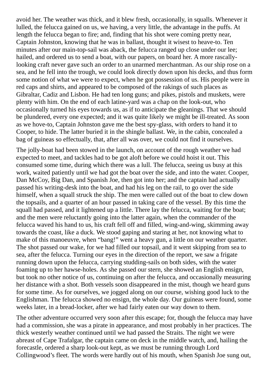avoid her. The weather was thick, and it blew fresh, occasionally, in squalls. Whenever it lulled, the felucca gained on us, we having, a very little, the advantage in the puffs. At length the felucca began to fire; and, finding that his shot were coming pretty near, Captain Johnston, knowing that he was in ballast, thought it wisest to heave-to. Ten minutes after our main-top-sail was aback, the felucca ranged up close under our lee; hailed, and ordered us to send a boat, with our papers, on board her. A more rascallylooking craft never gave such an order to an unarmed merchantman. As our ship rose on a sea, and he fell into the trough, we could look directly down upon his decks, and thus form some notion of what we were to expect, when he got possession of us. His people were in red caps and shirts, and appeared to be composed of the rakings of such places as Gibraltar, Cadiz and Lisbon. He had ten long guns; and pikes, pistols and muskets, were plenty with him. On the end of each latine-yard was a chap on the look-out, who occasionally turned his eyes towards us, as if to anticipate the gleanings. That we should be plundered, every one expected; and it was quite likely we might be ill-treated. As soon as we hove-to, Captain Johnston gave me the best spy-glass, with orders to hand it to Cooper, to hide. The latter buried it in the shingle ballast. We, in the cabin, concealed a bag of guineas so effectually, that, after all was over, we could not find it ourselves.

The jolly-boat had been stowed in the launch, on account of the rough weather we had expected to meet, and tackles had to be got aloft before we could hoist it out. This consumed some time, during which there was a lull. The felucca, seeing us busy at this work, waited patiently until we had got the boat over the side, and into the water. Cooper, Dan McCoy, Big Dan, and Spanish Joe, then got into her; and the captain had actually passed his writing-desk into the boat, and had his leg on the rail, to go over the side himself, when a squall struck the ship. The men were called out of the boat to clew down the topsails, and a quarter of an hour passed in taking care of the vessel. By this time the squall had passed, and it lightened up a little. There lay the felucca, waiting for the boat; and the men were reluctantly going into the latter again, when the commander of the felucca waved his hand to us, his craft fell off and filled, wing-and-wing, skimming away towards the coast, like a duck. We stood gaping and staring at her, not knowing what to make of this manoeuvre, when "bang!" went a heavy gun, a little on our weather quarter. The shot passed our wake, for we had filled our topsail, and it went skipping from sea to sea, after the felucca. Turning our eyes in the direction of the report, we saw a frigate running down upon the felucca, carrying studding-sails on both sides, with the water foaming up to her hawse-holes. As she passed our stern, she showed an English ensign, but took no other notice of us, continuing on after the felucca, and occasionally measuring her distance with a shot. Both vessels soon disappeared in the mist, though we heard guns for some time. As for ourselves, we jogged along on our course, wishing good luck to the Englishman. The felucca showed no ensign, the whole day. Our guineas were found, some weeks later, in a bread-locker, after we had fairly eaten our way down to them.

The other adventure occurred very soon after this escape; for, though the felucca may have had a commission, she was a pirate in appearance, and most probably in her practices. The thick westerly weather continued until we had passed the Straits. The night we were abreast of Cape Trafalgar, the captain came on deck in the middle watch, and, hailing the forecastle, ordered a sharp look-out kept, as we must be running through Lord Collingwood's fleet. The words were hardly out of his mouth, when Spanish Joe sung out,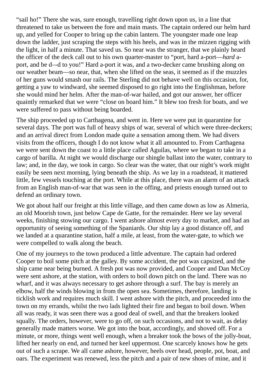"sail ho!" There she was, sure enough, travelling right down upon us, in a line that threatened to take us between the fore and main masts. The captain ordered our helm hard up, and yelled for Cooper to bring up the cabin lantern. The youngster made one leap down the ladder, just scraping the steps with his heels, and was in the mizzen rigging with the light, in half a minute. That saved us. So near was the stranger, that we plainly heard the officer of the deck call out to his own quarter-master to "port, hard a-port—*hard* aport, and be d–-d to you!" Hard a-port it was, and a two-decker came brushing along on our weather beam—so near, that, when she lifted on the seas, it seemed as if the muzzles of her guns would smash our rails. The Sterling did not behave well on this occasion, for, getting a yaw to windward, she seemed disposed to go right into the Englishman, before she would mind her helm. After the man-of-war hailed, and got our answer, her officer quaintly remarked that we were "close on board him." It blew too fresh for boats, and we were suffered to pass without being boarded.

The ship proceeded up to Carthagena, and went in. Here we were put in quarantine for several days. The port was full of heavy ships of war, several of which were three-deckers; and an arrival direct from London made quite a sensation among them. We had divers visits from the officers, though I do not know what it all amounted to. From Carthagena we were sent down the coast to a little place called Aguilas, where we began to take in a cargo of barilla. At night we would discharge our shingle ballast into the water, contrary to law; and, in the day, we took in cargo. So clear was the water, that our night's work might easily be seen next morning, lying beneath the ship. As we lay in a roadstead, it mattered little, few vessels touching at the port. While at this place, there was an alarm of an attack from an English man-of-war that was seen in the offing, and priests enough turned out to defend an ordinary town.

We got about half our freight at this little village, and then came down as low as Almeria, an old Moorish town, just below Cape de Gatte, for the remainder. Here we lay several weeks, finishing stowing our cargo. I went ashore almost every day to market, and had an opportunity of seeing something of the Spaniards. Our ship lay a good distance off, and we landed at a quarantine station, half a mile, at least, from the water-gate, to which we were compelled to walk along the beach.

One of my journeys to the town produced a little adventure. The captain had ordered Cooper to boil some pitch at the galley. By some accident, the pot was capsized, and the ship came near being burned. A fresh pot was now provided, and Cooper and Dan McCoy were sent ashore, at the station, with orders to boil down pitch on the land. There was no wharf, and it was always necessary to get ashore through a surf. The bay is merely an elbow, half the winds blowing in from the open sea. Sometimes, therefore, landing is ticklish work and requires much skill. I went ashore with the pitch, and proceeded into the town on my errands, whilst the two lads lighted their fire and began to boil down. When all was ready, it was seen there was a good deal of swell, and that the breakers looked squally. The orders, however, were to go off, on such occasions, and not to wait, as delay generally made matters worse. We got into the boat, accordingly, and shoved off. For a minute, or more, things went well enough, when a breaker took the bows of the jolly-boat, lifted her nearly on end, and turned her keel uppermost. One scarcely knows how he gets out of such a scrape. We all came ashore, however, heels over head, people, pot, boat, and oars. The experiment was renewed, less the pitch and a pair of new shoes of mine, and it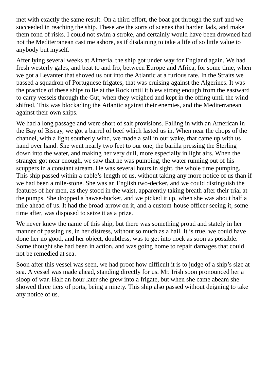met with exactly the same result. On a third effort, the boat got through the surf and we succeeded in reaching the ship. These are the sorts of scenes that harden lads, and make them fond of risks. I could not swim a stroke, and certainly would have been drowned had not the Mediterranean cast me ashore, as if disdaining to take a life of so little value to anybody but myself.

After lying several weeks at Almeria, the ship got under way for England again. We had fresh westerly gales, and beat to and fro, between Europe and Africa, for some time, when we got a Levanter that shoved us out into the Atlantic at a furious rate. In the Straits we passed a squadron of Portuguese frigates, that was cruising against the Algerines. It was the practice of these ships to lie at the Rock until it blew strong enough from the eastward to carry vessels through the Gut, when they weighed and kept in the offing until the wind shifted. This was blockading the Atlantic against their enemies, and the Mediterranean against their own ships.

We had a long passage and were short of salt provisions. Falling in with an American in the Bay of Biscay, we got a barrel of beef which lasted us in. When near the chops of the channel, with a light southerly wind, we made a sail in our wake, that came up with us hand over hand. She went nearly two feet to our one, the barilla pressing the Sterling down into the water, and making her very dull, more especially in light airs. When the stranger got near enough, we saw that he was pumping, the water running out of his scuppers in a constant stream. He was several hours in sight, the whole time pumping. This ship passed within a cable's-length of us, without taking any more notice of us than if we had been a mile-stone. She was an English two-decker, and we could distinguish the features of her men, as they stood in the waist, apparently taking breath after their trial at the pumps. She dropped a hawse-bucket, and we picked it up, when she was about half a mile ahead of us. It had the broad-arrow on it, and a custom-house officer seeing it, some time after, was disposed to seize it as a prize.

We never knew the name of this ship, but there was something proud and stately in her manner of passing us, in her distress, without so much as a hail. It is true, we could have done her no good, and her object, doubtless, was to get into dock as soon as possible. Some thought she had been in action, and was going home to repair damages that could not be remedied at sea.

Soon after this vessel was seen, we had proof how difficult it is to judge of a ship's size at sea. A vessel was made ahead, standing directly for us. Mr. Irish soon pronounced her a sloop of war. Half an hour later she grew into a frigate, but when she came abeam she showed three tiers of ports, being a ninety. This ship also passed without deigning to take any notice of us.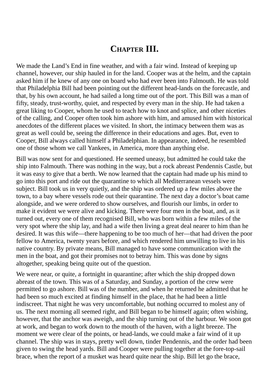### **CHAPTER III.**

We made the Land's End in fine weather, and with a fair wind. Instead of keeping up channel, however, our ship hauled in for the land. Cooper was at the helm, and the captain asked him if he knew of any one on board who had ever been into Falmouth. He was told that Philadelphia Bill had been pointing out the different head-lands on the forecastle, and that, by his own account, he had sailed a long time out of the port. This Bill was a man of fifty, steady, trust-worthy, quiet, and respected by every man in the ship. He had taken a great liking to Cooper, whom he used to teach how to knot and splice, and other niceties of the calling, and Cooper often took him ashore with him, and amused him with historical anecdotes of the different places we visited. In short, the intimacy between them was as great as well could be, seeing the difference in their educations and ages. But, even to Cooper, Bill always called himself a Philadelphian. In appearance, indeed, he resembled one of those whom we call Yankees, in America, more than anything else.

Bill was now sent for and questioned. He seemed uneasy, but admitted he could take the ship into Falmouth. There was nothing in the way, but a rock abreast Pendennis Castle, but it was easy to give that a berth. We now learned that the captain had made up his mind to go into this port and ride out the quarantine to which all Mediterranean vessels were subject. Bill took us in very quietly, and the ship was ordered up a few miles above the town, to a bay where vessels rode out their quarantine. The next day a doctor's boat came alongside, and we were ordered to show ourselves, and flourish our limbs, in order to make it evident we were alive and kicking. There were four men in the boat, and, as it turned out, every one of them recognised Bill, who was born within a few miles of the very spot where the ship lay, and had a wife then living a great deal nearer to him than he desired. It was this wife—there happening to be too much of her—that had driven the poor fellow to America, twenty years before, and which rendered him unwilling to live in his native country. By private means, Bill managed to have some communication with the men in the boat, and got their promises not to betray him. This was done by signs altogether, speaking being quite out of the question.

We were near, or quite, a fortnight in quarantine; after which the ship dropped down abreast of the town. This was of a Saturday, and Sunday, a portion of the crew were permitted to go ashore. Bill was of the number, and when he returned he admitted that he had been so much excited at finding himself in the place, that he had been a little indiscreet. That night he was very uncomfortable, but nothing occurred to molest any of us. The next morning all seemed right, and Bill began to be himself again; often wishing, however, that the anchor was aweigh, and the ship turning out of the harbour. We soon got at work, and began to work down to the mouth of the haven, with a light breeze. The moment we were clear of the points, or head-lands, we could make a fair wind of it up channel. The ship was in stays, pretty well down, tinder Pendennis, and the order had been given to swing the head yards. Bill and Cooper were pulling together at the fore-top-sail brace, when the report of a musket was heard quite near the ship. Bill let go the brace,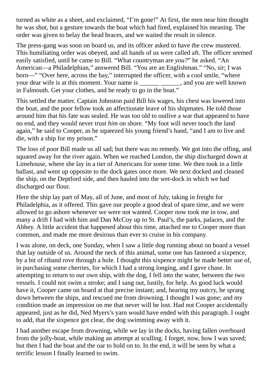turned as white as a sheet, and exclaimed, "I'm gone!" At first, the men near him thought he was shot, but a gesture towards the boat which had fired, explained his meaning. The order was given to belay the head braces, and we waited the result in silence.

The press-gang was soon on board us, and its officer asked to have the crew mustered. This humiliating order was obeyed, and all hands of us were called aft. The officer seemed easily satisfied, until he came to Bill. "What countryman are *you?*" he asked. "An American—a Philadelphian," answered Bill. "You are an Englishman." "No, sir; I was born—" "Over here, across the bay," interrupted the officer, with a cool smile, "where your dear wife is at this moment. Your name is \_\_\_\_\_\_\_\_\_\_\_\_\_\_, and you are well known in Falmouth. Get your clothes, and be ready to go in the boat."

This settled the matter. Captain Johnston paid Bill his wages, his chest was lowered into the boat, and the poor fellow took an affectionate leave of his shipmates. He told those around him that his fate was sealed. He was too old to outlive a war that appeared to have no end, and they would never trust *him* on shore. "My foot will never touch the land again," he said to Cooper, as he squeezed his young friend's hand, "and I am to live and die, with a ship for my prison."

The loss of poor Bill made us all sad; but there was no remedy. We got into the offing, and squared away for the river again. When we reached London, the ship discharged down at Limehouse, where she lay in a tier of Americans for some time. We then took in a little ballast, and went up opposite to the dock gates once more. We next docked and cleaned the ship, on the Deptford side, and then hauled into the wet-dock in which we had discharged our flour.

Here the ship lay part of May, all of June, and most of July, taking in freight for Philadelphia, as it offered. This gave our people a good deal of spare time, and we were allowed to go ashore whenever we were not wanted. Cooper now took me in tow, and many a drift I had with him and Dan McCoy up to St. Paul's, the parks, palaces, and the Abbey. A little accident that happened about this time, attached me to Cooper more than common, and made me more desirous than ever to cruise in his company.

I was alone, on deck, one Sunday, when I saw a little dog running about on board a vessel that lay outside of us. Around the neck of this animal, some one has fastened a sixpence, by a bit of riband rove through a hole. I thought this sixpence might be made better use of, in purchasing some cherries, for which I had a strong longing, and I gave chase. In attempting to return to our own ship, with the dog, I fell into the water, between the two vessels. I could not swim a stroke; and I sang out, lustily, for help. As good luck would have it, Cooper came on board at that precise instant; and, hearing my outcry, he sprang down between the ships, and rescued me from drowning. I thought I was gone; and my condition made an impression on me that never will be lost. Had not Cooper accidentally appeared, just as he did, Ned Myers's yarn would have ended with this paragraph. I ought to add, that the sixpence got clear, the dog swimming away with it.

I had another escape from drowning, while we lay in the docks, having fallen overboard from the jolly-boat, while making an attempt at sculling. I forget, now, how I was saved; but then I had the boat and the oar to hold on to. In the end, it will be seen by what a terrific lesson I finally learned to swim.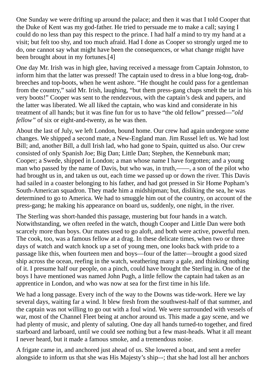One Sunday we were drifting up around the palace; and then it was that I told Cooper that the Duke of Kent was my god-father. He tried to persuade me to make a call; saying I could do no less than pay this respect to the prince. I had half a mind to try my hand at a visit; but felt too shy, and too much afraid. Had I done as Cooper so strongly urged me to do, one cannot say what might have been the consequences, or what change might have been brought about in my fortunes.[4]

One day Mr. Irish was in high glee, having received a message from Captain Johnston, to inform him that the latter was pressed! The captain used to dress in a blue long-tog, drabbreeches and top-boots, when he went ashore. "He thought he could pass for a gentleman from the country," said Mr. Irish, laughing, "but them press-gang chaps smelt the tar in his very boots!" Cooper was sent to the rendezvous, with the captain's desk and papers, and the latter was liberated. We all liked the captain, who was kind and considerate in his treatment of all hands; but it was fine fun for us to have "the old fellow" pressed—"*old fellow"* of six or eight-and-twenty, as he was then.

About the last of July, we left London, bound home. Our crew had again undergone some changes. We shipped a second mate, a New-England man. Jim Russel left us. We had lost Bill; and, another Bill, a dull Irish lad, who had gone to Spain, quitted us also. Our crew consisted of only Spanish Joe; Big Dan; Little Dan; Stephen, the Kennebunk man; Cooper; a Swede, shipped in London; a man whose name I have forgotten; and a young man who passed by the name of Davis, but who was, in truth,——, a son of the pilot who had brought us in, and taken us out, each time we passed up or down the river. This Davis had sailed in a coaster belonging to his father, and had got pressed in Sir Home Popham's South-American squadron. They made him a midshipman; but, disliking the sea, he was determined to go to America. We had to smuggle him out of the country, on account of the press-gang; he making his appearance on board us, suddenly, one night, in the river.

The Sterling was short-handed this passage, mustering but four hands in a watch. Notwithstanding, we often reefed in the watch, though Cooper and Little Dan were both scarcely more than boys. Our mates used to go aloft, and both were active, powerful men. The cook, too, was a famous fellow at a drag. In these delicate times, when two or three days of watch and watch knock up a set of young men, one looks back with pride to a passage like this, when fourteen men and boys—four of the latter—brought a good sized ship across the ocean, reefing in the watch, weathering many a gale, and thinking nothing of it. I presume half our people, on a pinch, could have brought the Sterling in. One of the boys I have mentioned was named John Pugh, a little fellow the captain had taken as an apprentice in London, and who was now at sea for the first time in his life.

We had a long passage. Every inch of the way to the Downs was tide-work. Here we lay several days, waiting far a wind. It blew fresh from the southwest-half of that summer, and the captain was not willing to go out with a foul wind. We were surrounded with vessels of war, most of the Channel Fleet being at anchor around us. This made a gay scene, and we had plenty of music, and plenty of saluting. One day all hands turned-to together, and fired starboard and larboard, until we could see nothing but a few mast-heads. What it all meant I never heard, but it made a famous smoke, and a tremendous noise.

A frigate came in, and anchored just ahead of us. She lowered a boat, and sent a reefer alongside to inform us that she was His Majesty's ship–-; that she had lost all her anchors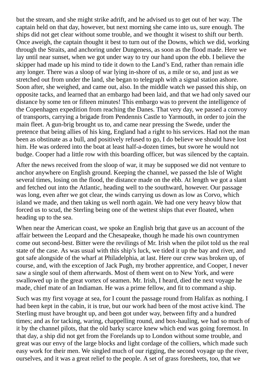but the stream, and she might strike adrift, and he advised us to get out of her way. The captain held on that day, however, but next morning she came into us, sure enough. The ships did not get clear without some trouble, and we thought it wisest to shift our berth. Once aweigh, the captain thought it best to turn out of the Downs, which we did, working through the Straits, and anchoring under Dungeness, as soon as the flood made. Here we lay until near sunset, when we got under way to try our hand upon the ebb. I believe the skipper had made up his mind to tide it down to the Land's End, rather than remain idle any longer. There was a sloop of war lying in-shore of us, a mile or so, and just as we stretched out from under the land, she began to telegraph with a signal station ashore. Soon after, she weighed, and came out, also. In the middle watch we passed this ship, on opposite tacks, and learned that an embargo had been laid, and that we had only saved our distance by some ten or fifteen minutes! This embargo was to prevent the intelligence of the Copenhagen expedition from reaching the Danes. That very day, we passed a convoy of transports, carrying a brigade from Pendennis Castle to Yarmouth, in order to join the main fleet. A gun-brig brought us to, and came near pressing the Swede, under the pretence that being allies of his king, England had a right to his services. Had not the man been as obstinate as a bull, and positively refused to go, I do believe we should have lost him. He was ordered into the boat at least half-a-dozen times, but swore he would not budge. Cooper had a little row with this boarding officer, but was silenced by the captain.

After the news received from the sloop of war, it may be supposed we did not venture to anchor anywhere on English ground. Keeping the channel, we passed the Isle of Wight several times, losing on the flood, the distance made on the ebb. At length we got a slant and fetched out into the Atlantic, heading well to the southward, however. Our passage was long, even after we got clear, the winds carrying us down as low as Corvo, which island we made, and then taking us well north again. We had one very heavy blow that forced us to scud, the Sterling being one of the wettest ships that ever floated, when heading up to the sea.

When near the American coast, we spoke an English brig that gave us an account of the affair between the Leopard and the Chesapeake, though he made his own countrymen come out second-best. Bitter were the revilings of Mr. Irish when the pilot told us the real state of the case. As was usual with this ship's luck, we tided it up the bay and river, and got safe alongside of the wharf at Philadelphia, at last. Here our crew was broken up, of course, and, with the exception of Jack Pugh, my brother apprentice, and Cooper, I never saw a single soul of them afterwards. Most of them went on to New York, and were swallowed up in the great vortex of seamen. Mr. Irish, I heard, died the next voyage he made, chief mate of an Indiaman. He was a prime fellow, and fit to command a ship.

Such was my first voyage at sea, for I count the passage round from Halifax as nothing. I had been kept in the cabin, it is true, but our work had been of the most active kind. The Sterling must have brought up, and been got under way, between fifty and a hundred times; and as for tacking, waring, chappelling round, and box-hauling, we had so much of it by the channel pilots, that the old barky scarce knew which end was going foremost. In that day, a ship did not get from the Forelands up to London without some trouble, and great was our envy of the large blocks and light cordage of the colliers, which made such easy work for their men. We singled much of our rigging, the second voyage up the river, ourselves, and it was a great relief to the people. A set of grass foresheets, too, that we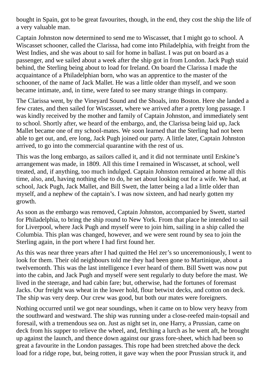bought in Spain, got to be great favourites, though, in the end, they cost the ship the life of a very valuable man.

Captain Johnston now determined to send me to Wiscasset, that I might go to school. A Wiscasset schooner, called the Clarissa, had come into Philadelphia, with freight from the West Indies, and she was about to sail for home in ballast. I was put on board as a passenger, and we sailed about a week after the ship got in from London. Jack Pugh staid behind, the Sterling being about to load for Ireland. On board the Clarissa I made the acquaintance of a Philadelphian born, who was an apprentice to the master of the schooner, of the name of Jack Mallet. He was a little older than myself, and we soon became intimate, and, in time, were fated to see many strange things in company.

The Clarissa went, by the Vineyard Sound and the Shoals, into Boston. Here she landed a few crates, and then sailed for Wiscasset, where we arrived after a pretty long passage. I was kindly received by the mother and family of Captain Johnston, and immediately sent to school. Shortly after, we heard of the embargo, and, the Clarissa being laid up, Jack Mallet became one of my school-mates. We soon learned that the Sterling had not been able to get out, and, ere long, Jack Pugh joined our party. A little later, Captain Johnston arrived, to go into the commercial quarantine with the rest of us.

This was the long embargo, as sailors called it, and it did not terminate until Erskine's arrangement was made, in 1809. All this time I remained in Wiscasset, at school, well treated, and, if anything, too much indulged. Captain Johnston remained at home all this time, also, and, having nothing else to do, he set about looking out for a wife. We had, at school, Jack Pugh, Jack Mallet, and Bill Swett, the latter being a lad a little older than myself, and a nephew of the captain's. I was now sixteen, and had nearly gotten my growth.

As soon as the embargo was removed, Captain Johnston, accompanied by Swett, started for Philadelphia, to bring the ship round to New York. From that place he intended to sail for Liverpool, where Jack Pugh and myself were to join him, sailing in a ship called the Columbia. This plan was changed, however, and we were sent round by sea to join the Sterling again, in the port where I had first found her.

As this was near three years after I had quitted the Hel zer's so unceremoniously, I went to look for them. Their old neighbours told me they had been gone to Martinique, about a twelvemonth. This was the last intelligence I ever heard of them. Bill Swett was now put into the cabin, and Jack Pugh and myself were sent regularly to duty before the mast. We lived in the steerage, and had cabin fare; but, otherwise, had the fortunes of foremast Jacks. Our freight was wheat in the lower hold, flour betwixt decks, and cotton on deck. The ship was very deep. Our crew was good, but both our mates were foreigners.

Nothing occurred until we got near soundings, when it came on to blow very heavy from the southward and westward. The ship was running under a close-reefed main-topsail and foresail, with a tremendous sea on. Just as night set in, one Harry, a Prussian, came on deck from his supper to relieve the wheel, and, fetching a lurch as he went aft, he brought up against the launch, and thence down against our grass fore-sheet, which had been so great a favourite in the London passages. This rope had been stretched above the deck load for a ridge rope, but, being rotten, it gave way when the poor Prussian struck it, and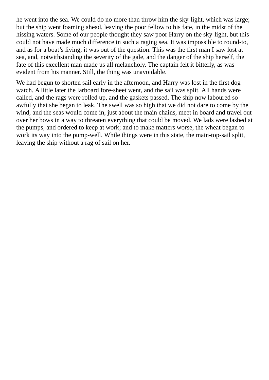he went into the sea. We could do no more than throw him the sky-light, which was large; but the ship went foaming ahead, leaving the poor fellow to his fate, in the midst of the hissing waters. Some of our people thought they saw poor Harry on the sky-light, but this could not have made much difference in such a raging sea. It was impossible to round-to, and as for a boat's living, it was out of the question. This was the first man I saw lost at sea, and, notwithstanding the severity of the gale, and the danger of the ship herself, the fate of this excellent man made us all melancholy. The captain felt it bitterly, as was evident from his manner. Still, the thing was unavoidable.

We had begun to shorten sail early in the afternoon, and Harry was lost in the first dogwatch. A little later the larboard fore-sheet went, and the sail was split. All hands were called, and the rags were rolled up, and the gaskets passed. The ship now laboured so awfully that she began to leak. The swell was so high that we did not dare to come by the wind, and the seas would come in, just about the main chains, meet in board and travel out over her bows in a way to threaten everything that could be moved. We lads were lashed at the pumps, and ordered to keep at work; and to make matters worse, the wheat began to work its way into the pump-well. While things were in this state, the main-top-sail split, leaving the ship without a rag of sail on her.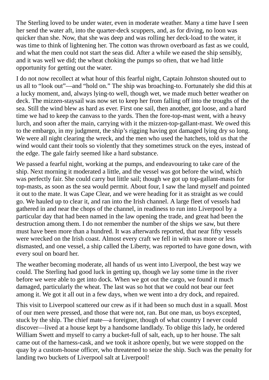The Sterling loved to be under water, even in moderate weather. Many a time have I seen her send the water aft, into the quarter-deck scuppers, and, as for diving, no loon was quicker than she. Now, that she was deep and was rolling her deck-load to the water, it was time to think of lightening her. The cotton was thrown overboard as fast as we could, and what the men could not start the seas did. After a while we eased the ship sensibly, and it was well we did; the wheat choking the pumps so often, that we had little opportunity for getting out the water.

I do not now recollect at what hour of this fearful night, Captain Johnston shouted out to us all to "look out"—and "hold on." The ship was broaching-to. Fortunately she did this at a lucky moment, and, always lying-to well, though wet, we made much better weather on deck. The mizzen-staysail was now set to keep her from falling off into the troughs of the sea. Still the wind blew as hard as ever. First one sail, then another, got loose, and a hard time we had to keep the canvass to the yards. Then the fore-top-mast went, with a heavy lurch, and soon after the main, carrying with it the mizzen-top-gallant-mast. We owed this to the embargo, in my judgment, the ship's rigging having got damaged lying dry so long. We were all night clearing the wreck, and the men who used the hatchets, told us that the wind would cant their tools so violently that they sometimes struck on the eyes, instead of the edge. The gale fairly seemed like a hard substance.

We passed a fearful night, working at the pumps, and endeavouring to take care of the ship. Next morning it moderated a little, and the vessel was got before the wind, which was perfectly fair. She could carry but little sail; though we got up top-gallant-masts for top-masts, as soon as the sea would permit. About four, I saw the land myself and pointed it out to the mate. It was Cape Clear, and we were heading for it as straight as we could go. We hauled up to clear it, and ran into the Irish channel. A large fleet of vessels had gathered in and near the chops of the channel, in readiness to run into Liverpool by a particular day that had been named in the law opening the trade, and great had been the destruction among them. I do not remember the number of the ships we saw, but there must have been more than a hundred. It was afterwards reported, that near fifty vessels were wrecked on the Irish coast. Almost every craft we fell in with was more or less dismasted, and one vessel, a ship called the Liberty, was reported to have gone down, with every soul on board her.

The weather becoming moderate, all hands of us went into Liverpool, the best way we could. The Sterling had good luck in getting up, though we lay some time in the river before we were able to get into dock. When we got out the cargo, we found it much damaged, particularly the wheat. The last was so hot that we could not bear our feet among it. We got it all out in a few days, when we went into a dry dock, and repaired.

This visit to Liverpool scattered our crew as if it had been so much dust in a squall. Most of our men were pressed, and those that were not, ran. But one man, us boys excepted, stuck by the ship. The chief mate—a foreigner, though of what country I never could discover—lived at a house kept by a handsome landlady. To oblige this lady, he ordered William Swett and myself to carry a bucket-full of salt, each, up to her house. The salt came out of the harness-cask, and we took it ashore openly, but we were stopped on the quay by a custom-house officer, who threatened to seize the ship. Such was the penalty for landing two buckets of Liverpool salt at Liverpool!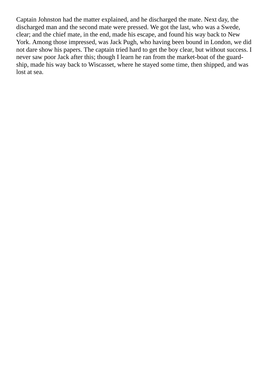Captain Johnston had the matter explained, and he discharged the mate. Next day, the discharged man and the second mate were pressed. We got the last, who was a Swede, clear; and the chief mate, in the end, made his escape, and found his way back to New York. Among those impressed, was Jack Pugh, who having been bound in London, we did not dare show his papers. The captain tried hard to get the boy clear, but without success. I never saw poor Jack after this; though I learn he ran from the market-boat of the guardship, made his way back to Wiscasset, where he stayed some time, then shipped, and was lost at sea.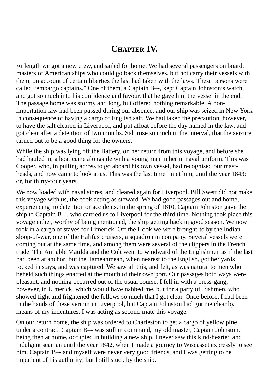### **CHAPTER IV.**

At length we got a new crew, and sailed for home. We had several passengers on board, masters of American ships who could go back themselves, but not carry their vessels with them, on account of certain liberties the last had taken with the laws. These persons were called "embargo captains." One of them, a Captain B–-, kept Captain Johnston's watch, and got so much into his confidence and favour, that he gave him the vessel in the end. The passage home was stormy and long, but offered nothing remarkable. A nonimportation law had been passed during our absence, and our ship was seized in New York in consequence of having a cargo of English salt. We had taken the precaution, however, to have the salt cleared in Liverpool, and put afloat before the day named in the law, and got clear after a detention of two months. Salt rose so much in the interval, that the seizure turned out to be a good thing for the owners.

While the ship was lying off the Battery, on her return from this voyage, and before she had hauled in, a boat came alongside with a young man in her in naval uniform. This was Cooper, who, in pulling across to go aboard his own vessel, had recognised our mastheads, and now came to look at us. This was the last time I met him, until the year 1843; or, for thirty-four years.

We now loaded with naval stores, and cleared again for Liverpool. Bill Swett did not make this voyage with us, the cook acting as steward. We had good passages out and home, experiencing no detention or accidents. In the spring of 1810, Captain Johnston gave the ship to Captain B–-, who carried us to Liverpool for the third time. Nothing took place this voyage either, worthy of being mentioned, the ship getting back in good season. We now took in a cargo of staves for Limerick. Off the Hook we were brought-to by the Indian sloop-of-war, one of the Halifax cruisers, a squadron in company. Several vessels were coming out at the same time, and among them were several of the clippers in the French trade. The Amiable Matilda and the Colt went to windward of the Englishmen as if the last had been at anchor; but the Tameahmeah, when nearest to the English, got her yards locked in stays, and was captured. We saw all this, and felt, as was natural to men who beheld such things enacted at the mouth of their own port. Our passages both ways were pleasant, and nothing occurred out of the usual course. I fell in with a press-gang, however, in Limerick, which would have nabbed me, but for a party of Irishmen, who showed fight and frightened the fellows so much that I got clear. Once before, I had been in the hands of these vermin in Liverpool, but Captain Johnston had got me clear by means of my indentures. I was acting as second-mate this voyage.

On our return home, the ship was ordered to Charleston to get a cargo of yellow pine, under a contract. Captain B–- was still in command, my old master, Captain Johnston, being then at home, occupied in building a new ship. I never saw this kind-hearted and indulgent seaman until the year 1842, when I made a journey to Wiscasset expressly to see him. Captain B— and myself were never very good friends, and I was getting to be impatient of his authority; but I still stuck by the ship.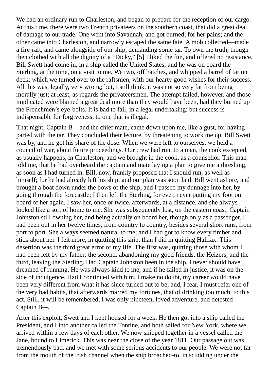We had an ordinary run to Charleston, and began to prepare for the reception of our cargo. At this time, there were two French privateers on the southern coast, that did a great deal of damage to our trade. One went into Savannah, and got burned, for her pains; and the other came into Charleston, and narrowly escaped the same fate. A mob collected—made a fire-raft, and came alongside of our ship, demanding some tar. To own the truth, though then clothed with all the dignity of a "Dicky," [5] I liked the fun, and offered no resistance. Bill Swett had come in, in a ship called the United States; and he was on board the Sterling, at the time, on a visit to me. We two, off hatches, and whipped a barrel of tar on deck; which we turned over to the raftsmen, with our hearty good wishes for their success. All this was, legally, very wrong; but, I still think, it was not so very far from being morally just; at least, as regards the privateersmen. The attempt failed, however, and those implicated were blamed a great deal more than they would have been, had they burned up the Frenchmen's eye-bolts. It is bad to fail, in a legal undertaking; but success is indispensable for forgiveness, to one that is illegal.

That night, Captain B–- and the chief mate, came down upon me, like a gust, for having parted with the tar. They concluded their lecture, by threatening to work me up. Bill Swett was by, and he got his share of the dose. When we were left to ourselves, we held a council of war, about future proceedings. Our crew had run, to a man, the cook excepted, as usually happens, in Charleston; and we brought in the cook, as a counsellor. This man told me, that he had overheard the captain and mate laying a plan to give me a threshing, as soon as I had turned in. Bill, now, frankly proposed that I should run, as well as himself; for he had already left his ship; and our plan was soon laid. Bill went ashore, and brought a boat down under the bows of the ship, and I passed my dunnage into her, by going through the forecastle; I then left the Sterling, for ever, never putting my foot on board of her again. I saw her, once or twice, afterwards, at a distance, and she always looked like a sort of home to me. She was subsequently lost, on the eastern coast, Captain Johnston still owning her, and being actually on board her, though only as a passenger. I had been out in her twelve times, from country to country, besides several short runs, from port to port. She always seemed natural to me; and I had got to know every timber and stick about her. I felt more, in quitting this ship, than I did in quitting Halifax. This desertion was the third great error of my life. The first was, quitting those with whom I had been left by my father; the second, abandoning my good friends, the Heizers; and the third, leaving the Sterling. Had Captain Johnston been in the ship, I never should have dreamed of running. He was always kind to me, and if he failed in justice, it was on the side of indulgence. Had I continued with him, I make no doubt, my career would have been very different from what it has since turned out to be; and, I fear, I must refer one of the very bad habits, that afterwards marred my fortunes, that of drinking too much, to this act. Still, it will be remembered, I was only nineteen, loved adventure, and detested Captain B–-.

After this exploit, Swett and I kept housed for a week. He then got into a ship called the President, and I into another called the Tontine, and both sailed for New York, where we arrived within a few days of each other. We now shipped together in a vessel called the Jane, bound to Limerick. This was near the close of the year 1811. Our passage out was tremendously bad, and we met with some serious accidents to our people. We were not far from the mouth of the Irish channel when the ship broached-to, in scudding under the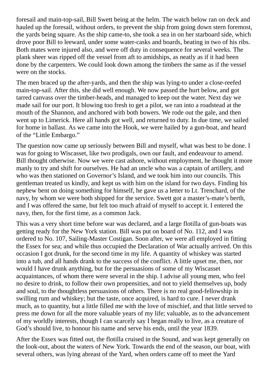foresail and main-top-sail, Bill Swett being at the helm. The watch below ran on deck and hauled up the foresail, without orders, to prevent the ship from going down stern foremost, the yards being square. As the ship came-to, she took a sea in on her starboard side, which drove poor Bill to leeward, under some water-casks and boards, beating in two of his ribs. Both mates were injured also, and were off duty in consequence for several weeks. The plank sheer was ripped off the vessel from aft to amidships, as neatly as if it had been done by the carpenters. We could look down among the timbers the same as if the vessel were on the stocks.

The men braced up the after-yards, and then the ship was lying-to under a close-reefed main-top-sail. After this, she did well enough. We now passed the hurt below, and got tarred canvass over the timber-heads, and managed to keep out the water. Next day we made sail for our port. It blowing too fresh to get a pilot, we ran into a roadstead at the mouth of the Shannon, and anchored with both bowers. We rode out the gale, and then went up to Limerick. Here all hands got well, and returned to duty. In due time, we sailed for home in ballast. As we came into the Hook, we were hailed by a gun-boat, and heard of the "Little Embargo."

The question now came up seriously between Bill and myself, what was best to be done. I was for going to Wiscasset, like two prodigals, own our fault, and endeavour to amend. Bill thought otherwise. Now we were cast ashore, without employment, he thought it more manly to try and shift for ourselves. He had an uncle who was a captain of artillery, and who was then stationed on Governor's Island, and we took him into our councils. This gentleman treated us kindly, and kept us with him on the island for two days. Finding his nephew bent on doing something for himself, he gave us a letter to Lt. Trenchard, of the navy, by whom we were both shipped for the service. Swett got a master's-mate's berth, and I was offered the same, but felt too much afraid of myself to accept it. I entered the navy, then, for the first time, as a common Jack.

This was a very short time before war was declared, and a large flotilla of gun-boats was getting ready for the New York station. Bill was put on board of No. 112, and I was ordered to No. 107, Sailing-Master Costigan. Soon after, we were all employed in fitting the Essex for sea; and while thus occupied the Declaration of War actually arrived. On this occasion I got drunk, for the second time in my life. A quantity of whiskey was started into a tub, and all hands drank to the success of the conflict. A little upset me, then, nor would I have drunk anything, but for the persuasions of some of my Wiscasset acquaintances, of whom there were several in the ship. I advise all young men, who feel no desire to drink, to follow their own propensities, and not to yield themselves up, body and soul, to the thoughtless persuasions of others. There is no real good-fellowship in swilling rum and whiskey; but the taste, once acquired, is hard to cure. I never drank much, as to quantity, but a little filled me with the love of mischief, and that little served to press me down for all the more valuable years of my life; valuable, as to the advancement of my worldly interests, though I can scarcely say I began really to live, as a creature of God's should live, to honour his name and serve his ends, until the year 1839.

After the Essex was fitted out, the flotilla cruised in the Sound, and was kept generally on the look-out, about the waters of New York. Towards the end of the season, our boat, with several others, was lying abreast of the Yard, when orders came off to meet the Yard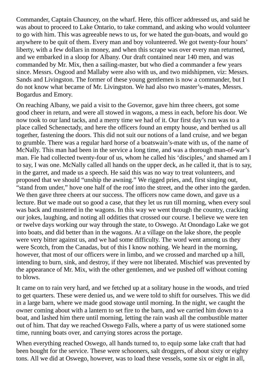Commander, Captain Chauncey, on the wharf. Here, this officer addressed us, and said he was about to proceed to Lake Ontario, to take command, and asking who would volunteer to go with him. This was agreeable news to us, for we hated the gun-boats, and would go anywhere to be quit of them. Every man and boy volunteered. We got twenty-four hours' liberty, with a few dollars in money, and when this scrape was over every man returned, and we embarked in a sloop for Albany. Our draft contained near 140 men, and was commanded by Mr. Mix, then a sailing-master, but who died a commander a few years since. Messrs. Osgood and Mallaby were also with us, and two midshipmen, viz: Messrs. Sands and Livingston. The former of these young gentlemen is now a commander, but I do not know what became of Mr. Livingston. We had also two master's-mates, Messrs. Bogardus and Emory.

On reaching Albany, we paid a visit to the Governor, gave him three cheers, got some good cheer in return, and were all stowed in wagons, a mess in each, before his door. We now took to our land tacks, and a merry time we had of it. Our first day's run was to a place called Schenectady, and here the officers found an empty house, and berthed us all together, fastening the doors. This did not suit our notions of a land cruise, and we began to grumble. There was a regular hard horse of a boatswain's-mate with us, of the name of McNally. This man had been in the service a long time, and was a thorough man-of-war's man. Fie had collected twenty-four of us, whom he called his 'disciples,' and shamed am I to say, I was one. McNally called all hands on the upper deck, as he called it, that is to say, in the garret, and made us a speech. He said this was no way to treat volunteers, and proposed that we should "unship the awning." We rigged pries, and, first singing out, "stand from under," hove one half of the roof into the street, and the other into the garden. We then gave three cheers at our success. The officers now came down, and gave us a lecture. But we made out so good a case, that they let us run till morning, when every soul was back and mustered in the wagons. In this way we went through the country, cracking our jokes, laughing, and noting all oddities that crossed our course. I believe we were ten or twelve days working our way through the state, to Oswego. At Onondago Lake we got into boats, and did better than in the wagons. At a village on the lake shore, the people were very bitter against us, and we had some difficulty. The word went among us they were Scotch, from the Canadas, but of this I know nothing. We heard in the morning, however, that most of our officers were in limbo, and we crossed and marched up a hill, intending to burn, sink, and destroy, if they were not liberated. Mischief was prevented by the appearance of Mr. Mix, with the other gentlemen, and we pushed off without coming to blows.

It came on to rain very hard, and we fetched up at a solitary house in the woods, and tried to get quarters. These were denied us, and we were told to shift for ourselves. This we did in a large barn, where we made good stowage until morning. In the night, we caught the owner coming about with a lantern to set fire to the barn, and we carried him down to a boat, and lashed him there until morning, letting the rain wash all the combustible matter out of him. That day we reached Oswego Falls, where a party of us were stationed some time, running boats over, and carrying stores across the portage.

When everything reached Oswego, all hands turned to, to equip some lake craft that had been bought for the service. These were schooners, salt droggers, of about sixty or eighty tons. All we did at Oswego, however, was to load these vessels, some six or eight in all,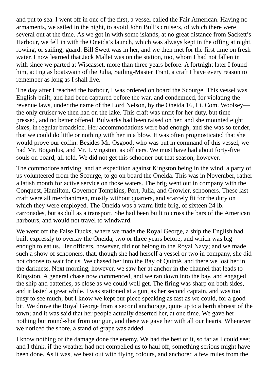and put to sea. I went off in one of the first, a vessel called the Fair American. Having no armaments, we sailed in the night, to avoid John Bull's cruisers, of which there were several out at the time. As we got in with some islands, at no great distance from Sackett's Harbour, we fell in with the Oneida's launch, which was always kept in the offing at night, rowing, or sailing, guard. Bill Swett was in her, and we then met for the first time on fresh water. I now learned that Jack Mallet was on the station, too, whom I had not fallen in with since we parted at Wiscasset, more than three years before. A fortnight later I found him, acting as boatswain of the Julia, Sailing-Master Trant, a craft I have every reason to remember as long as I shall live.

The day after I reached the harbour, I was ordered on board the Scourge. This vessel was English-built, and had been captured before the war, and condemned, for violating the revenue laws, under the name of the Lord Nelson, by the Oneida 16, Lt. Com. Woolsey the only cruiser we then had on the lake. This craft was unfit for her duty, but time pressed, and no better offered. Bulwarks had been raised on her, and she mounted eight sixes, in regular broadside. Her accommodations were bad enough, and she was so tender, that we could do little or nothing with her in a blow. It was often prognosticated that she would prove our coffin. Besides Mr. Osgood, who was put in command of this vessel, we had Mr. Bogardus, and Mr. Livingston, as officers. We must have had about forty-five souls on board, all told. We did not get this schooner out that season, however.

The commodore arriving, and an expedition against Kingston being in the wind, a party of us volunteered from the Scourge, to go on board the Oneida. This was in November, rather a latish month for active service on those waters. The brig went out in company with the Conquest, Hamilton, Governor Tompkins, Port, Julia, and Growler, schooners. These last craft were all merchantmen, mostly without quarters, and scarcely fit for the duty on which they were employed. The Oneida was a warm little brig, of sixteen 24 lb. carronades, but as dull as a transport. She had been built to cross the bars of the American harbours, and would not travel to windward.

We went off the False Ducks, where we made the Royal George, a ship the English had built expressly to overlay the Oneida, two or three years before, and which was big enough to eat us. Her officers, however, did not belong to the Royal Navy; and we made such a show of schooners, that, though she had herself a vessel or two in company, she did not choose to wait for us. We chased her into the Bay of Quinté, and there we lost her in the darkness. Next morning, however, we saw her at anchor in the channel that leads to Kingston. A general chase now commenced, and we ran down into the bay, and engaged the ship and batteries, as close as we could well get. The firing was sharp on both sides, and it lasted a great while. I was stationed at a gun, as her second captain, and was too busy to see much; but I know we kept our piece speaking as fast as we could, for a good bit. We drove the Royal George from a second anchorage, quite up to a berth abreast of the town; and it was said that her people actually deserted her, at one time. We gave her nothing but round-shot from our gun, and these we gave her with all our hearts. Whenever we noticed the shore, a stand of grape was added.

I know nothing of the damage done the enemy. We had the best of it, so far as I could see; and I think, if the weather had not compelled us to haul off, something serious might have been done. As it was, we beat out with flying colours, and anchored a few miles from the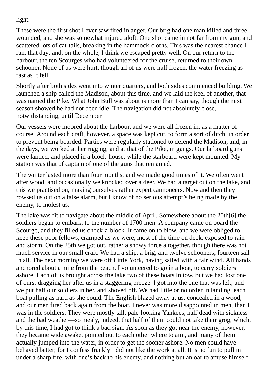light.

These were the first shot I ever saw fired in anger. Our brig had one man killed and three wounded, and she was somewhat injured aloft. One shot came in not far from my gun, and scattered lots of cat-tails, breaking in the hammock-cloths. This was the nearest chance I ran, that day; and, on the whole, I think we escaped pretty well. On our return to the harbour, the ten Scourges who had volunteered for the cruise, returned to their own schooner. None of us were hurt, though all of us were half frozen, the water freezing as fast as it fell.

Shortly after both sides went into winter quarters, and both sides commenced building. We launched a ship called the Madison, about this time, and we laid the keel of another, that was named the Pike. What John Bull was about is more than I can say, though the next season showed he had not been idle. The navigation did not absolutely close, notwithstanding, until December.

Our vessels were moored about the harbour, and we were all frozen in, as a matter of course. Around each craft, however, a space was kept cut, to form a sort of ditch, in order to prevent being boarded. Parties were regularly stationed to defend the Madison, and, in the days, we worked at her rigging, and at that of the Pike, in gangs. Our larboard guns were landed, and placed in a block-house, while the starboard were kept mounted. My station was that of captain of one of the guns that remained.

The winter lasted more than four months, and we made good times of it. We often went after wood, and occasionally we knocked over a deer. We had a target out on the lake, and this we practised on, making ourselves rather expert cannoneers. Now and then they rowsed us out on a false alarm, but I know of no serious attempt's being made by the enemy, to molest us.

The lake was fit to navigate about the middle of April. Somewhere about the 20th[6] the soldiers began to embark, to the number of 1700 men. A company came on board the Scourge, and they filled us chock-a-block. It came on to blow, and we were obliged to keep these poor fellows, cramped as we were, most of the time on deck, exposed to rain and storm. On the 25th we got out, rather a showy force altogether, though there was not much service in our small craft. We had a ship, a brig, and twelve schooners, fourteen sail in all. The next morning we were off Little York, having sailed with a fair wind. All hands anchored about a mile from the beach. I volunteered to go in a boat, to carry soldiers ashore. Each of us brought across the lake two of these boats in tow, but we had lost one of ours, dragging her after us in a staggering breeze. I got into the one that was left, and we put half our soldiers in her, and shoved off. We had little or no order in landing, each boat pulling as hard as she could. The English blazed away at us, concealed in a wood, and our men fired back again from the boat. I never was more disappointed in men, than I was in the soldiers. They were mostly tall, pale-looking Yankees, half dead with sickness and the bad weather—so mealy, indeed, that half of them could not take their grog, which, by this time, I had got to think a bad sign. As soon as they got near the enemy, however, they became wide awake, pointed out to each other where to aim, and many of them actually jumped into the water, in order to get the sooner ashore. No men could have behaved better, for I confess frankly I did not like the work at all. It is no fun to pull in under a sharp fire, with one's back to his enemy, and nothing but an oar to amuse himself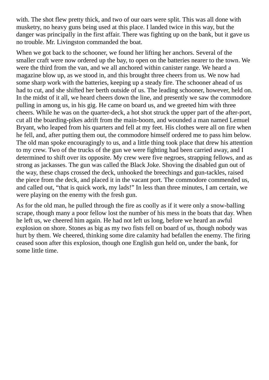with. The shot flew pretty thick, and two of our oars were split. This was all done with musketry, no heavy guns being used at this place. I landed twice in this way, but the danger was principally in the first affair. There was fighting up on the bank, but it gave us no trouble. Mr. Livingston commanded the boat.

When we got back to the schooner, we found her lifting her anchors. Several of the smaller craft were now ordered up the bay, to open on the batteries nearer to the town. We were the third from the van, and we all anchored within canister range. We heard a magazine blow up, as we stood in, and this brought three cheers from us. We now had some sharp work with the batteries, keeping up a steady fire. The schooner ahead of us had to cut, and she shifted her berth outside of us. The leading schooner, however, held on. In the midst of it all, we heard cheers down the line, and presently we saw the commodore pulling in among us, in his gig. He came on board us, and we greeted him with three cheers. While he was on the quarter-deck, a hot shot struck the upper part of the after-port, cut all the boarding-pikes adrift from the main-boom, and wounded a man named Lemuel Bryant, who leaped from his quarters and fell at my feet. His clothes were all on fire when he fell, and, after putting them out, the commodore himself ordered me to pass him below. The old man spoke encouragingly to us, and a little thing took place that drew his attention to my crew. Two of the trucks of the gun we were fighting had been carried away, and I determined to shift over its opposite. My crew were five negroes, strapping fellows, and as strong as jackasses. The gun was called the Black Joke. Shoving the disabled gun out of the way, these chaps crossed the deck, unhooked the breechings and gun-tackles, raised the piece from the deck, and placed it in the vacant port. The commodore commended us, and called out, "that is quick work, my lads!" In less than three minutes, I am certain, we were playing on the enemy with the fresh gun.

As for the old man, he pulled through the fire as coolly as if it were only a snow-balling scrape, though many a poor fellow lost the number of his mess in the boats that day. When he left us, we cheered him again. He had not left us long, before we heard an awful explosion on shore. Stones as big as my two fists fell on board of us, though nobody was hurt by them. We cheered, thinking some dire calamity had befallen the enemy. The firing ceased soon after this explosion, though one English gun held on, under the bank, for some little time.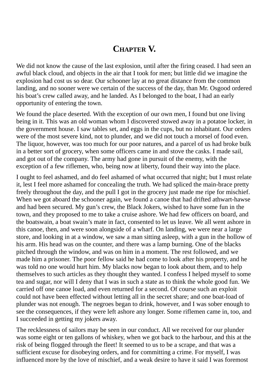### **CHAPTER V.**

We did not know the cause of the last explosion, until after the firing ceased. I had seen an awful black cloud, and objects in the air that I took for men; but little did we imagine the explosion had cost us so dear. Our schooner lay at no great distance from the common landing, and no sooner were we certain of the success of the day, than Mr. Osgood ordered his boat's crew called away, and he landed. As I belonged to the boat, I had an early opportunity of entering the town.

We found the place deserted. With the exception of our own men, I found but one living being in it. This was an old woman whom I discovered stowed away in a potatoe locker, in the government house. I saw tables set, and eggs in the cups, but no inhabitant. Our orders were of the most severe kind, not to plunder, and we did not touch a morsel of food even. The liquor, however, was too much for our poor natures, and a parcel of us had broke bulk in a better sort of grocery, when some officers came in and stove the casks. I made sail, and got out of the company. The army had gone in pursuit of the enemy, with the exception of a few riflemen, who, being now at liberty, found their way into the place.

I ought to feel ashamed, and do feel ashamed of what occurred that night; but I must relate it, lest I feel more ashamed for concealing the truth. We had spliced the main-brace pretty freely throughout the day, and the pull I got in the grocery just made me ripe for mischief. When we got aboard the schooner again, we found a canoe that had drifted athwart-hawse and had been secured. My gun's crew, the Black Jokers, wished to have some fun in the town, and they proposed to me to take a cruise ashore. We had few officers on board, and the boatswain, a boat swain's mate in fact, consented to let us leave. We all went ashore in this canoe, then, and were soon alongside of a wharf. On landing, we were near a large store, and looking in at a window, we saw a man sitting asleep, with a gun in the hollow of his arm. His head was on the counter, and there was a lamp burning. One of the blacks pitched through the window, and was on him in a moment. The rest followed, and we made him a prisoner. The poor fellow said he had come to look after his property, and he was told no one would hurt him. My blacks now began to look about them, and to help themselves to such articles as they thought they wanted. I confess I helped myself to some tea and sugar, nor will I deny that I was in such a state as to think the whole good fun. We carried off one canoe load, and even returned for a second. Of course such an exploit could not have been effected without letting all in the secret share; and one boat-load of plunder was not enough. The negroes began to drink, however, and I was sober enough to see the consequences, if they were left ashore any longer. Some riflemen came in, too, and I succeeded in getting my jokers away.

The recklessness of sailors may be seen in our conduct. All we received for our plunder was some eight or ten gallons of whiskey, when we got back to the harbour, and this at the risk of being flogged through the fleet! It seemed to us to be a scrape, and that was a sufficient excuse for disobeying orders, and for committing a crime. For myself, I was influenced more by the love of mischief, and a weak desire to have it said I was foremost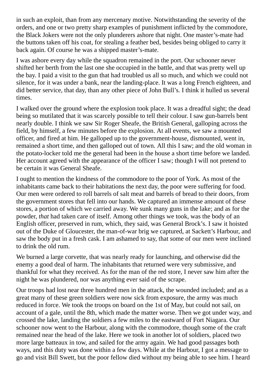in such an exploit, than from any mercenary motive. Notwithstanding the severity of the orders, and one or two pretty sharp examples of punishment inflicted by the commodore, the Black Jokers were not the only plunderers ashore that night. One master's-mate had the buttons taken off his coat, for stealing a feather bed, besides being obliged to carry it back again. Of course he was a shipped master's-mate.

I was ashore every day while the squadron remained in the port. Our schooner never shifted her berth from the last one she occupied in the battle, and that was pretty well up the bay. I paid a visit to the gun that had troubled us all so much, and which we could not silence, for it was under a bank, near the landing-place. It was a long French eighteen, and did better service, that day, than any other piece of John Bull's. I think it hulled us several times.

I walked over the ground where the explosion took place. It was a dreadful sight; the dead being so mutilated that it was scarcely possible to tell their colour. I saw gun-barrels bent nearly double. I think we saw Sir Roger Sheafe, the British General, galloping across the field, by himself, a few minutes before the explosion. At all events, we saw a mounted officer, and fired at him. He galloped up to the government-house, dismounted, went in, remained a short time, and then galloped out of town. All this I saw; and the old woman in the potato-locker told me the general had been in the house a short time before we landed. Her account agreed with the appearance of the officer I saw; though I will not pretend to be certain it was General Sheafe.

I ought to mention the kindness of the commodore to the poor of York. As most of the inhabitants came back to their habitations the next day, the poor were suffering for food. Our men were ordered to roll barrels of salt meat and barrels of bread to their doors, from the government stores that fell into our hands. We captured an immense amount of these stores, a portion of which we carried away. We sunk many guns in the lake; and as for the powder, *that* had taken care of itself. Among other things we took, was the body of an English officer, preserved in rum, which, they said, was General Brock's. I saw it hoisted out of the Duke of Gloucester, the man-of-war brig we captured, at Sackett's Harbour, and saw the body put in a fresh cask. I am ashamed to say, that some of our men were inclined to drink the old rum.

We burned a large corvette, that was nearly ready for launching, and otherwise did the enemy a good deal of harm. The inhabitants that returned were very submissive, and thankful for what they received. As for the man of the red store, I never saw him after the night he was plundered, nor was anything ever said of the scrape.

Our troops had lost near three hundred men in the attack, the wounded included; and as a great many of these green soldiers were now sick from exposure, the army was much reduced in force. We took the troops on board on the 1st of May, but could not sail, on account of a gale, until the 8th, which made the matter worse. Then we got under way, and crossed the lake, landing the soldiers a few miles to the eastward of Fort Niagara. Our schooner now went to the Harbour, along with the commodore, though some of the craft remained near the head of the lake. Here we took in another lot of soldiers, placed two more large batteaux in tow, and sailed for the army again. We had good passages both ways, and this duty was done within a few days. While at the Harbour, I got a message to go and visit Bill Swett, but the poor fellow died without my being able to see him. I heard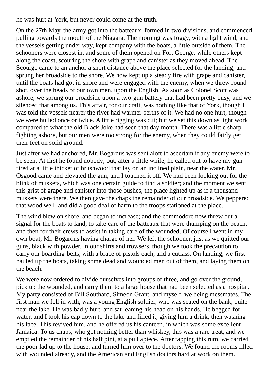he was hurt at York, but never could come at the truth.

On the 27th May, the army got into the batteaux, formed in two divisions, and commenced pulling towards the mouth of the Niagara. The morning was foggy, with a light wind, and the vessels getting under way, kept company with the boats, a little outside of them. The schooners were closest in, and some of them opened on Fort George, while others kept along the coast, scouring the shore with grape and canister as they moved ahead. The Scourge came to an anchor a short distance above the place selected for the landing, and sprung her broadside to the shore. We now kept up a steady fire with grape and canister, until the boats had got in-shore and were engaged with the enemy, when we threw roundshot, over the heads of our own men, upon the English. As soon as Colonel Scott was ashore, we sprung our broadside upon a two-gun battery that had been pretty busy, and we silenced that among us. This affair, for our craft, was nothing like that of York, though I was told the vessels nearer the river had warmer berths of it. We had no one hurt, though we were hulled once or twice. A little rigging was cut; but we set this down as light work compared to what the old Black Joke had seen that day month. There was a little sharp fighting ashore, but our men were too strong for the enemy, when they could fairly get their feet on solid ground.

Just after we had anchored, Mr. Bogardus was sent aloft to ascertain if any enemy were to be seen. At first he found nobody; but, after a little while, he called out to have my gun fired at a little thicket of brushwood that lay on an inclined plain, near the water. Mr. Osgood came and elevated the gun, and I touched it off. We had been looking out for the blink of muskets, which was one certain guide to find a soldier; and the moment we sent this grist of grape and canister into those bushes, the place lighted up as if a thousand muskets were there. We then gave the chaps the remainder of our broadside. We peppered that wood well, and did a good deal of harm to the troops stationed at the place.

The wind blew on shore, and began to increase; and the commodore now threw out a signal for the boats to land, to take care of the batteaux that were thumping on the beach, and then for their crews to assist in taking care of the wounded. Of course I went in my own boat, Mr. Bogardus having charge of her. We left the schooner, just as we quitted our guns, black with powder, in our shirts and trowsers, though we took the precaution to carry our boarding-belts, with a brace of pistols each, and a cutlass. On landing, we first hauled up the boats, taking some dead and wounded men out of them, and laying them on the beach.

We were now ordered to divide ourselves into groups of three, and go over the ground, pick up the wounded, and carry them to a large house that had been selected as a hospital. My party consisted of Bill Southard, Simeon Grant, and myself, we being messmates. The first man we fell in with, was a young English soldier, who was seated on the bank, quite near the lake. He was badly hurt, and sat leaning his head on his hands. He begged for water, and I took his cap down to the lake and filled it, giving him a drink; then washing his face. This revived him, and he offered us his canteen, in which was some excellent Jamaica. To us chaps, who got nothing better than whiskey, this was a rare treat, and we emptied the remainder of his half pint, at a pull apiece. After tapping this rum, we carried the poor lad up to the house, and turned him over to the doctors. We found the rooms filled with wounded already, and the American and English doctors hard at work on them.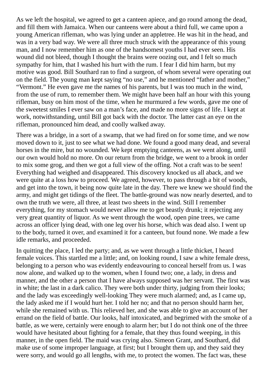As we left the hospital, we agreed to get a canteen apiece, and go round among the dead, and fill them with Jamaica. When our canteens were about a third full, we came upon a young American rifleman, who was lying under an appletree. He was hit in the head, and was in a very bad way. We were all three much struck with the appearance of this young man, and I now remember him as one of the handsomest youths I had ever seen. His wound did not bleed, though I thought the brains were oozing out, and I felt so much sympathy for him, that I washed his hurt with the rum. I fear I did him harm, but my motive was good. Bill Southard ran to find a surgeon, of whom several were operating out on the field. The young man kept saying "no use," and he mentioned "father and mother," "Vermont." He even gave me the names of his parents, but I was too much in the wind, from the use of rum, to remember them. We might have been half an hour with this young rifleman, busy on him most of the time, when he murmured a few words, gave me one of the sweetest smiles I ever saw on a man's face, and made no more signs of life. I kept at work, notwithstanding, until Bill got back with the doctor. The latter cast an eye on the rifleman, pronounced him dead, and coolly walked away.

There was a bridge, in a sort of a swamp, that we had fired on for some time, and we now moved down to it, just to see what we had done. We found a good many dead, and several horses in the mire, but no wounded. We kept emptying canteens, as we went along, until our own would hold no more. On our return from the bridge, we went to a brook in order to mix some grog, and then we got a full view of the offing. Not a craft was to be seen! Everything had weighed and disappeared. This discovery knocked us all aback, and we were quite at a loss how to proceed. We agreed, however, to pass through a bit of woods, and get into the town, it being now quite late in the day. There we knew we should find the army, and might get tidings of the fleet. The battle-ground was now nearly deserted, and to own the truth we were, all three, at least two sheets in the wind. Still I remember everything, for my stomach would never allow me to get beastly drunk; it rejecting any very great quantity of liquor. As we went through the wood, open pine trees, we came across an officer lying dead, with one leg over his horse, which was dead also. I went up to the body, turned it over, and examined it for a canteen, but found none. We made a few idle remarks, and proceeded.

In quitting the place, I led the party; and, as we went through a little thicket, I heard female voices. This startled me a little; and, on looking round, I saw a white female dress, belonging to a person who was evidently endeavouring to conceal herself from us. I was now alone, and walked up to the women, when I found two; one, a lady, in dress and manner, and the other a person that I have always supposed was her servant. The first was in white; the last in a dark calico. They were both under thirty, judging from their looks; and the lady was exceedingly well-looking They were much alarmed; and, as I came up, the lady asked me if I would hurt her. I told her no; and that no person should harm her, while she remained with us. This relieved her, and she was able to give an account of her errand on the field of battle. Our looks, half intoxicated, and begrimed with the smoke of a battle, as we were, certainly were enough to alarm her; but I do not think one of the three would have hesitated about fighting for a female, that they thus found weeping, in this manner, in the open field. The maid was crying also. Simeon Grant, and Southard, did make use of some improper language, at first; but I brought them up, and they said they were sorry, and would go all lengths, with me, to protect the women. The fact was, these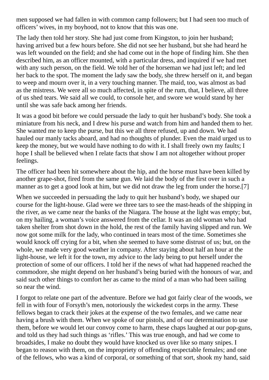men supposed we had fallen in with common camp followers; but I had seen too much of officers' wives, in my boyhood, not to know that this was one.

The lady then told her story. She had just come from Kingston, to join her husband; having arrived but a few hours before. She did not see her husband, but she had heard he was left wounded on the field; and she had come out in the hope of finding him. She then described him, as an officer mounted, with a particular dress, and inquired if we had met with any such person, on the field. We told her of the horseman we had just left; and led her back to the spot. The moment the lady saw the body, she threw herself on it, and began to weep and mourn over it, in a very touching manner. The maid, too, was almost as bad as the mistress. We were all so much affected, in spite of the rum, that, I believe, all three of us shed tears. We said all we could, to console her, and swore we would stand by her until she was safe back among her friends.

It was a good bit before we could persuade the lady to quit her husband's body. She took a miniature from his neck, and I drew his purse and watch from him and handed them to her. She wanted me to keep the purse, but this we all three refused, up and down. We had hauled our manly tacks aboard, and had no thoughts of plunder. Even the maid urged us to keep the money, but we would have nothing to do with it. I shall freely own my faults; I hope I shall be believed when I relate facts that show I am not altogether without proper feelings.

The officer had been hit somewhere about the hip, and the horse must have been killed by another grape-shot, fired from the same gun. We laid the body of the first over in such a manner as to get a good look at him, but we did not draw the leg from under the horse.[7]

When we succeeded in persuading the lady to quit her husband's body, we shaped our course for the light-house. Glad were we three tars to see the mast-heads of the shipping in the river, as we came near the banks of the Niagara. The house at the light was empty; but, on my hailing, a woman's voice answered from the cellar. It was an old woman who had taken shelter from shot down in the hold, the rest of the family having slipped and run. We now got some milk for the lady, who continued in tears most of the time. Sometimes she would knock off crying for a bit, when she seemed to have some distrust of us; but, on the whole, we made very good weather in company. After staying about half an hour at the light-house, we left it for the town, my advice to the lady being to put herself under the protection of some of our officers. I told her if the news of what had happened reached the commodore, she might depend on her husband's being buried with the honours of war, and said such other things to comfort her as came to the mind of a man who had been sailing so near the wind.

I forgot to relate one part of the adventure. Before we had got fairly clear of the woods, we fell in with four of Forsyth's men, notoriously the wickedest corps in the army. These fellows began to crack their jokes at the expense of the two females, and we came near having a brush with them. When we spoke of our pistols, and of our determination to use them, before we would let our convoy come to harm, these chaps laughed at our pop-guns, and told us they had such things as 'rifles.' This was true enough, and had we come to broadsides, I make no doubt they would have knocked us over like so many snipes. I began to reason with them, on the impropriety of offending respectable females; and one of the fellows, who was a kind of corporal, or something of that sort, shook my hand, said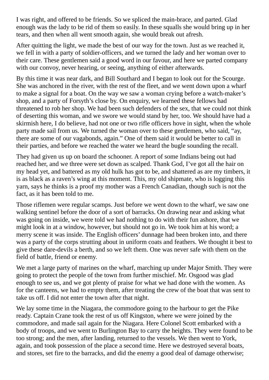I was right, and offered to be friends. So we spliced the main-brace, and parted. Glad enough was the lady to be rid of them so easily. In these squalls she would bring up in her tears, and then when all went smooth again, she would break out afresh.

After quitting the light, we made the best of our way for the town. Just as we reached it, we fell in with a party of soldier-officers, and we turned the lady and her woman over to their care. These gentlemen said a good word in our favour, and here we parted company with our convoy, never hearing, or seeing, anything of either afterwards.

By this time it was near dark, and Bill Southard and I began to look out for the Scourge. She was anchored in the river, with the rest of the fleet, and we went down upon a wharf to make a signal for a boat. On the way we saw a woman crying before a watch-maker's shop, and a party of Forsyth's close by. On enquiry, we learned these fellows had threatened to rob her shop. We had been such defenders of the sex, that we could not think of deserting this woman, and we swore we would stand by her, too. We should have had a skirmish here, I do believe, had not one or two rifle officers hove in sight, when the whole party made sail from us. We turned the woman over to these gentlemen, who said, "ay, there are some of our vagabonds, again." One of them said it would be better to call in their parties, and before we reached the water we heard the bugle sounding the recall.

They had given us up on board the schooner. A report of some Indians being out had reached her, and we three were set down as scalped. Thank God, I've got all the hair on my head yet, and battered as my old hulk has got to be, and shattered as are my timbers, it is as black as a raven's wing at this moment. This, my old shipmate, who is logging this yarn, says he thinks is a proof my mother was a French Canadian, though such is not the fact, as it has been told to me.

Those riflemen were regular scamps. Just before we went down to the wharf, we saw one walking sentinel before the door of a sort of barracks. On drawing near and asking what was going on inside, we were told we had nothing to do with their fun ashore, that we might look in at a window, however, but should not go in. We took him at his word; a merry scene it was inside. The English officers' dunnage had been broken into, and there was a party of the corps strutting about in uniform coats and feathers. We thought it best to give these dare-devils a berth, and so we left them. One was never safe with them on the field of battle, friend or enemy.

We met a large party of marines on the wharf, marching up under Major Smith. They were going to protect the people of the town from further mischief. Mr. Osgood was glad enough to see us, and we got plenty of praise for what we had done with the women. As for the canteens, we had to empty them, after treating the crew of the boat that was sent to take us off. I did not enter the town after that night.

We lay some time in the Niagara, the commodore going to the harbour to get the Pike ready. Captain Crane took the rest of us off Kingston, where we were joined by the commodore, and made sail again for the Niagara. Here Colonel Scott embarked with a body of troops, and we went to Burlington Bay to carry the heights. They were found to be too strong; and the men, after landing, returned to the vessels. We then went to York, again, and took possession of the place a second time. Here we destroyed several boats, and stores, set fire to the barracks, and did the enemy a good deal of damage otherwise;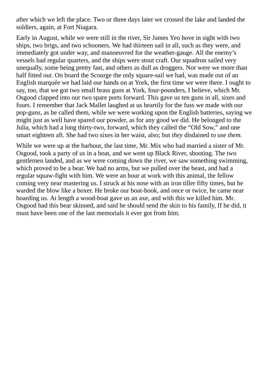after which we left the place. Two or three days later we crossed the lake and landed the soldiers, again, at Fort Niagara.

Early in August, while we were still in the river, Sir James Yeo hove in sight with two ships, two brigs, and two schooners. We had thirteen sail in all, such as they were, and immediately got under way, and manoeuvred for the weather-gauge. All the enemy's vessels had regular quarters, and the ships were stout craft. Our squadron sailed very unequally, some being pretty fast, and others as dull as droggers. Nor were we more than half fitted out. On board the Scourge the only square-sail we had, was made out of an English marquée we had laid our hands on at York, the first time we were there. I ought to say, too, that we got two small brass guns at York, four-pounders, I believe, which Mr. Osgood clapped into our two spare ports forward. This gave us ten guns in all, sixes and fours. I remember that Jack Mallet laughed at us heartily for the fuss we made with our pop-guns, as he called them, while we were working upon the English batteries, saying we might just as well have spared our powder, as for any good we did. He belonged to the Julia, which had a long thirty-two, forward, which they called the "Old Sow," and one smart eighteen aft. She had two sixes in her waist, also; but *they* disdained to use *them.*

While we were up at the harbour, the last time, Mr. Mix who had married a sister of Mr. Osgood, took a party of us in a boat, and we went up Black River, shooting. The two gentlemen landed, and as we were coming down the river, we saw something swimming, which proved to be a bear. We had no arms, but we pulled over the beast, and had a regular squaw-fight with him. We were an hour at work with this animal, the fellow coming very near mastering us. I struck at his nose with an iron tiller fifty times, but he warded the blow like a boxer. He broke our boat-hook, and once or twice, he came near boarding us. At length a wood-boat gave us an axe, and with this we killed him. Mr. Osgood had this bear skinned, and said he should send the skin to his family, If he did, it must have been one of the last memorials it ever got from him.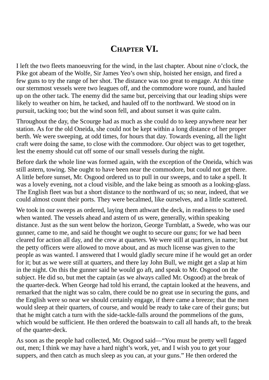## **CHAPTER VI.**

I left the two fleets manoeuvring for the wind, in the last chapter. About nine o'clock, the Pike got abeam of the Wolfe, Sir James Yeo's own ship, hoisted her ensign, and fired a few guns to try the range of her shot. The distance was too great to engage. At this time our sternmost vessels were two leagues off, and the commodore wore round, and hauled up on the other tack. The enemy did the same but, perceiving that our leading ships were likely to weather on him, he tacked, and hauled off to the northward. We stood on in pursuit, tacking too; but the wind soon fell, and about sunset it was quite calm.

Throughout the day, the Scourge had as much as she could do to keep anywhere near her station. As for the old Oneida, she could not be kept within a long distance of her proper berth. We were sweeping, at odd times, for hours that day. Towards evening, all the light craft were doing the same, to close with the commodore. Our object was to get together, lest the enemy should cut off some of our small vessels during the night.

Before dark the whole line was formed again, with the exception of the Oneida, which was still astern, towing. She ought to have been near the commodore, but could not get there. A little before sunset, Mr. Osgood ordered us to pull in our sweeps, and to take a spell. It was a lovely evening, not a cloud visible, and the lake being as smooth as a looking-glass. The English fleet was but a short distance to the northward of us; so near, indeed, that we could almost count their ports. They were becalmed, like ourselves, and a little scattered.

We took in our sweeps as ordered, laying them athwart the deck, in readiness to be used when wanted. The vessels ahead and astern of us were, generally, within speaking distance. Just as the sun went below the horizon, George Turnblatt, a Swede, who was our gunner, came to me, and said he thought we ought to secure our guns; for we had been cleared for action all day, and the crew at quarters. We were still at quarters, in name; but the petty officers were allowed to move about, and as much license was given to the people as was wanted. I answered that I would gladly secure mine if he would get an order for it; but as we were still at quarters, and there lay John Bull, we might get a slap at him in the night. On this the gunner said he would go aft, and speak to Mr. Osgood on the subject. He did so, but met the captain (as we always called Mr. Osgood) at the break of the quarter-deck. When George had told his errand, the captain looked at the heavens, and remarked that the night was so calm, there could be no great use in securing the guns, and the English were so near we should certainly engage, if there came a breeze; that the men would sleep at their quarters, of course, and would be ready to take care of their guns; but that he might catch a turn with the side-tackle-falls around the pommelions of the guns, which would be sufficient. He then ordered the boatswain to call all hands aft, to the break of the quarter-deck.

As soon as the people had collected, Mr. Osgood said—"You must be pretty well fagged out, men; I think we may have a hard night's work, yet, and I wish you to get your suppers, and then catch as much sleep as you can, at your guns." He then ordered the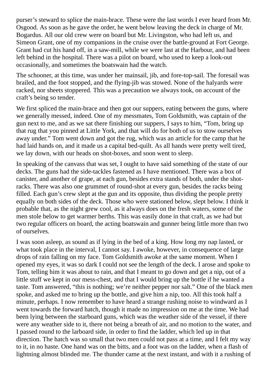purser's steward to splice the main-brace. These were the last words I ever heard from Mr. Osgood. As soon as he gave the order, he went below leaving the deck in charge of Mr. Bogardus. All our old crew were on board but Mr. Livingston, who had left us, and Simeon Grant, one of my companions in the cruise over the battle-ground at Fort George. Grant had cut his hand off, in a saw-mill, while we were last at the Harbour, and had been left behind in the hospital. There was a pilot on board, who used to keep a look-out occasionally, and sometimes the boatswain had the watch.

The schooner, at this time, was under her mainsail, jib, and fore-top-sail. The foresail was brailed, and the foot stopped, and the flying-jib was stowed. None of the halyards were racked, nor sheets stoppered. This was a precaution we always took, on account of the craft's being so tender.

We first spliced the main-brace and then got our suppers, eating between the guns, where we generally messed, indeed. One of my messmates, Tom Goldsmith, was captain of the gun next to me, and as we sat there finishing our suppers, I says to him, "Tom, bring up that rug that you pinned at Little York, and that will do for both of us to stow ourselves away under." Tom went down and got the rug, which was an article for the camp that he had laid hands on, and it made us a capital bed-quilt. As all hands were pretty well tired, we lay down, with our heads on shot-boxes, and soon went to sleep.

In speaking of the canvass that was set, I ought to have said something of the state of our decks. The guns had the side-tackles fastened as I have mentioned. There was a box of canister, and another of grape, at each gun, besides extra stands of both, under the shotracks. There was also one grummet of round-shot at every gun, besides the racks being filled. Each gun's crew slept at the gun and its opposite, thus dividing the people pretty equally on both sides of the deck. Those who were stationed below, slept below. I think it probable that, as the night grew cool, as it always does on the fresh waters, some of the men stole below to get warmer berths. This was easily done in that craft, as we had but two regular officers on board, the acting boatswain and gunner being little more than two of ourselves.

I was soon asleep, as sound as if lying in the bed of a king. How long my nap lasted, or what took place in the interval, I cannot say. I awoke, however, in consequence of large drops of rain falling on my face. Tom Goldsmith awoke at the same moment. When I opened my eyes, it was so dark I could not see the length of the deck. I arose and spoke to Tom, telling him it was about to rain, and that I meant to go down and get a nip, out of a little stuff we kept in our mess-chest, and that I would bring up the bottle if he wanted a taste. Tom answered, "this is nothing; we're neither pepper nor salt." One of the black men spoke, and asked me to bring up the bottle, and give him a nip, too. All this took half a minute, perhaps. I now remember to have heard a strange rushing noise to windward as I went towards the forward hatch, though it made no impression on me at the time. We had been lying between the starboard guns, which was the weather side of the vessel, if there were any weather side to it, there not being a breath of air, and no motion to the water, and I passed round to the larboard side, in order to find the ladder, which led up in that direction. The hatch was so small that two men could not pass at a time, and I felt my way to it, in no haste. One hand was on the bitts, and a foot was on the ladder, when a flash of lightning almost blinded me. The thunder came at the next instant, and with it a rushing of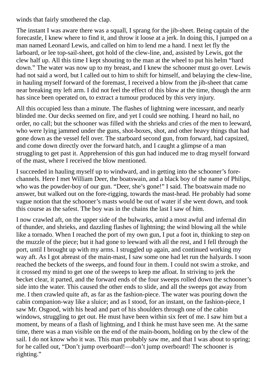winds that fairly smothered the clap.

The instant I was aware there was a squall, I sprang for the jib-sheet. Being captain of the forecastle, I knew where to find it, and throw it loose at a jerk. In doing this, I jumped on a man named Leonard Lewis, and called on him to lend me a hand. I next let fly the larboard, or lee top-sail-sheet, got hold of the clew-line, and, assisted by Lewis, got the clew half up. All this time I kept shouting to the man at the wheel to put his helm "hard down." The water was now up to my breast, and I knew the schooner must go over. Lewis had not said a word, but I called out to him to shift for himself, and belaying the clew-line, in hauling myself forward of the foremast, I received a blow from the jib-sheet that came near breaking my left arm. I did not feel the effect of this blow at the time, though the arm has since been operated on, to extract a tumour produced by this very injury.

All this occupied less than a minute. The flashes of lightning were incessant, and nearly blinded me. Our decks seemed on fire, and yet I could see nothing. I heard no hail, no order, no call; but the schooner was filled with the shrieks and cries of the men to leeward, who were lying jammed under the guns, shot-boxes, shot, and other heavy things that had gone down as the vessel fell over. The starboard second gun, from forward, had capsized, and come down directly over the forward hatch, and I caught a glimpse of a man struggling to get past it. Apprehension of this gun had induced me to drag myself forward of the mast, where I received the blow mentioned.

I succeeded in hauling myself up to windward, and in getting into the schooner's forechannels. Here I met William Deer, the boatswain, and a black boy of the name of Philips, who was the powder-boy of our gun. "Deer, she's gone!" I said. The boatswain made no answer, but walked out on the fore-rigging, towards the mast-head. He probably had some vague notion that the schooner's masts would be out of water if she went down, and took this course as the safest. The boy was in the chains the last I saw of him.

I now crawled aft, on the upper side of the bulwarks, amid a most awful and infernal din of thunder, and shrieks, and dazzling flashes of lightning; the wind blowing all the while like a tornado. When I reached the port of my own gun, I put a foot in, thinking to step on the muzzle of the piece; but it had gone to leeward with all the rest, and I fell through the port, until I brought up with my arms. I struggled up again, and continued working my way aft. As I got abreast of the main-mast, I saw some one had let run the halyards. I soon reached the beckets of the sweeps, and found four in them. I could not swim a stroke, and it crossed my mind to get one of the sweeps to keep me afloat. In striving to jerk the becket clear, it parted, and the forward ends of the four sweeps rolled down the schooner's side into the water. This caused the other ends to slide, and all the sweeps got away from me. I then crawled quite aft, as far as the fashion-piece. The water was pouring down the cabin companion-way like a sluice; and as I stood, for an instant, on the fashion-piece, I saw Mr. Osgood, with his head and part of his shoulders through one of the cabin windows, struggling to get out. He must have been within six feet of me. I saw him but a moment, by means of a flash of lightning, and I think he must have seen me. At the same time, there was a man visible on the end of the main-boom, holding on by the clew of the sail. I do not know who it was. This man probably saw me, and that I was about to spring; for he called out, "Don't jump overboard!—don't jump overboard! The schooner is righting."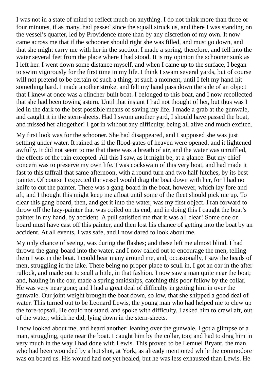I was not in a state of mind to reflect much on anything. I do not think more than three or four minutes, if as many, had passed since the squall struck us, and there I was standing on the vessel's quarter, led by Providence more than by any discretion of my own. It now came across me that if the schooner should right she was filled, and must go down, and that she might carry me with her in the suction. I made a spring, therefore, and fell into the water several feet from the place where I had stood. It is my opinion the schooner sunk as I left her. I went down some distance myself, and when I came up to the surface, I began to swim vigorously for the first time in my life. I think I swam several yards, but of course will not pretend to be certain of such a thing, at such a moment, until I felt my hand hit something hard. I made another stroke, and felt my hand pass down the side of an object that I knew at once was a clincher-built boat. I belonged to this boat, and I now recollected that she had been towing astern. Until that instant I had not thought of her, but thus was I led in the dark to the best possible means of saving my life. I made a grab at the gunwale, and caught it in the stern-sheets. Had I swum another yard, I should have passed the boat, and missed her altogether! I got in without any difficulty, being all alive and much excited.

My first look was for the schooner. She had disappeared, and I supposed she was just settling under water. It rained as if the flood-gates of heaven were opened, and it lightened awfully. It did not seem to me that there was a breath of air, and the water was unruffled, the effects of the rain excepted. All this I saw, as it might be, at a glance. But my chief concern was to preserve my own life. I was cockswain of this very boat, and had made it fast to this taffrail that same afternoon, with a round turn and two half-hitches, by its best painter. Of course I expected the vessel would drag the boat down with her, for I had no knife to cut the painter. There was a gang-board in the boat, however, which lay fore and aft, and I thought this might keep me afloat until some of the fleet should pick me up. To clear this gang-board, then, and get it into the water, was my first object. I ran forward to throw off the lazy-painter that was coiled on its end, and in doing this I caught the boat's painter in my hand, by accident. A pull satisfied me that it was all clear! Some one on board must have cast off this painter, and then lost his chance of getting into the boat by an accident. At all events, I was safe, and I now dared to look about me.

My only chance of seeing, was during the flashes; and these left me almost blind. I had thrown the gang-board into the water, and I now called out to encourage the men, telling them I was in the boat. I could hear many around me, and, occasionally, I saw the heads of men, struggling in the lake. There being no proper place to scull in, I got an oar in the after rullock, and made out to scull a little, in that fashion. I now saw a man quite near the boat; and, hauling in the oar, made a spring amidships, catching this poor fellow by the collar. He was very near gone; and I had a great deal of difficulty in getting him in over the gunwale. Our joint weight brought the boat down, so low, that she shipped a good deal of water. This turned out to be Leonard Lewis, the young man who had helped me to clew up the fore-topsail. He could not stand, and spoke with difficulty. I asked him to crawl aft, out of the water; which he did, lying down in the stern-sheets.

I now looked about me, and heard another; leaning over the gunwale, I got a glimpse of a man, struggling, quite near the boat. I caught him by the collar, too; and had to drag him in very much in the way I had done with Lewis. This proved to be Lemuel Bryant, the man who had been wounded by a hot shot, at York, as already mentioned while the commodore was on board us. His wound had not yet healed, but he was less exhausted than Lewis. He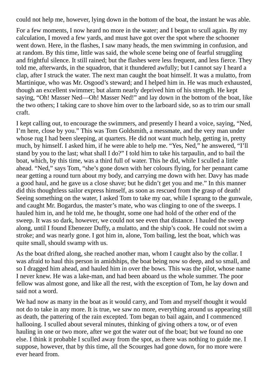could not help me, however, lying down in the bottom of the boat, the instant he was able.

For a few moments, I now heard no more in the water; and I began to scull again. By my calculation, I moved a few yards, and must have got over the spot where the schooner went down. Here, in the flashes, I saw many heads, the men swimming in confusion, and at random. By this time, little was said, the whole scene being one of fearful struggling and frightful silence. It still rained; but the flashes were less frequent, and less fierce. They told me, afterwards, in the squadron, that it thundered awfully; but I cannot say I heard a clap, after I struck the water. The next man caught the boat himself. It was a mulatto, from Martinique, who was Mr. Osgood's steward; and I helped him in. He was much exhausted, though an excellent swimmer; but alarm nearly deprived him of his strength. He kept saying, "Oh! Masser Ned—Oh! Masser Ned!" and lay down in the bottom of the boat, like the two others; I taking care to shove him over to the larboard side, so as to trim our small craft.

I kept calling out, to encourage the swimmers, and presently I heard a voice, saying, "Ned, I'm here, close by you." This was Tom Goldsmith, a messmate, and the very man under whose rug I had been sleeping, at quarters. He did not want much help, getting in, pretty much, by himself. I asked him, if he were able to help me. "Yes, Ned," he answered, "I'll stand by you to the last; what shall I do?" I told him to take his tarpaulin, and to bail the boat, which, by this time, was a third full of water. This he did, while I sculled a little ahead. "Ned," says Tom, "she's gone down with her colours flying, for her pennant came near getting a round turn about my body, and carrying me down with her. Davy has made a good haul, and he gave us a close shave; but he didn't get you and me." In this manner did this thoughtless sailor express himself, as soon as rescued from the grasp of death! Seeing something on the water, I asked Tom to take my oar, while I sprang to the gunwale, and caught Mr. Bogardus, the master's mate, who was clinging to one of the sweeps. I hauled him in, and he told me, he thought, some one had hold of the other end of the sweep. It was so dark, however, we could not see even that distance. I hauled the sweep along, until I found Ebenezer Duffy, a mulatto, and the ship's cook. He could not swim a stroke; and was nearly gone. I got him in, alone, Tom bailing, lest the boat, which was quite small, should swamp with us.

As the boat drifted along, she reached another man, whom I caught also by the collar. I was afraid to haul this person in amidships, the boat being now so deep, and so small, and so I dragged him ahead, and hauled him in over the bows. This was the pilot, whose name I never knew. He was a lake-man, and had been aboard us the whole summer. The poor fellow was almost gone, and like all the rest, with the exception of Tom, he lay down and said not a word.

We had now as many in the boat as it would carry, and Tom and myself thought it would not do to take in any more. It is true, we saw no more, everything around us appearing still as death, the pattering of the rain excepted. Tom began to bail again, and I commenced hallooing. I sculled about several minutes, thinking of giving others a tow, or of even hauling in one or two more, after we got the water out of the boat; but we found no one else. I think it probable I sculled away from the spot, as there was nothing to guide me. I suppose, however, that by this time, all the Scourges had gone down, for no more were ever heard from.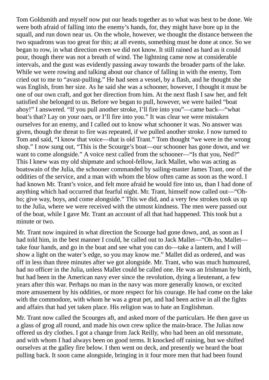Tom Goldsmith and myself now put our heads together as to what was best to be done. We were both afraid of falling into the enemy's hands, for, they might have bore up in the squall, and run down near us. On the whole, however, we thought the distance between the two squadrons was too great for this; at all events, something must be done at once. So we began to row, in what direction even we did not know. It still rained as hard as it could pour, though there was not a breath of wind. The lightning came now at considerable intervals, and the gust was evidently passing away towards the broader parts of the lake. While we were rowing and talking about our chance of falling in with the enemy, Tom cried out to me to "avast-pulling." He had seen a vessel, by a flash, and he thought she was English, from her size. As he said she was a schooner, however, I thought it must be one of our own craft, and got her direction from him. At the next flash I saw her, and felt satisfied she belonged to us. Before we began to pull, however, we were hailed "boat ahoy!" I answered. "If you pull another stroke, I'll fire into you"—came back—"what boat's that? Lay on your oars, or I'll fire into you." It was clear we were mistaken ourselves for an enemy, and I called out to know what schooner it was. No answer was given, though the threat to fire was repeated, if we pulled another stroke. I now turned to Tom and said, "I know that voice—that is old Trant." Tom thought "we were in the wrong shop." I now sung out, "This is the Scourge's boat—our schooner has gone down, and we want to come alongside." A voice next called from the schooner—"Is that you, Ned?" This I knew was my old shipmate and school-fellow, Jack Mallet, who was acting as boatswain of the Julia, the schooner commanded by sailing-master James Trant, one of the oddities of the service, and a man with whom the blow often came as soon as the word. I had known Mr. Trant's voice, and felt more afraid he would fire into us, than I had done of anything which had occurred that fearful night. Mr. Trant, himself now called out—"Ohho; give way, boys, and come alongside." This we did, and a very few strokes took us up to the Julia, where we were received with the utmost kindness. The men were passed out of the boat, while I gave Mr. Trant an account of all that had happened. This took but a minute or two.

Mr. Trant now inquired in what direction the Scourge had gone down, and, as soon as I had told him, in the best manner I could, he called out to Jack Mallet—"Oh-ho, Mallet take four hands, and go in the boat and see what you can do—take a lantern, and I will show a light on the water's edge, so you may know me." Mallet did as ordered, and was off in less than three minutes after we got alongside. Mr. Trant, who was much humoured, had no officer in the Julia, unless Mallet could be called one. He was an Irishman by birth, but had been in the American navy ever since the revolution, dying a lieutenant, a few years after this war. Perhaps no man in the navy was more generally known, or excited more amusement by his oddities, or more respect for his courage. He had come on the lake with the commodore, with whom he was a great pet, and had been active in all the fights and affairs that had yet taken place. His religion was to hate an Englishman.

Mr. Trant now called the Scourges aft, and asked more of the particulars. He then gave us a glass of grog all round, and made his own crew splice the main-brace. The Julias now offered us dry clothes. I got a change from Jack Reilly, who had been an old messmate, and with whom I had always been on good terms. It knocked off raining, but we shifted ourselves at the galley fire below. I then went on deck, and presently we heard the boat pulling back. It soon came alongside, bringing in it four more men that had been found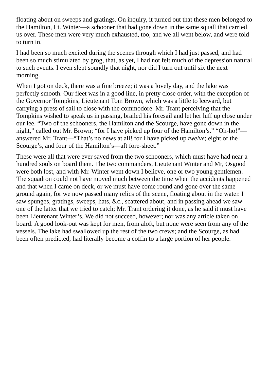floating about on sweeps and gratings. On inquiry, it turned out that these men belonged to the Hamilton, Lt. Winter—a schooner that had gone down in the same squall that carried us over. These men were very much exhausted, too, and we all went below, and were told to turn in.

I had been so much excited during the scenes through which I had just passed, and had been so much stimulated by grog, that, as yet, I had not felt much of the depression natural to such events. I even slept soundly that night, nor did I turn out until six the next morning.

When I got on deck, there was a fine breeze; it was a lovely day, and the lake was perfectly smooth. Our fleet was in a good line, in pretty close order, with the exception of the Governor Tompkins, Lieutenant Tom Brown, which was a little to leeward, but carrying a press of sail to close with the commodore. Mr. Trant perceiving that the Tompkins wished to speak us in passing, brailed his foresail and let her luff up close under our lee. "Two of the schooners, the Hamilton and the Scourge, have gone down in the night," called out Mr. Brown; "for I have picked up four of the Hamilton's." "Oh-ho!" answered Mr. Trant—"That's no news at all! for I have picked up *twelve*; eight of the Scourge's, and four of the Hamilton's—aft fore-sheet."

These were all that were ever saved from the two schooners, which must have had near a hundred souls on board them. The two commanders, Lieutenant Winter and Mr, Osgood were both lost, and with Mr. Winter went down I believe, one or two young gentlemen. The squadron could not have moved much between the time when the accidents happened and that when I came on deck, or we must have come round and gone over the same ground again, for we now passed many relics of the scene, floating about in the water. I saw spunges, gratings, sweeps, hats, &c., scattered about, and in passing ahead we saw one of the latter that we tried to catch; Mr. Trant ordering it done, as he said it must have been Lieutenant Winter's. We did not succeed, however; nor was any article taken on board. A good look-out was kept for men, from aloft, but none were seen from any of the vessels. The lake had swallowed up the rest of the two crews; and the Scourge, as had been often predicted, had literally become a coffin to a large portion of her people.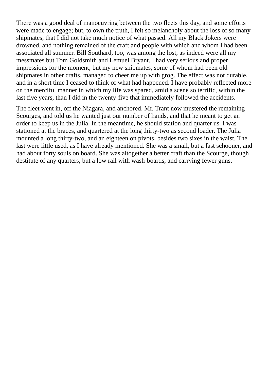There was a good deal of manoeuvring between the two fleets this day, and some efforts were made to engage; but, to own the truth, I felt so melancholy about the loss of so many shipmates, that I did not take much notice of what passed. All my Black Jokers were drowned, and nothing remained of the craft and people with which and whom I had been associated all summer. Bill Southard, too, was among the lost, as indeed were all my messmates but Tom Goldsmith and Lemuel Bryant. I had very serious and proper impressions for the moment; but my new shipmates, some of whom had been old shipmates in other crafts, managed to cheer me up with grog. The effect was not durable, and in a short time I ceased to think of what had happened. I have probably reflected more on the merciful manner in which my life was spared, amid a scene so terrific, within the last five years, than I did in the twenty-five that immediately followed the accidents.

The fleet went in, off the Niagara, and anchored. Mr. Trant now mustered the remaining Scourges, and told us he wanted just our number of hands, and that he meant to get an order to keep us in the Julia. In the meantime, he should station and quarter us. I was stationed at the braces, and quartered at the long thirty-two as second loader. The Julia mounted a long thirty-two, and an eighteen on pivots, besides two sixes in the waist. The last were little used, as I have already mentioned. She was a small, but a fast schooner, and had about forty souls on board. She was altogether a better craft than the Scourge, though destitute of any quarters, but a low rail with wash-boards, and carrying fewer guns.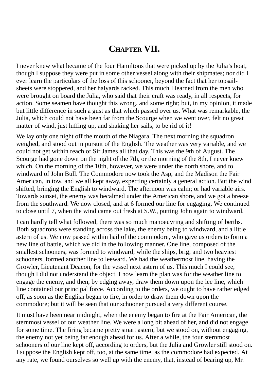## **CHAPTER VII.**

I never knew what became of the four Hamiltons that were picked up by the Julia's boat, though I suppose they were put in some other vessel along with their shipmates; nor did I ever learn the particulars of the loss of this schooner, beyond the fact that her topsailsheets were stoppered, and her halyards racked. This much I learned from the men who were brought on board the Julia, who said that their craft was ready, in all respects, for action. Some seamen have thought this wrong, and some right; but, in my opinion, it made but little difference in such a gust as that which passed over us. What was remarkable, the Julia, which could not have been far from the Scourge when we went over, felt no great matter of wind, just luffing up, and shaking her sails, to be rid of it!

We lay only one night off the mouth of the Niagara. The next morning the squadron weighed, and stood out in pursuit of the English. The weather was very variable, and we could not get within reach of Sir James all that day. This was the 9th of August. The Scourge had gone down on the night of the 7th, or the morning of the 8th, I never knew which. On the morning of the 10th, however, we were under the north shore, and to windward of John Bull. The Commodore now took the Asp, and the Madison the Fair American, in tow, and we all kept away, expecting certainly a general action. But the wind shifted, bringing the English to windward. The afternoon was calm; or had variable airs. Towards sunset, the enemy was becalmed under the American shore, and we got a breeze from the southward. We now closed, and at 6 formed our line for engaging. We continued to close until 7, when the wind came out fresh at S.W., putting John again to windward.

I can hardly tell what followed, there was so much manoeuvring and shifting of berths. Both squadrons were standing across the lake, the enemy being to windward, and a little astern of us. We now passed within hail of the commodore, who gave us orders to form a new line of battle, which we did in the following manner. One line, composed of the smallest schooners, was formed to windward, while the ships, brig, and two heaviest schooners, formed another line to leeward. We had the weathermost line, having the Growler, Lieutenant Deacon, for the vessel next astern of us. This much I could see, though I did not understand the object. I now learn the plan was for the weather line to engage the enemy, and then, by edging away, draw them down upon the lee line, which line contained our principal force. According to the orders, we ought to have rather edged off, as soon as the English began to fire, in order to draw them down upon the commodore; but it will be seen that our schooner pursued a very different course.

It must have been near midnight, when the enemy began to fire at the Fair American, the sternmost vessel of our weather line. We were a long bit ahead of her, and did not engage for some time. The firing became pretty smart astern, but we stood on, without engaging, the enemy not yet being far enough ahead for us. After a while, the four sternmost schooners of our line kept off, according to orders, but the Julia and Growler still stood on. I suppose the English kept off, too, at the same time, as the commodore had expected. At any rate, we found ourselves so well up with the enemy, that, instead of bearing up, Mr.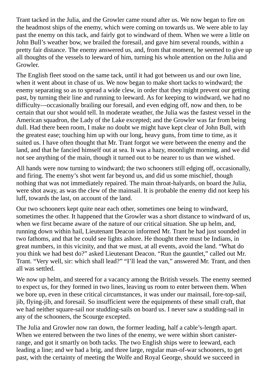Trant tacked in the Julia, and the Growler came round after us. We now began to fire on the headmost ships of the enemy, which were coming on towards us. We were able to lay past the enemy on this tack, and fairly got to windward of them. When we were a little on John Bull's weather bow, we brailed the foresail, and gave him several rounds, within a pretty fair distance. The enemy answered us, and, from that moment, he seemed to give up all thoughts of the vessels to leeward of him, turning his whole attention on the Julia and Growler.

The English fleet stood on the same tack, until it had got between us and our own line, when it went about in chase of us. We now began to make short tacks to windward; the enemy separating so as to spread a wide clew, in order that they might prevent our getting past, by turning their line and running to leeward. As for keeping to windward, we had no difficulty—occasionally brailing our foresail, and even edging off, now and then, to be certain that our shot would tell. In moderate weather, the Julia was the fastest vessel in the American squadron, the Lady of the Lake excepted; and the Growler was far from being dull. Had there been room, I make no doubt we might have kept clear of John Bull, with the greatest ease; touching him up with our long, heavy guns, from time to time, as it suited us. I have often thought that Mr. Trant forgot we were between the enemy and the land, and that he fancied himself out at sea. It was a hazy, moonlight morning, and we did not see anything of the main, though it turned out to be nearer to us than we wished.

All hands were now turning to windward; the two schooners still edging off, occasionally, and firing. The enemy's shot went far beyond us, and did us some mischief, though nothing that was not immediately repaired. The main throat-halyards, on board the Julia, were shot away, as was the clew of the mainsail. It is probable the enemy did not keep his luff, towards the last, on account of the land.

Our two schooners kept quite near each other, sometimes one being to windward, sometimes the other. It happened that the Growler was a short distance to windward of us, when we first became aware of the nature of our critical situation. She up helm, and, running down within hail, Lieutenant Deacon informed Mr. Trant he had just sounded in two fathoms, and that he could see lights ashore. He thought there must be Indians, in great numbers, in this vicinity, and that we must, at all events, avoid the land. "What do you think we had best do?" asked Lieutenant Deacon. "Run the gauntlet," called out Mr. Trant. "Very well, sir: which shall lead?" "I'll lead the van," answered Mr. Trant, and then all was settled.

We now up helm, and steered for a vacancy among the British vessels. The enemy seemed to expect us, for they formed in two lines, leaving us room to enter between them. When we bore up, even in these critical circumstances, it was under our mainsail, fore-top-sail, jib, flying-jib, and foresail. So insufficient were the equipments of these small craft, that we had neither square-sail nor studding-sails on board us. I never saw a studding-sail in any of the schooners, the Scourge excepted.

The Julia and Growler now ran down, the former leading, half a cable's-length apart. When we entered between the two lines of the enemy, we were within short canisterrange, and got it smartly on both tacks. The two English ships were to leeward, each leading a line; and we had a brig, and three large, regular man-of-war schooners, to get past, with the certainty of meeting the Wolfe and Royal George, should we succeed in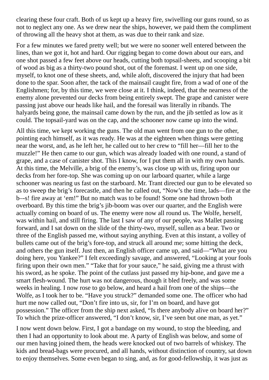clearing these four craft. Both of us kept up a heavy fire, swivelling our guns round, so as not to neglect any one. As we drew near the ships, however, we paid them the compliment of throwing all the heavy shot at them, as was due to their rank and size.

For a few minutes we fared pretty well; but we were no sooner well entered between the lines, than we got it, hot and hard. Our rigging began to come down about our ears, and one shot passed a few feet above our heads, cutting both topsail-sheets, and scooping a bit of wood as big as a thirty-two pound shot, out of the foremast. I went up on one side, myself, to knot one of these sheets, and, while aloft, discovered the injury that had been done to the spar. Soon after, the tack of the mainsail caught fire, from a wad of one of the Englishmen; for, by this time, we were close at it. I think, indeed, that the nearness of the enemy alone prevented our decks from being entirely swept. The grape and canister were passing just above our heads like hail, and the foresail was literally in ribands. The halyards being gone, the mainsail came down by the run, and the jib settled as low as it could. The topsail-yard was on the cap, and the schooner now came up into the wind.

All this time, we kept working the guns. The old man went from one gun to the other, pointing each himself, as it was ready. He was at the eighteen when things were getting near the worst, and, as he left her, he called out to her crew to "fill her—fill her to the muzzle!" He then came to our gun, which was already loaded with one round, a stand of grape, and a case of canister shot. This I know, for I put them all in with my own hands. At this time, the Melville, a brig of the enemy's, was close up with us, firing upon our decks from her fore-top. She was coming up on our larboard quarter, while a large schooner was nearing us fast on the starboard. Mr. Trant directed our gun to be elevated so as to sweep the brig's forecastle, and then he called out, "Now's the time, lads—fire at the b–-s! fire away at 'em!" But no match was to be found! Some one had thrown both overboard. By this time the brig's jib-boom was over our quarter, and the English were actually coming on board of us. The enemy were now all round us. The Wolfe, herself, was within hail, and still firing. The last I saw of any of our people, was Mallet passing forward, and I sat down on the slide of the thirty-two, myself, sullen as a bear. Two or three of the English passed me, without saying anything. Even at this instant, a volley of bullets came out of the brig's fore-top, and struck all around me; some hitting the deck, and others the gun itself. Just then, an English officer came up, and said—"What are you doing here, you Yankee?" I felt exceedingly savage, and answered, "Looking at your fools firing upon their own men." "Take that for your sauce," he said, giving me a thrust with his sword, as he spoke. The point of the cutlass just passed my hip-bone, and gave me a smart flesh-wound. The hurt was not dangerous, though it bled freely, and was some weeks in healing. I now rose to go below, and heard a hail from one of the ships—the Wolfe, as I took her to be. "Have you struck?" demanded some one. The officer who had hurt me now called out, "Don't fire into us, sir, for I'm on board, and have got possession." The officer from the ship next asked, "Is there anybody alive on board her?" To which the prize-officer answered, "I don't know, sir, I've seen but one man, as yet."

I now went down below. First, I got a bandage on my wound, to stop the bleeding, and then I had an opportunity to look about me. A party of English was below, and some of our men having joined them, the heads were knocked out of two barrels of whiskey. The kids and bread-bags were procured, and all hands, without distinction of country, sat down to enjoy themselves. Some even began to sing, and, as for good-fellowship, it was just as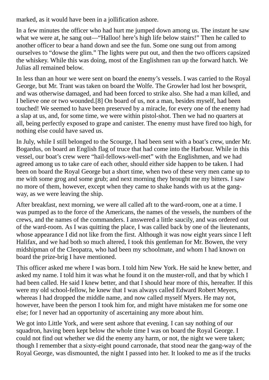marked, as it would have been in a jollification ashore.

In a few minutes the officer who had hurt me jumped down among us. The instant he saw what we were at, he sang out—"Halloo! here's high life below stairs!" Then he called to another officer to bear a hand down and see the fun. Some one sung out from among ourselves to "dowse the glim." The lights were put out, and then the two officers capsized the whiskey. While this was doing, most of the Englishmen ran up the forward hatch. We Julias all remained below.

In less than an hour we were sent on board the enemy's vessels. I was carried to the Royal George, but Mr. Trant was taken on board the Wolfe. The Growler had lost her bowsprit, and was otherwise damaged, and had been forced to strike also. She had a man killed, and I believe one or two wounded.[8] On board of us, not a man, besides myself, had been touched! We seemed to have been preserved by a miracle, for every one of the enemy had a slap at us, and, for some time, we were within pistol-shot. Then we had no quarters at all, being perfectly exposed to grape and canister. The enemy must have fired too high, for nothing else could have saved us.

In July, while I still belonged to the Scourge, I had been sent with a boat's crew, under Mr. Bogardus, on board an English flag of truce that had come into the Harbour. While in this vessel, our boat's crew were "hail-fellows-well-met" with the Englishmen, and we had agreed among us to take care of each other, should either side happen to be taken. I had been on board the Royal George but a short time, when two of these very men came up to me with some grog and some grub; and next morning they brought me my bitters. I saw no more of them, however, except when they came to shake hands with us at the gangway, as we were leaving the ship.

After breakfast, next morning, we were all called aft to the ward-room, one at a time. I was pumped as to the force of the Americans, the names of the vessels, the numbers of the crews, and the names of the commanders. I answered a little saucily, and was ordered out of the ward-room. As I was quitting the place, I was called back by one of the lieutenants, whose appearance I did not like from the first. Although it was now eight years since I left Halifax, and we had both so much altered, I took this gentleman for Mr. Bowen, the very midshipman of the Cleopatra, who had been my schoolmate, and whom I had known on board the prize-brig I have mentioned.

This officer asked me where I was born. I told him New York. He said he knew better, and asked my name. I told him it was what he found it on the muster-roll, and that by which I had been called. He said I knew better, and that I should hear more of this, hereafter. If this were my old school-fellow, he knew that I was always called Edward Robert Meyers, whereas I had dropped the middle name, and now called myself Myers. He may not, however, have been the person I took him for, and might have mistaken me for some one else; for I never had an opportunity of ascertaining any more about him.

We got into Little York, and were sent ashore that evening. I can say nothing of our squadron, having been kept below the whole time I was on board the Royal George. I could not find out whether we did the enemy any harm, or not, the night we were taken; though I remember that a sixty-eight pound carronade, that stood near the gang-way of the Royal George, was dismounted, the night I passed into her. It looked to me as if the trucks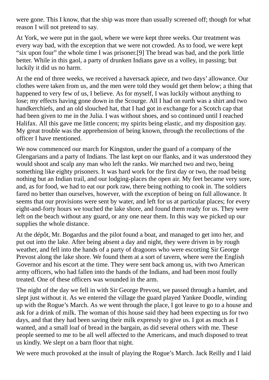were gone. This I know, that the ship was more than usually screened off; though for what reason I will not pretend to say.

At York, we were put in the gaol, where we were kept three weeks. Our treatment was every way bad, with the exception that we were not crowded. As to food, we were kept "six upon four" the whole time I was prisoner.[9] The bread was bad, and the pork little better. While in this gaol, a party of drunken Indians gave us a volley, in passing; but luckily it did us no harm.

At the end of three weeks, we received a haversack apiece, and two days' allowance. Our clothes were taken from us, and the men were told they would get them below; a thing that happened to very few of us, I believe. As for myself, I was luckily without anything to lose; my effects having gone down in the Scourge. All I had on earth was a shirt and two handkerchiefs, and an old slouched hat, that I had got in exchange for a Scotch cap that had been given to me in the Julia. I was without shoes, and so continued until I reached Halifax. All this gave me little concern; my spirits being elastic, and my disposition gay. My great trouble was the apprehension of being known, through the recollections of the officer I have mentioned.

We now commenced our march for Kingston, under the guard of a company of the Glengarians and a party of Indians. The last kept on our flanks, and it was understood they would shoot and scalp any man who left the ranks. We marched two and two, being something like eighty prisoners. It was hard work for the first day or two, the road being nothing but an Indian trail, and our lodging-places the open air. My feet became very sore, and, as for food, we had to eat our pork raw, there being nothing to cook in. The soldiers fared no better than ourselves, however, with the exception of being on full allowance. It seems that our provisions were sent by water, and left for us at particular places; for every eight-and-forty hours we touched the lake shore, and found them ready for us. They were left on the beach without any guard, or any one near them. In this way we picked up our supplies the whole distance.

At the dépôt, Mr. Bogardus and the pilot found a boat, and managed to get into her, and put out into the lake. After being absent a day and night, they were driven in by rough weather, and fell into the hands of a party of dragoons who were escorting Sir George Prevost along the lake shore. We found them at a sort of tavern, where were the English Governor and his escort at the time. They were sent back among us, with two American army officers, who had fallen into the hands of the Indians, and had been most foully treated. One of these officers was wounded in the arm.

The night of the day we fell in with Sir George Prevost, we passed through a hamlet, and slept just without it. As we entered the village the guard played Yankee Doodle, winding up with the Rogue's March. As we went through the place, I got leave to go to a house and ask for a drink of milk. The woman of this house said they had been expecting us for two days, and that they had been saving their milk expressly to give us. I got as much as I wanted, and a small loaf of bread in the bargain, as did several others with me. These people seemed to me to be all well affected to the Americans, and much disposed to treat us kindly. We slept on a barn floor that night.

We were much provoked at the insult of playing the Rogue's March. Jack Reilly and I laid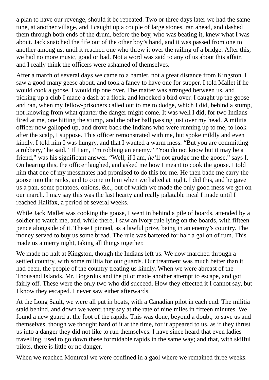a plan to have our revenge, should it be repeated. Two or three days later we had the same tune, at another village, and I caught up a couple of large stones, ran ahead, and dashed them through both ends of the drum, before the boy, who was beating it, knew what I was about. Jack snatched the fife out of the other boy's hand, and it was passed from one to another among us, until it reached one who threw it over the railing of a bridge. After this, we had no more music, good or bad. Not a word was said to any of us about this affair, and I really think the officers were ashamed of themselves.

After a march of several days we came to a hamlet, not a great distance from Kingston. I saw a good many geese about, and took a fancy to have one for supper. I told Mallet if he would cook a goose, I would tip one over. The matter was arranged between us, and picking up a club I made a dash at a flock, and knocked a bird over. I caught up the goose and ran, when my fellow-prisoners called out to me to dodge, which I did, behind a stump, not knowing from what quarter the danger might come. It was well I did, for two Indians fired at me, one hitting the stump, and the other ball passing just over my head. A militia officer now galloped up, and drove back the Indians who were running up to me, to look after the scalp, I suppose. This officer remonstrated with me, but spoke mildly and even kindly. I told him I was hungry, and that I wanted a warm mess. "But you are committing a robbery," he said. "If I am, I'm robbing an enemy." "You do not know but it may be a friend," was his significant answer. "Well, if I am, *he*'ll not grudge me the goose," says I. On hearing this, the officer laughed, and asked me how I meant to cook the goose. I told him that one of my messmates had promised to do this for me. He then bade me carry the goose into the ranks, and to come to him when we halted at night. I did this, and he gave us a pan, some potatoes, onions, &c., out of which we made the only good mess we got on our march. I may say this was the last hearty and really palatable meal I made until I reached Halifax, a period of several weeks.

While Jack Mallet was cooking the goose, I went in behind a pile of boards, attended by a soldier to watch me, and, while there, I saw an ivory rule lying on the boards, with fifteen pence alongside of it. These I pinned, as a lawful prize, being in an enemy's country. The money served to buy us some bread. The rule was bartered for half a gallon of rum. This made us a merry night, taking all things together.

We made no halt at Kingston, though the Indians left us. We now marched through a settled country, with some militia for our guards. Our treatment was much better than it had been, the people of the country treating us kindly. When we were abreast of the Thousand Islands, Mr. Bogardus and the pilot made another attempt to escape, and got fairly off. These were the only two who did succeed. How they effected it I cannot say, but I know they escaped. I never saw either afterwards.

At the Long Sault, we were all put in boats, with a Canadian pilot in each end. The militia staid behind, and down we went; they say at the rate of nine miles in fifteen minutes. We found a new guard at the foot of the rapids. This was done, beyond a doubt, to save us and themselves, though we thought hard of it at the time, for it appeared to us, as if they thrust us into a danger they did not like to run themselves. I have since heard that even ladies travelling, used to go down these formidable rapids in the same way; and that, with skilful pilots, there is little or no danger.

When we reached Montreal we were confined in a gaol where we remained three weeks.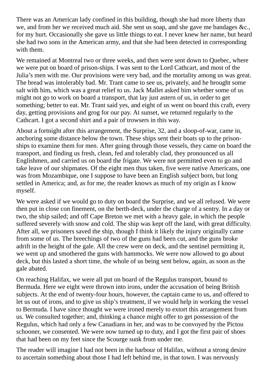There was an American lady confined in this building, though she had more liberty than we, and from her we received much aid. She sent us soap, and she gave me bandages &c., for my hurt. Occasionally she gave us little things to eat. I never knew her name, but heard she had two sons in the American army, and that she had been detected in corresponding with them.

We remained at Montreal two or three weeks, and then were sent down to Quebec, where we were put on board of prison-ships. I was sent to the Lord Cathcart, and most of the Julia's men with me. Our provisions were very bad, and the mortality among us was great. The bread was intolerably bad. Mr. Trant came to see us, privately, and he brought some salt with him, which was a great relief to us. Jack Mallet asked him whether some of us might not go to work on board a transport, that lay just astern of us, in order to get something; better to eat. Mr. Trant said yes, and eight of us went on board this craft, every day, getting provisions and grog for our pay. At sunset, we returned regularly to the Cathcart. I got a second shirt and a pair of trowsers in this way.

About a fortnight after this arrangement, the Surprise, 32, and a sloop-of-war, came in, anchoring some distance below the town. These ships sent their boats up to the prisonships to examine them for men. After going through those vessels, they came on board the transport, and finding us fresh, clean, fed and tolerably clad, they pronounced us all Englishmen, and carried us on board the frigate. We were not permitted even to go and take leave of our shipmates. Of the eight men thus taken, five were native Americans, one was from Mozambique, one I suppose to have been an English subject born, but long settled in America; and, as for me, the reader knows as much of my origin as I know myself.

We were asked if we would go to duty on board the Surprise, and we all refused. We were then put in close con finement, on the berth-deck, under the charge of a sentry. In a day or two, the ship sailed; and off Cape Breton we met with a heavy gale, in which the people suffered severely with snow and cold. The ship was kept off the land, with great difficulty. After all, we prisoners saved the ship, though I think it likely the injury originally came from some of us. The breechings of two of the guns had been cut, and the guns broke adrift in the height of the gale. All the crew were on deck, and the sentinel permitting it, we went up and smothered the guns with hammocks. We were now allowed to go about deck, but this lasted a short time, the whole of us being sent below, again, as soon as the gale abated.

On reaching Halifax, we were all put on board of the Regulus transport, bound to Bermuda. Here we eight were thrown into irons, under the accusation of being British subjects. At the end of twenty-four hours, however, the captain came to us, and offered to let us out of irons, and to give us ship's treatment, if we would help in working the vessel to Bermuda. I have since thought we were ironed merely to extort this arrangement from us. We consulted together; and, thinking a chance might offer to get possession of the Regulus, which had only a few Canadians in her, and was to be convoyed by the Pictou schooner, we consented. We were now turned up to duty, and I got the first pair of shoes that had been on my feet since the Scourge sunk from under me.

The reader will imagine I had not been in the harbour of Halifax, without a strong desire to ascertain something about those I had left behind me, in that town. I was nervously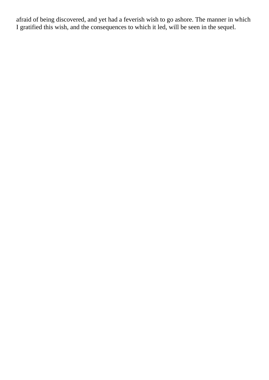afraid of being discovered, and yet had a feverish wish to go ashore. The manner in which I gratified this wish, and the consequences to which it led, will be seen in the sequel.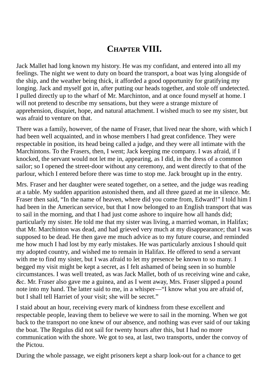## **CHAPTER VIII.**

Jack Mallet had long known my history. He was my confidant, and entered into all my feelings. The night we went to duty on board the transport, a boat was lying alongside of the ship, and the weather being thick, it afforded a good opportunity for gratifying my longing. Jack and myself got in, after putting our heads together, and stole off undetected. I pulled directly up to the wharf of Mr. Marchinton, and at once found myself at home. I will not pretend to describe my sensations, but they were a strange mixture of apprehension, disquiet, hope, and natural attachment. I wished much to see my sister, but was afraid to venture on that.

There was a family, however, of the name of Fraser, that lived near the shore, with which I had been well acquainted, and in whose members I had great confidence. They were respectable in position, its head being called a judge, and they were all intimate with the Marchintons. To the Frasers, then, I went; Jack keeping me company. I was afraid, if I knocked, the servant would not let me in, appearing, as I did, in the dress of a common sailor; so I opened the street-door without any ceremony, and went directly to that of the parlour, which I entered before there was time to stop me. Jack brought up in the entry.

Mrs. Fraser and her daughter were seated together, on a settee, and the judge was reading at a table. My sudden apparition astonished them, and all three gazed at me in silence. Mr. Fraser then said, "In the name of heaven, where did you come from, Edward!" I told him I had been in the American service, but that I now belonged to an English transport that was to sail in the morning, and that I had just come ashore to inquire how all hands did; particularly my sister. He told me that my sister was living, a married woman, in Halifax; that Mr. Marchinton was dead, and had grieved very much at my disappearance; that I was supposed to be dead. He then gave me much advice as to my future course, and reminded me how much I had lost by my early mistakes. He was particularly anxious I should quit my adopted country, and wished me to remain in Halifax. He offered to send a servant with me to find my sister, but I was afraid to let my presence be known to so many. I begged my visit might be kept a secret, as I felt ashamed of being seen in so humble circumstances. I was well treated, as was Jack Mallet, both of us receiving wine and cake, &c. Mr. Fraser also gave me a guinea, and as I went away, Mrs. Fraser slipped a pound note into my hand. The latter said to me, in a whisper—"I know what you are afraid of, but I shall tell Harriet of your visit; she will be secret."

I staid about an hour, receiving every mark of kindness from these excellent and respectable people, leaving them to believe we were to sail in the morning. When we got back to the transport no one knew of our absence, and nothing was ever said of our taking the boat. The Regulus did not sail for twenty hours after this, but I had no more communication with the shore. We got to sea, at last, two transports, under the convoy of the Pictou.

During the whole passage, we eight prisoners kept a sharp look-out for a chance to get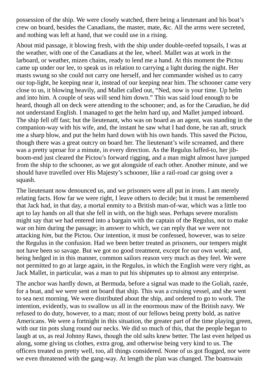possession of the ship. We were closely watched, there being a lieutenant and his boat's crew on board, besides the Canadians, the master, mate, &c. All the arms were secreted, and nothing was left at hand, that we could use in a rising.

About mid passage, it blowing fresh, with the ship under double-reefed topsails, I was at the weather, with one of the Canadians at the lee, wheel. Mallet was at work in the larboard, or weather, mizen chains, ready to lend me a hand. At this moment the Pictou came up under our lee, to speak us in relation to carrying a light during the night. Her masts swung so she could not carry one herself, and her commander wished us to carry our top-light, he keeping near it, instead of our keeping near him. The schooner came very close to us, it blowing heavily, and Mallet called out, "Ned, now is your time. Up helm and into him. A couple of seas will send him down." This was said loud enough to be heard, though all on deck were attending to the schooner; and, as for the Canadian, he did not understand English. I managed to get the helm hard up, and Mallet jumped inboard. The ship fell off fast; but the lieutenant, who was on board as an agent, was standing in the companion-way with his wife, and, the instant he saw what I had done, he ran aft, struck me a sharp blow, and put the helm hard down with his own hands. This saved the Pictou, though there was a great outcry on board her. The lieutenant's wife screamed, and there was a pretty uproar for a minute, in every direction. As the Regulus luffed-to, her jibboom-end just cleared the Pictou's forward rigging, and a man might almost have jumped from the ship to the schooner, as we got alongside of each other. Another minute, and we should have travelled over His Majesty's schooner, like a rail-road car going over a squash.

The lieutenant now denounced us, and we prisoners were all put in irons. I am merely relating facts. How far we were right, I leave others to decide; but it must be remembered that Jack had, in that day, a mortal enmity to a British man-of-war, which was a little too apt to lay hands on all that she fell in with, on the high seas. Perhaps severe moralists might say that we had entered into a bargain with the captain of the Regulus, not to make war on him during the passage; in answer to which, we can reply that we were not attacking *him*, but the Pictou. Our intention, it must be confessed, however, was to seize the Regulus in the confusion. Had we been better treated as prisoners, our tempers might not have been so savage. But we got no good treatment, except for our own work; and, being hedged in in this manner, common sailors reason very much as they feel. We were not permitted to go at large again, in the Regulus, in which the English were very right, as Jack Mallet, in particular, was a man to put his shipmates up to almost any enterprise.

The anchor was hardly down, at Bermuda, before a signal was made to the Goliah, razée, for a boat, and we were sent on board that ship. This was a cruising vessel, and she went to sea next morning. We were distributed about the ship, and ordered to go to work. The intention, evidently, was to swallow us all in the enormous maw of the British navy. We refused to do duty, however, to a man; most of our fellows being pretty bold, as native Americans. We were a fortnight in this situation, the greater part of the time playing green, with our tin pots slung round our necks. We did so much of this, that the people began to laugh at us, as real Johnny Raws, though the old salts knew better. The last even helped us along, some giving us clothes, extra grog, and otherwise being very kind to us. The officers treated us pretty well, too, all things considered. None of us got flogged, nor were we even threatened with the gang-way. At length the plan was changed. The boatswain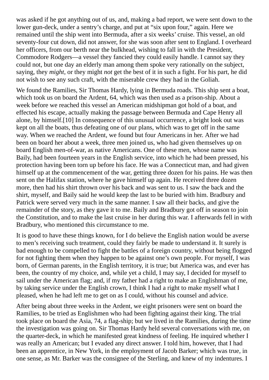was asked if he got anything out of us, and, making a bad report, we were sent down to the lower gun-deck, under a sentry's charge, and put at "six upon four," again. Here we remained until the ship went into Bermuda, after a six weeks' cruise. This vessel, an old seventy-four cut down, did not answer, for she was soon after sent to England. I overheard her officers, from our berth near the bulkhead, wishing to fall in with the President, Commodore Rodgers—a vessel they fancied they could easily handle. I cannot say they could not, but one day an elderly man among them spoke very rationally on the subject, saying, they *might*, or they might *not* get the best of it in such a fight. For his part, he did not wish to see any such craft, with the miserable crew they had in the Goliah.

We found the Ramilies, Sir Thomas Hardy, lying in Bermuda roads. This ship sent a boat, which took us on board the Ardent, 64, which was then used as a prison-ship. About a week before we reached this vessel an American midshipman got hold of a boat, and effected his escape, actually making the passage between Bermuda and Cape Henry all alone, by himself.[10] In consequence of this unusual occurrence, a bright look out was kept on all the boats, thus defeating one of our plans, which was to get off in the same way. When we reached the Ardent, we found but four Americans in her. After we had been on board her about a week, three men joined us, who had given themselves up on board English men-of-war, as native Americans. One of these men, whose name was Baily, had been fourteen years in the English service, into which he had been pressed, his protection having been torn up before his face. He was a Connecticut man, and had given himself up at the commencement of the war, getting three dozen for his pains. He was then sent on the Halifax station, where he gave himself up again. He received three dozen more, then had his shirt thrown over his back and was sent to us. I saw the back and the shirt, myself, and Baily said he would keep the last to be buried with him. Bradbury and Patrick were served very much in the same manner. I saw all their backs, and give the remainder of the story, as they gave it to me. Baily and Bradbury got off in season to join the Constitution, and to make the last cruise in her during this war. I afterwards fell in with Bradbury, who mentioned this circumstance to me.

It is good to have these things known, for I do believe the English nation would be averse to men's receiving such treatment, could they fairly be made to understand it. It surely is bad enough to be compelled to fight the battles of a foreign country, without being flogged for not fighting them when they happen to be against one's own people. For myself, I was born, of German parents, in the English territory, it is true; but America was, and ever has been, the country of my choice, and, while yet a child, I may say, I decided for myself to sail under the American flag; and, if my father had a right to make an Englishman of me, by taking service under the English crown, I think I had a right to make myself what I pleased, when he had left me to get on as I could, without his counsel and advice.

After being about three weeks in the Ardent, we eight prisoners were sent on board the Ramilies, to be tried as Englishmen who had been fighting against their king. The trial took place on board the Asia, 74, a flag-ship; but we lived in the Ramilies, during the time the investigation was going on. Sir Thomas Hardy held several conversations with me, on the quarter-deck, in which he manifested great kindness of feeling. He inquired whether I was really an American; but I evaded any direct answer. I told him, however, that I had been an apprentice, in New York, in the employment of Jacob Barker; which was true, in one sense, as Mr. Barker was the consignee of the Sterling, and knew of my indentures. I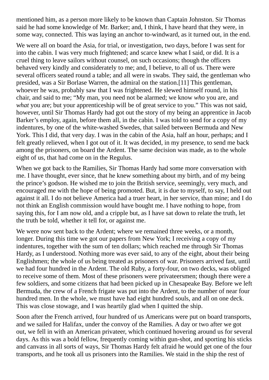mentioned him, as a person more likely to be known than Captain Johnston. Sir Thomas said he had some knowledge of Mr. Barker; and, I think, I have heard that they were, in some way, connected. This was laying an anchor to-windward, as it turned out, in the end.

We were all on board the Asia, for trial, or investigation, two days, before I was sent for into the cabin. I was very much frightened; and scarce knew what I said, or did. It is a cruel thing to leave sailors without counsel, on such occasions; though the officers behaved very kindly and considerately to me; and, I believe, to all of us. There were several officers seated round a table; and all were in swabs. They said, the gentleman who presided, was a Sir Borlase Warren, the admiral on the station.[11] This gentleman, whoever he was, probably saw that I was frightened. He slewed himself round, in his chair, and said to me; "My man, you need not be alarmed; we know *who* you are, and *what* you are; but your apprenticeship will be of great service to you." This was not said, however, until Sir Thomas Hardy had got out the story of my being an apprentice in Jacob Barker's employ, again, before them all, in the cabin. I was told to send for a copy of my indentures, by one of the white-washed Swedes, that sailed between Bermuda and New York. This I did, that very day. I was in the cabin of the Asia, half an hour, perhaps; and I felt greatly relieved, when I got out of it. It was decided, in my presence, to send me back among the prisoners, on board the Ardent. The same decision was made, as to the whole eight of us, that had come on in the Regulus.

When we got back to the Ramilies, Sir Thomas Hardy had some more conversation with me. I have thought, ever since, that he knew something about my birth, and of my being the prince's godson. He wished me to join the British service, seemingly, very much, and encouraged me with the hope of being promoted. But, it is due to myself, to say, I held out against it all. I do not believe America had a truer heart, in her service, than mine; and I do not think an English commission would have bought me. I have nothing to hope, from saying this, for I am now old, and a cripple but, as I have sat down to relate the truth, let the truth be told, whether it tell for, or against me.

We were now sent back to the Ardent; where we remained three weeks, or a month, longer. During this time we got our papers from New York; I receiving a copy of my indentures, together with the sum of ten dollars; which reached me through Sir Thomas Hardy, as I understood. Nothing more was ever said, to any of the eight, about their being Englishmen; the whole of us being treated as prisoners of war. Prisoners arrived fast, until we had four hundred in the Ardent. The old Ruby, a forty-four, on two decks, was obliged to receive some of them. Most of these prisoners were privateersmen; though there were a few soldiers, and some citizens that had been picked up in Chesapeake Bay. Before we left Bermuda, the crew of a French frigate was put into the Ardent, to the number of near four hundred men. In the whole, we must have had eight hundred souls, and all on one deck. This was close stowage, and I was heartily glad when I quitted the ship.

Soon after the French arrived, four hundred of us Americans were put on board transports, and we sailed for Halifax, under the convoy of the Ramilies. A day or two after we got out, we fell in with an American privateer, which continued hovering around us for several days. As this was a bold fellow, frequently coming within gun-shot, and sporting his sticks and canvass in all sorts of ways, Sir Thomas Hardy felt afraid he would get one of the four transports, and he took all us prisoners into the Ramilies. We staid in the ship the rest of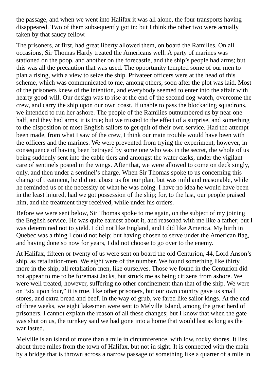the passage, and when we went into Halifax it was all alone, the four transports having disappeared. Two of them subsequently got in; but I think the other two were actually taken by that saucy fellow.

The prisoners, at first, had great liberty allowed them, on board the Ramilies. On all occasions, Sir Thomas Hardy treated the Americans well. A party of marines was stationed on the poop, and another on the forecastle, and the ship's people had arms; but this was all the precaution that was used. The opportunity tempted some of our men to plan a rising, with a view to seize the ship. Privateer officers were at the head of this scheme, which was communicated to me, among others, soon after the plot was laid. Most of the prisoners knew of the intention, and everybody seemed to enter into the affair with hearty good-will. Our design was to rise at the end of the second dog-watch, overcome the crew, and carry the ship upon our own coast. If unable to pass the blockading squadrons, we intended to run her ashore. The people of the Ramilies outnumbered us by near onehalf, and they had arms, it is true; but we trusted to the effect of a surprise, and something to the disposition of most English sailors to get quit of their own service. Had the attempt been made, from what I saw of the crew, I think our main trouble would have been with the officers and the marines. We were prevented from trying the experiment, however, in consequence of having been betrayed by some one who was in the secret, the whole of us being suddenly sent into the cable tiers and amongst the water casks, under the vigilant care of sentinels posted in the wings. After that, we were allowed to come on deck singly, only, and then under a sentinel's charge. When Sir Thomas spoke to us concerning this change of treatment, he did not abuse us for our plan, but was mild and reasonable, while he reminded us of the necessity of what he was doing. I have no idea he would have been in the least injured, had we got possession of the ship; for, to the last, our people praised him, and the treatment they received, while under his orders.

Before we were sent below, Sir Thomas spoke to me again, on the subject of my joining the English service. He was quite earnest about it, and reasoned with me like a father; but I was determined not to yield. I did not like England, and I did like America. My birth in Quebec was a thing I could not help; but having chosen to serve under the American flag, and having done so now for years, I did not choose to go over to the enemy.

At Halifax, fifteen or twenty of us were sent on board the old Centurion, 44, Lord Anson's ship, as retaliation-men. We eight were of the number. We found something like thirty more in the ship, all retaliation-men, like ourselves. Those we found in the Centurion did not appear to me to be foremast Jacks, but struck me as being citizens from ashore. We were well treated, however, suffering no other confinement than that of the ship. We were on "six upon four," it is true, like other prisoners, but our own country gave us small stores, and extra bread and beef. In the way of grub, we fared like sailor kings. At the end of three weeks, we eight lakesmen were sent to Melville Island, among the great herd of prisoners. I cannot explain the reason of all these changes; but I know that when the gate was shut on us, the turnkey said we had gone into a home that would last as long as the war lasted.

Melville is an island of more than a mile in circumference, with low, rocky shores. It lies about three miles from the town of Halifax, but not in sight. It is connected with the main by a bridge that is thrown across a narrow passage of something like a quarter of a mile in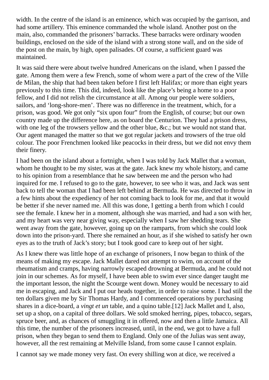width. In the centre of the island is an eminence, which was occupied by the garrison, and had some artillery. This eminence commanded the whole island. Another post on the main, also, commanded the prisoners' barracks. These barracks were ordinary wooden buildings, enclosed on the side of the island with a strong stone wall, and on the side of the post on the main, by high, open palisades. Of course, a sufficient guard was maintained.

It was said there were about twelve hundred Americans on the island, when I passed the gate. Among them were a few French, some of whom were a part of the crew of the Ville de Milan, the ship that had been taken before I first left Halifax; or more than eight years previously to this time. This did, indeed, look like the place's being a home to a poor fellow, and I did not relish the circumstance at all. Among our people were soldiers, sailors, and 'long-shore-men'. There was no difference in the treatment, which, for a prison, was good. We got only "six upon four" from the English, of course; but our own country made up the difference here, as on board the Centurion. They had a prison dress, with one leg of the trowsers yellow and the other blue, &c.; but we would not stand that. Our agent managed the matter so that we got regular jackets and trowsers of the true old colour. The poor Frenchmen looked like peacocks in their dress, but we did not envy them their finery.

I had been on the island about a fortnight, when I was told by Jack Mallet that a woman, whom he thought to be my sister, was at the gate. Jack knew my whole history, and came to his opinion from a resemblance that he saw between me and the person who had inquired for me. I refused to go to the gate, however, to see who it was, and Jack was sent back to tell the woman that I had been left behind at Bermuda. He was directed to throw in a few hints about the expediency of her not coming back to look for me, and that it would be better if she never named me. All this was done, I getting a berth from which I could see the female. I knew her in a moment, although she was married, and had a son with her, and my heart was very near giving way, especially when I saw her shedding tears. She went away from the gate, however, going up on the ramparts, from which she could look down into the prison-yard. There she remained an hour, as if she wished to satisfy her own eyes as to the truth of Jack's story; but I took good care to keep out of her sight.

As I knew there was little hope of an exchange of prisoners, I now began to think of the means of making my escape. Jack Mallet dared not attempt to swim, on account of the rheumatism and cramps, having narrowly escaped drowning at Bermuda, and he could not join in our schemes. As for myself, I have been able to swim ever since danger taught me the important lesson, the night the Scourge went down. Money would be necessary to aid me in escaping, and Jack and I put our heads together, in order to raise some. I had still the ten dollars given me by Sir Thomas Hardy, and I commenced operations by purchasing shares in a dice-board, a *vingt et un* table, and a quino table.[12] Jack Mallet and I, also, set up a shop, on a capital of three dollars. We sold smoked herring, pipes, tobacco, segars, spruce beer, and, as chances of smuggling it in offered, now and then a little Jamaica. All this time, the number of the prisoners increased, until, in the end, we got to have a full prison, when they began to send them to England. Only one of the Julias was sent away, however, all the rest remaining at Melville Island, from some cause I cannot explain.

I cannot say we made money very fast. On every shilling won at dice, we received a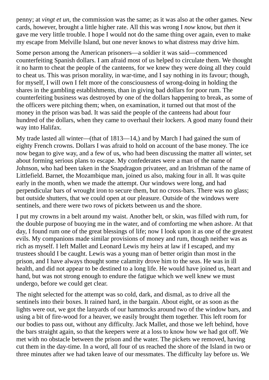penny; at *vingt et un*, the commission was the same; as it was also at the other games. New cards, however, brought a little higher rate. All this was wrong I *now* know, but *then* it gave me very little trouble. I hope I would not do the same thing over again, even to make my escape from Melville Island, but one never knows to what distress may drive him.

Some person among the American prisoners—a soldier it was said—commenced counterfeiting Spanish dollars. I am afraid most of us helped to circulate them. We thought it no harm to cheat the people of the canteens, for we knew they were doing all they could to cheat us. This was prison morality, in war-time, and I say nothing in its favour; though, for myself, I will own I felt more of the consciousness of wrong-doing in holding the shares in the gambling establishments, than in giving bad dollars for poor rum. The counterfeiting business was destroyed by one of the dollars happening to break, as some of the officers were pitching them; when, on examination, it turned out that most of the money in the prison was bad. It was said the people of the canteens had about four hundred of the dollars, when they came to overhaul their lockers. A good many found their way into Halifax.

My trade lasted all winter—(that of 1813—14,) and by March I had gained the sum of eighty French crowns. Dollars I was afraid to hold on account of the base money. The ice now began to give way, and a few of us, who had been discussing the matter all winter, set about forming serious plans to escape. My confederates were a man of the name of Johnson, who had been taken in the Snapdragon privateer, and an Irishman of the name of Littlefield. Barnet, the Mozambique man, joined us also, making four in all. It was quite early in the month, when we made the attempt. Our windows were long, and had perpendicular bars of wrought iron to secure them, but no cross-bars. There was no glass; but outside shutters, that we could open at our pleasure. Outside of the windows were sentinels, and there were two rows of pickets between us and the shore.

I put my crowns in a belt around my waist. Another belt, or skin, was filled with rum, for the double purpose of buoying me in the water, and of comforting me when ashore. At that day, I found rum one of the great blessings of life; now I look upon it as one of the greatest evils. My companions made similar provisions of money and rum, though neither was as rich as myself. I left Mallet and Leonard Lewis my heirs at law if I escaped, and my trustees should I be caught. Lewis was a young man of better origin than most in the prison, and I have always thought some calamity drove him to the seas. He was in ill health, and did not appear to be destined to a long life. He would have joined us, heart and hand, but was not strong enough to endure the fatigue which we well knew we must undergo, before we could get clear.

The night selected for the attempt was so cold, dark, and dismal, as to drive all the sentinels into their boxes. It rained hard, in the bargain. About eight, or as soon as the lights were out, we got the lanyards of our hammocks around two of the window bars, and using a bit of fire-wood for a heaver, we easily brought them together. This left room for our bodies to pass out, without any difficulty. Jack Mallet, and those we left behind, hove the bars straight again, so that the keepers were at a loss to know how we had got off. We met with no obstacle between the prison and the water. The pickets we removed, having cut them in the day-time. In a word, all four of us reached the shore of the Island in two or three minutes after we had taken leave of our messmates. The difficulty lay before us. We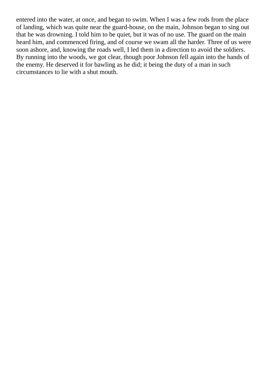entered into the water, at once, and began to swim. When I was a few rods from the place of landing, which was quite near the guard-house, on the main, Johnson began to sing out that he was drowning. I told him to be quiet, but it was of no use. The guard on the main heard him, and commenced firing, and of course we swam all the harder. Three of us were soon ashore, and, knowing the roads well, I led them in a direction to avoid the soldiers. By running into the woods, we got clear, though poor Johnson fell again into the hands of the enemy. He deserved it for bawling as he did; it being the duty of a man in such circumstances to lie with a shut mouth.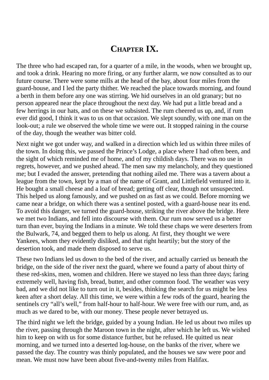## **CHAPTER IX.**

The three who had escaped ran, for a quarter of a mile, in the woods, when we brought up, and took a drink. Hearing no more firing, or any further alarm, we now consulted as to our future course. There were some mills at the head of the bay, about four miles from the guard-house, and I led the party thither. We reached the place towards morning, and found a berth in them before any one was stirring. We hid ourselves in an old granary; but no person appeared near the place throughout the next day. We had put a little bread and a few herrings in our hats, and on these we subsisted. The rum cheered us up, and, if rum ever did good, I think it was to us on that occasion. We slept soundly, with one man on the look-out; a rule we observed the whole time we were out. It stopped raining in the course of the day, though the weather was bitter cold.

Next night we got under way, and walked in a direction which led us within three miles of the town. In doing this, we passed the Prince's Lodge, a place where I had often been, and the sight of which reminded me of home, and of my childish days. There was no use in regrets, however, and we pushed ahead. The men saw my melancholy, and they questioned me; but I evaded the answer, pretending that nothing ailed me. There was a tavern about a league from the town, kept by a man of the name of Grant, and Littlefield ventured into it. He bought a small cheese and a loaf of bread; getting off clear, though not unsuspected. This helped us along famously, and we pushed on as fast as we could. Before morning we came near a bridge, on which there was a sentinel posted, with a guard-house near its end. To avoid this danger, we turned the guard-house, striking the river above the bridge. Here we met two Indians, and fell into discourse with them. Our rum now served us a better turn than ever, buying the Indians in a minute. We told these chaps we were deserters from the Bulwark, 74, and begged them to help us along. At first, they thought we were Yankees, whom they evidently disliked, and that right heartily; but the story of the desertion took, and made them disposed to serve us.

These two Indians led us down to the bed of the river, and actually carried us beneath the bridge, on the side of the river next the guard, where we found a party of about thirty of these red-skins, men, women and children. Here we stayed no less than three days; faring extremely well, having fish, bread, butter, and other common food. The weather was very bad, and we did not like to turn out in it, besides, thinking the search for us might be less keen after a short delay. All this time, we were within a few rods of the guard, hearing the sentinels cry "all's well," from half-hour to half-hour. We were free with our rum, and, as much as we dared to be, with our money. These people never betrayed us.

The third night we left the bridge, guided by a young Indian. He led us about two miles up the river, passing through the Maroon town in the night, after which he left us. We wished him to keep on with us for some distance further, but he refused. He quitted us near morning, and we turned into a deserted log-house, on the banks of the river, where we passed the day. The country was thinly populated, and the houses we saw were poor and mean. We must now have been about five-and-twenty miles from Halifax.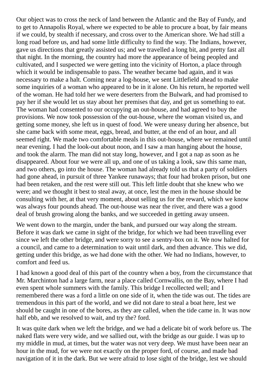Our object was to cross the neck of land between the Atlantic and the Bay of Fundy, and to get to Annapolis Royal, where we expected to be able to procure a boat, by fair means if we could, by stealth if necessary, and cross over to the American shore. We had still a long road before us, and had some little difficulty to find the way. The Indians, however, gave us directions that greatly assisted us; and we travelled a long bit, and pretty fast all that night. In the morning, the country had more the appearance of being peopled and cultivated, and I suspected we were getting into the vicinity of Horton, a place through which it would be indispensable to pass. The weather became bad again, and it was necessary to make a halt. Coming near a log-house, we sent Littlefield ahead to make some inquiries of a woman who appeared to be in it alone. On his return, he reported well of the woman. He had told her we were deserters from the Bulwark, and had promised to pay her if she would let us stay about her premises that day, and get us something to eat. The woman had consented to our occupying an out-house, and had agreed to buy the provisions. We now took possession of the out-house, where the woman visited us, and getting some money, she left us in quest of food. We were uneasy during her absence, but she came back with some meat, eggs, bread, and butter, at the end of an hour, and all seemed right. We made two comfortable meals in this out-house, where we remained until near evening. I had the look-out about noon, and I saw a man hanging about the house, and took the alarm. The man did not stay long, however, and I got a nap as soon as he disappeared. About four we were all up, and one of us taking a look, saw this same man, and two others, go into the house. The woman had already told us that a party of soldiers had gone ahead, in pursuit of three Yankee runaways; that four had broken prison, but one had been retaken, and the rest were still out. This left little doubt that she knew who we were; and we thought it best to steal away, at once, lest the men in the house should be consulting with her, at that very moment, about selling us for the reward, which we know was always four pounds ahead. The out-house was near the river, and there was a good deal of brush growing along the banks, and we succeeded in getting away unseen.

We went down to the margin, under the bank, and pursued our way along the stream. Before it was dark we came in sight of the bridge, for which we had been travelling ever since we left the other bridge, and were sorry to see a sentry-box on it. We now halted for a council, and came to a determination to wait until dark, and then advance. This we did, getting under this bridge, as we had done with the other. We had no Indians, however, to comfort and feed us.

I had known a good deal of this part of the country when a boy, from the circumstance that Mr. Marchinton had a large farm, near a place called Cornwallis, on the Bay, where I had even spent whole summers with the family. This bridge I recollected well; and I remembered there was a ford a little on one side of it, when the tide was out. The tides are tremendous in this part of the world, and we did not dare to steal a boat here, lest we should be caught in one of the bores, as they are called, when the tide came in. It was now half ebb, and we resolved to wait, and try the? ford.

It was quite dark when we left the bridge, and we had a delicate bit of work before us. The naked flats were very wide, and we sallied out, with the bridge as our guide. I was up to my middle in mud, at times, but the water was not very deep. We must have been near an hour in the mud, for we were not exactly on the proper ford, of course, and made bad navigation of it in the dark. But we were afraid to lose sight of the bridge, lest we should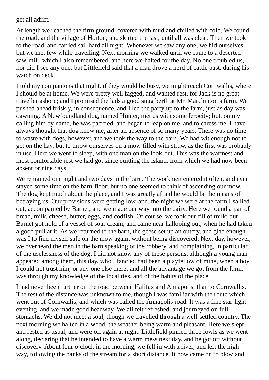get all adrift.

At length we reached the firm ground, covered with mud and chilled with cold. We found the road, and the village of Horton, and skirted the last, until all was clear. Then we took to the road, and carried sail hard all night. Whenever we saw any one, we hid ourselves, but we met few while travelling. Next morning we walked until we came to a deserted saw-mill, which I also remembered, and here we halted for the day. No one troubled us, nor did I see any one; but Littlefield said that a man drove a herd of cattle past, during his watch on deck.

I told my companions that night, if they would be busy, we might reach Cornwallis, where I should be at home. We were pretty well fagged, and wanted rest, for Jack is no great traveller ashore; and I promised the lads a good snug berth at Mr. Marchinton's farm. We pushed ahead briskly, in consequence, and I led the party up to the farm, just as day was dawning. A Newfoundland dog, named Hunter, met us with some ferocity; but, on my calling him by name, he was pacified, and began to leap on me, and to caress me. I have always thought that dog knew me, after an absence of so many years. There was no time to waste with dogs, however, and we took the way to the barn. We had wit enough not to get on the hay, but to throw ourselves on a mow filled with straw, as the first was probably in use. Here we went to sleep, with one man on the look-out. This was the warmest and most comfortable rest we had got since quitting the island, from which we had now been absent or nine days.

We remained one night and two days in the barn. The workmen entered it often, and even stayed some time on the barn-floor; but no one seemed to think of ascending our mow. The dog kept much about the place, and I was greatly afraid he would be the means of betraying us. Our provisions were getting low, and, the night we were at the farm I sallied out, accompanied by Barnet, and we made our way into the dairy. Here we found a pan of bread, milk, cheese, butter, eggs, and codfish. Of course, we took our fill of milk; but Barnet got hold of a vessel of sour cream, and came near hallooing out, when he had taken a good pull at it. As we returned to the barn, the geese set up an outcry, and glad enough was I to find myself safe on the mow again, without being discovered. Next day, however, we overheard the men in the barn speaking of the robbery, and complaining, in particular, of the uselessness of the dog. I did not know any of these persons, although a young man appeared among them, this day, who I fancied had been a playfellow of mine, when a boy. I could not trust him, or any one else there; and all the advantage we got from the farm, was through my knowledge of the localities, and of the habits of the place.

I had never been further on the road between Halifax and Annapolis, than to Cornwallis. The rest of the distance was unknown to me, though I was familiar with the route which went out of Cornwallis, and which was called the Annapolis road. It was a fine star-light evening, and we made good headway. We all felt refreshed, and journeyed on full stomachs. We did not meet a soul, though we travelled through a well-settled country. The next morning we halted in a wood, the weather being warm and pleasant. Here we slept and rested as usual, and were off again at night. Littlefield pinned three fowls as we went along, declaring that he intended to have a warm mess next day, and he got off without discoverv. About four o'clock in the morning, we fell in with a river, and left the highway, following the banks of the stream for a short distance. It now came on to blow and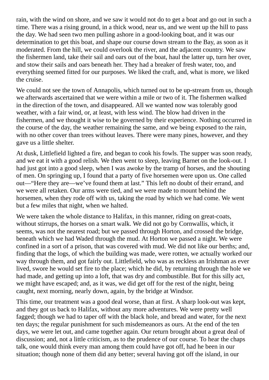rain, with the wind on shore, and we saw it would not do to get a boat and go out in such a time. There was a rising ground, in a thick wood, near us, and we went up the hill to pass the day. We had seen two men pulling ashore in a good-looking boat, and it was our determination to get this boat, and shape our course down stream to the Bay, as soon as it moderated. From the hill, we could overlook the river, and the adjacent country. We saw the fishermen land, take their sail and oars out of the boat, haul the latter up, turn her over, and stow their sails and oars beneath her. They had a breaker of fresh water, too, and everything seemed fitted for our purposes. We liked the craft, and, what is more, we liked the cruise.

We could not see the town of Annapolis, which turned out to be up-stream from us, though we afterwards ascertained that we were within a mile or two of it. The fishermen walked in the direction of the town, and disappeared. All we wanted now was tolerably good weather, with a fair wind, or, at least, with less wind. The blow had driven in the fishermen, and we thought it wise to be governed by their experience. Nothing occurred in the course of the day, the weather remaining the same, and we being exposed to the rain, with no other cover than trees without leaves. There were many pines, however, and they gave us a little shelter.

At dusk, Littlefield lighted a fire, and began to cook his fowls. The supper was soon ready, and we eat it with a good relish. We then went to sleep, leaving Barnet on the look-out. I had just got into a good sleep, when I was awoke by the tramp of horses, and the shouting of men. On springing up, I found that a party of five horsemen were upon us. One called out—"Here they are—we've found them at last." This left no doubt of their errand, and we were all retaken. Our arms were tied, and we were made to mount behind the horsemen, when they rode off with us, taking the road by which we had come. We went but a few miles that night, when we halted.

We were taken the whole distance to Halifax, in this manner, riding on great-coats, without stirrups, the horses on a smart walk. We did not go by Cornwallis, which, it seems, was not the nearest road; but we passed through Horton, and crossed the bridge, beneath which we had Waded through the mud. At Horton we passed a night. We were confined in a sort of a prison, that was covered with mud. We did not like our berths; and, finding that the logs, of which the building was made, were rotten, we actually worked our way through them, and got fairly out. Littlefield, who was as reckless an Irishman as ever lived, swore he would set fire to the place; which he did, by returning through the hole we had made, and getting up into a loft, that was dry and combustible. But for this silly act, we might have escaped; and, as it was, we did get off for the rest of the night, being caught, next morning, nearly down, again, by the bridge at Windsor.

This time, our treatment was a good deal worse, than at first. A sharp look-out was kept, and they got us back to Halifax, without any more adventures. We were pretty well fagged; though we had to taper off with the black hole, and bread and water, for the next ten days; the regular punishment for such misdemeanors as ours. At the end of the ten days, we were let out, and came together again. Our return brought about a great deal of discussion; and, not a little criticism, as to the prudence of our course. To hear the chaps talk, one would think every man among them could have got off, had he been in our situation; though none of them did any better; several having got off the island, in our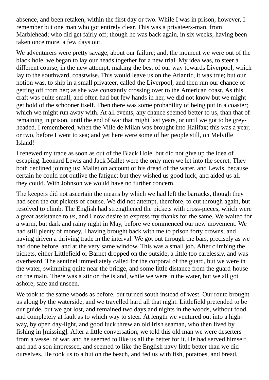absence, and been retaken, within the first day or two. While I was in prison, however, I remember but one man who got entirely clear. This was a privateers-man, from Marblehead; who did get fairly off; though he was back again, in six weeks, having been taken once more, a few days out.

We adventurers were pretty savage, about our failure; and, the moment we were out of the black hole, we began to lay our heads together for a new trial. My idea was, to steer a different course, in the new attempt; making the best of our way towards Liverpool, which lay to the southward, coastwise. This would leave us on the Atlantic, it was true; but our notion was, to ship in a small privateer, called the Liverpool, and then run our chance of getting off from her; as she was constantly crossing over to the American coast. As this craft was quite small, and often had but few hands in her, we did not know but we might get hold of the schooner itself. Then there was some probability of being put in a coaster; which we might run away with. At all events, any chance seemed better to us, than that of remaining in prison, until the end of war that might last years, or until we got to be greyheaded. I remembered, when the Ville de Milan was brought into Halifax; this was a year, or two, before I went to sea; and yet here were some of her people still, on Melville Island!

I renewed my trade as soon as out of the Black Hole, but did not give up the idea of escaping. Leonard Lewis and Jack Mallet were the only men we let into the secret. They both declined joining us; Mallet on account of his dread of the water, and Lewis, because certain he could not outlive the fatigue; but they wished us good luck, and aided us all they could. With Johnson we would have no further concern.

The keepers did not ascertain the means by which we had left the barracks, though they had seen the cut pickets of course. We did not attempt, therefore, to cut through again, but resolved to climb. The English had strengthened the pickets with cross-pieces, which were a great assistance to *us*, and I now desire to express my thanks for the same. We waited for a warm, but dark and rainy night in May, before we commenced our new movement. We had still plenty of money, I having brought back with me to prison forty crowns, and having driven a thriving trade in the interval. We got out through the bars, precisely as we had done before, and at the very same window. This was a small job. After climbing the pickets, either Littlefield or Barnet dropped on the outside, a little too carelessly, and was overheard. The sentinel immediately called for the corporal of the guard, but we were in the water, swimming quite near the bridge, and some little distance from the guard-house on the main. There was a stir on the island, while we were in the water, but we all got ashore, safe and unseen.

We took to the same woods as before, but turned south instead of west. Our route brought us along by the waterside, and we travelled hard all that night. Littlefield pretended to be our guide, but we got lost, and remained two days and nights in the woods, without food, and completely at fault as to which way to steer. At length we ventured out into a highway, by open day-light, and good luck threw an old Irish seaman, who then lived by fishing in [missing]. After a little conversation, we told this old man we were deserters from a vessel of war, and he seemed to like us all the better for it. He had served himself, and had a son impressed, and seemed to like the English navy little better than we did ourselves. He took us to a hut on the beach, and fed us with fish, potatoes, and bread,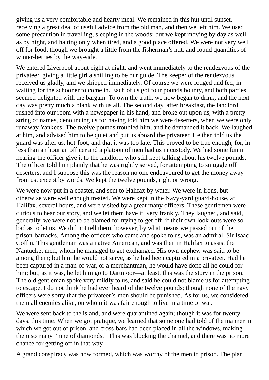giving us a very comfortable and hearty meal. We remained in this hut until sunset, receiving a great deal of useful advice from the old man, and then we left him. We used some precaution in travelling, sleeping in the woods; but we kept moving by day as well as by night, and halting only when tired, and a good place offered. We were not very well off for food, though we brought a little from the fisherman's hut, and found quantities of winter-berries by the way-side.

We entered Liverpool about eight at night, and went immediately to the rendezvous of the privateer, giving a little girl a shilling to be our guide. The keeper of the rendezvous received us gladly, and we shipped immediately. Of course we were lodged and fed, in waiting for the schooner to come in. Each of us got four pounds bounty, and both parties seemed delighted with the bargain. To own the truth, we now began to drink, and the next day was pretty much a blank with us all. The second day, after breakfast, the landlord rushed into our room with a newspaper in his hand, and broke out upon us, with a pretty string of names, denouncing us for having told him we were deserters, when we were only runaway Yankees! The twelve pounds troubled him, and he demanded it back. We laughed at him, and advised him to be quiet and put us aboard the privateer. He then told us the guard was after us, hot-foot, and that it was too late. This proved to be true enough, for, in less than an hour an officer and a platoon of men had us in custody. We had some fun in hearing the officer give it to the landlord, who still kept talking about his twelve pounds. The officer told him plainly that he was rightly served, for attempting to smuggle off deserters, and I suppose this was the reason no one endeavoured to get the money away from us, except by words. We kept the twelve pounds, right or wrong.

We were now put in a coaster, and sent to Halifax by water. We were in irons, but otherwise were well enough treated. We were kept in the Navy-yard guard-house, at Halifax, several hours, and were visited by a great many officers. These gentlemen were curious to hear our story, and we let them have it, very frankly. They laughed, and said, generally, we were not to be blamed for trying to get off, if their own look-outs were so bad as to let us. We did not tell them, however, by what means we passed out of the prison-barracks. Among the officers who came and spoke to us, was an admiral, Sir Isaac Coffin. This gentleman was a native American, and was then in Halifax to assist the Nantucket men, whom he managed to get exchanged. His own nephew was said to be among them; but him he would not serve, as he had been captured in a privateer. Had he been captured in a man-of-war, or a merchantman, he would have done all he could for him; but, as it was, he let him go to Dartmoor—at least, this was the story in the prison. The old gentleman spoke very mildly to us, and said he could not blame us for attempting to escape. I do not think he had ever heard of the twelve pounds; though none of the navy officers were sorry that the privateer's-men should be punished. As for us, we considered them all enemies alike, on whom it was fair enough to live in a time of war.

We were sent back to the island, and were quarantined again; though it was for twenty days, this time. When we got pratique, we learned that some one had told of the manner in which we got out of prison, and cross-bars had been placed in all the windows, making them so many "nine of diamonds." This was blocking the channel, and there was no more chance for getting off in that way.

A grand conspiracy was now formed, which was worthy of the men in prison. The plan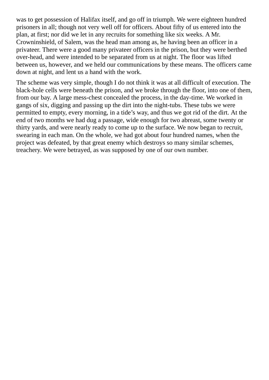was to get possession of Halifax itself, and go off in triumph. We were eighteen hundred prisoners in all; though not very well off for officers. About fifty of us entered into the plan, at first; nor did we let in any recruits for something like six weeks. A Mr. Crowninshield, of Salem, was the head man among as, he having been an officer in a privateer. There were a good many privateer officers in the prison, but they were berthed over-head, and were intended to be separated from us at night. The floor was lifted between us, however, and we held our communications by these means. The officers came down at night, and lent us a hand with the work.

The scheme was very simple, though I do not think it was at all difficult of execution. The black-hole cells were beneath the prison, and we broke through the floor, into one of them, from our bay. A large mess-chest concealed the process, in the day-time. We worked in gangs of six, digging and passing up the dirt into the night-tubs. These tubs we were permitted to empty, every morning, in a tide's way, and thus we got rid of the dirt. At the end of two months we had dug a passage, wide enough for two abreast, some twenty or thirty yards, and were nearly ready to come up to the surface. We now began to recruit, swearing in each man. On the whole, we had got about four hundred names, when the project was defeated, by that great enemy which destroys so many similar schemes, treachery. We were betrayed, as was supposed by one of our own number.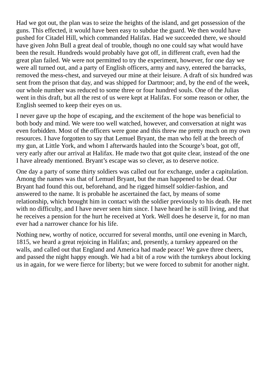Had we got out, the plan was to seize the heights of the island, and get possession of the guns. This effected, it would have been easy to subdue the guard. We then would have pushed for Citadel Hill, which commanded Halifax. Had we succeeded there, we should have given John Bull a great deal of trouble, though no one could say what would have been the result. Hundreds would probably have got off, in different craft, even had the great plan failed. We were not permitted to try the experiment, however, for one day we were all turned out, and a party of English officers, army and navy, entered the barracks, removed the mess-chest, and surveyed our mine at their leisure. A draft of six hundred was sent from the prison that day, and was shipped for Dartmoor; and, by the end of the week, our whole number was reduced to some three or four hundred souls. One of the Julias went in this draft, but all the rest of us were kept at Halifax. For some reason or other, the English seemed to keep their eyes on us.

I never gave up the hope of escaping, and the excitement of the hope was beneficial to both body and mind. We were too well watched, however, and conversation at night was even forbidden. Most of the officers were gone and this threw me pretty much on my own resources. I have forgotten to say that Lemuel Bryant, the man who fell at the breech of my gun, at Little York, and whom I afterwards hauled into the Scourge's boat, got off, very early after our arrival at Halifax. He made two that got quite clear, instead of the one I have already mentioned. Bryant's escape was so clever, as to deserve notice.

One day a party of some thirty soldiers was called out for exchange, under a capitulation. Among the names was that of Lemuel Bryant, but the man happened to be dead. Our Bryant had found this out, beforehand, and he rigged himself soldier-fashion, and answered to the name. It is probable he ascertained the fact, by means of some relationship, which brought him in contact with the soldier previously to his death. He met with no difficulty, and I have never seen him since. I have heard he is still living, and that he receives a pension for the hurt he received at York. Well does he deserve it, for no man ever had a narrower chance for his life.

Nothing new, worthy of notice, occurred for several months, until one evening in March, 1815, we heard a great rejoicing in Halifax; and, presently, a turnkey appeared on the walls, and called out that England and America had made peace! We gave three cheers, and passed the night happy enough. We had a bit of a row with the turnkeys about locking us in again, for we were fierce for liberty; but we were forced to submit for another night.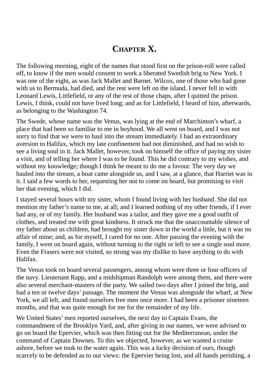# **CHAPTER X.**

The following morning, eight of the names that stood first on the prison-roll were called off, to know if the men would consent to work a liberated Swedish brig to New York. I was one of the eight, as was Jack Mallet and Barnet. Wilcox, one of those who had gone with us to Bermuda, had died, and the rest were left on the island. I never fell in with Leonard Lewis, Littlefield, or any of the rest of those chaps, after I quitted the prison. Lewis, I think, could not have lived long; and as for Littlefield, I heard of him, afterwards, as belonging to the Washington 74.

The Swede, whose name was the Venus, was lying at the end of Marchinton's wharf, a place that had been so familiar to me in boyhood. We all went on board, and I was not sorry to find that we were to haul into the stream immediately. I had an extraordinary aversion to Halifax, which my late confinement had not diminished, and had no wish to see a living soul in it. Jack Mallet, however, took on himself the office of paying my sister a visit, and of telling her where I was to be found. This he did contrary to my wishes, and without my knowledge; though I think he meant to do me a favour. The very day we hauled into the stream, a boat came alongside us, and I saw, at a glance, that Harriet was in it. I said a few words to her, requesting her not to come on board, but promising to visit her that evening, which I did.

I stayed several hours with my sister, whom I found living with her husband. She did not mention my father's name to me, at all; and I learned nothing of my other friends, if I ever had any, or of my family. Her husband was a tailor, and they gave me a good outfit of clothes, and treated me with great kindness. It struck me that the unaccountable silence of my father about us children, had brought my sister down in the world a little, but it was no affair of mine; and, as for myself, I cared for no one. After passing the evening with the family, I went on board again, without turning to the right or left to see a single soul more. Even the Frasers were not visited, so strong was my dislike to have anything to do with Halifax.

The Venus took on board several passengers, among whom were three or four officers of the navy. Lieutenant Rapp, and a midshipman Randolph were among them, and there were also several merchant-masters of the party. We sailed two days after I joined the brig, and had a ten or twelve days' passage. The moment the Venus was alongside the wharf, at New York, we all left, and found ourselves free men once more. I had been a prisoner nineteen months, and that was quite enough for me for the remainder of my life.

We United States' men reported ourselves, the next day to Captain Evans, the commandment of the Brooklyn Yard, and, after giving in our names, we were advised to go on board the Epervier, which was then fitting out for the Mediterranean, under the command of Captain Downes. To this we objected, however, as we wanted a cruise ashore, before we took to the water again. This was a lucky decision of ours, though scarcely to be defended as to our views: the Epervier being lost, and all hands perishing, a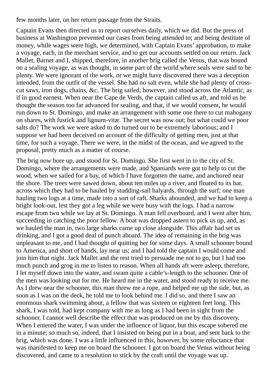few months later, on her return passage from the Straits.

Captain Evans then directed us to report ourselves daily, which we did. But the press of business at Washington prevented our cases from being attended to; and being destitute of money, while wages were high, we determined, with Captain Evans' approbation, to make a voyage, each, in the merchant service, and to get our accounts settled on our return. Jack Mallet, Barnet and I, shipped, therefore, in another brig called the Venus, that was bound on a sealing voyage, as was thought, in some part of the world where seals were said to be plenty. We were ignorant of the work, or we might have discovered there was a deception intended, from the outfit of the vessel. She had no salt even, while she had plenty of crosscut saws, iron dogs, chains, &c. The brig sailed, however, and stood across the Atlantic, as if in good earnest. When near the Cape de Verds, the captain called us aft, and told us he thought the season too far advanced for sealing, and that, if we would consent, he would run down to St. Domingo, and make an arrangement with some one there to cut mahogany on shares, with fustick and lignum-vitæ. The secret was now out; but what could we poor salts do? The work we were asked to do turned out to be extremely laborious; and I suppose we had been deceived on account of the difficulty of getting men, just at that time, for such a voyage. There we were, in the midst of the ocean, and we agreed to the proposal, pretty much as a matter of course.

The brig now bore up, and stood for St. Domingo. She first went in to the city of St. Domingo, where the arrangements were made, and Spaniards were got to help to cut the wood, when we sailed for a bay, of which I have forgotten the name, and anchored near the shore. The trees were sawed down, about ten miles up a river, and floated to its bar, across which they had to be hauled by studding-sail halyards, through the surf; one man hauling two logs at a time, made into a sort of raft. Sharks abounded, and we had to keep a bright look-out, lest they got a leg while we were busy with the logs. I had a narrow escape from two while we lay at St. Domingo. A man fell overboard, and I went after him, succeeding in catching the poor fellow. A boat was dropped astern to pick us up, and, as we hauled the man in, two large sharks came up close alongside. This affair had set us drinking, and I got a good deal of punch aboard. The idea of remaining in the brig was unpleasant to me, and I had thought of quitting her for some days. A small schooner bound to America, and short of hands, lay near us; and I had told the captain I would come and join him that night. Jack Mallet and the rest tried to persuade me not to go, but I had too much punch and grog in me to listen to reason. When all hands aft were asleep, therefore, I let myself down into the water, and swam quite a cable's-length to the schooner. One of the men was looking out for me. He heard me in the water, and stood ready to receive me. As I drew near the schooner, this man threw me a rope, and helped me up the side, but, as soon as I was on the deck, he told me to look behind me. I did so, and there I saw an enormous shark swimming about, a fellow that was sixteen or eighteen feet long. This shark, I was told, had kept company with me as long as I had been in sight from the schooner. I cannot well describe the effect that was produced on me by this discovery. When I entered the water, I was under the influence of liquor, but this escape sobered me in a minute; so much so, indeed, that I insisted on being put in a boat, and sent back to the brig, which was done. I was a little influenced in this, however, by some reluctance that was manifested to keep me on board the schooner. I got on board the Venus without being discovered, and came to a resolution to stick by the craft until the voyage was up.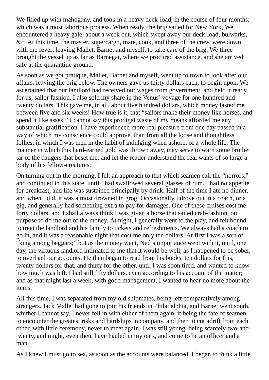We filled up with mahogany, and took in a heavy deck-load, in the course of four months, which was a most laborious process. When ready, the brig sailed for New York, We encountered a heavy gale, about a week out, which swept away our deck-load, bulwarks, &c. At this time, the master, supercargo, mate, cook, and three of the crew, were down with the fever; leaving Mallet, Barnet and myself, to take care of the brig. We three brought the vessel up as far as Barnegat, where we procured assistance, and she arrived safe at the quarantine ground.

As soon as we got pratique, Mallet, Barnet and myself, went up to town to look after our affairs, leaving the brig below. The owners gave us thirty dollars each, to begin upon. We ascertained that our landlord had received our wages from government, and held it ready for us, sailor fashion. I also sold my share in the Venus' voyage for one hundred and twenty dollars. This gave me, in all, about five hundred dollars, which money lasted me between five and six weeks! How true is it, that "sailors make their money like horses, and spend it like asses!" I cannot say this prodigal waste of my means afforded me any substantial gratification. I have experienced more real pleasure from one day passed in a way of which my conscience could approve, than from all the loose and thoughtless follies, in which I was then in the habit of indulging when ashore, of a whole life. The manner in which this hard-earned gold was thrown away, may serve to warn some brother tar of the dangers that beset me; and let the reader understand the real wants of so large a body of his fellow-creatures.

On turning out in the morning, I felt an approach to that which seamen call the "horrors," and continued in this state, until I had swallowed several glasses of rum. I had no appetite for breakfast, and life was sustained principally by drink. Half of the time I ate no dinner, and when I did, it was almost drowned in grog. Occasionally I drove out in a coach, or a gig, and generally had something extra to pay for damages. One of these cruises cost me forty dollars, and I shall always think I was given a horse that sailed crab-fashion, on purpose to do me out of the money. At night, I generally went to the play, and felt bound to treat the landlord and his family to tickets and refreshments. We always had a coach to go in, and it was a reasonable night that cost me only ten dollars. At first I was a sort of "king among beggars;" but as the money went, Ned's importance went with it, until, one day, the virtuous landlord intimated to me that it would be well, as I happened to be sober, to overhaul our accounts. He then began to read from his books, ten dollars for this, twenty dollars for that, and thirty for the other, until I was soon tired, and wanted to know how much was left. I had still fifty dollars, even according to his account of the matter; and as that might last a week, with good management, I wanted to hear no more about the items.

All this time, I was separated from my old shipmates, being left comparatively among strangers. Jack Mallet had gone to join his friends in Philadelphia, and Barnet went south, whither I cannot say. I never fell in with either of them again, it being the fate of seamen to encounter the greatest risks and hardships in company, and then to cut adrift from each other, with little ceremony, never to meet again. I was still young, being scarcely two-andtwenty, and might, even then, have hauled in my oars, and come to be an officer and a man.

As I knew I must go to sea, as soon as the accounts were balanced, I began to think a little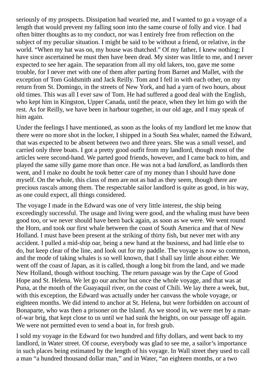seriously of my prospects. Dissipation had wearied me, and I wanted to go a voyage of a length that would prevent my falling soon into the same course of folly and vice. I had often bitter thoughts as to my conduct, nor was I entirely free from reflection on the subject of my peculiar situation. I might be said to be without a friend, or relative, in the world. "When my hat was on, my house was thatched." Of my father, I knew nothing; I have since ascertained he must then have been dead. My sister was little to me, and I never expected to see her again. The separation from all my old lakers, too, gave me some trouble, for I never met with one of them after parting from Barnet and Mallet, with the exception of Tom Goldsmith and Jack Reilly. Tom and I fell in with each other, on my return from St. Domingo, in the streets of New York, and had a yarn of two hours, about old times. This was all I ever saw of Tom. He had suffered a good deal with the English, who kept him in Kingston, Upper Canada, until the peace, when they let him go with the rest. As for Reilly, we have been in harbour together, in our old age, and I may speak of him again.

Under the feelings I have mentioned, as soon as the looks of my landlord let me know that there were no more shot in the locker, I shipped in a South Sea whaler, named the Edward, that was expected to be absent between two and three years. She was a small vessel, and carried only three boats. I got a pretty good outfit from my landlord, though most of the articles were second-hand. We parted good friends, however, and I came back to him, and played the same silly game more than once. He was not a bad *landlord*, as landlords then went, and I make no doubt he took better care of my money than I should have done myself. On the whole, this class of men are not as bad as they seem, though there are precious rascals among them. The respectable sailor landlord is quite as good, in his way, as one could expect, all things considered.

The voyage I made in the Edward was one of very little interest, the ship being exceedingly successful. The usage and living were good, and the whaling must have been good too, or we never should have been back again, as soon as we were. We went round the Horn, and took our first whale between the coast of South America and that of New Holland. I must have been present at the striking of thirty fish, but never met with any accident. I pulled a mid-ship oar, being a new hand at the business, and had little else to do, but keep clear of the line, and look out for my paddle. The voyage is now so common, and the mode of taking whales is so well known, that I shall say little about either. We went off the coast of Japan, as it is called, though a long bit from the land, and we made New Holland, though without touching. The return passage was by the Cape of Good Hope and St. Helena. We let go our anchor but once the whole voyage, and that was at Puna, at the mouth of the Guayaquil river, on the coast of Chili. We lay there a week, but, with this exception, the Edward was actually under her canvass the whole voyage, or eighteen months. We did intend to anchor at St. Helena, but were forbidden on account of Bonaparte, who was then a prisoner on the Island. As we stood in, we were met by a manof-war brig, that kept close to us until we had sunk the heights, on our passage off again. We were not permitted even to send a boat in, for fresh grub.

I sold my voyage in the Edward for two hundred and fifty dollars, and went back to my landlord, in Water street. Of course, everybody was glad to see me, a sailor's importance in such places being estimated by the length of his voyage. In Wall street they used to call a man "a hundred thousand dollar man," and in Water, "an eighteen months, or a two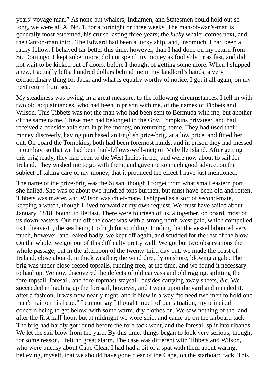years' voyage man." As none but whalers, Indiamen, and Statesmen could hold out so long, we were all A. No. 1, for a fortnight or three weeks. The man-of-war's-man is generally most esteemed, his cruise lasting three years; the *lucky* whaler comes next, and the Canton-man third. The Edward had been a lucky ship, and, insomuch, I had been a lucky fellow. I behaved far better this time, however, than I had done on my return from St. Domingo. I kept sober more, did not spend my money as foolishly or as fast, and did not wait to be kicked out of doors, before I thought of getting some more. When I shipped anew, I actually left a hundred dollars behind me in my landlord's hands; a very extraordinary thing for Jack, and what is equally worthy of notice, I got it all again, on my next return from sea.

My steadiness was owing, in a great measure, to the following circumstances. I fell in with two old acquaintances, who had been in prison with me, of the names of Tibbets and Wilson. This Tibbets was not the man who had been sent to Bermuda with me, but another of the same name. These men had belonged to the Gov. Tompkins privateer, and had received a considerable sum in prize-money, on returning home. They had used their money discreetly, having purchased an English prize-brig, at a low price, and fitted her out. On board the Tompkins, both had been foremost hands, and in prison they had messed in our bay, so that we had been hail-fellows-well-met; on Melville Island. After getting this brig ready, they had been to the West Indies in her, and were now about to sail for Ireland. They wished me to go with them, and gave me so much good advice, on the subject of taking care of my money, that it produced the effect I have just mentioned.

The name of the prize-brig was the Susan, though I forget from what small eastern port she hailed. She was of about two hundred tons burthen, but must have-been old and rotten. Tibbets was master, and Wilson was chief-mate. I shipped as a sort of second-mate, keeping a watch, though I lived forward at my own request. We must have sailed about January, 1818, bound to Belfast. There were fourteen of us, altogether, on board, most of us down-easters. Our run off the coast was with a strong north-west gale, which compelled us to heave-to, the sea being too high for scudding. Finding that the vessel laboured very much, however, and leaked badly, we kept off again, and scudded for the rest of the blow. On the whole, we got out of this difficulty pretty well. We got but two observations the whole passage, but in the afternoon of the twenty-third day out, we made the coast of Ireland, close aboard, in thick weather; the wind directly on shore, blowing a gale. The brig was under close-reefed topsails, running free, at the time, and we found it necessary to haul up. We now discovered the defects of old canvass and old rigging, splitting the fore-topsail, foresail, and fore-topmast-staysail, besides carrying away sheets, &c. We succeeded in hauling up the foresail, however, and I went upon the yard and mended it, after a fashion. It was now nearly night, and it blew in a way "to need two men to hold one man's hair on his head." I cannot say I thought much of our situation, my principal concern being to get below, with some warm, dry clothes on. We saw nothing of the land after the first half-hour, but at midnight we wore ship, and came up on the larboard tack. The brig had hardly got round before the fore-tack went, and the foresail split into ribands. We let the sail blow from the yard. By this time, things began to look very serious, though, for some reason, I felt no great alarm. The case was different with Tibbets and Wilson, who were uneasy about Cape Clear. I had had a bit of a spat with them about waring, believing, myself, that we should have gone clear of the Cape, on the starboard tack. This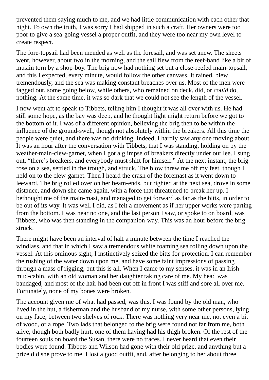prevented them saying much to me, and we had little communication with each other that night. To own the truth, I was sorry I had shipped in such a craft. Her owners were too poor to give a sea-going vessel a proper outfit, and they were too near my own level to create respect.

The fore-topsail had been mended as well as the foresail, and was set anew. The sheets went, however, about two in the morning, and the sail flew from the reef-band like a bit of muslin torn by a shop-boy. The brig now had nothing set but a close-reefed main-topsail, and this I expected, every minute, would follow the other canvass. It rained, blew tremendously, and the sea was making constant breaches over us. Most of the men were fagged out, some going below, while others, who remained on deck, did, or *could* do, nothing. At the same time, it was so dark that we could not see the length of the vessel.

I now went aft to speak to Tibbets, telling him I thought it was all over with us. He had still some hope, as the bay was deep, and he thought light might return before we got to the bottom of it. I was of a different opinion, believing the brig then to be within the influence of the ground-swell, though not absolutely within the breakers. All this time the people were quiet, and there was no drinking. Indeed, I hardly saw any one moving about. It was an hour after the conversation with Tibbets, that I was standing, holding on by the weather-main-clew-garnet, when I got a glimpse of breakers directly under our lee. I sung out, "there's breakers, and everybody must shift for himself." At the next instant, the brig rose on a sea, settled in the trough, and struck. The blow threw me off my feet, though I held on to the clew-garnet. Then I heard the crash of the foremast as it went down to leeward. The brig rolled over on her beam-ends, but righted at the next sea, drove in some distance, and down she came again, with a force that threatened to break her up. I bethought me of the main-mast, and managed to get forward as far as the bitts, in order to be out of its way. It was well I did, as I felt a movement as if her upper works were parting from the bottom. I was near no one, and the last person I saw, or spoke to on board, was Tibbets, who was then standing in the companion-way. This was an hour before the brig struck.

There might have been an interval of half a minute between the time I reached the windlass, and that in which I saw a tremendous white foaming sea rolling down upon the vessel. At this ominous sight, I instinctively seized the bitts for protection. I can remember the rushing of the water down upon me, and have some faint impressions of passing through a mass of rigging, but this is all. When I came to my senses, it was in an Irish mud-cabin, with an old woman and her daughter taking care of me. My head was bandaged, and most of the hair had been cut off in front I was stiff and sore all over me. Fortunately, none of my bones were broken.

The account given me of what had passed, was this. I was found by the old man, who lived in the hut, a fisherman and the husband of my nurse, with some other persons, lying on my face, between two shelves of rock. There was nothing very near me, not even a bit of wood, or a rope. Two lads that belonged to the brig were found not far from me, both alive, though both badly hurt, one of them having had his thigh broken. Of the rest of the fourteen souls on board the Susan, there were no traces. I never heard that even their bodies were found. Tibbets and Wilson had gone with their old prize, and anything but a prize did she prove to me. I lost a good outfit, and, after belonging to her about three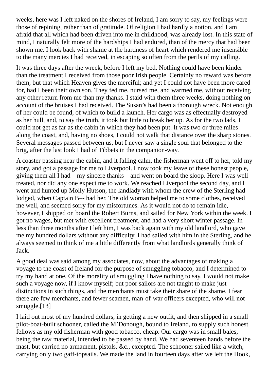weeks, here was I left naked on the shores of Ireland, I am sorry to say, my feelings were those of repining, rather than of gratitude. Of religion I had hardly a notion, and I am afraid that all which had been driven into me in childhood, was already lost. In this state of mind, I naturally felt more of the hardships I had endured, than of the mercy that had been shown me. I look back with shame at the hardness of heart which rendered me insensible to the many mercies I had received, in escaping so often from the perils of my calling.

It was three days after the wreck, before I left my bed. Nothing could have been kinder than the treatment I received from those poor Irish people. Certainly no reward was before them, but that which Heaven gives the merciful; and yet I could not have been more cared for, had I been their own son. They fed me, nursed me, and warmed me, without receiving any other return from me than my thanks. I staid with them three weeks, doing nothing on account of the bruises I had received. The Susan's had been a thorough wreck. Not enough of her could be found, of which to build a launch. Her cargo was as effectually destroyed as her hull, and, to say the truth, it took but little to break her up. As for the two lads, I could not get as far as the cabin in which they had been put. It was two or three miles along the coast, and, having no shoes, I could not walk that distance over the sharp stones. Several messages passed between us, but I never saw a single soul that belonged to the brig, after the last look I had of Tibbets in the companion-way.

A coaster passing near the cabin, and it falling calm, the fisherman went off to her, told my story, and got a passage for me to Liverpool. I now took my leave of these honest people, giving them all I had—my sincere thanks—and went on board the sloop. Here I was well treated, nor did any one expect me to work. We reached Liverpool the second day, and I went and hunted up Molly Hutson, the landlady with whom the crew of the Sterling had lodged, when Captain B–- had her. The old woman helped me to some clothes, received me well, and seemed sorry for my misfortunes. As it would not do to remain idle, however, I shipped on board the Robert Burns, and sailed for New York within the week. I got no wages, but met with excellent treatment, and had a very short winter passage. In less than three months after I left him, I was back again with my old landlord, who gave me my hundred dollars without any difficulty. I had sailed with him in the Sterling, and he always seemed to think of me a little differently from what landlords generally think of Jack.

A good deal was said among my associates, now, about the advantages of making a voyage to the coast of Ireland for the purpose of smuggling tobacco, and I determined to try my hand at one. Of the morality of smuggling I have nothing to say. I would not make such a voyage now, if I know myself; but poor sailors are not taught to make just distinctions in such things, and the merchants must take their share of the shame. I fear there are few merchants, and fewer seamen, man-of-war officers excepted, who will not smuggle.[13]

I laid out most of my hundred dollars, in getting a new outfit, and then shipped in a small pilot-boat-built schooner, called the M'Donough, bound to Ireland, to supply such honest fellows as my old fisherman with good tobacco, cheap. Our cargo was in small bales, being the raw material, intended to be passed by hand. We had seventeen hands before the mast, but carried no armament, pistols, &c., excepted. The schooner sailed like a witch, carrying only two gaff-topsails. We made the land in fourteen days after we left the Hook,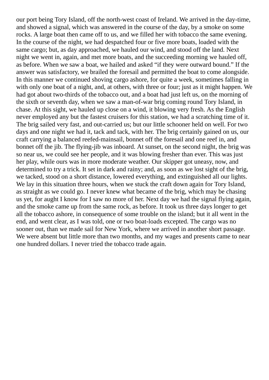our port being Tory Island, off the north-west coast of Ireland. We arrived in the day-time, and showed a signal, which was answered in the course of the day, by a smoke on some rocks. A large boat then came off to us, and we filled her with tobacco the same evening. In the course of the night, we had despatched four or five more boats, loaded with the same cargo; but, as day approached, we hauled our wind, and stood off the land. Next night we went in, again, and met more boats, and the succeeding morning we hauled off, as before. When we saw a boat, we hailed and asked "if they were outward bound." If the answer was satisfactory, we brailed the foresail and permitted the boat to come alongside. In this manner we continued shoving cargo ashore, for quite a week, sometimes falling in with only one boat of a night, and, at others, with three or four; just as it might happen. We had got about two-thirds of the tobacco out, and a boat had just left us, on the morning of the sixth or seventh day, when we saw a man-of-war brig coming round Tory Island, in chase. At this sight, we hauled up close on a wind, it blowing very fresh. As the English never employed any but the fastest cruisers for this station, we had a scratching time of it. The brig sailed very fast, and out-carried us; but our little schooner held on well. For two days and one night we had it, tack and tack, with her. The brig certainly gained on us, our craft carrying a balanced reefed-mainsail, bonnet off the foresail and one reef in, and bonnet off the jib. The flying-jib was inboard. At sunset, on the second night, the brig was so near us, we could see her people, and it was blowing fresher than ever. This was just her play, while ours was in more moderate weather. Our skipper got uneasy, now, and determined to try a trick. It set in dark and rainy; and, as soon as we lost sight of the brig, we tacked, stood on a short distance, lowered everything, and extinguished all our lights. We lay in this situation three hours, when we stuck the craft down again for Tory Island, as straight as we could go. I never knew what became of the brig, which may be chasing us yet, for aught I know for I saw no more of her. Next day we had the signal flying again, and the smoke came up from the same rock, as before. It took us three days longer to get all the tobacco ashore, in consequence of some trouble on the island; but it all went in the end, and went clear, as I was told, one or two boat-loads excepted. The cargo was no sooner out, than we made sail for New York, where we arrived in another short passage. We were absent but little more than two months, and my wages and presents came to near one hundred dollars. I never tried the tobacco trade again.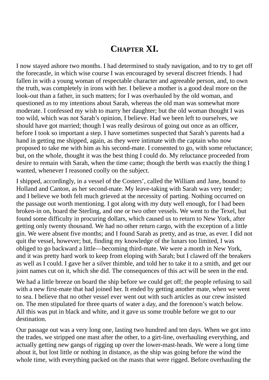#### **CHAPTER XI.**

I now stayed ashore two months. I had determined to study navigation, and to try to get off the forecastle, in which wise course I was encouraged by several discreet friends. I had fallen in with a young woman of respectable character and agreeable person, and, to own the truth, was completely in irons with her. I believe a mother is a good deal more on the look-out than a father, in such matters; for I was overhauled by the old woman, and questioned as to my intentions about Sarah, whereas the old man was somewhat more moderate. I confessed my wish to marry her daughter; but the old woman thought I was too wild, which was not Sarah's opinion, I believe. Had we been left to ourselves, we should have got married; though I was really desirous of going out once as an officer, before I took so important a step. I have sometimes suspected that Sarah's parents had a hand in getting me shipped, again, as they were intimate with the captain who now proposed to take me with him as his second-mate. I consented to go, with some reluctance; but, on the whole, thought it was the best thing I could do. My reluctance proceeded from desire to remain with Sarah, when the time came; though the berth was exactly the thing I wanted, whenever I reasoned coolly on the subject.

I shipped, accordingly, in a vessel of the Costers', called the William and Jane, bound to Holland and Canton, as her second-mate. My leave-taking with Sarah was very tender; and I believe we both felt much grieved at the necessity of parting. Nothing occurred on the passage out worth mentioning. I got along with my duty well enough, for I had been broken-in on, board the Sterling, and one or two other vessels. We went to the Texel, but found some difficulty in procuring dollars, which caused us to return to New York, after getting only twenty thousand. We had no other return cargo, with the exception of a little gin. We were absent five months; and I found Sarah as pretty, and as true, as ever. I did not quit the vessel, however; but, finding my knowledge of the lunars too limited, I was obliged to go backward a little—becoming third-mate. We were a month in New York, and it was pretty hard work to keep from eloping with Sarah; but I clawed off the breakers as well as I could. I gave her a silver thimble, and told her to take it to a smith, and get our joint names cut on it, which she did. The consequences of this act will be seen in the end.

We had a little breeze on board the ship before we could get off; the people refusing to sail with a new first-mate that had joined her. It ended by getting another mate, when we went to sea. I believe that no other vessel ever went out with such articles as our crew insisted on. The men stipulated for three quarts of water a day, and the forenoon's watch below. All this was put in black and white, and it gave us some trouble before we got to our destination.

Our passage out was a very long one, lasting two hundred and ten days. When we got into the trades, we stripped one mast after the other, to a girt-line, overhauling everything, and actually getting new gangs of rigging up over the lower-mast-heads. We were a long time about it, but lost little or nothing in distance, as the ship was going before the wind the whole time, with everything packed on the masts that were rigged. Before overhauling the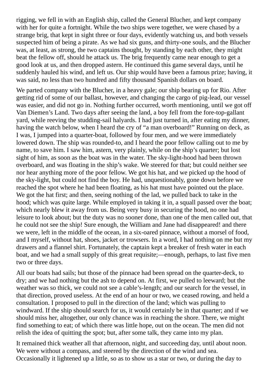rigging, we fell in with an English ship, called the General Blucher, and kept company with her for quite a fortnight. While the two ships were together, we were chased by a strange brig, that kept in sight three or four days, evidently watching us, and both vessels suspected him of being a pirate. As we had six guns, and thirty-one souls, and the Blucher was, at least, as strong, the two captains thought, by standing by each other, they might beat the fellow off, should he attack us. The brig frequently came near enough to get a good look at us, and then dropped astern. He continued this game several days, until he suddenly hauled his wind, and left us. Our ship would have been a famous prize; having, it was said, no less than two hundred and fifty thousand Spanish dollars on board.

We parted company with the Blucher, in a heavy gale; our ship bearing up for Rio. After getting rid of some of our ballast, however, and changing the cargo of pig-lead, our vessel was easier, and did not go in. Nothing further occurred, worth mentioning, until we got off Van Diemen's Land. Two days after seeing the land, a boy fell from the fore-top-gallant yard, while reeving the studding-sail halyards. I had just turned in, after eating my dinner, having the watch below, when I heard the cry of "a man overboard!" Running on deck, as I was, I jumped into a quarter-boat, followed by four men, and we were immediately lowered down. The ship was rounded-to, and I heard the poor fellow calling out to me by name, to save him. I saw him, astern, very plainly, while on the ship's quarter; but lost sight of him, as soon as the boat was in the water. The sky-light-hood had been thrown overboard, and was floating in the ship's wake. We steered for that; but could neither see nor hear anything more of the poor fellow. We got his hat, and we picked up the hood of the sky-light, but could not find the boy. He had, unquestionably, gone down before we reached the spot where he had been floating, as his hat must have pointed out the place. We got the hat first; and then, seeing nothing of the lad, we pulled back to take in the hood; which was quite large. While employed in taking it in, a squall passed over the boat; which nearly blew it away from us. Being very busy in securing the hood, no one had leisure to look about; but the duty was no sooner done, than one of the men called out, that he could not see the ship! Sure enough, the William and Jane had disappeared! and there we were, left in the middle of the ocean, in a six-oared pinnace, without a morsel of food, and I myself, without hat, shoes, jacket or trowsers. In a word, I had nothing on me but my drawers and a flannel shirt. Fortunately, the captain kept a breaker of fresh water in each boat, and we had a small supply of this great requisite;—enough, perhaps, to last five men two or three days.

All our boats had sails; but those of the pinnace had been spread on the quarter-deck, to dry; and we had nothing but the ash to depend on. At first, we pulled to leeward; but the weather was so thick, we could not see a cable's-length; and our search for the vessel, in that direction, proved useless. At the end of an hour or two, we ceased rowing, and held a consultation. I proposed to pull in the direction of the land; which was pulling to windward. If the ship should search for us, it would certainly be in that quarter; and if we should miss her, altogether, our only chance was in reaching the shore. There, we might find something to eat; of which there was little hope, out on the ocean. The men did not relish the idea of quitting the spot; but, after some talk, they came into my plan.

It remained thick weather all that afternoon, night, and succeeding day, until about noon. We were without a compass, and steered by the direction of the wind and sea. Occasionally it lightened up a little, so as to show us a star or two, or during the day to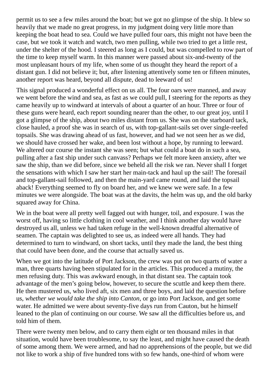permit us to see a few miles around the boat; but we got no glimpse of the ship. It blew so heavily that we made no great progress, in my judgment doing very little more than keeping the boat head to sea. Could we have pulled four oars, this might not have been the case, but we took it watch and watch, two men pulling, while two tried to get a little rest, under the shelter of the hood. I steered as long as I could, but was compelled to row part of the time to keep myself warm. In this manner were passed about six-and-twenty of the most unpleasant hours of my life, when some of us thought they heard the report of a distant gun. I did not believe it; but, after listening attentively some ten or fifteen minutes, another report was heard, beyond all dispute, dead to leeward of us!

This signal produced a wonderful effect on us all. The four oars were manned, and away we went before the wind and sea, as fast as we could pull, I steering for the reports as they came heavily up to windward at intervals of about a quarter of an hour. Three or four of these guns were heard, each report sounding nearer than the other, to our great joy, until I got a glimpse of the ship, about two miles distant from us. She was on the starboard tack, close hauled, a proof she was in search of us, with top-gallant-sails set over single-reefed topsails. She was drawing ahead of us fast, however, and had we not seen her as we did, we should have crossed her wake, and been lost without a hope, by running to leeward. We altered our course the instant she was seen; but what could a boat do in such a sea, pulling after a fast ship under such canvass? Perhaps we felt more keen anxiety, after we saw the ship, than we did before, since we beheld all the risk we ran. Never shall I forget the sensations with which I saw her start her main-tack and haul up the sail! The foresail and top-gallant-sail followed, and then the main-yard came round, and laid the topsail aback! Everything seemed to fly on board her, and we knew we were safe. In a few minutes we were alongside. The boat was at the davits, the helm was up, and the old barky squared away for China.

We in the boat were all pretty well fagged out with hunger, toil, and exposure. I was the worst off, having so little clothing in cool weather, and I think another day would have destroyed us all, unless we had taken refuge in the well-known dreadful alternative of seamen. The captain was delighted to see us, as indeed were all hands. They had determined to turn to windward, on short tacks, until they made the land, the best thing that could have been done, and the course that actually saved us.

When we got into the latitude of Port Jackson, the crew was put on two quarts of water a man, three quarts having been stipulated for in the articles. This produced a mutiny, the men refusing duty. This was awkward enough, in that distant sea. The captain took advantage of the men's going below, however, to secure the scuttle and keep them there. He then mustered us, who lived aft, six men and three boys, and laid the question before us, *whether we would take the ship into Canton*, or go into Port Jackson, and get some water. He admitted we were about seventy-five days run from Cauton, but he himself leaned to the plan of continuing on our course. We saw all the difficulties before us, and told him of them.

There were twenty men below, and to carry them eight or ten thousand miles in that situation, would have been troublesome, to say the least, and might have caused the death of some among them. We were armed, and had no apprehensions of the people, but we did not like to work a ship of five hundred tons with so few hands, one-third of whom were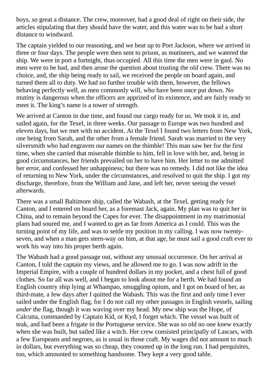boys, so great a distance. The crew, moreover, had a good deal of right on their side, the articles stipulating that they should have the water, and this water was to be had a short distance to windward.

The captain yielded to our reasoning, and we beat up to Port Jackson, where we arrived in three or four days. The people were then sent to prison, as mutineers, and we watered the ship. We were in port a fortnight, thus occupied. All this time the men were in gaol. No men were to be had, and then arose the question about trusting the old crew. There was no choice, and, the ship being ready to sail, we received the people on board again, and turned them all to duty. We had no further trouble with them, however, the fellows behaving perfectly well, as men commonly will, who have been once put down. No mutiny is dangerous when the officers are apprized of its existence, and are fairly ready to meet it. The king's name is a tower of strength.

We arrived at Canton in due time, and found our cargo ready for us. We took it in, and sailed again, for the Texel, in three weeks. Our passage to Europe was two hundred and eleven days, but we met with no accident. At the Texel I found two letters from New York, one being from Sarah, and the other from a female friend. Sarah was married to the very silversmith who had engraven our names on the thimble! This man saw her for the first time, when she carried that miserable thimble to him, fell in love with her, and, being in good circumstances, her friends prevailed on her to have him. Her letter to me admitted her error, and confessed her unhappiness; but there was no remedy. I did not like the idea of returning to New York, under the circumstances, and resolved to quit the ship. I got my discharge, therefore, from the William and Jane, and left her, never seeing the vessel afterwards.

There was a small Baltimore ship, called the Wabash, at the Texel, getting ready for Canton, and I entered on board her, as a foremast Jack, again. My plan was to quit her in China, and to remain beyond the Capes for ever. The disappointment in my matrimonial plans had soured me, and I wanted to get as far from America as I could. This was the turning point of my life, and was to settle my position in my calling. I was now twentyseven, and when a man gets stern-way on him, at that age, he must sail a good craft ever to work his way into his proper berth again.

The Wabash had a good passage out, without any unusual occurrence. On her arrival at Canton, I told the captain my views, and he allowed me to go. I was now adrift in the Imperial Empire, with a couple of hundred dollars in my pocket, and a chest full of good clothes. So far all was well, and I began to look about me for a berth. We had found an English country ship lying at Whampao, smuggling opium, and I got on board of her, as third-mate, a few days after I quitted the Wabash. This was the first and only time I ever sailed under the English flag, for I do not call my other passages in English vessels, sailing *under* the flag, though it was waving over my head. My new ship was the Hope, of Calcutta, commanded by Captain Kid, or Kyd, I forget which. The vessel was built of teak, and had been a frigate in the Portuguese service. She was so old no one knew exactly when she was built, but sailed like a witch. Her crew consisted principally of Lascars, with a few Europeans and negroes, as is usual in those craft. My wages did not amount to much in dollars, but everything was so cheap, they counted up in the long run. I had perquisites, too, which amounted to something handsome. They kept a very good table.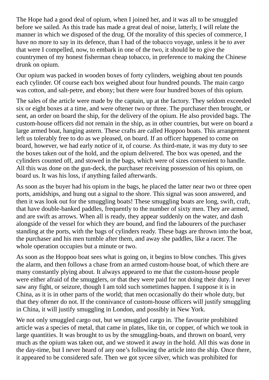The Hope had a good deal of opium, when I joined her, and it was all to be smuggled before we sailed. As this trade has made a great deal of noise, latterly, I will relate the manner in which we disposed of the drug. Of the morality of this species of commerce, I have no more to say in its defence, than I had of the tobacco voyage, unless it be to aver that were I compelled, now, to embark in one of the two, it should be to give the countrymen of my honest fisherman cheap tobacco, in preference to making the Chinese drunk on opium.

Our opium was packed in wooden boxes of forty cylinders, weighing about ten pounds each cylinder. Of course each box weighed about four hundred pounds. The main cargo was cotton, and salt-petre, and ebony; but there were four hundred boxes of this opium.

The sales of the article were made by the captain, up at the factory. They seldom exceeded six or eight boxes at a time, and were oftener two or three. The purchaser then brought, or sent, an order on board the ship, for the delivery of the opium. He also provided bags. The custom-house officers did not remain in the ship, as in other countries, but were on board a large armed boat, hanging astern. These crafts are called Hoppoo boats. This arrangement left us tolerably free to do as we pleased, on board. If an officer happened to come on board, however, we had early notice of it, of course. As third-mate, it was my duty to see the boxes taken out of the hold, and the opium delivered. The box was opened, and the cylinders counted off, and stowed in the bags, which were of sizes convenient to handle. All this was done on the gun-deck, the purchaser receiving possession of his opium, on board us. It was his loss, if anything failed afterwards.

As soon as the buyer had his opium in the bags, he placed the latter near two or three open ports, amidships, and hung out a signal to the shore. This signal was soon answered, and then it was look out for the smuggling boats! These smuggling boats are long, swift, craft, that have double-banked paddles, frequently to the number of sixty men. They are armed, and are swift as arrows. When all is ready, they appear suddenly on the water, and dash alongside of the vessel for which they are bound, and find the labourers of the purchaser standing at the ports, with the bags of cylinders ready. These bags are thrown into the boat, the purchaser and his men tumble after them, and away she paddles, like a racer. The whole operation occupies but a minute or two.

As soon as the Hoppoo boat sees what is going on, it begins to blow conches. This gives the alarm, and then follows a chase from an armed custom-house boat, of which there are many constantly plying about. It always appeared to me that the custom-house people were either afraid of the smugglers, or that they were paid for not doing their duty. I never saw any fight, or seizure, though I am told such sometimes happen. I suppose it is in China, as it is in other parts of the world; that men occasionally do their whole duty, but that they oftener do not. If the connivance of custom-house officers will justify smuggling in China, it will justify smuggling in London, and possibly in New York.

We not only smuggled cargo out, but we smuggled cargo in. The favourite prohibited article was a species of metal, that came in plates, like tin, or copper, of which we took in large quantities. It was brought to us by the smuggling-boats, and thrown on board, very much as the opium was taken out, and we stowed it away in the hold. All this was done in the day-time, but I never heard of any one's following the article into the ship. Once there, it appeared to be considered safe. Then we got sycee silver, which was prohibited for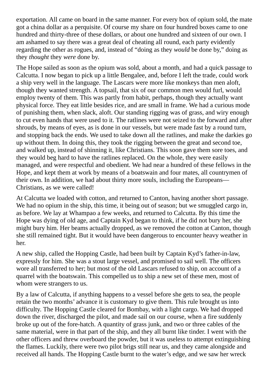exportation. All came on board in the same manner. For every box of opium sold, the mate got a china dollar as a perquisite. Of course my share on four hundred boxes came to one hundred and thirty-three of these dollars, or about one hundred and sixteen of our own. I am ashamed to say there was a great deal of cheating all round, each party evidently regarding the other as rogues, and, instead of "doing as they *would* be done by," doing as they *thought* they *were* done by.

The Hope sailed as soon as the opium was sold, about a month, and had a quick passage to Calcutta. I now began to pick up a little Bengalee, and, before I left the trade, could work a ship very well in the language. The Lascars were more like monkeys than men aloft, though they wanted strength. A topsail, that six of our common men would furl, would employ twenty of them. This was partly from habit, perhaps, though they actually want physical force. They eat little besides rice, and are small in frame. We had a curious mode of punishing them, when slack, aloft. Our standing rigging was of grass, and wiry enough to cut even hands that were used to it. The ratlines were not seized to the forward and after shrouds, by means of eyes, as is done in our vessels, but were made fast by a round turn, and stopping back the ends. We used to take down all the ratlines, and make the darkies go up without them. In doing this, they took the rigging between the great and second toe, and walked up, instead of shinning it, like Christians. This soon gave them sore toes, and they would beg hard to have the ratlines replaced. On the whole, they were easily managed, and were respectful and obedient. We had near a hundred of these fellows in the Hope, and kept them at work by means of a boatswain and four mates, all countrymen of their own. In addition, we had about thirty more souls, including the Europeans— Christians, as we were called!

At Calcutta we loaded with cotton, and returned to Canton, having another short passage. We had no opium in the ship, this time, it being out of season; but we smuggled cargo in, as before. We lay at Whampao a few weeks, and returned to Calcutta. By this time the Hope was dying of old age, and Captain Kyd began to think, if he did not bury her, she might bury him. Her beams actually dropped, as we removed the cotton at Canton, though she still remained tight. But it would have been dangerous to encounter heavy weather in her.

A new ship, called the Hopping Castle, had been built by Captain Kyd's father-in-law, expressly for him. She was a stout large vessel, and promised to sail well. The officers wore all transferred to her; but most of the old Lascars refused to ship, on account of a quarrel with the boatswain. This compelled us to ship a new set of these men, most of whom were strangers to us.

By a law of Calcutta, if anything happens to a vessel before she gets to sea, the people retain the two months' advance it is customary to give them. This rule brought us into difficulty. The Hopping Castle cleared for Bombay, with a light cargo. We had dropped down the river, discharged the pilot, and made sail on our course, when a fire suddenly broke up out of the fore-hatch. A quantity of grass junk, and two or three cables of the same material, were in that part of the ship, and they all burnt like tinder. I went with the other officers and threw overboard the powder, but it was useless to attempt extinguishing the flames. Luckily, there were two pilot brigs still near us, and they came alongside and received all hands. The Hopping Castle burnt to the water's edge, and we saw her wreck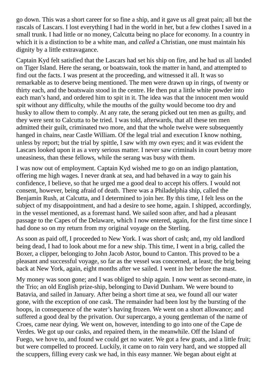go down. This was a short career for so fine a ship, and it gave us all great pain; all but the rascals of Lascars. I lost everything I had in the world in her, but a few clothes I saved in a small trunk. I had little or no money, Calcutta being no place for economy. In a country in which it is a distinction to be a white man, and *called* a Christian, one must maintain his dignity by a little extravagance.

Captain Kyd felt satisfied that the Lascars had set his ship on fire, and he had us all landed on Tiger Island. Here the serang, or boatswain, took the matter in hand, and attempted to find out the facts. I was present at the proceeding, and witnessed it all. It was so remarkable as to deserve being mentioned. The men were drawn up in rings, of twenty or thirty each, and the boatswain stood in the centre. He then put a little white powder into each man's hand, and ordered him to spit in it. The idea was that the innocent men would spit without any difficulty, while the mouths of the guilty would become too dry and husky to allow them to comply. At any rate, the serang picked out ten men as guilty, and they were sent to Calcutta to be tried. I was told, afterwards, that all these ten men admitted their guilt, criminated two more, and that the whole twelve were subsequently hanged in chains, near Castle William. Of the legal trial and execution I know nothing, unless by report; but the trial by spittle, I saw with my own eyes; and it was evident the Lascars looked upon it as a very serious matter. I never saw criminals in court betray more uneasiness, than these fellows, while the serang was busy with them.

I was now out of employment. Captain Kyd wished me to go on an indigo plantation, offering me high wages. I never drank at sea, and had behaved in a way to gain his confidence, I believe, so that he urged me a good deal to accept his offers. I would not consent, however, being afraid of death. There was a Philadelphia ship, called the Benjamin Rush, at Calcutta, and I determined to join her. By this time, I felt less on the subject of my disappointment, and had a desire to see home, again. I shipped, accordingly, in the vessel mentioned, as a foremast hand. We sailed soon after, and had a pleasant passage to the Capes of the Delaware, which I now entered, again, for the first time since I had done so on my return from my original voyage on the Sterling.

As soon as paid off, I proceeded to New York. I was short of cash; and, my old landlord being dead, I had to look about me for a new ship. This time, I went in a brig, called the Boxer, a clipper, belonging to John Jacob Astor, bound to Canton. This proved to be a pleasant and successful voyage, so far as the vessel was concerned, at least; the brig being back at New York, again, eight months after we sailed. I went in her before the mast.

My money was soon gone; and I was obliged to ship again. I now went as second-mate, in the Trio; an old English prize-ship, belonging to David Dunham. We were bound to Batavia, and sailed in January. After being a short time at sea, we found all our water gone, with the exception of one cask. The remainder had been lost by the bursting of the hoops, in consequence of the water's having frozen. We went on a short allowance; and suffered a good deal by the privation. Our supercargo, a young gentleman of the name of Croes, came near dying. We went on, however, intending to go into one of the Cape de Verdes. We got up our casks, and repaired them, in the meanwhile. Off the Island of Fuego, we hove to, and found we could get no water. We got a few goats, and a little fruit; but were compelled to proceed. Luckily, it came on to rain very hard, and we stopped all the scuppers, filling every cask we had, in this easy manner. We began about eight at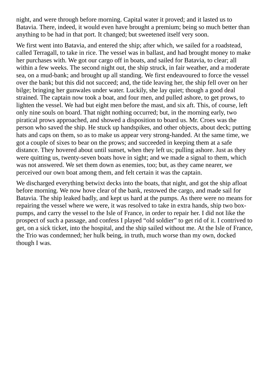night, and were through before morning. Capital water it proved; and it lasted us to Batavia. There, indeed, it would even have brought a premium; being so much better than anything to be had in that port. It changed; but sweetened itself very soon.

We first went into Batavia, and entered the ship; after which, we sailed for a roadstead, called Terragall, to take in rice. The vessel was in ballast, and had brought money to make her purchases with. We got our cargo off in boats, and sailed for Batavia, to clear; all within a few weeks. The second night out, the ship struck, in fair weather, and a moderate sea, on a mud-bank; and brought up all standing. We first endeavoured to force the vessel over the bank; but this did not succeed; and, the tide leaving her, the ship fell over on her bilge; bringing her gunwales under water. Luckily, she lay quiet; though a good deal strained. The captain now took a boat, and four men, and pulled ashore, to get prows, to lighten the vessel. We had but eight men before the mast, and six aft. This, of course, left only nine souls on board. That night nothing occurred; but, in the morning early, two piratical prows approached, and showed a disposition to board us. Mr. Croes was the person who saved the ship. He stuck up handspikes, and other objects, about deck; putting hats and caps on them, so as to make us appear very strong-handed. At the same time, we got a couple of sixes to bear on the prows; and succeeded in keeping them at a safe distance. They hovered about until sunset, when they left us; pulling ashore. Just as they were quitting us, twenty-seven boats hove in sight; and we made a signal to them, which was not answered. We set them down as enemies, too; but, as they came nearer, we perceived our own boat among them, and felt certain it was the captain.

We discharged everything betwixt decks into the boats, that night, and got the ship afloat before morning. We now hove clear of the bank, restowed the cargo, and made sail for Batavia. The ship leaked badly, and kept us hard at the pumps. As there were no means for repairing the vessel where we were, it was resolved to take in extra hands, ship two boxpumps, and carry the vessel to the Isle of France, in order to repair her. I did not like the prospect of such a passage, and confess I played "old soldier" to get rid of it. I contrived to get, on a sick ticket, into the hospital, and the ship sailed without me. At the Isle of France, the Trio was condemned; her hulk being, in truth, much worse than my own, docked though I was.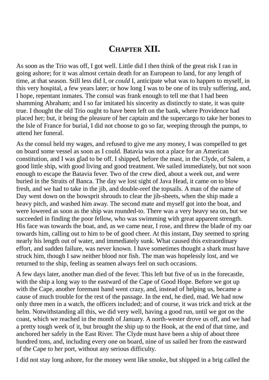### **CHAPTER XII.**

As soon as the Trio was off, I got well. Little did I then think of the great risk I ran in going ashore; for it was almost certain death for an European to land, for any length of time, at that season. Still less did I, or *could* I, anticipate what was to happen to myself, in this very hospital, a few years later; or how long I was to be one of its truly suffering, and, I hope, repentant inmates. The consul was frank enough to tell me that I had been shamming Abraham; and I so far imitated his sincerity as distinctly to state, it was quite true. I thought the old Trio ought to have been left on the bank, where Providence had placed her; but, it being the pleasure of her captain and the supercargo to take her bones to the Isle of France for burial, I did not choose to go so far, weeping through the pumps, to attend her funeral.

As the consul held my wages, and refused to give me any money, I was compelled to get on board some vessel as soon as I could. Batavia was not a place for an American constitution, and I was glad to be off. I shipped, before the mast, in the Clyde, of Salem, a good little ship, with good living and good treatment. We sailed immediately, but not soon enough to escape the Batavia fever. Two of the crew died, about a week out, and were buried in the Straits of Banca. The day we lost sight of Java Head, it came on to blow fresh, and we had to take in the jib, and double-reef the topsails. A man of the name of Day went down on the bowsprit shrouds to clear the jib-sheets, when the ship made a heavy pitch, and washed him away. The second mate and myself got into the boat, and were lowered as soon as the ship was rounded-to. There was a very heavy sea on, but we succeeded in finding the poor fellow, who was swimming with great apparent strength. His face was towards the boat, and, as we came near, I rose, and threw the blade of my oar towards him, calling out to him to be of good cheer. At this instant, Day seemed to spring nearly his length out of water, and immediately sunk. What caused this extraordinary effort, and sudden failure, was never known. I have sometimes thought a shark must have struck him, though I saw neither blood nor fish. The man was hopelessly lost, and we returned to the ship, feeling as seamen always feel on such occasions.

A few days later, another man died of the fever. This left but five of us in the forecastle, with the ship a long way to the eastward of the Cape of Good Hope. Before we got up with the Cape, another foremast hand went crazy, and, instead of helping us, became a cause of much trouble for the rest of the passage. In the end, he died, mad. We had now only three men in a watch, the officers included; and of course, it was trick and trick at the helm. Notwithstanding all this, we did very well, having a good run, until we got on the coast, which we reached in the month of January. A north-wester drove us off, and we had a pretty tough week of it, but brought the ship up to the Hook, at the end of that time, and anchored her safely in the East River. The Clyde must have been a ship of about three hundred tons, and, including every one on board, nine of us sailed her from the eastward of the Cape to her port, without any serious difficulty.

I did not stay long ashore, for the money went like smoke, but shipped in a brig called the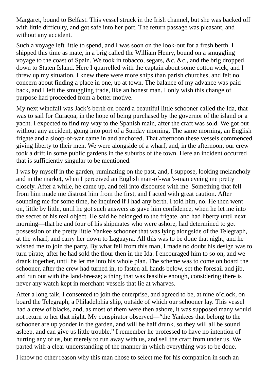Margaret, bound to Belfast. This vessel struck in the Irish channel, but she was backed off with little difficulty, and got safe into her port. The return passage was pleasant, and without any accident.

Such a voyage left little to spend, and I was soon on the look-out for a fresh berth. I shipped this time as mate, in a brig called the William Henry, bound on a smuggling voyage to the coast of Spain. We took in tobacco, segars, &c. &c., and the brig dropped down to Staten Island. Here I quarrelled with the captain about some cotton wick, and I threw up my situation. I knew there were more ships than parish churches, and felt no concern about finding a place in one, up at town. The balance of my advance was paid back, and I left the smuggling trade, like an honest man. I only wish this change of purpose had proceeded from a better motive.

My next windfall was Jack's berth on board a beautiful little schooner called the Ida, that was to sail for Curaçoa, in the hope of being purchased by the governor of the island or a yacht. I expected to find my way to the Spanish main, after the craft was sold. We got out without any accident, going into port of a Sunday morning. The same morning, an English frigate and a sloop-of-war came in and anchored. That afternoon these vessels commenced giving liberty to their men. We were alongside of a wharf, and, in the afternoon, our crew took a drift in some public gardens in the suburbs of the town. Here an incident occurred that is sufficiently singular to be mentioned.

I was by myself in the garden, ruminating on the past, and, I suppose, looking melancholy and in the market, when I perceived an English man-of-war's-man eyeing me pretty closely. After a while, he came up, and fell into discourse with me. Something that fell from him made me distrust him from the first, and I acted with great caution. After sounding me for some time, he inquired if I had any berth. I told him, no. He then went on, little by little, until he got such answers as gave him confidence, when he let me into the secret of his real object. He said he belonged to the frigate, and had liberty until next morning—that he and four of his shipmates who were ashore, had determined to get possession of the pretty little Yankee schooner that was lying alongside of the Telegraph, at the wharf, and carry her down to Laguayra. All this was to be done that night, and he wished me to join the party. By what fell from this man, I made no doubt his design was to turn pirate, after he had sold the flour then in the Ida. I encouraged him to so on, and we drank together, until he let me into his whole plan. The scheme was to come on board the schooner, after the crew had turned in, to fasten all hands below, set the foresail and jib, and run out with the land-breeze; a thing that was feasible enough, considering there is never any watch kept in merchant-vessels that lie at wharves.

After a long talk, I consented to join the enterprise, and agreed to be, at nine o'clock, on board the Telegraph, a Philadelphia ship, outside of which our schooner lay. This vessel had a crew of blacks, and, as most of them were then ashore, it was supposed many would not return to her that night. My conspirator observed—"the Yankees that belong to the schooner are up yonder in the garden, and will be half drunk, so they will all be sound asleep, and can give us little trouble." I remember he professed to have no intention of hurting any of us, but merely to run away with us, and sell the craft from under us. We parted with a clear understanding of the manner in which everything was to be done.

I know no other reason why this man chose to select me for his companion in such an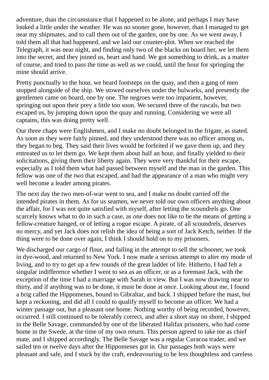adventure, than the circumstance that I happened to be alone, and perhaps I may have looked a little under the weather. He was no sooner gone, however, than I managed to get near my shipmates, and to call them out of the garden, one by one. As we went away, I told them all that had happened, and we laid our counter-plot. When we reached the Telegraph, it was near night, and finding only two of the blacks on board her, we let them into the secret, and they joined us, heart and hand. We got something to drink, as a matter of course, and tried to pass the time as well as we could, until the hour for springing the mine should arrive.

Pretty punctually to the hour, we heard footsteps on the quay, and then a gang of men stopped alongside of the ship. We stowed ourselves under the bulwarks, and presently the gentlemen came on board, one by one. The negroes were too impatient, however, springing out upon their prey a little too soon. We secured three of the rascals, but two escaped us, by jumping down upon the quay and running. Considering we were all captains, this was doing pretty well.

Our three chaps were Englishmen, and I make no doubt belonged to the frigate, as stated. As soon as they were fairly pinned, and they understood there was no officer among us, they began to beg. They said their lives would be forfeited if we gave them up, and they entreated us to let them go. We kept them about half an hour, and finally yielded to their solicitations, giving them their liberty again. They were very thankful for their escape, especially as I told them what had passed between myself and the man in the garden. This fellow was one of the two that escaped, and had the appearance of a man who might very well become a leader among pirates.

The next day the two men-of-war went to sea, and I make no doubt carried off the intended pirates in them. As for us seamen, we never told our own officers anything about the affair, for I was not quite satisfied with myself, after letting the scoundrels go. One scarcely knows what to do in such a case, as one does not like to be the means of getting a fellow-creature hanged, or of letting a rogue escape. A pirate, of all scoundrels, deserves no mercy, and yet Jack does not relish the idea of being a sort of Jack Ketch, neither. If the thing were to be done over again, I think I should hold on to my prisoners.

We discharged our cargo of flour, and failing in the attempt to sell the schooner, we took in dye-wood, and returned to New York. I now made a serious attempt to alter my mode of living, and to try to get up a few rounds of the great ladder of life. Hitherto, I had felt a singular indifference whether I went to sea as an officer, or as a foremast Jack, with the exception of the time I had a marriage with Sarah in view. But I was now drawing near to thirty, and if anything was to be done, it must be done at once. Looking about me, I found a brig called the Hippomenes, bound to Gibraltar, and back. I shipped before the mast, but kept a reckoning, and did all I could to qualify myself to become an officer. We had a winter passage out, but a pleasant one home. Nothing worthy of being recorded, however, occurred. I still continued to be tolerably correct, and after a short stay on shore, I shipped in the Belle Savage, commanded by one of the liberated Halifax prisoners, who had come home in the Swede, at the time of my own return. This person agreed to take me as chief mate, and I shipped accordingly. The Belle Savage was a regular Curacoa trader, and we sailed ten or twelve days after the Hippomenes got in. Our passages both ways were pleasant and safe, and I stuck by the craft, endeavouring to be less thoughtless and careless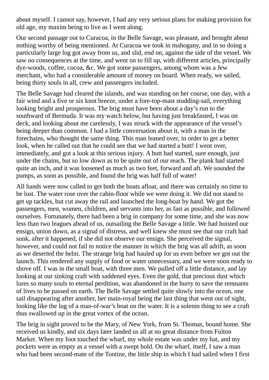about myself. I cannot say, however, I had any very serious plans for making provision for old age, my maxim being to live as I went along.

Our second passage out to Curacoa, in the Belle Savage, was pleasant, and brought about nothing worthy of being mentioned. At Curacoa we took in mahogany, and in so doing a particularly large log got away from us, and slid, end on, against the side of the vessel. We saw no consequences at the time, and went on to fill up, with different articles, principally dye-woods, coffee, cocoa, &c. We got some passengers, among whom was a Jew merchant, who had a considerable amount of money on board. When ready, we sailed, being thirty souls in all, crew and passengers included.

The Belle Savage had cleared the islands, and was standing on her course, one day, with a fair wind and a five or six knot breeze, under a fore-top-mast studding-sail, everything looking bright and prosperous. The brig must have been about a day's run to the southward of Bermuda. It was my watch below, but having just breakfasted, I was on deck, and looking about me carelessly, I was struck with the appearance of the vessel's being deeper than common. I had a little conversation about it, with a man in the forechains, who thought the same thing. This man leaned over, in order to get a better look, when he called out that he could see that we had started a butt! I went over, immediately, and got a look at this serious injury. A butt had started, sure enough, just under the chains, but so low down as to be quite out of our reach. The plank had started quite an inch, and it was loosened as much as two feet, forward and aft. We sounded the pumps, as soon as possible, and found the brig was half full of water!

All hands were now called to get both the boats afloat, and there was certainly no time to be lost. The water rose over the cabin-floor while we were doing it. We did not stand to get up tackles, but cut away the rail and launched the long-boat by hand. We got the passengers, men, women, children, and servants into her, as fast as possible, and followed ourselves. Fortunately, there had been a brig in company for some time, and she was now less than two leagues ahead of us, outsailing the Belle Savage a little. We had hoisted our ensign, union down, as a signal of distress, and well knew she must see that our craft had sunk, after it happened, if she did not observe our ensign. She perceived the signal, however, and could not fail to notice the manner in which the brig was all adrift, as soon as we deserted the helm. The strange brig had hauled up for us even before we got out the launch. This rendered any supply of food or water unnecessary, and we were soon ready to shove off. I was in the small boat, with three men. We pulled off a little distance, and lay looking at our sinking craft with saddened eyes. Even the gold, that precious dust which lures so many souls to eternal perdition, was abandoned in the hurry to save the remnants of lives to be passed on earth. The Belle Savage settled quite slowly into the ocean, one sail disappearing after another, her main-royal being the last thing that went out of sight, looking like the lug of a man-of-war's boat on the water. It is a solemn thing to see a craft thus swallowed up in the great vortex of the ocean.

The brig in sight proved to be the Mary, of New York, from St. Thomas, bound home. She received us kindly, and six days later landed us all at no great distance from Fulton Market. When my foot touched the wharf, my whole estate was under my hat, and my pockets were as empty as a vessel with a swept hold. On the wharf, itself, I saw a man who had been second-mate of the Tontine, the little ship in which I had sailed when I first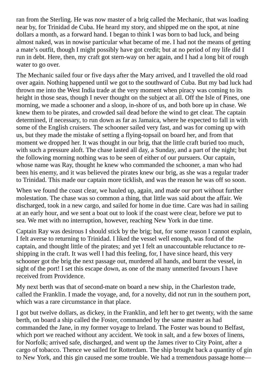ran from the Sterling. He was now master of a brig called the Mechanic, that was loading near by, for Trinidad de Cuba. He heard my story, and shipped me on the spot, at nine dollars a month, as a forward hand. I began to think I was born to bad luck, and being almost naked, was in nowise particular what became of me. I had not the means of getting a mate's outfit, though I might possibly have got credit; but at no period of my life did I run in debt. Here, then, my craft got stern-way on her again, and I had a long bit of rough water to go over.

The Mechanic sailed four or five days after the Mary arrived, and I travelled the old road over again. Nothing happened until we got to the southward of Cuba. But my bad luck had thrown me into the West India trade at the very moment when piracy was coming to its height in those seas, though I never thought on the subject at all. Off the Isle of Pines, one morning, we made a schooner and a sloop, in-shore of us, and both bore up in chase. We knew them to be pirates, and crowded sail dead before the wind to get clear. The captain determined, if necessary, to run down as far as Jamaica, where he expected to fall in with some of the English cruisers. The schooner sailed very fast, and was for coming up with us, but they made the mistake of setting a flying-topsail on board her, and from that moment we dropped her. It was thought in our brig, that the little craft buried too much, with such a pressure aloft. The chase lasted all day, a Sunday, and a part of the night; but the following morning nothing was to be seen of either of our pursuers. Our captain, whose name was Ray, thought he knew who commanded the schooner, a man who had been his enemy, and it was believed the pirates knew our brig, as she was a regular trader to Trinidad. This made our captain more ticklish, and was the reason he was off so soon.

When we found the coast clear, we hauled up, again, and made our port without further molestation. The chase was so common a thing, that little was said about the affair. We discharged, took in a new cargo, and sailed for home in due time. Care was had in sailing at an early hour, and we sent a boat out to look if the coast were clear, before we put to sea. We met with no interruption, however, reaching New York in due time.

Captain Ray was desirous I should stick by the brig; but, for some reason I cannot explain, I felt averse to returning to Trinidad. I liked the vessel well enough, was fond of the captain, and thought little of the pirates; and yet I felt an unaccountable reluctance to reshipping in the craft. It was well I had this feeling, for, I have since heard, this very schooner got the brig the next passage out, murdered all hands, and burnt the vessel, in sight of the port! I set this escape down, as one of the many unmerited favours I have received from Providence.

My next berth was that of second-mate on board a new ship, in the Charleston trade, called the Franklin. I made the voyage, and, for a novelty, did not run in the southern port, which was a rare circumstance in that place.

I got but twelve dollars, as dickey, in the Franklin, and left her to get twenty, with the same berth, on board a ship called the Foster, commanded by the same master as had commanded the Jane, in my former voyage to Ireland. The Foster was bound to Belfast, which port we reached without any accident. We took in salt, and a few boxes of linens, for Norfolk; arrived safe, discharged, and went up the James river to City Point, after a cargo of tobacco. Thence we sailed for Rotterdam. The ship brought back a quantity of gin to New York, and this gin caused me some trouble. We had a tremendous passage home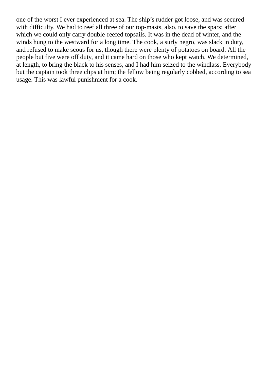one of the worst I ever experienced at sea. The ship's rudder got loose, and was secured with difficulty. We had to reef all three of our top-masts, also, to save the spars; after which we could only carry double-reefed topsails. It was in the dead of winter, and the winds hung to the westward for a long time. The cook, a surly negro, was slack in duty, and refused to make scous for us, though there were plenty of potatoes on board. All the people but five were off duty, and it came hard on those who kept watch. We determined, at length, to bring the black to his senses, and I had him seized to the windlass. Everybody but the captain took three clips at him; the fellow being regularly cobbed, according to sea usage. This was lawful punishment for a cook.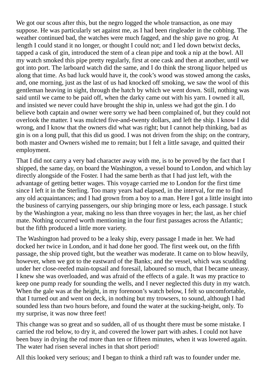We got our scous after this, but the negro logged the whole transaction, as one may suppose. He was particularly set against me, as I had been ringleader in the cobbing. The weather continued bad, the watches were much fagged, and the ship gave no grog. At length I could stand it no longer, or thought I could not; and I led down betwixt decks, tapped a cask of gin, introduced the stem of a clean pipe and took a nip at the bowl. All my watch smoked this pipe pretty regularly, first at one cask and then at another, until we got into port. The larboard watch did the same, and I do think the strong liquor helped us along that time. As bad luck would have it, the cook's wood was stowed among the casks, and, one morning, just as the last of us had knocked off smoking, we saw the wool of this gentleman heaving in sight, through the hatch by which we went down. Still, nothing was said until we came to be paid off, when the darky came out with his yarn. I owned it all, and insisted we never could have brought the ship in, unless we had got the gin. I do believe both captain and owner were sorry we had been complained of, but they could not overlook the matter. I was mulcted five-and-twenty dollars, and left the ship. I know I did wrong, and I know that the owners did what was right; but I cannot help thinking, bad as gin is on a long pull, that this did us good. I was not driven from the ship; on the contrary, both master and Owners wished me to remain; but I felt a little savage, and quitted their employment.

That I did not carry a very bad character away with me, is to be proved by the fact that I shipped, the same day, on board the Washington, a vessel bound to London, and which lay directly alongside of the Foster. I had the same berth as that I had just left, with the advantage of getting better wages. This voyage carried me to London for the first time since I left it in the Sterling. Too many years had elapsed, in the interval, for me to find any old acquaintances; and I had grown from a boy to a man. Here I got a little insight into the business of carrying passengers, our ship bringing more or less, each passage. I stuck by the Washington a year, making no less than three voyages in her; the last, as her chief mate. Nothing occurred worth mentioning in the four first passages across the Atlantic; but the fifth produced a little more variety.

The Washington had proved to be a leaky ship, every passage I made in her. We had docked her twice in London, and it had done her good. The first week out, on the fifth passage, the ship proved tight, but the weather was moderate. It came on to blow heavily, however, when we got to the eastward of the Banks; and the vessel, which was scudding under her close-reefed main-topsail and foresail, laboured so much, that I became uneasy. I knew she was overloaded, and was afraid of the effects of a gale. It was my practice to keep one pump ready for sounding the wells, and I never neglected this duty in my watch. When the gale was at the height, in my forenoon's watch below, I felt so uncomfortable, that I turned out and went on deck, in nothing but my trowsers, to sound, although I had sounded less than two hours before, and found the water at the sucking-height, only. To my surprise, it was now three feet!

This change was so great and so sudden, all of us thought there must be some mistake. I carried the rod below, to dry it, and covered the lower part with ashes. I could not have been busy in drying the rod more than ten or fifteen minutes, when it was lowered again. The water had risen several inches in that short period!

All this looked very serious; and I began to think a third raft was to founder under me.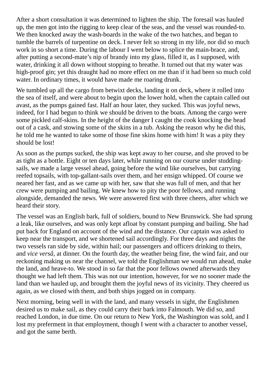After a short consultation it was determined to lighten the ship. The foresail was hauled up, the men got into the rigging to keep clear of the seas, and the vessel was rounded-to. We then knocked away the wash-boards in the wake of the two hatches, and began to tumble the barrels of turpentine on deck. I never felt so strong in my life, nor did so much work in so short a time. During the labour I went below to splice the main-brace, and, after putting a second-mate's nip of brandy into my glass, filled it, as I supposed, with water, drinking it all down without stopping to breathe. It turned out that my water was high-proof gin; yet this draught had no more effect on me than if it had been so much cold water. In ordinary times, it would have made me roaring drunk.

We tumbled up all the cargo from betwixt decks, landing it on deck, where it rolled into the sea of itself, and were about to begin upon the lower hold, when the captain called out avast, as the pumps gained fast. Half an hour later, they sucked. This was joyful news, indeed, for I had begun to think we should be driven to the boats. Among the cargo were some pickled calf-skins. In the height of the danger I caught the cook knocking the head out of a cask, and stowing some of the skins in a tub. Asking the reason why he did this, he told me he wanted to take some of those fine skins home with him! It was a pity they should be lost!

As soon as the pumps sucked, the ship was kept away to her course, and she proved to be as tight as a bottle. Eight or ten days later, while running on our course under studdingsails, we made a large vessel ahead, going before the wind like ourselves, but carrying reefed topsails, with top-gallant-sails over them, and her ensign whipped. Of course we neared her fast, and as we came up with her, saw that she was full of men, and that her crew were pumping and bailing. We knew how to pity the poor fellows, and running alongside, demanded the news. We were answered first with three cheers, after which we heard their story.

The vessel was an English bark, full of soldiers, bound to New Brunswick. She had sprung a leak, like ourselves, and was only kept afloat by constant pumping and bailing. She had put back for England on account of the wind and the distance. Our captain was asked to keep near the transport, and we shortened sail accordingly. For three days and nights the two vessels ran side by side, within hail; our passengers and officers drinking to theirs, and *vice versâ,* at dinner. On the fourth day, the weather being fine, the wind fair, and our reckoning making us near the channel, we told the Englishman we would run ahead, make the land, and heave-to. We stood in so far that the poor fellows owned afterwards they thought we had left them. This was not our intention, however, for we no sooner made the land than we hauled up, and brought them the joyful news of its vicinity. They cheered us again, as we closed with them, and both ships jogged on in company.

Next morning, being well in with the land, and many vessels in sight, the Englishmen desired us to make sail, as they could carry their bark into Falmouth. We did so, and reached London, in due time. On our return to New York, the Washington was sold, and I lost my preferment in that employment, though I went with a character to another vessel, and got the same berth.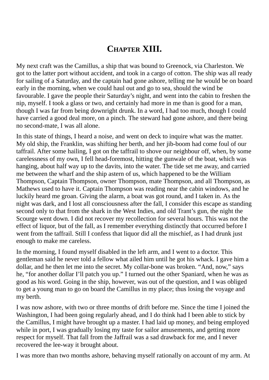# **CHAPTER XIII.**

My next craft was the Camillus, a ship that was bound to Greenock, via Charleston. We got to the latter port without accident, and took in a cargo of cotton. The ship was all ready for sailing of a Saturday, and the captain had gone ashore, telling me he would be on board early in the morning, when we could haul out and go to sea, should the wind be favourable. I gave the people their Saturday's night, and went into the cabin to freshen the nip, myself. I took a glass or two, and certainly had more in me than is good for a man, though I was far from being downright drunk. In a word, I had too much, though I could have carried a good deal more, on a pinch. The steward had gone ashore, and there being no second-mate, I was all alone.

In this state of things, I heard a noise, and went on deck to inquire what was the matter. My old ship, the Franklin, was shifting her berth, and her jib-boom had come foul of our taffrail. After some hailing, I got on the taffrail to shove our neighbour off, when, by some carelessness of my own, I fell head-foremost, hitting the gunwale of the boat, which was hanging, about half way up to the davits, into the water. The tide set me away, and carried me between the wharf and the ship astern of us, which happened to be the William Thompson, Captain Thompson, owner Thompson, mate Thompson, and all Thompson, as Mathews used to have it. Captain Thompson was reading near the cabin windows, and he luckily heard me groan. Giving the alarm, a boat was got round, and I taken in. As the night was dark, and I lost all consciousness after the fall, I consider this escape as standing second only to that from the shark in the West Indies, and old Trant's gun, the night the Scourge went down. I did not recover my recollection for several hours. This was not the effect of liquor, but of the fall, as I remember everything distinctly that occurred before I went from the taffrail. Still I confess that liquor did all the mischief, as I had drunk just enough to make me careless.

In the morning, I found myself disabled in the left arm, and I went to a doctor. This gentleman said he never told a fellow what ailed him until he got his whack. I gave him a dollar, and he then let me into the secret. My collar-bone was broken. "And, now," says he, "for another dollar I'll patch you up." I turned out the other Spaniard, when he was as good as his word. Going in the ship, however, was out of the question, and I was obliged to get a young man to go on board the Camillus in my place; thus losing the voyage and my berth.

I was now ashore, with two or three months of drift before me. Since the time I joined the Washington, I had been going regularly ahead, and I do think had I been able to stick by the Camillus, I might have brought up a master. I had laid up money, and being employed while in port, I was gradually losing my taste for sailor amusements, and getting more respect for myself. That fall from the Jaffrail was a sad drawback for me, and I never recovered the lee-way it brought about.

I was more than two months ashore, behaving myself rationally on account of my arm. At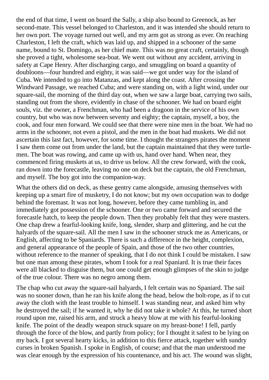the end of that time, I went on board the Sally, a ship also bound to Greenock, as her second-mate. This vessel belonged to Charleston, and it was intended she should return to her own port. The voyage turned out well, and my arm got as strong as ever. On reaching Charleston, I left the craft, which was laid up, and shipped in a schooner of the same name, bound to St. Domingo, as her chief mate. This was no great craft, certainly, though she proved a tight, wholesome sea-boat. We went out without any accident, arriving in safety at Cape Henry. After discharging cargo, and smuggling on board a quantity of doubloons—four hundred and eighty, it was said—we got under way for the island of Cuba. We intended to go into Matanzas, and kept along the coast. After crossing the Windward Passage, we reached Cuba; and were standing on, with a light wind, under our square-sail, the morning of the third day out, when we saw a large boat, carrying two sails, standing out from the shore, evidently in chase of the schooner. We had on board eight souls, viz. the owner, a Frenchman, who had been a dragoon in the service of his own country, but who was now between seventy and eighty; the captain, myself, a boy, the cook, and four men forward. We could see that there were nine men in the boat. We had no arms in the schooner, not even a pistol, and the men in the boat had muskets. We did not ascertain this last fact, however, for some time. I thought the strangers pirates the moment I saw them come out from under the land, but the captain maintained that they were turtlemen. The boat was rowing, and came up with us, hand over hand. When near, they commenced firing muskets at us, to drive us below. All the crew forward, with the cook, ran down into the forecastle, leaving no one on deck but the captain, the old Frenchman, and myself. The boy got into the companion-way.

What the others did on deck, as these gentry came alongside, amusing themselves with keeping up a smart fire of musketry, I do not know; but my own occupation was to dodge behind the foremast. It was not long, however, before they came tumbling in, and immediately got possession of the schooner. One or two came forward and secured the forecastle hatch, to keep the people down. Then they probably felt that they were masters. One chap drew a fearful-looking knife, long, slender, sharp and glittering, and he cut the halyards of the square-sail. All the men I saw in the schooner struck me as Americans, or English, affecting to be Spaniards. There is such a difference in the height, complexion, and general appearance of the people of Spain, and those of the two other countries, without reference to the manner of speaking, that I do not think I could be mistaken. I saw but one man among these pirates, whom I took for a real Spaniard. It is true their faces were all blacked to disguise them, but one could get enough glimpses of the skin to judge of the true colour. There was no negro among them.

The chap who cut away the square-sail halyards, I felt certain was no Spaniard. The sail was no sooner down, than he ran his knife along the head, below the bolt-rope, as if to cut away the cloth with the least trouble to himself. I was standing near, and asked him why he destroyed the sail; if he wanted it, why he did not take it whole? At this, he turned short round upon me, raised his arm, and struck a heavy blow at me with his fearful-looking knife. The point of the deadly weapon struck square on my breast-bone! I fell, partly through the force of the blow, and partly from policy; for I thought it safest to be lying on my back. I got several hearty kicks, in addition to this fierce attack, together with sundry curses in broken Spanish. I spoke in English, of course; and that the man understood me was clear enough by the expression of his countenance, and his act. The wound was slight,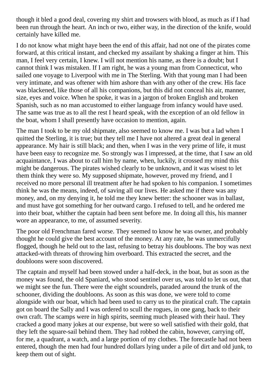though it bled a good deal, covering my shirt and trowsers with blood, as much as if I had been run through the heart. An inch or two, either way, in the direction of the knife, would certainly have killed me.

I do not know what might haye been the end of this affair, had not one of the pirates come forward, at this critical instant, and checked my assailant by shaking a finger at him. This man, I feel very certain, I knew. I will not mention his name, as there is a doubt; but I cannot think I was mistaken. If I am right, he was a young man from Connecticut, who sailed one voyage to Liverpool with me in The Sterling. With that young man I had been very intimate, and was oftener with him ashore than with any other of the crew. His face was blackened, like those of all his companions, but this did not conceal his air, manner, size, eyes and voice. When he spoke, it was in a jargon of broken English and broken Spanish, such as no man accustomed to either language from infancy would have used. The same was true as to all the rest I heard speak, with the exception of an old fellow in the boat, whom I shall presently have occasion to mention, again.

The man I took to be my old shipmate, also seemed to know me. I was but a lad when I quitted the Sterling, it is true; but they tell me I have not altered a great deal in general appearance. My hair is still black; and then, when I was in the very prime of life, it must have been easy to recognize me. So strongly was I impressed, at the time, that I saw an old acquaintance, I was about to call him by name, when, luckily, it crossed my mind this might be dangerous. The pirates wished clearly to be unknown, and it was wisest to let them think they were so. My supposed shipmate, however, proved my friend, and I received no more personal ill treatment after he had spoken to his companion. I sometimes think he was the means, indeed, of saving all our lives. He asked me if there was any money, and, on my denying it, he told me they knew better: the schooner was in ballast, and must have got something for her outward cargo. I refused to tell, and he ordered me into their boat, whither the captain had been sent before me. In doing all this, his manner wore an appearance, to me, of assumed severity.

The poor old Frenchman fared worse. They seemed to know he was owner, and probably thought he could give the best account of the money. At any rate, he was unmercifully flogged, though he held out to the last, refusing to betray his doubloons. The boy was next attacked-with threats of throwing him overboard. This extracted the secret, and the doubloons were soon discovered.

The captain and myself had been stowed under a half-deck, in the boat, but as soon as the money was found, the old Spaniard, who stood sentinel over us, was told to let us out, that we might see the fun. There were the eight scoundrels, paraded around the trunk of the schooner, dividing the doubloons. As soon as this was done, we were told to come alongside with our boat, which had been used to carry us to the piratical craft. The captain got on board the Sally and I was ordered to scull the rogues, in one gang, back to their own craft. The scamps were in high spirits, seeming much pleased with their haul. They cracked a good many jokes at our expense, but were so well satisfied with their gold, that they left the square-sail behind them. They had robbed the cabin, however, carrying off, for me, a quadrant, a watch, and a large portion of my clothes. The forecastle had not been entered, though the men had four hundred dollars lying under a pile of dirt and old junk, to keep them out of sight.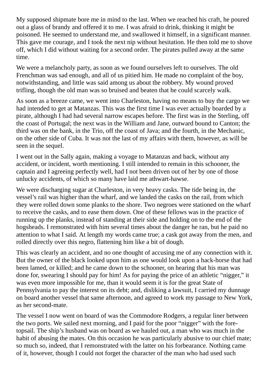My supposed shipmate bore me in mind to the last. When we reached his craft, he poured out a glass of brandy and offered it to me. I was afraid to drink, thinking it might be poisoned. He seemed to understand me, and swallowed it himself, in a significant manner. This gave me courage, and I took the next nip without hesitation. He then told me to shove off, which I did without waiting for a second order. The pirates pulled away at the same time.

We were a melancholy party, as soon as we found ourselves left to ourselves. The old Frenchman was sad enough, and all of us pitied him. He made no complaint of the boy, notwithstanding, and little was said among us about the robbery. My wound proved trifling, though the old man was so bruised and beaten that he could scarcely walk.

As soon as a breeze came, we went into Charleston, having no means to buy the cargo we had intended to get at Matanzas. This was the first time I was ever actually boarded by a pirate, although I had had several narrow escapes before. The first was in the Sterling, off the coast of Portugal; the next was in the William and Jane, outward bound to Canton; the third was on the bank, in the Trio, off the coast of Java; and the fourth, in the Mechanic, on the other side of Cuba. It was not the last of my affairs with them, however, as will be seen in the sequel.

I went out in the Sally again, making a voyage to Matanzas and back, without any accident, or incident, worth mentioning. I still intended to remain in this schooner, the captain and I agreeing perfectly well, had I not been driven out of her by one of those unlucky accidents, of which so many have laid me athwart-hawse.

We were discharging sugar at Charleston, in very heavy casks. The tide being in, the vessel's rail was higher than the wharf, and we landed the casks on the rail, from which they were rolled down some planks to the shore. Two negroes were stationed on the wharf to receive the casks, and to ease them down. One of these fellows was in the practice of running up the planks, instead of standing at their side and holding on to the end of the hogsheads. I remonstrated with him several times about the danger he ran, but he paid no attention to what I said. At length my words came true; a cask got away from the men, and rolled directly over this negro, flattening him like a bit of dough.

This was clearly an accident, and no one thought of accusing me of any connection with it. But the owner of the black looked upon him as one would look upon a hack-horse that had been lamed, or killed; and he came down to the schooner, on hearing that his man was done for, swearing I should pay for him! As for paying the price of an athletic "nigger," it was even more impossible for me, than it would seem it is for the great State of Pennsylvania to pay the interest on its debt; and, disliking a lawsuit, I carried my dunnage on board another vessel that same afternoon, and agreed to work my passage to New York, as her second-mate.

The vessel I now went on board of was the Commodore Rodgers, a regular liner between the two ports. We sailed next morning, and I paid for the poor "nigger" with the foretopsail. The ship's husband was on board as we hauled out, a man who was much in the habit of abusing the mates. On this occasion he was particularly abusive to our chief mate; so much so, indeed, that I remonstrated with the latter on his forbearance. Nothing came of it, however, though I could not forget the character of the man who had used such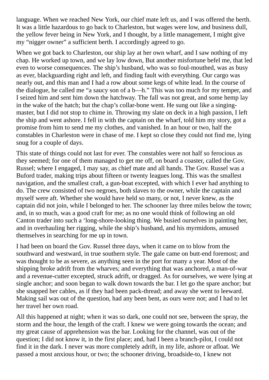language. When we reached New York, our chief mate left us, and I was offered the berth. It was a little hazardous to go back to Charleston, but wages were low, and business dull, the yellow fever being in New York, and I thought, by a little management, I might give my "nigger owner" a sufficient berth. I accordingly agreed to go.

When we got back to Charleston, our ship lay at her own wharf, and I saw nothing of my chap. He worked up town, and we lay low down, But another misfortune befel me, that led even to worse consequences. The ship's husband, who was so foul-mouthed, was as busy as ever, blackguarding right and left, and finding fault with everything. Our cargo was nearly out, and this man and I had a row about some kegs of white lead. In the course of the dialogue, he called me "a saucy son of a b—h." This was too much for my temper, and I seized him and sent him down the hatchway. The fall was not great, and some hemp lay in the wake of the hatch; but the chap's collar-bone went. He sung out like a singingmaster, but I did not stop to chime in. Throwing my slate on deck in a high passion, I left the ship and went ashore. I fell in with the captain on the wharf, told him my story, got a promise from him to send me my clothes, and vanished. In an hour or two, half the constables in Charleston were in chase of me. I kept so close they could not find me, lying snug for a couple of days.

This state of things could not last for ever. The constables were not half so ferocious as they seemed; for one of them managed to get me off, on board a coaster, called the Gov. Russel; where I engaged, I may say, as chief mate and all hands. The Gov. Russel was a Buford trader, making trips about fifteen or twenty leagues long. This was the smallest navigation, and the smallest craft, a gun-boat excepted, with which I ever had anything to do. The crew consisted of two negroes, both slaves to the owner, while the captain and myself were aft. Whether she would have held so many, or not, I never knew, as the captain did not join, while I belonged to her. The schooner lay three miles below the town; and, in so much, was a good craft for me; as no one would think of following an old Canton trader into such a 'long-shore-looking thing. We busied ourselves in painting her, and in overhauling her rigging, while the ship's husband, and his myrmidons, amused themselves in searching for me up in town.

I had been on board the Gov. Russel three days, when it came on to blow from the southward and westward, in true southern style. The gale came on butt-end foremost; and was thought to be as severe, as anything seen in the port for many a year. Most of the shipping broke adrift from the wharves; and everything that was anchored, a man-of-war and a revenue-cutter excepted, struck adrift, or dragged. As for ourselves, we were lying at single anchor; and soon began to walk down towards the bar. I let go the spare anchor; but she snapped her cables, as if they had been pack-thread; and away she went to leeward. Making sail was out of the question, had any been bent, as ours were not; and I had to let her travel her own road.

All this happened at night; when it was so dark, one could not see, between the spray, the storm and the hour, the length of the craft. I knew we were going towards the ocean; and my great cause of apprehension was the bar. Looking for the channel, was out of the question; I did not know it, in the first place; and, had I been a branch-pilot, I could not find it in the dark. I never was more completely adrift, in my life, ashore or afloat. We passed a most anxious hour, or two; the schooner driving, broadside-to, I knew not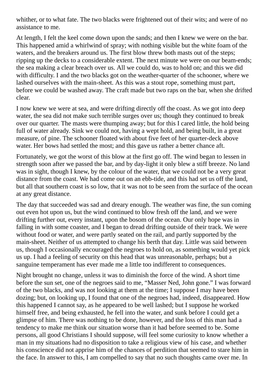whither, or to what fate. The two blacks were frightened out of their wits; and were of no assistance to me.

At length, I felt the keel come down upon the sands; and then I knew we were on the bar. This happened amid a whirlwind of spray; with nothing visible but the white foam of the waters, and the breakers around us. The first blow threw both masts out of the steps: ripping up the decks to a considerable extent. The next minute we were on our beam-ends; the sea making a clear breach over us. All we could do, was to hold on; and this we did with difficulty. I and the two blacks got on the weather-quarter of the schooner, where we lashed ourselves with the main-sheet. As this was a stout rope, something must part, before we could be washed away. The craft made but two raps on the bar, when she drifted clear.

I now knew we were at sea, and were drifting directly off the coast. As we got into deep water, the sea did not make such terrible surges over us; though they continued to break over our quarter. The masts were thumping away; but for this I cared little, the hold being full of water already. Sink we could not, having a wept hold, and being built, in a great measure, of pine. The schooner floated with about five feet of her quarter-deck above water. Her bows had settled the most; and this gave us rather a better chance aft.

Fortunately, we got the worst of this blow at the first go off. The wind began to lessen in strength soon after we passed the bar, and by day-light it only blew a stiff breeze. No land was in sight, though I knew, by the colour of the water, that we could not be a very great distance from the coast. We had come out on an ebb-tide, and this had set us off the land, but all that southern coast is so low, that it was not to be seen from the surface of the ocean at any great distance.

The day that succeeded was sad and dreary enough. The weather was fine, the sun coming out even hot upon us, but the wind continued to blow fresh off the land, and we were drifting further out, every instant, upon the bosom of the ocean. Our only hope was in falling in with some coaster, and I began to dread drifting outside of their track. We were without food or water, and were partly seated on the rail, and partly supported by the main-sheet. Neither of us attempted to change his berth that day. Little was said between us, though I occasionally encouraged the negroes to hold on, as something would yet pick us up. I had a feeling of security on this head that was unreasonable, perhaps; but a sanguine temperament has ever made me a little too indifferent to consequences.

Night brought no change, unless it was to diminish the force of the wind. A short time before the sun set, one of the negroes said to me, "Masser Ned, John gone." I was forward of the two blacks, and was not looking at them at the time; I suppose I may have been dozing; but, on looking up, I found that one of the negroes had, indeed, disappeared. How this happened I cannot say, as he appeared to be well lashed; but I suppose he worked himself free, and being exhausted, he fell into the water, and sunk before I could get a glimpse of him. There was nothing to be done, however, and the loss of this man had a tendency to make me think our situation worse than it had before seemed to be. Some persons, all good Christians I should suppose, will feel some curiosity to know whether a man in my situations had no disposition to take a religious view of his case, and whether his conscience did not apprise him of the chances of perdition that seemed to stare him in the face. In answer to this, I am compelled to say that no such thoughts came over me. In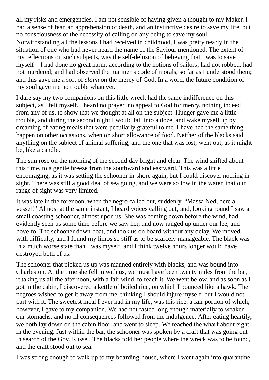all my risks and emergencies, I am not sensible of having given a thought to my Maker. I had a sense of fear, an apprehension of death, and an instinctive desire to save my life, but no consciousness of the necessity of calling on any being to save my soul. Notwithstanding all the lessons I had received in childhood, I was pretty nearly in the situation of one who had never heard the name of the Saviour mentioned. The extent of my reflections on such subjects, was the self-delusion of believing that I was to save myself—I had done no great harm, according to the notions of sailors; had not robbed; had not murdered; and had observed the mariner's code of morals, so far as I understood them; and this gave me a sort of *claim* on the mercy of God. In a word, the future condition of my soul gave me no trouble whatever.

I dare say my two companions on this little wreck had the same indifference on this subject, as I felt myself. I heard no prayer, no appeal to God for mercy, nothing indeed from any of us, to show that we thought at all on the subject. Hunger gave me a little trouble, and during the second night I would fall into a doze, and wake myself up by dreaming of eating meals that were peculiarly grateful to me. I have had the same thing happen on other occasions, when on short allowance of food. Neither of the blacks said anything on the subject of animal suffering, and the one that was lost, went out, as it might be, like a candle.

The sun rose on the morning of the second day bright and clear. The wind shifted about this time, to a gentle breeze from the southward and eastward. This was a little encouraging, as it was setting the schooner in-shore again, but I could discover nothing in sight. There was still a good deal of sea going, and we were so low in the water, that our range of sight was very limited.

It was late in the forenoon, when the negro called out, suddenly, "Massa Ned, dere a vessel!" Almost at the same instant, I heard voices calling out; and, looking round I saw a small coasting schooner, almost upon us. She was coming down before the wind, had evidently seen us some time before we saw her, and now ranged up under our lee, and hove-to. The schooner down boat, and took us on board without any delay. We moved with difficulty, and I found my limbs so stiff as to be scarcely manageable. The black was in a much worse state than I was myself, and I think twelve hours longer would have destroyed both of us.

The schooner that picked us up was manned entirely with blacks, and was bound into Charleston. At the time she fell in with us, we must have been twenty miles from the bar, it taking us all the afternoon, with a fair wind, to reach it. We went below, and as soon as I got in the cabin, I discovered a kettle of boiled rice, on which I pounced like a hawk. The negroes wished to get it away from me, thinking I should injure myself; but I would not part with it. The sweetest meal I ever had in my life, was this rice, a fair portion of which, however, I gave to my companion. We had not fasted long enough materially to weaken our stomachs, and no ill consequences followed from the indulgence. After eating heartily, we both lay down on the cabin floor, and went to sleep. We reached the wharf about eight in the evening. Just within the bar, the schooner was spoken by a craft that was going out in search of the Gov. Russel. The blacks told her people where the wreck was to be found, and the craft stood out to sea.

I was strong enough to walk up to my boarding-house, where I went again into quarantine.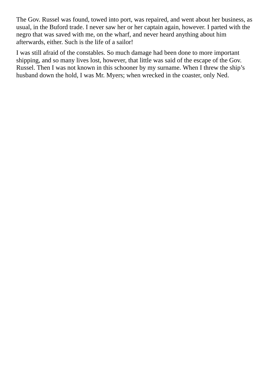The Gov. Russel was found, towed into port, was repaired, and went about her business, as usual, in the Buford trade. I never saw her or her captain again, however. I parted with the negro that was saved with me, on the wharf, and never heard anything about him afterwards, either. Such is the life of a sailor!

I was still afraid of the constables. So much damage had been done to more important shipping, and so many lives lost, however, that little was said of the escape of the Gov. Russel. Then I was not known in this schooner by my surname. When I threw the ship's husband down the hold, I was Mr. Myers; when wrecked in the coaster, only Ned.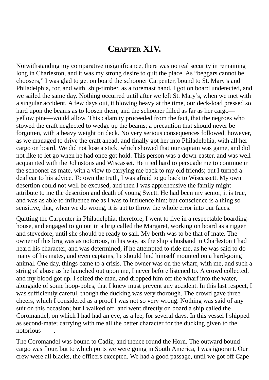### **CHAPTER XIV.**

Notwithstanding my comparative insignificance, there was no real security in remaining long in Charleston, and it was my strong desire to quit the place. As "beggars cannot be choosers," I was glad to get on board the schooner Carpenter, bound to St. Mary's and Philadelphia, for, and with, ship-timber, as a foremast hand. I got on board undetected, and we sailed the same day. Nothing occurred until after we left St. Mary's, when we met with a singular accident. A few days out, it blowing heavy at the time, our deck-load pressed so hard upon the beams as to loosen them, and the schooner filled as far as her cargo yellow pine—would allow. This calamity proceeded from the fact, that the negroes who stowed the craft neglected to wedge up the beams; a precaution that should never be forgotten, with a heavy weight on deck. No very serious consequences followed, however, as we managed to drive the craft ahead, and finally got her into Philadelphia, with all her cargo on board. We did not lose a stick, which showed that our captain was game, and did not like to let go when he had once got hold. This person was a down-easter, and was well acquainted with the Johnstons and Wiscasset. He tried hard to persuade me to continue in the schooner as mate, with a view to carrying me back to my old friends; but I turned a deaf ear to his advice. To own the truth, I was afraid to go back to Wiscassett. My own desertion could not well be excused, and then I was apprehensive the family might attribute to me the desertion and death of young Swett. He had been my senior, it is true, and was as able to influence me as I was to influence him; but conscience is a thing so sensitive, that, when we do wrong, it is apt to throw the whole error into our faces.

Quitting the Carpenter in Philadelphia, therefore, I went to live in a respectable boardinghouse, and engaged to go out in a brig called the Margaret, working on board as a rigger and stevedore, until she should be ready to sail. My berth was to be that of mate. The owner of this brig was as notorious, in his way, as the ship's husband in Charleston I had heard his character, and was determined, if he attempted to ride me, as he was said to do many of his mates, and even captains, he should find himself mounted on a hard-going animal. One day, things came to a crisis. The owner was on the wharf, with me, and such a string of abuse as he launched out upon me, I never before listened to. A crowd collected, and my blood got up. I seized the man, and dropped him off the wharf into the water, alongside of some hoop-poles, that I knew must prevent any accident. In this last respect, I was sufficiently careful, though the ducking was very thorough. The crowd gave three cheers, which I considered as a proof I was not so very wrong. Nothing was said of any suit on this occasion; but I walked off, and went directly on board a ship called the Coromandel, on which I had had an eye, as a lee, for several days. In this vessel I shipped as second-mate; carrying with me all the better character for the ducking given to the notorious––—.

The Coromandel was bound to Cadiz, and thence round the Horn. The outward bound cargo was flour, but to which ports we were going in South America, I was ignorant. Our crew were all blacks, the officers excepted. We had a good passage, until we got off Cape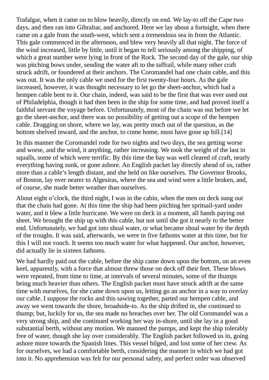Trafalgar, when it came on to blow heavily, directly on end. We lay-to off the Cape two days, and then ran into Gibraltar, and anchored. Here we lay about a fortnight, when there came on a gale from the south-west, which sent a tremendous sea in from the Atlantic. This gale commenced in the afternoon, and blew very heavily all that night. The force of the wind increased, little by little, until it began to tell seriously among the shipping, of which a great number were lying in front of the Rock. The second day of the gale, our ship was pitching bows under, sending the water aft to the taffrail, while many other craft struck adrift, or foundered at their anchors. The Coromandel had one chain cable, and this was out. It was the only cable we used for the first twenty-four hours. As the gale increased, however, it was thought necessary to let go the sheet-anchor, which had a hempen cable bent to it. Our chain, indeed, was said to be the first that was ever used out of Philadelphia, though it had then been in the ship for some time, and had proved itself a faithful servant the voyage before. Unfortunately, most of the chain was out before we let go the sheet-anchor, and there was no possibility of getting out a scope of the hempen cable. Dragging on shore, where we lay, was pretty much out of the question, as the bottom shelved inward, and the anchor, to come home, must have gone up hill.[14]

In this manner the Coromandel rode for two nights and two days, the sea getting worse and worse, and the wind, it anything, rather increasing. We took the weight of the last in squalls, some of which were terrific. By this time the bay was well cleared of craft, nearly everything having sunk, or gone ashore. An English packet lay directly ahead of us, rather more than a cable's length distant, and she held on like ourselves. The Governor Brooks, of Boston, lay over nearer to Algesiras, where the sea and wind were a little broken, and, of course, she made better weather than ourselves.

About eight o'clock, the third night, I was in the cabin, when the men on deck sung out that the chain had gone. At this time the ship had been pitching her spritsail-yard under water, and it blew a little hurricane. We were on deck in a moment, all hands paying out sheet. We brought the ship up with this cable, but not until she got it nearly to the better end. Unfortunately, we had got into shoal water, or what became shoal water by the depth of the troughs. It was said, afterwards, we were in five fathoms water at this time, but for this I will not vouch. It seems too much water for what happened. Our anchor, however, did actually lie in sixteen fathoms.

We had hardly paid out the cable, before the ship came down upon the bottom, on an even keel, apparently, with a force that almost threw those on deck off their feet. These blows were repeated, from time to time, at intervals of several minutes, some of the thumps being much heavier than others. The English packet must have struck adrift at the same time with ourselves, for she came down upon us, letting go an anchor in a way to overlay our cable. I suppose the rocks and this sawing together, parted our hempen cable, and away we went towards the shore, broadside-to. As the ship drifted in, she continued to thump; but, luckily for us, the sea made no breaches over her. The old Coromandel was a very strong ship, and she continued working her way in-shore, until she lay in a good substantial berth, without any motion. We manned the pumps, and kept the ship tolerably free of water, though she lay over considerably. The English packet followed us in, going ashore more towards the Spanish lines. This vessel bilged, and lost some of her crew. As for ourselves, we had a comfortable berth, considering the manner in which we had got into it. No apprehension was felt for our personal safety, and perfect order was observed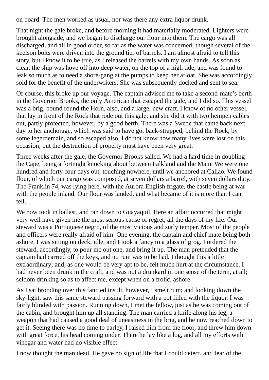on board. The men worked as usual, nor was there any extra liquor drunk.

That night the gale broke, and before morning it had materially moderated. Lighters were brought alongside, and we began to discharge our flour into them. The cargo was all discharged, and all in good order, so far as the water was concerned; though several of the keelson bolts were driven into the ground tier of barrels. I am almost afraid to tell this story, but I know it to be true, as I released the barrels with my own hands. As soon as clear, the ship was hove off into deep water, on the top of a high tide, and was found to leak so much as to need a shore-gang at the pumps to keep her afloat. She was accordingly sold for the benefit of the underwriters. She was subsequently docked and sent to sea.

Of course, this broke up our voyage. The captain advised me to take a second-mate's berth in the Governor Brooks, the only American that escaped the gale, and I did so. This vessel was a brig, bound round the Horn, also, and a large, new craft. I know of no other vessel, that lay in front of the Rock that rode out this gale; and she did it with two hempen cables out, partly protected, however, by a good berth. There was a Swede that came back next day to her anchorage, which was said to have got back-strapped, behind the Rock, by some legerdemain, and so escaped also. I do not know how many lives were lost on this occasion; but the destruction of property must have been very great.

Three weeks after the gale, the Governor Brooks sailed. We had a hard time in doubling the Cape, being a fortnight knocking about between Falkland and the Main. We were one hundred and forty-four days out, touching nowhere, until we anchored at Callao. We found flour, of which our cargo was composed, at seven dollars a barrel, with seven dollars duty. The Franklin 74, was lying here, with the Aurora English frigate, the castle being at war with the people inland. Our flour was landed, and what became of it is more than I can tell.

We now took in ballast, and ran down to Guayaquil. Here an affair occurred that might very well have given me the most serious cause of regret, all the days of my life. Our steward was a Portuguese negro, of the most vicious and surly temper. Most of the people and officers were really afraid of him. One evening, the captain and chief mate being both ashore, I was sitting on deck, idle, and I took a fancy to a glass of grog. I ordered the steward, accordingly, to pour me out one, and bring it up. The man pretended that the captain had carried off the keys, and no rum was to be had. I thought this a little extraordinary; and, as one would be very apt to be, felt much hurt at the circumstance. I had never been drunk in the craft, and was not a drunkard in one sense of the term, at all; seldom drinking so as to affect me, except when on a frolic, ashore.

As I sat brooding over this fancied insult, however, I smelt rum; and looking down the sky-light, saw this same steward passing forward with a pot filled with the liquor. I was fairly blinded with passion. Running down, I met the fellow, just as he was coming out of the cabin, and brought him up all standing. The man carried a knife along his leg, a weapon that had caused a good deal of uneasiness in the brig, and he now reached down to get it. Seeing there was no time to parley, I raised him from the floor, and threw him down with great force, his head coming under. There he lay like a log, and all my efforts with vinegar and water had no visible effect.

I now thought the man dead. He gave no sign of life that I could detect, and fear of the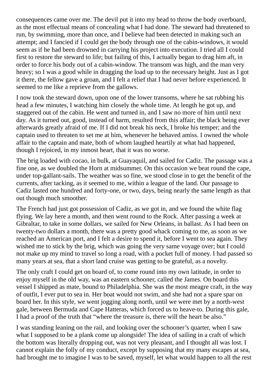consequences came over me. The devil put it into my head to throw the body overboard, as the most effectual means of concealing what I had done. The steward had threatened to run, by swimming, more than once, and I believe had been detected in making such an attempt; and I fancied if I could get the body through one of the cabin-windows, it would seem as if he had been drowned in carrying his project into execution. I tried all I could first to restore the steward to life; but failing of this, I actually began to drag him aft, in order to force his body out of a cabin-window. The transom was high, and the man very heavy; so I was a good while in dragging the load up to the necessary height. Just as I got it there, the fellow gave a groan, and I felt a relief that I had never before experienced. It seemed to me like a reprieve from the gallows.

I now took the steward down, upon one of the lower transoms, where he sat rubbing his head a few minutes, I watching him closely the whole time. At length he got up, and staggered out of the cabin. He went and turned in, and I saw no more of him until next day. As it turned out, good, instead of harm, resulted from this affair; the black being ever afterwards greatly afraid of me. If I did not break his neck, I broke his temper; and the captain used to threaten to set me at him, whenever he behaved amiss. I owned the whole affair to the captain and mate, both of whom laughed heartily at what had happened, though I rejoiced, in my inmost heart, that it was no worse.

The brig loaded with cocao, in bulk, at Guayaquil, and sailed for Cadiz. The passage was a fine one, as we doubled the Horn at midsummer. On this occasion we beat round the cape, under top-gallant-sails. The weather was so fine, we stood close in to get the benefit of the currents, after tacking, as it seemed to me, within a league of the land. Our passage to Cadiz lasted one hundred and forty-one, or two, days, being nearly the same length as that out though much smoother.

The French had just got possession of Cadiz, as we got in, and we found the white flag flying. We lay here a month, and then went round to the Rock. After passing a week at Gibraltar, to take in some dollars, we sailed for New Orleans, in ballast. As I had been on twenty-two dollars a month, there was a pretty good whack coming to me, as soon as we reached an American port, and I felt a desire to spend it, before I went to sea again. They wished me to stick by the brig, which was going the very same voyage over; but I could not make up my mind to travel so long a road, with a pocket full of money. I had passed so many years at sea, that a short land cruise was getting to be grateful, as a novelty.

The only craft I could get on board of, to come round into my own latitude, in order to enjoy myself in the old way, was an eastern schooner, called the James. On board this vessel I shipped as mate, bound to Philadelphia. She was the most meagre craft, in the way of outfit, I ever put to sea in. Her boat would not swim, and she had not a spare spar on board her. In this style, we went jogging along north, until we were met by a north-west gale, between Bermuda and Cape Hatteras, which forced us to heave-to. During this gale, I had a proof of the truth that "where the treasure is, there will the heart be also."

I was standing leaning on the rail, and looking over the schooner's quarter, when I saw what I supposed to be a plank come up alongside! The idea of sailing in a craft of which the bottom was literally dropping out, was not very pleasant, and I thought all was lost. I cannot explain the folly of my conduct, except by supposing that my many escapes at sea, had brought me to imagine I was to be saved, myself, let what would happen to all the rest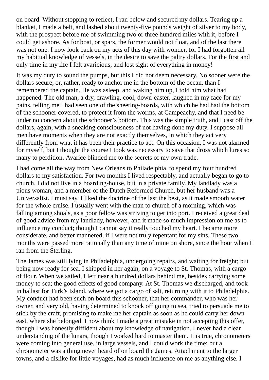on board. Without stopping to reflect, I ran below and secured my dollars. Tearing up a blanket, I made a belt, and lashed about twenty-five pounds weight of silver to my body, with the prospect before me of swimming two or three hundred miles with it, before I could get ashore. As for boat, or spars, the former would not float, and of the last there was not one. I now look back on my acts of this day with wonder, for I had forgotten all my habitual knowledge of vessels, in the desire to save the paltry dollars. For the first and only time in my life I felt avaricious, and lost sight of everything in money!

It was my duty to sound the pumps, but this I did not deem necessary. No sooner were the dollars secure, or, rather, ready to anchor me in the bottom of the ocean, than I remembered the captain. He was asleep, and waking him up, I told him what had happened. The old man, a dry, drawling, cool, down-easter, laughed in my face for my pains, telling me I had seen one of the sheeting-boards, with which he had had the bottom of the schooner covered, to protect it from the worms, at Campeachy, and that I need be under no concern about the schooner's bottom. This was the simple truth, and I cast off the dollars, again, with a sneaking consciousness of not having done my duty. I suppose all men have moments when they are not exactly themselves, in which they act very differently from what it has been their practice to act. On this occasion, I was not alarmed for myself, but I thought the course I took was necessary to save that dross which lures so many to perdition. Avarice blinded me to the secrets of my own trade.

I had come all the way from New Orleans to Philadelphia, to spend my four hundred dollars to my satisfaction. For two months I lived respectably, and actually began to go to church. I did not live in a boarding-house, but in a private family. My landlady was a pious woman, and a member of the Dutch Reformed Church, but her husband was a Universalist. I must say, I liked the doctrine of the last the best, as it made smooth water for the whole cruise. I usually went with the man to church of a morning, which was falling among shoals, as a poor fellow was striving to get into port. I received a great deal of good advice from my landlady, however, and it made so much impression on me as to influence my conduct; though I cannot say it really touched my heart. I became more considerate, and better mannered, if I were not truly repentant for my sins. These two months were passed more rationally than any time of mine on shore, since the hour when I ran from the Sterling.

The James was still lying in Philadelphia, undergoing repairs, and waiting for freight; but being now ready for sea, I shipped in her again, on a voyage to St. Thomas, with a cargo of flour. When we sailed, I left near a hundred dollars behind me, besides carrying some money to sea; the good effects of good company. At St. Thomas we discharged, and took in ballast for Turk's Island, where we got a cargo of salt, returning with it to Philadelphia. My conduct had been such on board this schooner, that her commander, who was her owner, and very old, having determined to knock off going to sea, tried to persuade me to stick by the craft, promising to make me her captain as soon as he could carry her down east, where she belonged. I now think I made a great mistake in not accepting this offer, though I was honestly diffident about my knowledge of navigation. I never had a clear understanding of the lunars, though I worked hard to master them. It is true, chronometers were coming into general use, in large vessels, and I could work the time; but a chronometer was a thing never heard of on board the James. Attachment to the larger towns, and a dislike for little voyages, had as much influence on me as anything else. I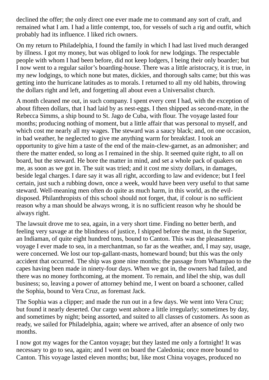declined the offer; the only direct one ever made me to command any sort of craft, and remained what I am. I had a little contempt, too, for vessels of such a rig and outfit, which probably had its influence. I liked rich owners.

On my return to Philadelphia, I found the family in which I had last lived much deranged by illness. I got my money, but was obliged to look for new lodgings. The respectable people with whom I had been before, did not keep lodgers, I being their only boarder; but I now went to a regular sailor's boarding-house. There was a little aristocracy, it is true, in my new lodgings, to which none but mates, dickies, and thorough salts came; but this was getting into the hurricane latitudes as to morals. I returned to all my old habits, throwing the dollars right and left, and forgetting all about even a Universalist church.

A month cleaned me out, in such company. I spent every cent I had, with the exception of about fifteen dollars, that I had laid by as nest-eggs. I then shipped as second-mate, in the Rebecca Simms, a ship bound to St. Jago de Cuba, with flour. The voyage lasted four months; producing nothing of moment, but a little affair that was personal to myself, and which cost me nearly all my wages. The steward was a saucy black; and, on one occasion, in bad weather, he neglected to give me anything warm for breakfast. I took an opportunity to give him a taste of the end of the main-clew-garnet, as an admonisher; and there the matter ended, so long as I remained in the ship. It seemed quite right, to all on board, but the steward. He bore the matter in mind, and set a whole pack of quakers on me, as soon as we got in. The suit was tried; and it cost me sixty dollars, in damages, beside legal charges. I dare say it was all right, according to law and evidence; but I feel certain, just such a rubbing down, once a week, would have been very useful to that same steward. Well-meaning men often do quite as much harm, in this world, as the evildisposed. Philanthropists of this school should not forget, that, if colour is no sufficient reason why a man should be always wrong, it is no sufficient reason why he should be always right.

The lawsuit drove me to sea, again, in a very short time. Finding no better berth, and feeling very savage at the blindness of justice, I shipped before the mast, in the Superior, an Indiaman, of quite eight hundred tons, bound to Canton. This was the pleasantest voyage I ever made to sea, in a merchantman, so far as the weather, and, I may say, usage, were concerned. We lost our top-gallant-masts, homeward bound; but this was the only accident that occurred. The ship was gone nine months; the passage from Whampao to the capes having been made in ninety-four days. When we got in, the owners had failed, and there was no money forthcoming, at the moment. To remain, and libel the ship, was dull business; so, leaving a power of attorney behind me, I went on board a schooner, called the Sophia, bound to Vera Cruz, as foremast Jack.

The Sophia was a clipper; and made the run out in a few days. We went into Vera Cruz; but found it nearly deserted. Our cargo went ashore a little irregularly; sometimes by day, and sometimes by night; being assorted, and suited to all classes of customers. As soon as ready, we sailed for Philadelphia, again; where we arrived, after an absence of only two months.

I now got my wages for the Canton voyage; but they lasted me only a fortnight! It was necessary to go to sea, again; and I went on board the Caledonia; once more bound to Canton. This voyage lasted eleven months; but, like most China voyages, produced no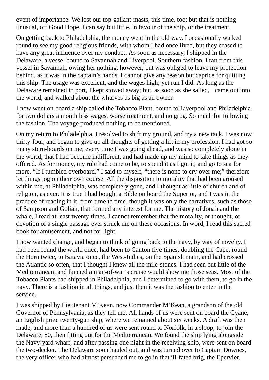event of importance. We lost our top-gallant-masts, this time, too; but that is nothing unusual, off Good Hope. I can say but little, in favour of the ship, or the treatment.

On getting back to Philadelphia, the money went in the old way. I occasionally walked round to see my good religious friends, with whom I had once lived, but they ceased to have any great influence over my conduct. As soon as necessary, I shipped in the Delaware, a vessel bound to Savannah and Liverpool. Southern fashion, I ran from this vessel in Savannah, owing her nothing, however, but was obliged to leave my protection behind, as it was in the captain's hands. I cannot give any reason but caprice for quitting this ship. The usage was excellent, and the wages high; yet run I did. As long as the Delaware remained in port, I kept stowed away; but, as soon as she sailed, I came out into the world, and walked about the wharves as big as an owner.

I now went on board a ship called the Tobacco Plant, bound to Liverpool and Philadelphia, for two dollars a month less wages, worse treatment, and no grog. So much for following the fashion. The voyage produced nothing to be mentioned.

On my return to Philadelphia, I resolved to shift my ground, and try a new tack. I was now thirty-four, and began to give up all thoughts of getting a lift in my profession. I had got so many stern-boards on me, every time I was going ahead, and was so completely alone in the world, that I had become indifferent, and had made up my mind to take things as they offered. As for money, my rule had come to be, to spend it as I got it, and go to sea for more. "If I tumbled overboard," I said to myself, "there is none to cry over me;" therefore let things jog on their own course. All the disposition to morality that had been aroused within me, at Philadelphia, was completely gone, and I thought as little of church and of religion, as ever. It is true I had bought a Bible on board the Superior, and I was in the practice of reading in it, from time to time, though it was only the narratives, such as those of Sampson and Goliah, that formed any interest for me. The history of Jonah and the whale, I read at least twenty times. I cannot remember that the morality, or thought, or devotion of a single passage ever struck me on these occasions. In word, I read this sacred book for amusement, and not for light.

I now wanted change, and began to think of going back to the navy, by way of novelty. I had been round the world once, had been to Canton five times, doubling the Cape, round the Horn twice, to Batavia once, the West-Indies, on the Spanish main, and had crossed the Atlantic so often, that I thought I knew all the mile-stones. I had seen but little of the Mediterranean, and fancied a man-of-war's cruise would show me those seas. Most of the Tobacco Plants had shipped in Philadelphia, and I determined to go with them, to go in the navy. There is a fashion in all things, and just then it was the fashion to enter in the service.

I was shipped by Lieutenant M'Kean, now Commander M'Kean, a grandson of the old Governor of Pennsylvania, as they tell me. All hands of us were sent on board the Cyane, an English prize twenty-gun ship, where we remained about six weeks. A draft was then made, and more than a hundred of us were sent round to Norfolk, in a sloop, to join the Delaware, 80, then fitting out for the Mediterranean. We found the ship lying alongside the Navy-yard wharf, and after passing one night in the receiving-ship, were sent on board the two-decker. The Delaware soon hauled out, and was turned over to Captain Downes, the very officer who had almost persuaded me to go in that ill-fated brig, the Epervier.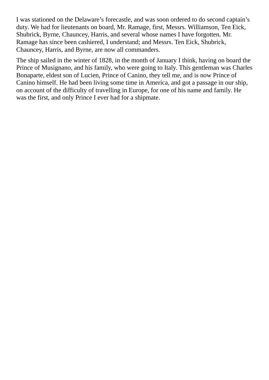I was stationed on the Delaware's forecastle, and was soon ordered to do second captain's duty. We had for lieutenants on board, Mr. Ramage, first, Messrs. Williamson, Ten Eick, Shubrick, Byrne, Chauncey, Harris, and several whose names I have forgotten. Mr. Ramage has since been cashiered, I understand; and Messrs. Ten Eick, Shubrick, Chauncey, Harris, and Byrne, are now all commanders.

The ship sailed in the winter of 1828, in the month of January I think, having on board the Prince of Musignano, and his family, who were going to Italy. This gentleman was Charles Bonaparte, eldest son of Lucien, Prince of Canino, they tell me, and is now Prince of Canino himself. He had been living some time in America, and got a passage in our ship, on account of the difficulty of travelling in Europe, for one of his name and family. He was the first, and only Prince I ever had for a shipmate.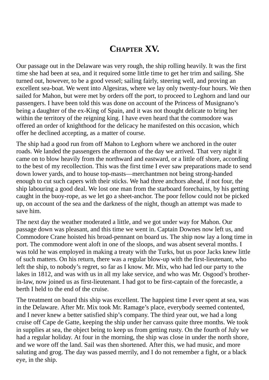## **CHAPTER XV.**

Our passage out in the Delaware was very rough, the ship rolling heavily. It was the first time she had been at sea, and it required some little time to get her trim and sailing. She turned out, however, to be a good vessel; sailing fairly, steering well, and proving an excellent sea-boat. We went into Algesiras, where we lay only twenty-four hours. We then sailed for Mahon, but were met by orders off the port, to proceed to Leghorn and land our passengers. I have been told this was done on account of the Princess of Musignano's being a daughter of the ex-King of Spain, and it was not thought delicate to bring her within the territory of the reigning king. I have even heard that the commodore was offered an order of knighthood for the delicacy he manifested on this occasion, which offer he declined accepting, as a matter of course.

The ship had a good run from off Mahon to Leghorn where we anchored in the outer roads. We landed the passengers the afternoon of the day we arrived. That very night it came on to blow heavily from the northward and eastward, or a little off shore, according to the best of my recollection. This was the first time I ever saw preparations made to send down lower yards, and to house top-masts—merchantmen not being strong-handed enough to cut such capers with their sticks. We had three anchors ahead, if not four, the ship labouring a good deal. We lost one man from the starboard forechains, by his getting caught in the buoy-rope, as we let go a sheet-anchor. The poor fellow could not be picked up, on account of the sea and the darkness of the night, though an attempt was made to save him.

The next day the weather moderated a little, and we got under way for Mahon. Our passage down was pleasant, and this time we went in. Captain Downes now left us, and Commodore Crane hoisted his broad-pennant on board us. The ship now lay a long time in port. The commodore went aloft in one of the sloops, and was absent several months. I was told he was employed in making a treaty with the Turks, but us poor Jacks knew little of such matters. On his return, there was a regular blow-up with the first-lieutenant, who left the ship, to nobody's regret, so far as I know. Mr. Mix, who had led our party to the lakes in 1812, and was with us in all my lake service, and who was Mr. Osgood's brotherin-law, now joined us as first-lieutenant. I had got to be first-captain of the forecastle, a berth I held to the end of the cruise.

The treatment on board this ship was excellent. The happiest time I ever spent at sea, was in the Delaware. After Mr. Mix took Mr. Ramage's place, everybody seemed contented, and I never knew a better satisfied ship's company. The third year out, we had a long cruise off Cape de Gatte, keeping the ship under her canvass quite three months. We took in supplies at sea, the object being to keep us from getting rusty. On the fourth of July we had a regular holiday. At four in the morning, the ship was close in under the north shore, and we wore off the land. Sail was then shortened. After this, we had music, and more saluting and grog. The day was passed merrily, and I do not remember a fight, or a black eye, in the ship.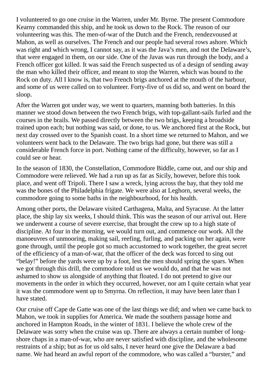I volunteered to go one cruise in the Warren, under Mr. Byrne. The present Commodore Kearny commanded this ship, and he took us down to the Rock. The reason of our volunteering was this. The men-of-war of the Dutch and the French, rendezvoused at Mahon, as well as ourselves. The French and our people had several rows ashore. Which was right and which wrong, I cannot say, as it was the Java's men, and not the Delaware's, that were engaged in them, on our side. One of the Javas was run through the body, and a French officer got killed. It was said the French suspected us of a design of sending away the man who killed their officer, and meant to stop the Warren, which was bound to the Rock on duty. All I know is, that two French brigs anchored at the mouth of the harbour, and some of us were called on to volunteer. Forty-five of us did so, and went on board the sloop.

After the Warren got under way, we went to quarters, manning both batteries. In this manner we stood down between the two French brigs, with top-gallant-sails furled and the courses in the brails. We passed directly between the two brigs, keeping a broadside trained upon each; but nothing was said, or done, to us. We anchored first at the Rock, but next day crossed over to the Spanish coast. In a short time we returned to Mahon, and we volunteers went back to the Delaware. The two brigs had gone, but there was still a considerable French force in port. Nothing came of the difficulty, however, so far as I could see or hear.

In the season of 1830, the Constellation, Commodore Biddle, came out, and our ship and Commodore were relieved. We had a run up as far as Sicily, however, before this took place, and went off Tripoli. There I saw a wreck, lying across the bay, that they told me was the bones of the Philadelphia frigate. We were also at Leghorn, several weeks, the commodore going to some baths in the neighbourhood, for his health.

Among other ports, the Delaware visited Carthagena, Malta, and Syracuse. At the latter place, the ship lay six weeks, I should think. This was the season of our arrival out. Here we underwent a course of severe exercise, that brought the crew up to a high state of discipline. At four in the morning, we would turn out, and commence our work. All the manoeuvres of unmooring, making sail, reefing, furling, and packing on her again, were gone through, until the people got so much accustomed to work together, the great secret of the efficiency of a man-of-war, that the officer of the deck was forced to sing out "belay!" before the yards were up by a foot, lest the men should spring the spars. When we got through this drill, the commodore told us we would do, and that he was not ashamed to show us alongside of anything that floated. I do not pretend to give our movements in the order in which they occurred, however, nor am I quite certain what year it was the commodore went up to Smyrna. On reflection, it may have been later than I have stated.

Our cruise off Cape de Gatte was one of the last things we did; and when we came back to Mahon, we took in supplies for America. We made the southern passage home and anchored in Hampton Roads, in the winter of 1831. I believe the whole crew of the Delaware was sorry when the cruise was up. There are always a certain number of longshore chaps in a man-of-war, who are never satisfied with discipline, and the wholesome restraints of a ship; but as for us old salts, I never heard one give the Delaware a bad name. We had heard an awful report of the commodore, who was called a "burster," and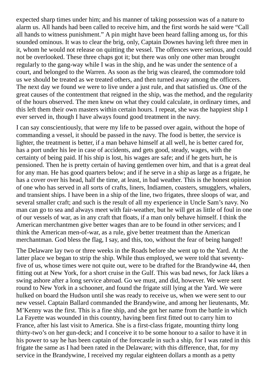expected sharp times under him; and his manner of taking possession was of a nature to alarm us. All hands had been called to receive him, and the first words he said were "Call all hands to witness punishment." A pin might have been heard falling among us, for this sounded ominous. It was to clear the brig, only, Captain Downes having left three men in it, whom he would not release on quitting the vessel. The offences were serious, and could not be overlooked. These three chaps got it; but there was only one other man brought regularly to the gang-way while I was in the ship, and he was under the sentence of a court, and belonged to the Warren. As soon as the brig was cleared, the commodore told us we should be treated as we treated others, and then turned away among the officers. The next day we found we were to live under a just rule, and that satisfied us. One of the great causes of the contentment that reigned in the ship, was the method, and the regularity of the hours observed. The men knew on what they could calculate, in ordinary times, and this left them their own masters within certain hours. I repeat, she was the happiest ship I ever served in, though I have always found good treatment in the navy.

I can say conscientiously, that were my life to be passed over again, without the hope of commanding a vessel, it should be passed in the navy. The food is better, the service is lighter, the treatment is better, if a man behave himself at all well, he is better cared for, has a port under his lee in case of accidents, and gets good, steady, wages, with the certainty of being paid. If his ship is lost, his wages are safe; and if he gets hurt, he is pensioned. Then he is pretty certain of having gentlemen over him, and that is a great deal for any man. He has good quarters below; and if he serve in a ship as large as a frigate, he has a cover over his head, half the time, at least, in bad weather. This is the honest opinion of one who has served in all sorts of crafts, liners, Indiamen, coasters, smugglers, whalers, and transient ships. I have been in a ship of the line, two frigates, three sloops of war, and several smaller craft; and such is the result of all my experience in Uncle Sam's navy. No man can go to sea and always meet with fair-weather, but he will get as little of foul in one of our vessels of war, as in any craft that floats, if a man only behave himself. I think the American merchantmen give better wages than are to be found in other services; and I think the American men-of-war, as a rule, give better treatment than the American merchantman. God bless the flag, I say, and this, too, without the fear of being hanged!

The Delaware lay two or three weeks in the Roads before she went up to the Yard. At the latter place we began to strip the ship. While thus employed, we were told that seventyfive of us, whose times were not quite out, were to be drafted for the Brandywine 44, then fitting out at New York, for a short cruise in the Gulf. This was bad news, for Jack likes a swing ashore after a long service abroad. Go we must, and did, however. We were sent round to New York in a schooner, and found the frigate still lying at the Yard. We were hulked on board the Hudson until she was ready to receive us, when we were sent to our new vessel. Captain Ballard commanded the Brandywine, and among her lieutenants, Mr. M'Kenny was the first. This is a fine ship, and she got her name from the battle in which La Fayette was wounded in this country, having been first fitted out to carry him to France, after his last visit to America. She is a first-class frigate, mounting thirty long thirty-two's on her gun-deck; and I conceive it to be some honour to a sailor to have it in his power to say he has been captain of the forecastle in such a ship, for I was rated in this frigate the same as I had been rated in the Delaware; with this difference, that, for my service in the Brandywine, I received my regular eighteen dollars a month as a petty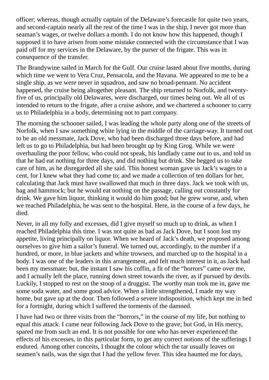officer; whereas, though actually captain of the Delaware's forecastle for quite two years, and second-captain nearly all the rest of the time I was in the ship, I never got more than seaman's wages, or twelve dollars a month. I do not know how this happened, though I supposed it to have arisen from some mistake connected with the circumstance that I was paid off for my services in the Delaware, by the purser of the frigate. This was in consequence of the transfer.

The Brandywine sailed in March for the Gulf. Our cruise lasted about five months, during which time we went to Vera Cruz, Pensacola, and the Havana. We appeared to me to be a single ship, as we were never in squadron, and saw no broad-pennant. No accident happened, the cruise being altogether pleasant. The ship returned to Norfolk, and twentyfive of us, principally old Delawares, were discharged, our times being out. We all of us intended to return to the frigate, after a cruise ashore, and we chartered a schooner to carry us to Philadelphia in a body, determining not to part company.

The morning the schooner sailed, I was leading the whole party along one of the streets of Norfolk, when I saw something white lying in the middle of the carriage-way. It turned out to be an old messmate, Jack Dove, who had been discharged three days before, and had left us to go to Philadelphia, but had been brought up by King Grog. While we were overhauling the poor fellow, who could not speak, his landlady came out to us, and told us that he had eat nothing for three days, and did nothing but drink. She begged us to take care of him, as he disregarded all she said. This honest woman gave us Jack's wages to a cent, for I knew what they had come to; and we made a collection of ten dollars for her, calculating that Jack must have swallowed that much in three days. Jack we took with us, bag and hammock; but he would eat nothing on the passage, calling out constantly for drink. We gave him liquor, thinking it would do him good; but he grew worse, and, when we reached Philadelphia, he was sent to the hospital. Here, in the course of a few days, he died.

Never, in all my folly and excesses, did I give myself so much up to drink, as when I reached Philadelphia this time. I was not quite as bad as Jack Dove, but I soon lost my appetite, living principally on liquor. When we heard of Jack's death, we proposed among ourselves to give him a sailor's funeral. We turned out, accordingly, to the number if a hundred, or more, in blue jackets and white trowsers, and marched up to the hospital in a body. I was one of the leaders in this arrangement, and felt much interest in it, as Jack had been my messmate; but, the instant I saw his coffin, a fit of the "horrors" came over me, and I actually left the place, running down street towards the river, as if pursued by devils. Luckily, I stopped to rest on the stoop of a druggist. The worthy man took me in, gave me some soda water, and some good advice. When a little strengthened, I made my way home, but gave up at the door. Then followed a severe indisposition, which kept me in bed for a fortnight, during which I suffered the torments of the damned.

I have had two or three visits from the "horrors," in the course of my life, but nothing to equal this attack. I came near following Jack Dove to the grave; but God, in His mercy, spared me from such an end. It is not possible for one who has never experienced the effects of his excesses, in this particular form, to get any correct notions of the sufferings I endured. Among other conceits, I thought the colour which the tar usually leaves on seamen's nails, was the sign that I had the yellow fever. This idea haunted me for days,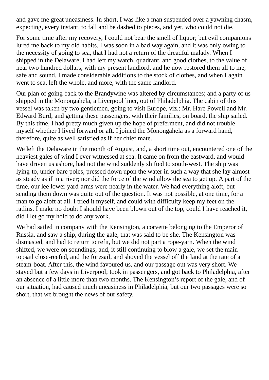and gave me great uneasiness. In short, I was like a man suspended over a yawning chasm, expecting, every instant, to fall and be dashed to pieces, and yet, who could not die.

For some time after my recovery, I could not bear the smell of liquor; but evil companions lured me back to my old habits. I was soon in a bad way again, and it was only owing to the necessity of going to sea, that I had not a return of the dreadful malady. When I shipped in the Delaware, I had left my watch, quadrant, and good clothes, to the value of near two hundred dollars, with my present landlord, and he now restored them all to me, safe and sound. I made considerable additions to the stock of clothes, and when I again went to sea, left the whole, and more, with the same landlord.

Our plan of going back to the Brandywine was altered by circumstances; and a party of us shipped in the Monongahela, a Liverpool liner, out of Philadelphia. The cabin of this vessel was taken by two gentlemen, going to visit Europe, viz.: Mr. Hare Powell and Mr. Edward Burd; and getting these passengers, with their families, on board, the ship sailed. By this time, I had pretty much given up the hope of preferment, and did not trouble myself whether I lived forward or aft. I joined the Monongahela as a forward hand, therefore, quite as well satisfied as if her chief mate.

We left the Delaware in the month of August, and, a short time out, encountered one of the heaviest gales of wind I ever witnessed at sea. It came on from the eastward, and would have driven us ashore, had not the wind suddenly shifted to south-west. The ship was lying-to, under bare poles, pressed down upon the water in such a way that she lay almost as steady as if in a river; nor did the force of the wind allow the sea to get up. A part of the time, our lee lower yard-arms were nearly in the water. We had everything aloft, but sending them down was quite out of the question. It was not possible, at one time, for a man to go aloft at all. I tried it myself, and could with difficulty keep my feet on the ratlins. I make no doubt I should have been blown out of the top, could I have reached it, did I let go my hold to do any work.

We had sailed in company with the Kensington, a corvette belonging to the Emperor of Russia, and saw a ship, during the gale, that was said to be she. The Kensington was dismasted, and had to return to refit, but we did not part a rope-yarn. When the wind shifted, we were on soundings; and, it still continuing to blow a gale, we set the maintopsail close-reefed, and the foresail, and shoved the vessel off the land at the rate of a steam-boat. After this, the wind favoured us, and our passage out was very short. We stayed but a few days in Liverpool; took in passengers, and got back to Philadelphia, after an absence of a little more than two months. The Kensington's report of the gale, and of our situation, had caused much uneasiness in Philadelphia, but our two passages were so short, that we brought the news of our safety.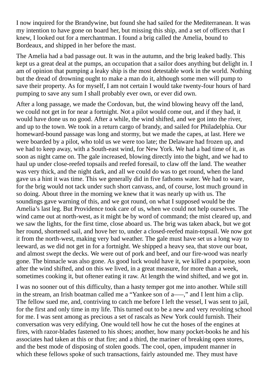I now inquired for the Brandywine, but found she had sailed for the Mediterranean. It was my intention to have gone on board her, but missing this ship, and a set of officers that I knew, I looked out for a merchantman. I found a brig called the Amelia, bound to Bordeaux, and shipped in her before the mast.

The Amelia had a bad passage out. It was in the autumn, and the brig leaked badly. This kept us a great deal at the pumps, an occupation that a sailor does anything but delight in. I am of opinion that pumping a leaky ship is the most detestable work in the world. Nothing but the dread of drowning ought to make a man do it, although some men will pump to save their property. As for myself, I am not certain I would take twenty-four hours of hard pumping to save any sum I shall probably ever own, or ever did own.

After a long passage, we made the Cordovan, but, the wind blowing heavy off the land, we could not get in for near a fortnight. Not a pilot would come out, and if they had, it would have done us no good. After a while, the wind shifted, and we got into the river, and up to the town. We took in a return cargo of brandy, and sailed for Philadelphia. Our homeward-bound passage was long and stormy, but we made the capes, at last. Here we were boarded by a pilot, who told us we were too late; the Delaware had frozen up, and we had to keep away, with a South-east wind, for New York. We had a bad time of it, as soon as night came on. The gale increased, blowing directly into the bight, and we had to haul up under close-reefed topsails and reefed foresail, to claw off the land. The weather was very thick, and the night dark, and all we could do was to get round, when the land gave us a hint it was time. This we generally did in five fathoms water. We had to ware, for the brig would not tack under such short canvass, and, of course, lost much ground in so doing. About three in the morning we knew that it was nearly up with us. The soundings gave warning of this, and we got round, on what I supposed would be the Amelia's last leg. But Providence took care of us, when we could not help ourselves. The wind came out at north-west, as it might be by word of command; the mist cleared up, and we saw the lights, for the first time, close aboard us. The brig was taken aback, but we got her round, shortened sail, and hove her to, under a closed-reefed main-topsail. We now got it from the north-west, making very bad weather. The gale must have set us a long way to leeward, as we did not get in for a fortnight. We shipped a heavy sea, that stove our boat, and almost swept the decks. We were out of pork and beef, and our fire-wood was nearly gone. The binnacle was also gone. As good luck would have it, we killed a porpoise, soon after the wind shifted, and on this we lived, in a great measure, for more than a week, sometimes cooking it, but oftener eating it raw. At length the wind shifted, and we got in.

I was no sooner out of this difficulty, than a hasty temper got me into another. While still in the stream, an Irish boatman called me a "Yankee son of a—," and I lent him a clip. The fellow sued me, and, contriving to catch me before I left the vessel, I was sent to jail, for the first and only time in my life. This turned out to be a new and very revolting school for me. I was sent among as precious a set of rascals as New York could furnish. Their conversation was very edifying. One would tell how he cut the hoses of the engines at fires, with razor-blades fastened to his shoes; another, how many pocket-books he and his associates had taken at this or that fire; and a third, the mariner of breaking open stores, and the best mode of disposing of stolen goods. The cool, open, impudent manner in which these fellows spoke of such transactions, fairly astounded me. They must have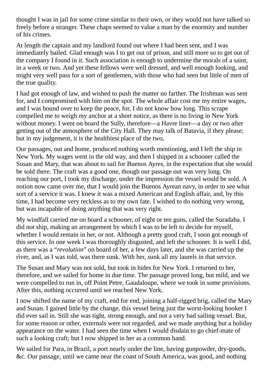thought I was in jail for some crime similar to their own, or they would not have talked so freely before a stranger. These chaps seemed to value a man by the enormity and number of his crimes.

At length the captain and my landlord found out where I had been sent, and I was immediately bailed. Glad enough was I to get out of prison, and still more so to get out of the company I found in it. Such association is enough to undermine the morals of a saint, in a week or two. And yet these fellows were well dressed, and well enough looking, and might very well pass for a sort of gentlemen, with those who had seen but little of men of the true quality.

I had got enough of law, and wished to push the matter no farther. The Irishman was sent for, and I compromised with him on the spot. The whole affair cost me my entire wages, and I was bound over to keep the peace, for, I do not know how long. This scrape compelled me to weigh my anchor at a short notice, as there is no living in New York without money. I went on board the Sully, therefore—a Havre liner—a day or two after getting out of the atmosphere of the City Hall. They may talk of Batavia, if they please; but in my judgement, it is the healthiest place of the two,

Our passages, out and home, produced nothing worth mentioning, and I left the ship in New York. My wages went in the old way, and then I shipped in a schooner called the Susan and Mary, that was about to sail for Buenos Ayres, in the expectation that she would be sold there. The craft was a good one, though our passage out was very long. On reaching our port, I took my discharge, under the impression the vessel would be sold. A notion now came over me, that I would join the Buenos Ayrean navy, in order to see what sort of a service it was. I knew it was a mixed American and English affair, and, by this time, I had become very reckless as to my own fate. I wished to do nothing very wrong, but was incapable of doing anything that was very right.

My windfall carried me on board a schooner, of eight or ten guns, called the Suradaha. I did not ship, making an arrangement by which I was to be left to decide for myself, whether I would remain in her, or not. Although a pretty good craft, I soon got enough of this service. In one week I was thoroughly disgusted, and left the schooner. It is well I did, as there was a "*revolution*" on board of her, a few days later, and she was carried up the river, and, as I was told, was there sunk. With her, sunk all my laurels in that service.

The Susan and Mary was not sold, but took in hides for New York. I returned to her, therefore, and we sailed for home in due time. The passage proved long, but mild, and we were compelled to run in, off Point Petre, Gaudaloupe, where we took in some provisions. After this, nothing occurred until we reached New York.

I now shifted the name of my craft, end for end, joining a half-rigged brig, called the Mary and Susan. I gained little by the change, this vessel being just the worst-looking hooker I did ever sail in. Still she was tight, strong enough, and not a very bad sailing vessel. But, for some reason or other, externals were not regarded, and we made anything but a holiday appearance on the water. I had seen the time when I would disdain to go chief-mate of such a looking craft; but I now shipped in her as a common hand.

We sailed for Para, in Brazil, a port nearly under the line, having gunpowder, dry-goods, &c. Our passage, until we came near the coast of South America, was good, and nothing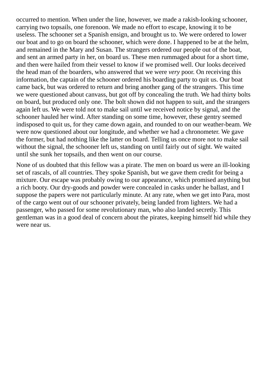occurred to mention. When under the line, however, we made a rakish-looking schooner, carrying two topsails, one forenoon. We made no effort to escape, knowing it to be useless. The schooner set a Spanish ensign, and brought us to. We were ordered to lower our boat and to go on board the schooner, which were done. I happened to be at the helm, and remained in the Mary and Susan. The strangers ordered our people out of the boat, and sent an armed party in her, on board us. These men rummaged about for a short time, and then were hailed from their vessel to know if we promised well. Our looks deceived the head man of the boarders, who answered that we were *very* poor. On receiving this information, the captain of the schooner ordered his boarding party to quit us. Our boat came back, but was ordered to return and bring another gang of the strangers. This time we were questioned about canvass, but got off by concealing the truth. We had thirty bolts on board, but produced only one. The bolt shown did not happen to suit, and the strangers again left us. We were told not to make sail until we received notice by signal, and the schooner hauled her wind. After standing on some time, however, these gentry seemed indisposed to quit us, for they came down again, and rounded to on our weather-beam. We were now questioned about our longitude, and whether we had a chronometer. We gave the former, but had nothing like the latter on board. Telling us once more not to make sail without the signal, the schooner left us, standing on until fairly out of sight. We waited until she sunk her topsails, and then went on our course.

None of us doubted that this fellow was a pirate. The men on board us were an ill-looking set of rascals, of all countries. They spoke Spanish, but we gave them credit for being a mixture. Our escape was probably owing to our appearance, which promised anything but a rich booty. Our dry-goods and powder were concealed in casks under he ballast, and I suppose the papers were not particularly minute. At any rate, when we get into Para, most of the cargo went out of our schooner privately, being landed from lighters. We had a passenger, who passed for some revolutionary man, who also landed secretly. This gentleman was in a good deal of concern about the pirates, keeping himself hid while they were near us.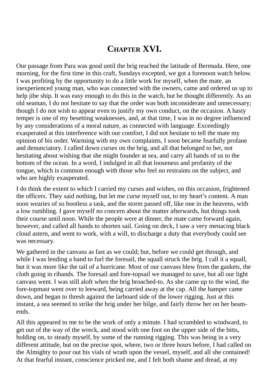## **CHAPTER XVI.**

Our passage from Para was good until the brig reached the latitude of Bermuda. Here, one morning, for the first time in this craft, Sundays excepted, we got a forenoon watch below. I was profiting by the opportunity to do a little work for myself, when the mate, an inexperienced young man, who was connected with the owners, came and ordered us up to help jibe ship. It was easy enough to do this in the watch, but he thought differently. As an old seaman, I do not hesitate to say that the order was both inconsiderate and unnecessary; though I do not wish to appear even to justify my own conduct, on the occasion. A hasty temper is one of my besetting weaknesses, and, at that time, I was in no degree influenced by any considerations of a moral nature, as connected with language. Exceedingly exasperated at this interference with our comfort, I did not hesitate to tell the mate my opinion of his order. Warming with my own complaints, I soon became fearfully profane and denunciatory. I called down curses on the brig, and all that belonged to her, not hesitating about wishing that she might founder at sea, and carry all hands of us to the bottom of the ocean. In a word, I indulged in all that looseness and profanity of the tongue, which is common enough with those who feel no restraints on the subject, and who are highly exasperated.

I do think the extent to which I carried my curses and wishes, on this occasion, frightened the officers. They said nothing, but let me curse myself out, to my heart's content. A man soon wearies of so bootless a task, and the storm passed off, like one in the heavens, with a low rumbling. I gave myself no concern about the matter afterwards, but things took their course until noon. While the people were at dinner, the mate came forward again, however, and called all hands to shorten sail. Going on deck, I saw a very menacing black cloud astern, and went to work, with a will, to discharge a duty that everybody could see was necessary.

We gathered in the canvass as fast as we could; but, before we could get through, and while I was lending a hand to furl the foresail, the squall struck the brig. I call it a squall, but it was more like the tail of a hurricane. Most of our canvass blew from the gaskets, the cloth going in ribands. The foresail and fore-topsail we managed to save, but all our light canvass went. I was still aloft when the brig broached-to. As she came up to the wind, the fore-topmast went over to leeward, being carried away at the cap. All the hamper came down, and began to thresh against the larboard side of the lower rigging. Just at this instant, a sea seemed to strike the brig under her bilge, and fairly throw her on her beamends.

All this appeared to me to be the work of only a minute. I had scrambled to windward, to get out of the way of the wreck, and stood with one foot on the upper side of the bitts, holding on, to steady myself, by some of the running rigging. This was being in a very different attitude, but on the precise spot, where, two or three hours before, I had called on the Almighty to pour out his vials of wrath upon the vessel, myself, and all she contained! At that fearful instant, conscience pricked me, and I felt both shame and dread, at my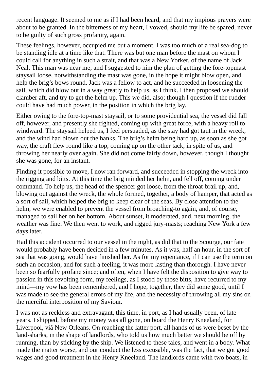recent language. It seemed to me as if I had been heard, and that my impious prayers were about to be granted. In the bitterness of my heart, I vowed, should my life be spared, never to be guilty of such gross profanity, again.

These feelings, however, occupied me but a moment. I was too much of a real sea-dog to be standing idle at a time like that. There was but one man before the mast on whom I could call for anything in such a strait, and that was a New Yorker, of the name of Jack Neal. This man was near me, and I suggested to him the plan of getting the fore-topmast staysail loose, notwithstanding the mast was gone, in the hope it might blow open, and help the brig's bows round. Jack was a fellow to act, and he succeeded in loosening the sail, which did blow out in a way greatly to help us, as I think. I then proposed we should clamber aft, and try to get the helm up. This we did, also; though I question if the rudder could have had much power, in the position in which the brig lay.

Either owing to the fore-top-mast staysail, or to some providential sea, the vessel did fall off, however, and presently she righted, coming up with great force, with a heavy roll to windward. The staysail helped us, I feel persuaded, as the stay had got taut in the wreck, and the wind had blown out the hanks. The brig's helm being hard up, as soon as she got way, the craft flew round like a top, coming up on the other tack, in spite of us, and throwing her nearly over again. She did not come fairly down, however, though I thought she was gone, for an instant.

Finding it possible to move, I now ran forward, and succeeded in stopping the wreck into the rigging and bitts. At this time the brig minded her helm, and fell off, coming under command. To help us, the head of the spencer got loose, from the throat-brail up, and, blowing out against the wreck, the whole formed, together, a body of hamper, that acted as a sort of sail, which helped the brig to keep clear of the seas. By close attention to the helm, we were enabled to prevent the vessel from broaching-to again, and, of course, managed to sail her on her bottom. About sunset, it moderated, and, next morning, the weather was fine. We then went to work, and rigged jury-masts; reaching New York a few days later.

Had this accident occurred to our vessel in the night, as did that to the Scourge, our fate would probably have been decided in a few minutes. As it was, half an hour, in the sort of sea that was going, would have finished her. As for my repentance, if I can use the term on such an occasion, and for such a feeling, it was more lasting than thorough. I have never been so fearfully profane since; and often, when I have felt the disposition to give way to passion in this revolting form, my feelings, as I stood by those bitts, have recurred to my mind—my vow has been remembered, and I hope, together, they did some good, until I was made to see the general errors of my life, and the necessity of throwing all my sins on the merciful interposition of my Saviour.

I was not as reckless and extravagant, this time, in port, as I had usually been, of late years. I shipped, before my money was all gone, on board the Henry Kneeland, for Liverpool, viâ New Orleans. On reaching the latter port, all hands of us were beset by the land-sharks, in the shape of landlords, who told us how much better we should be off by running, than by sticking by the ship. We listened to these tales, and went in a body. What made the matter worse, and our conduct the less excusable, was the fact, that we got good wages and good treatment in the Henry Kneeland. The landlords came with two boats, in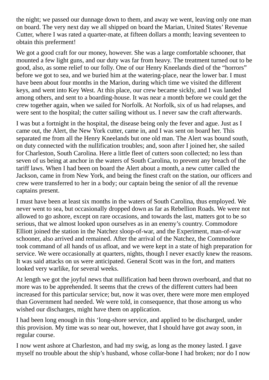the night; we passed our dunnage down to them, and away we went, leaving only one man on board. The very next day we all shipped on board the Marian, United States' Revenue Cutter, where I was rated a quarter-mate, at fifteen dollars a month; leaving seventeen to obtain this preferment!

We got a good craft for our money, however. She was a large comfortable schooner, that mounted a few light guns, and our duty was far from heavy. The treatment turned out to be good, also, as some relief to our folly. One of our Henry Kneelands died of the "horrors" before we got to sea, and we buried him at the watering-place, near the lower bar. I must have been about four months in the Marion, during which time we visited the different keys, and went into Key West. At this place, our crew became sickly, and I was landed among others, and sent to a boarding-house. It was near a month before we could get the crew together again, when we sailed for Norfolk. At Norfolk, six of us had relapses, and were sent to the hospital; the cutter sailing without us. I never saw the craft afterwards.

I was but a fortnight in the hospital, the disease being only the fever and ague. Just as I came out, the Alert, the New York cutter, came in, and I was sent on board her. This separated me from all the Henry Kneelands but one old man. The Alert was bound south, on duty connected with the nullification troubles; and, soon after I joined her, she sailed for Charleston, South Carolina. Here a little fleet of cutters soon collected; no less than seven of us being at anchor in the waters of South Carolina, to prevent any breach of the tariff laws. When I had been on board the Alert about a month, a new cutter called the Jackson, came in from New York, and being the finest craft on the station, our officers and crew were transferred to her in a body; our captain being the senior of all the revenue captains present.

I must have been at least six months in the waters of South Carolina, thus employed. We never went to sea, but occasionally dropped down as far as Rebellion Roads. We were not allowed to go ashore, except on rare occasions, and towards the last, matters got to be so serious, that we almost looked upon ourselves as in an enemy's country. Commodore Elliott joined the station in the Natchez sloop-of-war, and the Experiment, man-of-war schooner, also arrived and remained. After the arrival of the Natchez, the Commodore took command of all hands of us afloat, and we were kept in a state of high preparation for service. We were occasionally at quarters, nights, though I never exactly knew the reasons. It was said attacks on us were anticipated. General Scott was in the fort, and matters looked very warlike, for several weeks.

At length we got the joyful news that nullification had been thrown overboard, and that no more was to be apprehended. It seems that the crews of the different cutters had been increased for this particular service; but, now it was over, there were more men employed than Government had needed. We were told, in consequence, that those among us who wished our discharges, might have them on application.

I had been long enough in this 'long-shore service, and applied to be discharged, under this provision. My time was so near out, however, that I should have got away soon, in regular course.

I now went ashore at Charleston, and had my swig, as long as the money lasted. I gave myself no trouble about the ship's husband, whose collar-bone I had broken; nor do I now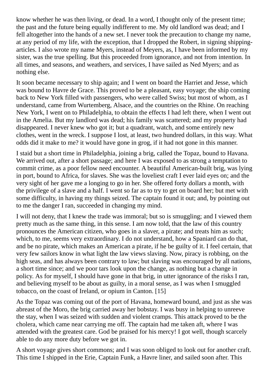know whether he was then living, or dead. In a word, I thought only of the present time; the past and the future being equally indifferent to me. My old landlord was dead; and I fell altogether into the hands of a new set. I never took the precaution to change my name, at any period of my life, with the exception, that I dropped the Robert, in signing shippingarticles. I also wrote my name Myers, instead of Meyers, as, I have been informed by my sister, was the true spelling. But this proceeded from ignorance, and not from intention. In all times, and seasons, and weathers, and services, I have sailed as Ned Myers; and as nothing else.

It soon became necessary to ship again; and I went on board the Harriet and Jesse, which was bound to Havre de Grace. This proved to be a pleasant, easy voyage; the ship coming back to New York filled with passengers, who were called Swiss; but most of whom, as I understand, came from Wurtemberg, Alsace, and the countries on the Rhine. On reaching New York, I went on to Philadelphia, to obtain the effects I had left there, when I went out in the Amelia. But my landlord was dead; his family was scattered; and my property had disappeared. I never knew who got it; but a quadrant, watch, and some entirely new clothes, went in the wreck. I suppose I lost, at least, two hundred dollars, in this way. What odds did it make to me? it would have gone in grog, if it had not gone in this manner.

I staid but a short time in Philadelphia, joining a brig, called the Topaz, bound to Havana. We arrived out, after a short passage; and here I was exposed to as strong a temptation to commit crime, as a poor fellow need encounter. A beautiful American-built brig, was lying in port, bound to Africa, for slaves. She was the loveliest craft I ever laid eyes on; and the very sight of her gave me a longing to go in her. She offered forty dollars a month, with the privilege of a slave and a half. I went so far as to try to get on board her; but met with some difficulty, in having my things seized. The captain found it out; and, by pointing out to me the danger I ran, succeeded in changing my mind.

I will not deny, that I knew the trade was immoral; but so is smuggling; and I viewed them pretty much as the same thing, in this sense. I am now told, that the law of this country pronounces the American citizen, who goes in a slaver, a pirate; and treats him as such; which, to me, seems very extraordinary. I do not understand, how a Spaniard can do that, and be no pirate, which makes an American a pirate, if he be guilty of it. I feel certain, that very few sailors know in what light the law views slaving. Now, piracy is robbing, on the high seas, and has always been contrary to law; but slaving was encouraged by all nations, a short time since; and we poor tars look upon the change, as nothing but a change in policy. As for myself, I should have gone in that brig, in utter ignorance of the risks I ran, and believing myself to be about as guilty, in a moral sense, as I was when I smuggled tobacco, on the coast of Ireland, or opium in Canton. [15]

As the Topaz was coming out of the port of Havana, homeward bound, and just as she was abreast of the Moro, the brig carried away her bobstay. I was busy in helping to unreeve the stay, when I was seized with sudden and violent cramps. This attack proved to be the cholera, which came near carrying me off. The captain had me taken aft, where I was attended with the greatest care. God be praised for his mercy! I got well, though scarcely able to do any more duty before we got in.

A short voyage gives short commons; and I was soon obliged to look out for another craft. This time I shipped in the Erie, Captain Funk, a Havre liner, and sailed soon after. This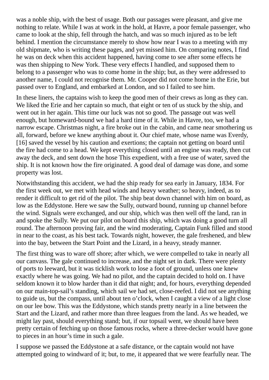was a noble ship, with the best of usage. Both our passages were pleasant, and give me nothing to relate. While I was at work in the hold, at Havre, a poor female passenger, who came to look at the ship, fell through the hatch, and was so much injured as to be left behind. I mention the circumstance merely to show how near I was to a meeting with my old shipmate, who is writing these pages, and yet missed him. On comparing notes, I find he was on deck when this accident happened, having come to see after some effects he was then shipping to New York. These very effects I handled, and supposed them to belong to a passenger who was to come home in the ship; but, as they were addressed to another name, I could not recognise them. Mr. Cooper did not come home in the Erie, but passed over to England, and embarked at London, and so I failed to see him.

In these liners, the captains wish to keep the good men of their crews as long as they can. We liked the Erie and her captain so much, that eight or ten of us stuck by the ship, and went out in her again. This time our luck was not so good. The passage out was well enough, but homeward-bound we had a hard time of it. While in Havre, too, we had a narrow escape. Christmas night, a fire broke out in the cabin, and came near smothering us all, forward, before we knew anything about it. Our chief mate, whose name was Everdy, [16] saved the vessel by his caution and exertions; the captain not getting on board until the fire had come to a head. We kept everything closed until an engine was ready, then cut away the deck, and sent down the hose This expedient, with a free use of water, saved the ship. It is not known how the fire originated. A good deal of damage was done, and some property was lost.

Notwithstanding this accident, we had the ship ready for sea early in January, 1834. For the first week out, we met with head winds and heavy weather; so heavy, indeed, as to render it difficult to get rid of the pilot. The ship beat down channel with him on board, as low as the Eddystone. Here we saw the Sully, outward bound, running up channel before the wind. Signals were exchanged, and our ship, which was then well off the land, ran in and spoke the Sully. We put our pilot on board this ship, which was doing a good turn all round. The afternoon proving fair, and the wind moderating, Captain Funk filled and stood in near to the coast, as his best tack. Towards night, however, the gale freshened, and blew into the bay, between the Start Point and the Lizard, in a heavy, steady manner.

The first thing was to ware off shore; after which, we were compelled to take in nearly all our canvass. The gale continued to increase, and the night set in dark. There were plenty of ports to leeward, but it was ticklish work to lose a foot of ground, unless one knew exactly where he was going. We had no pilot, and the captain decided to hold on. I have seldom known it to blow harder than it did that night; and, for hours, everything depended on our main-top-sail's standing, which sail we had set, close-reefed. I did not see anything to guide us, but the compass, until about ten o'clock, when I caught a view of a light close on our lee bow. This was the Eddystone, which stands pretty nearly in a line between the Start and the Lizard, and rather more than three leagues from the land. As we headed, we might lay past, should everything stand; but, if our topsail went, we should have been pretty certain of fetching up on those famous rocks, where a three-decker would have gone to pieces in an hour's time in such a gale.

I suppose we passed the Eddystone at a safe distance, or the captain would not have attempted going to windward of it; but, to me, it appeared that we were fearfully near. The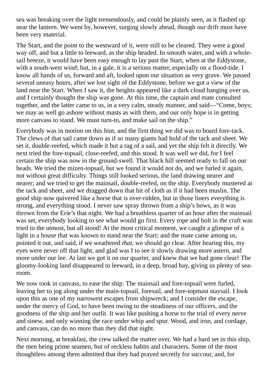sea was breaking over the light tremendously, and could be plainly seen, as it flashed up near the lantern. We went by, however, surging slowly ahead, though our drift must have been very material.

The Start, and the point to the westward of it, were still to be cleared. They were a good way off, and but a little to leeward, as the ship headed. In smooth water, and with a wholesail breeze, it would have been easy enough to lay past the Start, when at the Eddystone, with a south-west wind; but, in a gale, it is a serious matter, especially on a flood-tide. I know all hands of us, forward and aft, looked upon our situation as very grave. We passed several uneasy hours, after we lost sight of the Eddystone, before we got a view of the land near the Start. When I saw it, the heights appeared like a dark cloud hanging over us, and I certainly thought the ship was gone. At this time, the captain and mate consulted together, and the latter came to us, in a very calm, steady manner, and said—"Come, boys; we may as well go ashore without masts as with them, and our only hope is in getting more canvass to stand. We must turn-to, and make sail on the ship."

Everybody was in motion on this hint, and the first thing we did was to board fore-tack. The clews of that sail came down as if so many giants had hold of the tack and sheet. We set it, double-reefed, which made it but a rag of a sail, and yet the ship felt it directly. We next tried the fore-topsail, close-reefed, and this stood. It was well we did, for I feel certain the ship was now in the ground-swell. That black hill seemed ready to fall on our heads. We tried the mizen-topsail, but we found it would not do, and we furled it again, not without great difficulty. Things still looked serious, the land drawing nearer and nearer; and we tried to get the mainsail, double-reefed, on the ship. Everybody mustered at the tack and sheet, and we dragged down that bit of cloth as if it had been muslin. The good ship now quivered like a horse that is over-ridden, but in those liners everything is strong, and everything stood. I never saw spray thrown from a ship's bows, as it was thrown from the Erie's that night. We had a breathless quarter of an hour after the mainsail was set, everybody looking to see what would go first. Every rope and bolt in the craft was tried to the utmost, but all stood! At the most critical moment, we caught a glimpse of a light in a house that was known to stand near the Start; and the mate came among us, pointed it out, and said, if we weathered *that*, we should go clear. After hearing this, my eyes were never off that light, and glad was I to see it slowly drawing more astern, and more under our lee. At last we got it on our quarter, and knew that we had gone clear! The gloomy-looking land disappeared to leeward, in a deep, broad bay, giving us plenty of searoom.

We now took in canvass, to ease the ship. The mainsail and fore-topsail were furled, leaving her to jog along under the main-topsail, foresail, and fore-topmast staysail. I look upon this as one of my narrowest escapes from shipwreck; and I consider the escape, under the mercy of God, to have been owing to the steadiness of our officers, and the goodness of the ship and her outfit. It was like pushing a horse to the trial of every nerve and sinew, and only winning the race under whip and spur. Wood, and iron, and cordage, and canvass, can do no more than they did that night.

Next morning, at breakfast, the crew talked the matter over. We had a hard set in this ship, the men being prime seamen, but of reckless habits and characters. Some of the most thoughtless among them admitted that they had prayed secretly for succour, and, for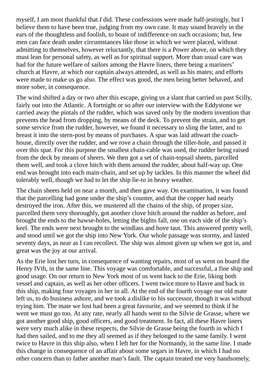myself, I am most thankful that *I* did. These confessions were made half-jestingly, but I believe them to have been true, judging from my own case. It may sound bravely in the ears of the thoughtless and foolish, to boast of indifference on such occasions; but, few men can face death under circumstances like those in which we were placed, without admitting to themselves, however reluctantly, that there is a Power above, on which they must lean for personal safety, as well as for spiritual support. More than usual care was had for the future welfare of sailors among the Havre liners, there being a mariners' church at Havre, at which our captain always attended, as well as his mates; and efforts were made to make us go also. The effect was good, the men being better behaved, and more sober, in consequence.

The wind shifted a day or two after this escape, giving us a slant that carried us past Scilly, fairly out into the Atlantic. A fortnight or so after our interview with the Eddystone we carried away the pintals of the rudder, which was saved only by the modern invention that prevents the head from dropping, by means of the deck. To prevent the strain, and to get some service from the rudder, however, we found it necessary to sling the latter, and to breast it into the stern-post by means of purchases. A spar was laid athwart the coachhouse, directly over the rudder, and we rove a chain through the tiller-hole, and passed it over this spar. For this purpose the smallest chain-cable was used, the rudder being raised from the deck by means of sheers. We then got a set of chain-topsail sheets, parcelled them well, and took a clove hitch with them around the rudder, about half-way up. One end was brought into each main-chain, and set up by tackles. In this manner the wheel did tolerably well, though we had to let the ship lie-to in heavy weather.

The chain sheets held on near a month, and then gave way. On examination, it was found that the parcelling had gone under the ship's counter, and that the copper had nearly destroyed the iron. After this, we mustered all the chains of the ship, of proper size, parcelled them very thoroughly, got another clove hitch around the rudder as before, and brought the ends to the hawse-holes, letting the bights fall, one on each side of the ship's keel. The ends were next brought to the windlass and hove taut. This answered pretty well, and stood until we got the ship into New York. Our whole passage was stormy, and lasted seventy days, as near as I can recollect. The ship was almost given up when we got in, and great was the joy at our arrival.

As the Erie lost her turn, in consequence of wanting repairs, most of us went on board the Henry IVth, in the same line. This voyage was comfortable, and successful, a fine ship and good usage. On our return to New York most of us went back to the Erie, liking both vessel and captain, as well as her other officers. I went twice more to Havre and back in this ship, making four voyages in her in all. At the end of the fourth voyage our old mate left us, to do business ashore, and we took a dislike to his successor, though it was without trying him. The mate we lost had been a great favourite, and we seemed to think if he went we must go too. At any rate, nearly all hands went to the Silvie de Grasse, where we got another good ship, good officers, and good treatment. In fact, all these Havre liners were very much alike in these respects, the Silvie de Grasse being the fourth in which I had then sailed, and to me they all seemed as if they belonged to the same family. I went twice to Havre in this ship also, when I left her for the Normandy, in the same line. I made this change in consequence of an affair about some segars in Havre, in which I had no other concern than to father another man's fault. The captain treated me very handsomely,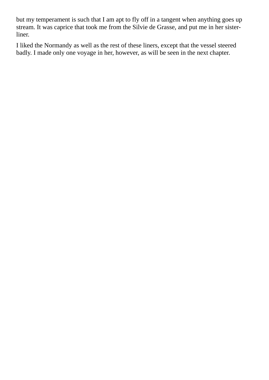but my temperament is such that I am apt to fly off in a tangent when anything goes up stream. It was caprice that took me from the Silvie de Grasse, and put me in her sisterliner.

I liked the Normandy as well as the rest of these liners, except that the vessel steered badly. I made only one voyage in her, however, as will be seen in the next chapter.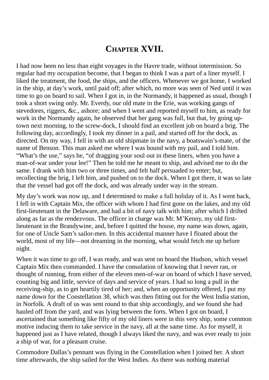## **CHAPTER XVII.**

I had now been no less than eight voyages in the Havre trade, without intermission. So regular had my occupation become, that I began to think I was a part of a liner myself. I liked the treatment, the food, the ships, and the officers. Whenever we got home, I worked in the ship, at day's work, until paid off; after which, no more was seen of Ned until it was time to go on board to sail. When I got in, in the Normandy, it happened as usual, though I took a short swing only. Mr. Everdy, our old mate in the Erie, was working gangs of stevedores, riggers, &c., ashore; and when I went and reported myself to him, as ready for work in the Normandy again, he observed that her gang was full, but that, by going uptown next morning, to the screw-dock, I should find an excellent job on board a brig. The following day, accordingly, I took my dinner in a pail, and started off for the dock, as directed. On my way, I fell in with an old shipmate in the navy, a boatswain's-mate, of the name of Benson. This man asked me where I was bound with my pail, and I told him. "What's the use," says he, "of dragging your soul out in these liners, when you have a man-of-war under your lee!" Then he told me he meant to ship, and advised me to do the same. I drank with him two or three times, and felt half persuaded to enter; but, recollecting the brig, I left him, and pushed on to the dock. When I got there, it was so late that the vessel had got off the dock, and was already under way in the stream.

My day's work was now up, and I determined to make a full holiday of it. As I went back, I fell in with Captain Mix, the officer with whom I had first gone on the lakes, and my old first-lieutenant in the Delaware, and had a bit of navy talk with him; after which I drifted along as far as the rendezvous. The officer in charge was Mr. M'Kenny, my old firstlieutenant in the Brandywine, and, before I quitted the house, my name was down, again, for one of Uncle Sam's sailor-men. In this accidental manner have I floated about the world, most of my life—not dreaming in the morning, what would fetch me up before night.

When it was time to go off, I was ready, and was sent on board the Hudson, which vessel Captain Mix then commanded. I have the consolation of knowing that I never ran, or thought of running, from either of the eleven men-of-war on board of which I have served, counting big and little, service of days and service of years. I had so long a pull in the receiving-ship, as to get heartily tired of her; and, when an opportunity offered, I put my name down for the Constellation 38, which was then fitting out for the West India station, in Norfolk. A draft of us was sent round to that ship accordingly, and we found she had hauled off from the yard, and was lying between the forts. When I got on board, I ascertained that something like fifty of my old liners were in this very ship, some common motive inducing them to take service in the navy, all at the same time. As for myself, it happened just as I have related, though I always liked the navy, and was ever ready to join a ship of war, for a pleasant cruise.

Commodore Dallas's pennant was flying in the Constellation when I joined her. A short time afterwards, the ship sailed for the West Indies. As there was nothing material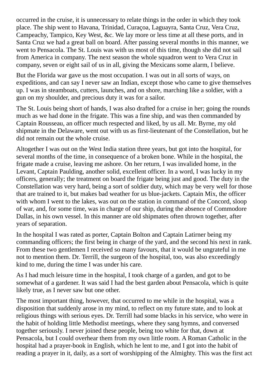occurred in the cruise, it is unnecessary to relate things in the order in which they took place. The ship went to Havana, Trinidad, Curaçoa, Laguayra, Santa Cruz, Vera Cruz, Campeachy, Tampico, Key West, &c. We lay more or less time at all these ports, and in Santa Cruz we had a great ball on board. After passing several months in this manner, we went to Pensacola. The St. Louis was with us most of this time, though she did not sail from America in company. The next season the whole squadron went to Vera Cruz in company, seven or eight sail of us in all, giving the Mexicans some alarm, I believe.

But the Florida war gave us the most occupation. I was out in all sorts of ways, on expeditions, and can say I never saw an Indian, except those who came to give themselves up. I was in steamboats, cutters, launches, and on shore, marching like a soldier, with a gun on my shoulder, and precious duty it was for a sailor.

The St. Louis being short of hands, I was also drafted for a cruise in her; going the rounds much as we had done in the frigate. This was a fine ship, and was then commanded by Captain Rousseau, an officer much respected and liked, by us all. Mr. Byrne, my old shipmate in the Delaware, went out with us as first-lieutenant of the Constellation, but he did not remain out the whole cruise.

Altogether I was out on the West India station three years, but got into the hospital, for several months of the time, in consequence of a broken bone. While in the hospital, the frigate made a cruise, leaving me ashore. On her return, I was invalided home, in the Levant, Captain Paulding, another solid, excellent officer. In a word, I was lucky in my officers, generally; the treatment on board the frigate being just and good. The duty in the Constellation was very hard, being a sort of soldier duty, which may be very well for those that are trained to it, but makes bad weather for us blue-jackets. Captain Mix, the officer with whom I went to the lakes, was out on the station in command of the Concord, sloop of war, and, for some time, was in charge of our ship, during the absence of Commodore Dallas, in his own vessel. In this manner are old shipmates often thrown together, after years of separation.

In the hospital I was rated as porter, Captain Bolton and Captain Latirner being my commanding officers; the first being in charge of the yard, and the second his next in rank. From these two gentlemen I received so many favours, that it would be ungrateful in me not to mention them. Dr. Terrill, the surgeon of the hospital, too, was also exceedingly kind to me, during the time I was under his care.

As I had much leisure time in the hospital, I took charge of a garden, and got to be somewhat of a gardener. It was said I had the best garden about Pensacola, which is quite likely true, as I never saw but one other.

The most important thing, however, that occurred to me while in the hospital, was a disposition that suddenly arose in my mind, to reflect on my future state, and to look at religious things with serious eyes. Dr. Terrill had some blacks in his service, who were in the habit of holding little Methodist meetings, where they sang hymns, and conversed together seriously. I never joined these people, being too white for that, down at Pensacola, but I could overhear them from my own little room. A Roman Catholic in the hospital had a prayer-book in English, which he lent to me, and I got into the habit of reading a prayer in it, daily, as a sort of worshipping of the Almighty. This was the first act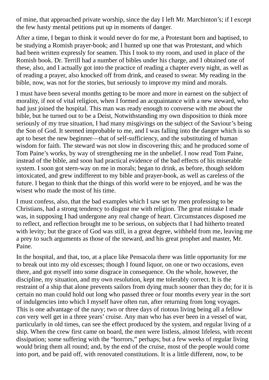of mine, that approached private worship, since the day I left Mr. Marchinton's; if I except the few hasty mental petitions put up in moments of danger.

After a time, I began to think it would never do for me, a Protestant born and baptised, to be studying a Romish prayer-book; and I hunted up one that was Protestant, and which had been written expressly for seamen. This I took to my room, and used in place of the Romish book. Dr. Terrill had a number of bibles under his charge, and I obtained one of these, also, and I actually got into the practice of reading a chapter every night, as well as of reading a prayer, also knocked off from drink, and ceased to swear. My reading in the bible, now, was not for the stories, but seriously to improve my mind and morals.

I must have been several months getting to be more and more in earnest on the subject of morality, if not of vital religion, when I formed an acquaintance with a new steward, who had just joined the hospital. This man was ready enough to converse with me about the bible, but he turned out to be a Deist, Notwithstanding my own disposition to think more seriously of my true situation, I had many misgivings on the subject of the Saviour's being the Son of God. It seemed improbable to me, and I was falling into the danger which is so apt to beset the new beginner—that of self-sufficiency, and the substituting of human wisdom for faith. The steward was not slow in discovering this; and he produced some of Tom Paine's works, by way of strengthening me in the unbelief. I now read Tom Paine, instead of the bible, and soon had practical evidence of the bad effects of his miserable system. I soon got stern-way on me in morals; began to drink, as before, though seldom intoxicated, and grew indifferent to my bible and prayer-book, as well as careless of the future. I began to think that the things of this world were to be enjoyed, and he was the wisest who made the most of his time.

I must confess, also, that the bad examples which I saw set by men professing to be Christians, had a strong tendency to disgust me with religion. The great mistake I made was, in supposing I had undergone any real change of heart. Circumstances disposed me to reflect, and reflection brought me to be serious, on subjects that I had hitherto treated with levity; but the grace of God was still, in a great degree, withheld from me, leaving me a prey to such arguments as those of the steward, and his great prophet and master, Mr. Paine.

In the hospital, and that, too, at a place like Pensacola there was little opportunity for me to break out into my old excesses; though I found liquor, on one or two occasions, even there, and got myself into some disgrace in consequence. On the whole, however, the discipline, my situation, and my own resolution, kept me tolerably correct. It is the restraint of a ship that alone prevents sailors from dying much sooner than they do; for it is certain no man could hold out long who passed three or four months every year in the sort of indulgencies into which I myself have often run, after returning from long voyages. This is one advantage of the navy; two or three days of riotous living being all a fellow *can* very well get in a three years' cruise. Any man who has ever been in a vessel of war, particularly in old times, can see the effect produced by the system, and regular living of a ship. When the crew first came on board, the men were listless, almost lifeless, with recent dissipation; some suffering with the "horrors," perhaps; but a few weeks of regular living would bring them all round; and, by the end of the cruise, most of the people would come into port, and be paid off, with renovated constitutions. It is a little different, now, to be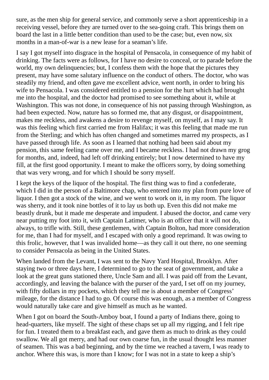sure, as the men ship for general service, and commonly serve a short apprenticeship in a receiving vessel, before they are turned over to the sea-going craft. This brings them on board the last in a little better condition than used to be the case; but, even now, six months in a man-of-war is a new lease for a seaman's life.

I say I got myself into disgrace in the hospital of Pensacola, in consequence of my habit of drinking. The facts were as follows, for I have no desire to conceal, or to parade before the world, my own delinquencies; but, I confess them with the hope that the pictures they present, may have some salutary influence on the conduct of others. The doctor, who was steadily my friend, and often gave me excellent advice, went north, in order to bring his wife to Pensacola. I was considered entitled to a pension for the hurt which had brought me into the hospital, and the doctor had promised to see something about it, while at Washington. This was not done, in consequence of his not passing through Washington, as had been expected. Now, nature has so formed me, that any disgust, or disappointment, makes me reckless, and awakens a desire to revenge myself, on myself, as I may say. It was this feeling which first carried me from Halifax; it was this feeling that made me run from the Sterling; and which has often changed and sometimes marred my prospects, as I have passed through life. As soon as I learned that nothing had been said about my pension, this same feeling came over me, and I became reckless. I had not drawn my grog for months, and, indeed, had left off drinking entirely; but I now determined to have my fill, at the first good opportunity. I meant to make the officers sorry, by doing something that was very wrong, and for which I should be sorry myself.

I kept the keys of the liquor of the hospital. The first thing was to find a confederate, which I did in the person of a Baltimore chap, who entered into my plan from pure love of liquor. I then got a stock of the wine, and we went to work on it, in my room. The liquor was sherry, and it took nine bottles of it to lay us both up. Even this did not make me beastly drunk, but it made me desperate and impudent. I abused the doctor, and came very near putting my foot into it, with Captain Latimer, who is an officer that it will not do, always, to trifle with. Still, these gentlemen, with Captain Bolton, had more consideration for me, than I had for myself, and I escaped with only a good reprimand. It was owing to this frolic, however, that I was invalided home—as they call it out there, no one seeming to consider Pensacola as being in the United States.

When landed from the Levant, I was sent to the Navy Yard Hospital, Brooklyn. After staying two or three days here, I determined to go to the seat of government, and take a look at the great guns stationed there, Uncle Sam and all. I was paid off from the Levant, accordingly, and leaving the balance with the purser of the yard, I set off on my journey, with fifty dollars in my pockets, which they tell me is about a member of Congress' mileage, for the distance I had to go. Of course this was enough, as a member of Congress would naturally take care and give himself as much as he wanted.

When I got on board the South-Amboy boat, I found a party of Indians there, going to head-quarters, like myself. The sight of these chaps set up all my rigging, and I felt ripe for fun. I treated them to a breakfast each, and gave them as much to drink as they could swallow. We all got merry, and had our own coarse fun, in the usual thought less manner of seamen. This was a bad beginning, and by the time we reached a tavern, I was ready to anchor. Where this was, is more than I know; for I was not in a state to keep a ship's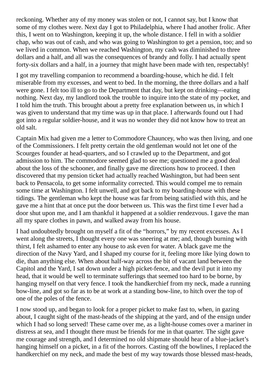reckoning. Whether any of my money was stolen or not, I cannot say, but I know that some of my clothes were. Next day I got to Philadelphia, where I had another frolic. After this, I went on to Washington, keeping it up, the whole distance. I fell in with a soldier chap, who was out of cash, and who was going to Washington to get a pension, too; and so we lived in common. When we reached Washington, my cash was diminished to three dollars and a half, and all was the consequences of brandy and folly. I had actually spent forty-six dollars and a half, in a journey that might have been made with ten, respectably!

I got my travelling companion to recommend a boarding-house, which he did. I felt miserable from my excesses, and went to bed. In the morning, the three dollars and a half were gone. I felt too ill to go to the Department that day, but kept on drinking—eating nothing. Next day, my landlord took the trouble to inquire into the state of my pocket, and I told him the truth. This brought about a pretty free explanation between us, in which I was given to understand that my time was up in that place. I afterwards found out I had got into a regular soldier-house, and it was no wonder they did not know how to treat an old salt.

Captain Mix had given me a letter to Commodore Chauncey, who was then living, and one of the Commissioners. I felt pretty certain the old gentleman would not let one of the Scourges founder at head-quarters, and so I crawled up to the Department, and got admission to him. The commodore seemed glad to see me; questioned me a good deal about the loss of the schooner, and finally gave me directions how to proceed. I then discovered that my pension ticket had actually reached Washington, but had been sent back to Pensacola, to get some informality corrected. This would compel me to remain some time at Washington. I felt unwell, and got back to my boarding-house with these tidings. The gentleman who kept the house was far from being satisfied with this, and he gave me a hint that at once put the door between us. This was the first time I ever had a door shut upon me, and I am thankful it happened at a soldier rendezvous. I gave the man all my spare clothes in pawn, and walked away from his house.

I had undoubtedly brought on myself a fit of the "horrors," by my recent excesses. As I went along the streets, I thought every one was sneering at me; and, though burning with thirst, I felt ashamed to enter any house to ask even for water. A black gave me the direction of the Navy Yard, and I shaped my course for it, feeling more like lying down to die, than anything else. When about half-way across the bit of vacant land between the Capitol and the Yard, I sat down under a high picket-fence, and the devil put it into my head, that it would be well to terminate sufferings that seemed too hard to be borne, by hanging myself on that very fence. I took the handkerchief from my neck, made a running bow-line, and got so far as to be at work at a standing bow-line, to hitch over the top of one of the poles of the fence.

I now stood up, and began to look for a proper picket to make fast to, when, in gazing about, I caught sight of the mast-heads of the shipping at the yard, and of the ensign under which I had so long served! These came over me, as a light-house comes over a mariner in distress at sea, and I thought there must be friends for me in that quarter. The sight gave me courage and strength, and I determined no old shipmate should hear of a blue-jacket's hanging himself on a picket, in a fit of the horrors. Casting off the bowlines, I replaced the handkerchief on my neck, and made the best of my way towards those blessed mast-heads,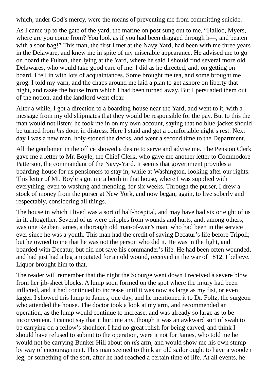which, under God's mercy, were the means of preventing me from committing suicide.

As I came up to the gate of the yard, the marine on post sung out to me, "Halloo, Myers, where are you come from? You look as if you had been dragged through h—, and beaten with a soot-bag!" This man, the first I met at the Navy Yard, had been with me three years in the Delaware, and knew me in spite of my miserable appearance. He advised me to go on board the Fulton, then lying at the Yard, where he said I should find several more old Delawares, who would take good care of me. I did as he directed, and, on getting on board, I fell in with lots of acquaintances. Some brought me tea, and some brought me grog. I told my yarn, and the chaps around me laid a plan to get ashore on liberty that night, and razée the house from which I had been turned away. But I persuaded them out of the notion, and the landlord went clear.

Alter a while, I got a direction to a boarding-house near the Yard, and went to it, with a message from my old shipmates that they would be responsible for the pay. But to this the man would not listen; he took me in on my own account, saying that no blue-jacket should be turned from *his* door, in distress. Here I staid and got a comfortable night's rest. Next day I was a new man, holy-stoned the decks, and went a second time to the Department.

All the gentlemen in the office showed a desire to serve and advise me. The Pension Clerk gave me a letter to Mr. Boyle, the Chief Clerk, who gave me another letter to Commodore Patterson, the commandant of the Navy-Yard. It seems that government provides a boarding-house for us pensioners to stay in, while at Washington, looking after our rights. This letter of Mr. Boyle's got me a berth in that house, where I was supplied with everything, even to washing and mending, for six weeks. Through the purser, I drew a stock of money from the purser at New York, and now began, again, to live soberly and respectably, considering all things.

The house in which I lived was a sort of half-hospital, and may have had six or eight of us in it, altogether. Several of us were cripples from wounds and hurts, and, among others, was one Reuben James, a thorough old man-of-war's man, who had been in the service ever since he was a youth. This man had the credit of saving Decatur's life before Tripoli; but he owned to me that he was not the person who did it. He was in the fight, and boarded with Decatur, but did not save his commander's life. He had been often wounded, and had just had a leg amputated for an old wound, received in the war of 1812, I believe. Liquor brought him to that.

The reader will remember that the night the Scourge went down I received a severe blow from her jib-sheet blocks. A lump soon formed on the spot where the injury had been inflicted, and it had continued to increase until it was now as large as my fist, or even larger. I showed this lump to James, one day, and he mentioned it to Dr. Foltz, the surgeon who attended the house. The doctor took a look at my arm, and recommended an operation, as the lump would continue to increase, and was already so large as to be inconvenient. I cannot say that it hurt me any, though it was an awkward sort of swab to be carrying on a fellow's shoulder. I had no great relish for being carved, and think I should have refused to submit to the operation, were it not for James, who told me he would not be carrying Bunker Hill about on *his* arm, and would show me his own stump by way of encouragement. This man seemed to think an old sailor ought to have a wooden leg, or something of the sort, after he had reached a certain time of life. At all events, he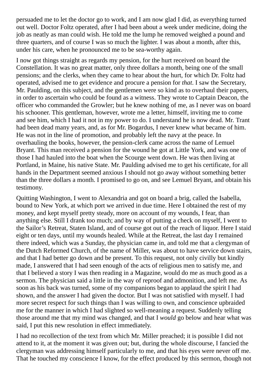persuaded me to let the doctor go to work, and I am now glad I did, as everything turned out well. Doctor Foltz operated, after I had been about a week under medicine, doing the job as neatly as man could wish. He told me the lump he removed weighed a pound and three quarters, and of course I was so much the lighter. I was about a month, after this, under his care, when he pronounced me to be sea-worthy again.

I now got things straight as regards my pension, for the hurt received on board the Constellation. It was no great matter, only three dollars a month, being one of the small pensions; and the clerks, when they came to hear about the hurt, for which Dr. Foltz had operated, advised me to get evidence and procure a pension for *that*. I saw the Secretary, Mr. Paulding, on this subject, and the gentlemen were so kind as to overhaul their papers, in order to ascertain who could be found as a witness. They wrote to Captain Deacon, the officer who commanded the Growler; but he knew nothing of me, as I never was on board his schooner. This gentleman, however, wrote me a letter, himself, inviting me to come and see him, which I had it not in my power to do. I understand he is now dead. Mr. Trant had been dead many years, and, as for Mr. Bogardus, I never knew what became of him. He was not in the line of promotion, and probably left the navy at the peace. In overhauling the books, however, the pension-clerk came across the name of Lemuel Bryant. This man received a pension for the wound he got at Little York, and was one of those I had hauled into the boat when the Scourge went down. He was then living at Portland, in Maine, his native State. Mr. Paulding advised me to get his certificate, for all hands in the Department seemed anxious I should not go away without something better than the three dollars a month. I promised to go on, and see Lemuel Bryant, and obtain his testimony.

Quitting Washington, I went to Alexandria and got on board a brig, called the Isabella, bound to New York, at which port we arrived in due time. Here I obtained the rest of my money, and kept myself pretty steady, more on account of my wounds, I fear, than anything else. Still I drank too much; and by way of putting a check on myself, I went to the Sailor's Retreat, Staten Island, and of course got out of the reach of liquor. Here I staid eight or ten days, until my wounds healed. While at the Retreat, the last day I remained there indeed, which was a Sunday, the physician came in, and told me that a clergyman of the Dutch Reformed Church, of the name of Miller, was about to have service down stairs, and that I had better go down and be present. To this request, not only civilly but kindly made, I answered that I had seen enough of the acts of religious men to satisfy me, and that I believed a story I was then reading in a Magazine, would do me as much good as a sermon. The physician said a little in the way of reproof and admonition, and left me. As soon as his back was turned, some of my companions began to applaud the spirit I had shown, and the answer I had given the doctor. But I was not satisfied with myself. I had more secret respect for such things than I was willing to own, and conscience upbraided me for the manner in which I had slighted so well-meaning a request. Suddenly telling those around me that my mind was changed, and that I *would* go below and hear what was said, I put this new resolution in effect immediately.

I had no recollection of the text from which Mr. Miller preached; it is possible I did not attend to it, at the moment it was given out; but, during the whole discourse, I fancied the clergyman was addressing himself particularly to me, and that his eyes were never off me. That he touched my conscience I know, for the effect produced by this sermon, though not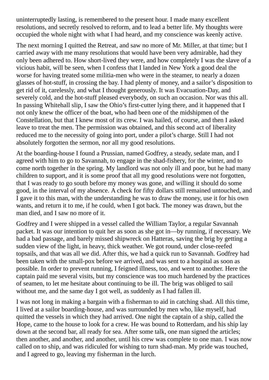uninterruptedly lasting, is remembered to the present hour. I made many excellent resolutions, and secretly resolved to reform, and to lead a better life. My thoughts were occupied the whole night with what I had heard, and my conscience was keenly active.

The next morning I quitted the Retreat, and saw no more of Mr. Miller, at that time; but I carried away with me many resolutions that would have been very admirable, had they only been adhered to. How short-lived they were, and how completely I was the slave of a vicious habit, will be seen, when I confess that I landed in New York a good deal the worse for having treated some militia-men who were in the steamer, to nearly a dozen glasses of hot-stuff, in crossing the bay. I had plenty of money, and a sailor's disposition to get rid of it, carelessly, and what I thought generously. It was Evacuation-Day, and severely cold, and the hot-stuff pleased everybody, on such an occasion. Nor was this all. In passing Whitehall slip, I saw the Ohio's first-cutter lying there, and it happened that I not only knew the officer of the boat, who had been one of the midshipmen of the Constellation, but that I knew most of its crew. I was hailed, of course, and then I asked leave to treat the men. The permission was obtained, and this second act of liberality reduced me to the necessity of going into port, under a pilot's charge. Still I had not absolutely forgotten the sermon, nor all my good resolutions.

At the boarding-house I found a Prussian, named Godfrey, a steady, sedate man, and I agreed with him to go to Savannah, to engage in the shad-fishery, for the winter, and to come north together in the spring. My landlord was not only ill and poor, but he had many children to support, and it is some proof that all my good resolutions were not forgotten, that I was ready to go south before my money was gone, and willing it should do some good, in the interval of my absence. A check for fifty dollars still remained untouched, and I gave it to this man, with the understanding he was to draw the money, use it for his own wants, and return it to me, if he could, when I got back. The money was drawn, but the man died, and I saw no more of it.

Godfrey and I were shipped in a vessel called the William Taylor, a regular Savannah packet. It was our intention to quit her as soon as she got in—by running, if necessary. We had a bad passage, and barely missed shipwreck on Hatteras, saving the brig by getting a sudden view of the light, in heavy, thick weather. We got round, under close-reefed topsails, and that was all we did. After this, we had a quick run to Savannah. Godfrey had been taken with the small-pox before we arrived, and was sent to a hospital as soon as possible. In order to prevent running, I feigned illness, too, and went to another. Here the captain paid me several visits, but my conscience was too much hardened by the practices of seamen, to let me hesitate about continuing to be ill. The brig was obliged to sail without me, and the same day I got well, as suddenly as I had fallen ill.

I was not long in making a bargain with a fisherman to aid in catching shad. All this time, I lived at a sailor boarding-house, and was surrounded by men who, like myself, had quitted the vessels in which they had arrived. One night the captain of a ship, called the Hope, came to the house to look for a crew. He was bound to Rotterdam, and his ship lay down at the second bar, all ready for sea. After some talk, one man signed the articles; then another, and another, and another, until his crew was complete to one man. I was now called on to ship, and was ridiculed for wishing to turn shad-man. My pride was touched, and I agreed to go, leaving my fisherman in the lurch.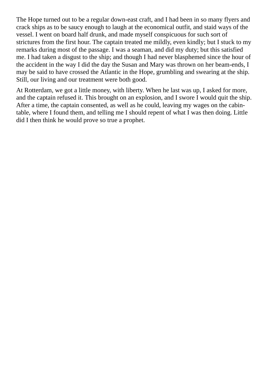The Hope turned out to be a regular down-east craft, and I had been in so many flyers and crack ships as to be saucy enough to laugh at the economical outfit, and staid ways of the vessel. I went on board half drunk, and made myself conspicuous for such sort of strictures from the first hour. The captain treated me mildly, even kindly; but I stuck to my remarks during most of the passage. I was a seaman, and did my duty; but this satisfied me. I had taken a disgust to the ship; and though I had never blasphemed since the hour of the accident in the way I did the day the Susan and Mary was thrown on her beam-ends, I may be said to have crossed the Atlantic in the Hope, grumbling and swearing at the ship. Still, our living and our treatment were both good.

At Rotterdam, we got a little money, with liberty. When he last was up, I asked for more, and the captain refused it. This brought on an explosion, and I swore I would quit the ship. After a time, the captain consented, as well as he could, leaving my wages on the cabintable, where I found them, and telling me I should repent of what I was then doing. Little did I then think he would prove so true a prophet.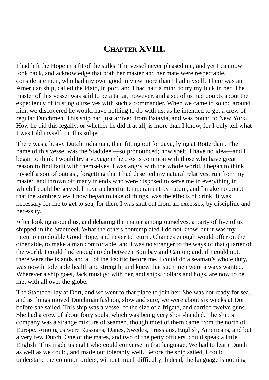## **CHAPTER XVIII.**

I had left the Hope in a fit of the sulks. The vessel never pleased me, and yet I can now look back, and acknowledge that both her master and her mate were respectable, considerate men, who had my own good in view more than I had myself. There was an American ship, called the Plato, in port, and I had half a mind to try my luck in her. The master of this vessel was said to be a tartar, however, and a set of us had doubts about the expediency of trusting ourselves with such a commander. When we came to sound around him, we discovered he would have nothing to do with us, as he intended to get a crew of regular Dutchmen. This ship had just arrived from Batavia, and was bound to New York. How he did this legally, or whether he did it at all, is more than I know, for I only tell what I was told myself, on this subject.

There was a heavy Dutch Indiaman, then fitting out for Java, lying at Rotterdam. The name of this vessel was the Stadtdeel—so pronounced; how spelt, I have no idea—and I began to think I would try a voyage in her. As is common with those who have great reason to find fault with themselves, I was angry with the whole world. I began to think myself a sort of outcast, forgetting that I had deserted my natural relatives, run from my master, and thrown off many friends who were disposed to serve me in everything in which I could be served. I have a cheerful temperament by nature, and I make no doubt that the sombre view I now began to take of things, was the effects of drink. It was necessary for me to get to sea, for there I was shut out from all excesses, by discipline and necessity.

After looking around us, and debating the matter among ourselves, a party of five of us shipped in the Stadtdeel. What the others contemplated I do not know, but it was my intention to double Good Hope, and never to return. Chances enough would offer on the other side, to make a man comfortable, and I was no stranger to the ways of that quarter of the world. I could find enough to do between Bombay and Canton; and, if I could not, there were the islands and all of the Pacific before me. I could do a seaman's whole duty, was now in tolerable health and strength, and knew that such men were always wanted. Wherever a ship goes, Jack must go with her, and ships, dollars and hogs, are now to be met with all over the globe.

The Stadtdeel lay at Dort, and we went to that place to join her. She was not ready for sea, and as things moved Dutchman fashion, slow and sure, we were about six weeks at Dort before she sailed. This ship was a vessel of the size of a frigate, and carried twelve guns. She had a crew of about forty souls, which was being very short-handed. The ship's company was a strange mixture of seamen, though most of them came from the north of Europe. Among us were Russians, Danes, Swedes, Prussians, English, Americans, and but a very few Dutch. One of the mates, and two of the petty officers, could speak a little English. This made us eight who could converse in that language. We had to learn Dutch as well as we could, and made out tolerably well. Before the ship sailed, I could understand the common orders, without much difficulty. Indeed, the language is nothing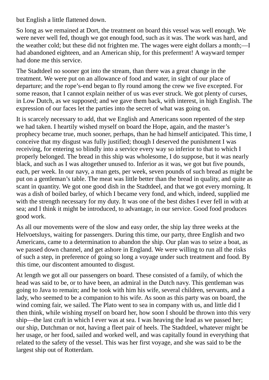but English a little flattened down.

So long as we remained at Dort, the treatment on board this vessel was well enough. We were never well fed, though we got enough food, such as it was. The work was hard, and the weather cold; but these did not frighten me. The wages were eight dollars a month;—I had abandoned eighteen, and an American ship, for this preferment! A wayward temper had done me this service.

The Stadtdeel no sooner got into the stream, than there was a great change in the treatment. We were put on an allowance of food and water, in sight of our place of departure; and the rope's-end began to fly round among the crew we five excepted. For some reason, that I cannot explain neither of us was ever struck. We got plenty of curses, in Low Dutch, as we supposed; and we gave them back, with interest, in high English. The expression of our faces let the parties into the secret of what was going on.

It is scarcely necessary to add, that we English and Americans soon repented of the step we had taken. I heartily wished myself on board the Hope, again, and the master's prophecy became true, much sooner, perhaps, than he had himself anticipated. This time, I conceive that my disgust was fully justified; though I deserved the punishment I was receiving, for entering so blindly into a service every way so inferior to that to which I properly belonged. The bread in this ship was wholesome, I do suppose, but it was nearly black, and such as I was altogether unused to. Inferior as it was, we got but five pounds, each, per week. In our navy, a man gets, per week, seven pounds of such bread as might be put on a gentleman's table. The meat was little better than the bread in quality, and quite as scant in quantity. We got one good dish in the Stadtdeel, and that we got every morning. It was a dish of boiled barley, of which I became very fond, and which, indeed, supplied me with the strength necessary for my duty. It was one of the best dishes I ever fell in with at sea; and I think it might be introduced, to advantage, in our service. Good food produces good work.

As all our movements were of the slow and easy order, the ship lay three weeks at the Helvoetsluys, waiting for passengers. During this time, our party, three English and two Americans, came to a determination to abandon the ship. Our plan was to seize a boat, as we passed down channel, and get ashore in England. We were willing to run all the risks of such a step, in preference of going so long a voyage under such treatment and food. By this time, our discontent amounted to disgust.

At length we got all our passengers on board. These consisted of a family, of which the head was said to be, or to have been, an admiral in the Dutch navy. This gentleman was going to Java to remain; and he took with him his wife, several children, servants, and a lady, who seemed to be a companion to his wife. As soon as this party was on board, the wind coming fair, we sailed. The Plato went to sea in company with us, and little did I then think, while wishing myself on board her, how soon I should be thrown into this very ship—the last craft in which I ever was at sea. I was heaving the lead as we passed her; our ship, Dutchman or not, having a fleet pair of heels. The Stadtdeel, whatever might be her usage, or her food, sailed and worked well, and was capitally found in everything that related to the safety of the vessel. This was her first voyage, and she was said to be the largest ship out of Rotterdam.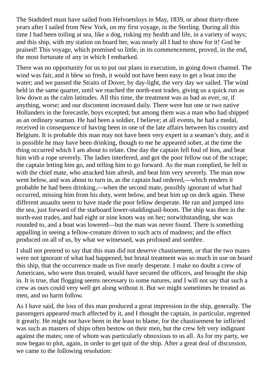The Stadtdeel must have sailed from Helvoetsluys in May, 1839, or about thirty-three years after I sailed from New York, on my first voyage, in the Sterling. During all this time I had been toiling at sea, like a dog, risking my health and life, in a variety of ways; and this ship, with my station on board her, was nearly all I had to show for it! God be praised! This voyage, which promised so little, in its commencement, proved, in the end, the most fortunate of any in which I embarked.

There was no opportunity for us to put our plans in execution, in going down channel. The wind was fair, and it blew so fresh, it would not have been easy to get a boat into the water; and we passed the Straits of Dover, by day-light, the very day we sailed. The wind held in the same quarter, until we reached the north-east trades, giving us a quick run as low down as the calm latitudes. All this time, the treatment was as bad as ever, or, if anything, worse; and our discontent increased daily. There were but one or two native Hollanders in the forecastle, boys excepted; but among them was a man who had shipped as an ordinary seaman. He had been a soldier, I believe; at all events, he had a medal, received in consequence of having been in one of the late affairs between his country and Belgium. It is probable this man may not have been very expert in a seaman's duty, and it is possible he may have been drinking, though to me he appeared sober, at the time the thing occurred which I am about to relate. One day the captain fell foul of him, and beat him with a rope severely. The ladies interfered, and got the poor fellow out of the scrape; the captain letting him go, and telling him to go forward. As the man complied, he fell in with the chief mate, who attacked him afresh, and beat him very severely. The man now went below, and was about to turn in, as the captain had ordered,—which renders it probable he had been drinking,—when the second mate, possibly ignorant of what had occurred, missing him from his duty, went below, and beat him up on deck again. These different assaults seem to have made the poor fellow desperate. He ran and jumped into the sea, just forward of the starboard lower-studdingsail-boom. The ship was then in the north-east trades, and had eight or nine knots way on her; notwithstanding, she was rounded to, and a boat was lowered—but the man was never found. There is something appalling in seeing a fellow-creature driven to such acts of madness; and the effect produced on all of us, by what we witnessed, was profound and sombre.

I shall not pretend to say that this man did not deserve chastisement, or that the two mates were not ignorant of what had happened; but brutal treatment was so much in use on board this ship, that the occurrence made us five nearly desperate. I make no doubt a crew of Americans, who were thus treated, would have secured the officers, and brought the ship in. It is true, that flogging seems necessary to some natures, and I will not say that such a crew as ours could very well get along without it. But we might sometimes be treated as men, and no harm follow.

As I have said, the loss of this man produced a great impression in the ship, generally. The passengers appeared much affected by it, and I thought the captain, in particular, regretted it greatly. He might not have been in the least to blame, for the chastisement he inflicted was such as masters of ships often bestow on their men, but the crew felt very indignant against the mates; one of whom was particularly obnoxious to us all. As for my party, we now began to plot, again, in order to get quit of the ship. After a great deal of discussion, we came to the following resolution: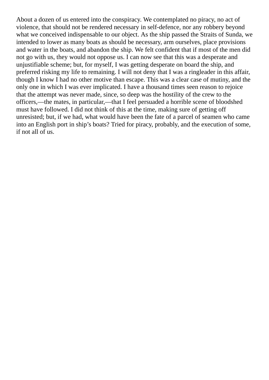About a dozen of us entered into the conspiracy. We contemplated no piracy, no act of violence, that should not be rendered necessary in self-defence, nor any robbery beyond what we conceived indispensable to our object. As the ship passed the Straits of Sunda, we intended to lower as many boats as should be necessary, arm ourselves, place provisions and water in the boats, and abandon the ship. We felt confident that if most of the men did not go with us, they would not oppose us. I can now see that this was a desperate and unjustifiable scheme; but, for myself, I was getting desperate on board the ship, and preferred risking my life to remaining. I will not deny that I was a ringleader in this affair, though I know I had no other motive than escape. This was a clear case of mutiny, and the only one in which I was ever implicated. I have a thousand times seen reason to rejoice that the attempt was never made, since, so deep was the hostility of the crew to the officers,—the mates, in particular,—that I feel persuaded a horrible scene of bloodshed must have followed. I did not think of this at the time, making sure of getting off unresisted; but, if we had, what would have been the fate of a parcel of seamen who came into an English port in ship's boats? Tried for piracy, probably, and the execution of some, if not all of us.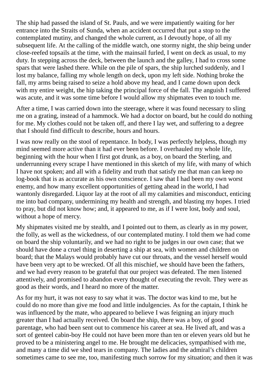The ship had passed the island of St. Pauls, and we were impatiently waiting for her entrance into the Straits of Sunda, when an accident occurred that put a stop to the contemplated mutiny, and changed the whole current, as I devoutly hope, of all my subsequent life. At the calling of the middle watch, one stormy night, the ship being under close-reefed topsails at the time, with the mainsail furled, I went on deck as usual, to my duty. In stepping across the deck, between the launch and the galley, I had to cross some spars that were lashed there. While on the pile of spars, the ship lurched suddenly, and I lost my balance, falling my whole length on deck, upon my left side. Nothing broke the fall, my arms being raised to seize a hold above my head, and I came down upon deck with my entire weight, the hip taking the principal force of the fall. The anguish I suffered was acute, and it was some time before I would allow my shipmates even to touch me.

After a time, I was carried down into the steerage, where it was found necessary to sling me on a grating, instead of a hammock. We had a doctor on board, but he could do nothing for me. My clothes could not be taken off, and there I lay wet, and suffering to a degree that I should find difficult to describe, hours and hours.

I was now really on the stool of repentance. In body, I was perfectly helpless, though my mind seemed more active than it had ever been before. I overhauled my whole life, beginning with the hour when I first got drunk, as a boy, on board the Sterling, and underrunning every scrape I have mentioned in this sketch of my life, with many of which I have not spoken; and all with a fidelity and truth that satisfy me that man can keep no log-book that is as accurate as his own conscience. I saw that I had been my own worst enemy, and how many excellent opportunities of getting ahead in the world, I had wantonly disregarded. Liquor lay at the root of all my calamities and misconduct, enticing me into bad company, undermining my health and strength, and blasting my hopes. I tried to pray, but did not know how; and, it appeared to me, as if I were lost, body and soul, without a hope of mercy.

My shipmates visited me by stealth, and I pointed out to them, as clearly as in my power, the folly, as well as the wickedness, of our contemplated mutiny. I told them we had come on board the ship voluntarily, and we had no right to be judges in our own case; that we should have done a cruel thing in deserting a ship at sea, with women and children on board; that the Malays would probably have cut our throats, and the vessel herself would have been very apt to be wrecked. Of all this mischief, we should have been the fathers, and we had every reason to be grateful that our project was defeated. The men listened attentively, and promised to abandon every thought of executing the revolt. They were as good as their words, and I heard no more of the matter.

As for my hurt, it was not easy to say what it was. The doctor was kind to me, but he could do no more than give me food and little indulgencies. As for the captain, I think he was influenced by the mate, who appeared to believe I was feigning an injury much greater than I had actually received. On board the ship, there was a boy, of good parentage, who had been sent out to commence his career at sea. He lived aft, and was a sort of genteel cabin-boy He could not have been more than ten or eleven years old but he proved to be a ministering angel to me. He brought me delicacies, sympathised with me, and many a time did we shed tears in company. The ladies and the admiral's children sometimes came to see me, too, manifesting much sorrow for my situation; and then it was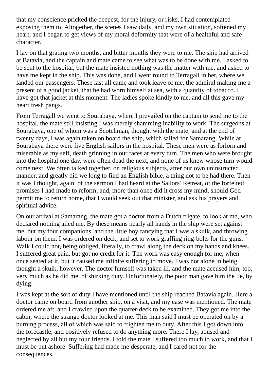that my conscience pricked the deepest, for the injury, or risks, I had contemplated exposing them to. Altogether, the scenes I saw daily, and my own situation, softened my heart, and I began to get views of my moral deformity that were of a healthful and safe character.

I lay on that grating two months, and bitter months they were to me. The ship had arrived at Batavia, and the captain and mate came to see what was to be done with me. I asked to be sent to the hospital, but the mate insisted nothing was the matter with me, and asked to have me kept in the ship. This was done, and I went round to Terragall in her, where we landed our passengers. These last all came and took leave of me, the admiral making me a present of a good jacket, that he had worn himself at sea, with a quantity of tobacco. I have got that jacket at this moment. The ladies spoke kindly to me, and all this gave my heart fresh pangs.

From Terragall we went to Sourabaya, where I prevailed on the captain to send me to the hospital, the mate still insisting I was merely shamming inability to work. The surgeons at Sourabaya, one of whom was a Scotchman, thought with the mate; and at the end of twenty days, I was again taken on board the ship, which sailed for Samarang. While at Sourabaya there were five English sailors in the hospital. These men were as forlorn and miserable as my self, death grinning in our faces at every turn. The men who were brought into the hospital one day, were often dead the next, and none of us knew whose turn would come next. We often talked together, on religious subjects, after our own uninstructed manner, and greatly did we long to find an English bible, a thing not to be had there. Then it was I thought, again, of the sermon I had heard at the Sailors' Retreat, of the forfeited promises I had made to reform; and, more than once did it cross my mind, should God permit me to return home, that I would seek out that minister, and ask his prayers and spiritual advice.

On our arrival at Samarang, the mate got a doctor from a Dutch frigate, to look at me, who declared nothing ailed me. By these means nearly all hands in the ship were set against me, but my four companions, and the little boy fancying that I was a skulk, and throwing labour on them. I was ordered on deck, and set to work graffing ring-bolts for the guns. Walk I could not, being obliged, literally, to crawl along the deck on my hands and knees. I suffered great pain, but got no credit for it. The work was easy enough for me, when once seated at it, but it caused me infinite suffering to move. I was not alone in being thought a skulk, however. The doctor himself was taken ill, and the mate accused him, too, very much as he did me, of shirking duty. Unfortunately, the poor man gave him the lie, by dying.

I was kept at the sort of duty I have mentioned until the ship reached Batavia again. Here a doctor came on board from another ship, on a visit, and my case was mentioned. The mate ordered me aft, and I crawled upon the quarter-deck to be examined. They got me into the cabin, where the strange doctor looked at me. This man said I must be operated on by a burning process, all of which was said to frighten me to duty. After this I got down into the forecastle, and positively refused to do anything more. There I lay, abused and neglected by all but my four friends. I told the mate I suffered too much to work, and that I must be put ashore. Suffering had made me desperate, and I cared not for the consequences.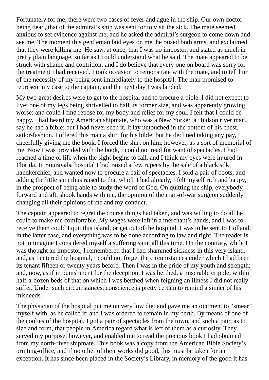Fortunately for me, there were two cases of fever and ague in the ship. Our own doctor being dead, that of the admiral's ship was sent for to visit the sick. The mate seemed anxious to set evidence against me, and he asked the admiral's surgeon to come down and see me. The moment this gentleman laid eyes on me, he raised both arms, and exclaimed that they were killing me. He saw, at once, that I was no impostor, and stated as much in pretty plain language, so far as I could understand what he said. The mate appeared to be struck with shame and contrition; and I do believe that every one on board was sorry for the treatment I had received. I took occasion to remonstrate with the mate, and to tell him of the necessity of my being sent immediately to the hospital. The man promised to represent my case to the captain, and the next day I was landed.

My two great desires were to get to the hospital and to procure a bible. I did not expect to live; one of my legs being shrivelled to half its former size, and was apparently growing worse; and could I find repose for my body and relief for my soul, I felt that I could be happy. I had heard my American shipmate, who was a New Yorker, a Hudson river man, say he had a bible; but I had never seen it. It lay untouched in the bottom of his chest, sailor-fashion. I offered this man a shirt for his bible; but he declined taking any pay, cheerfully giving me the book. I forced the shirt on him, however, as a sort of memorial of me. Now I was provided with the book, I could not read for want of spectacles. I had reached a time of life when the sight begins to fail, and I think my eyes were injured in Florida. In Sourayaba hospital I had raised a few rupees by the sale of a black silk handkerchief, and wanted now to procure a pair of spectacles. I sold a pair of boots, and adding the little sum thus raised to that which I had already, I felt myself rich and happy, in the prospect of being able to study the word of God. On quitting the ship, everybody, forward and aft, shook hands with me, the opinion of the man-of-war surgeon suddenly changing all their opinions of me and my conduct.

The captain appeared to regret the course things had taken, and was willing to do all he could to make me comfortable. My wages were left in a merchant's hands, and I was to receive them could I quit this island, or get out of the hospital. I was to be sent to Holland, in the latter case, and everything was to be done according to law and right. The reader is not to imagine I considered myself a suffering saint all this time. On the contrary, while I was thought an impostor, I remembered that I had shammed sickness in this very island, and, as I entered the hospital, I could not forget the circumstances under which I had been its tenant fifteen or twenty years before. Then I was in the pride of my youth and strength; and, now, as if in punishment for the deception, I was berthed, a miserable cripple, within half-a-dozen beds of that on which I was berthed when feigning an illness I did not really suffer. Under such circumstances, conscience is pretty certain to remind a sinner of his misdeeds.

The physician of the hospital put me on very low diet and gave me an ointment to "smear" myself with, as he called it; and I was ordered to remain in my berth. By means of one of the coolies of the hospital, I got a pair of spectacles from the town, and such a pair, as to size and form, that people in America regard what is left of them as a curiosity. They served my purpose, however, and enabled me to read the precious book I had obtained from my north-river shipmate. This book was a copy from the American Bible Society's printing-office, and if no other of their works did good, this must be taken for an exception. It has since been placed in the Society's Library, in memory of the good it has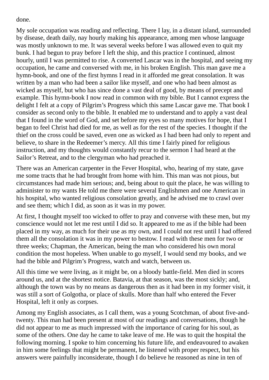done.

My sole occupation was reading and reflecting. There I lay, in a distant island, surrounded by disease, death daily, nay hourly making his appearance, among men whose language was mostly unknown to me. It was several weeks before I was allowed even to quit my bunk. I had begun to pray before I left the ship, and this practice I continued, almost hourly, until I was permitted to rise. A converted Lascar was in the hospital, and seeing my occupation, he came and conversed with me, in his broken English. This man gave me a hymn-book, and one of the first hymns I read in it afforded me great consolation. It was written by a man who had been a sailor like myself, and one who had been almost as wicked as myself, but who has since done a vast deal of good, by means of precept and example. This hymn-book I now read in common with my bible. But I cannot express the delight I felt at a copy of Pilgrim's Progress which this same Lascar gave me. That book I consider as second only to the bible. It enabled me to understand and to apply a vast deal that I found in the word of God, and set before my eyes so many motives for hope, that I began to feel Christ had died for me, as well as for the rest of the species. I thought if the thief on the cross could be saved, even one as wicked as I had been had only to repent and believe, to share in the Redeemer's mercy. All this time I fairly pined for religious instruction, and my thoughts would constantly recur to the sermon I had heard at the Sailor's Retreat, and to the clergyman who had preached it.

There was an American carpenter in the Fever Hospital, who, hearing of my state, gave me some tracts that he had brought from home with him. This man was not pious, but circumstances had made him serious; and, being about to quit the place, he was willing to administer to my wants He told me there were several Englishmen and one American in his hospital, who wanted religious consolation greatly, and he advised me to crawl over and see them; which I did, as soon as it was in my power.

At first, I thought myself too wicked to offer to pray and converse with these men, but my conscience would not let me rest until I did so. It appeared to me as if the bible had been placed in my way, as much for their use as my own, and I could not rest until I had offered them all the consolation it was in my power to bestow. I read with these men for two or three weeks; Chapman, the American, being the man who considered his own moral condition the most hopeless. When unable to go myself, I would send my books, and we had the bible and Pilgrim's Progress, watch and watch, between us.

All this time we were living, as it might be, on a bloody battle-field. Men died in scores around us, and at the shortest notice. Batavia, at that season, was the most sickly; and, although the town was by no means as dangerous then as it had been in my former visit, it was still a sort of Golgotha, or place of skulls. More than half who entered the Fever Hospital, left it only as corpses.

Among my English associates, as I call them, was a young Scotchman, of about five-andtwenty. This man had been present at most of our readings and conversations, though he did not appear to me as much impressed with the importance of caring for his soul, as some of the others. One day he came to take leave of me. He was to quit the hospital the following morning. I spoke to him concerning his future life, and endeavoured to awaken in him some feelings that might be permanent, he listened with proper respect, but his answers were painfully inconsiderate, though I do believe he reasoned as nine in ten of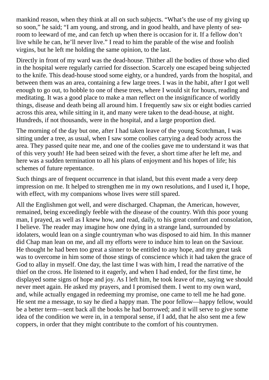mankind reason, when they think at all on such subjects. "What's the use of my giving up so soon," he said; "I am young, and strong, and in good health, and have plenty of searoom to leeward of me, and can fetch up when there is occasion for it. If a fellow don't live while he can, he'll never live." I read to him the parable of the wise and foolish virgins, but he left me holding the same opinion, to the last.

Directly in front of my ward was the dead-house. Thither all the bodies of those who died in the hospital were regularly carried for dissection. Scarcely one escaped being subjected to the knife. This dead-house stood some eighty, or a hundred, yards from the hospital, and between them was an area, containing a few large trees. I was in the habit, after I got well enough to go out, to hobble to one of these trees, where I would sit for hours, reading and meditating. It was a good place to make a man reflect on the insignificance of worldly things, disease and death being all around him. I frequently saw six or eight bodies carried across this area, while sitting in it, and many were taken to the dead-house, at night. Hundreds, if not thousands, were in the hospital, and a large proportion died.

The morning of the day but one, after I had taken leave of the young Scotchman, I was sitting under a tree, as usual, when I saw some coolies carrying a dead body across the area. They passed quite near me, and one of the coolies gave me to understand it was that of this very youth! He had been seized with the fever, a short time after he left me, and here was a sudden termination to all his plans of enjoyment and his hopes of life; his schemes of future repentance.

Such things are of frequent occurrence in that island, but this event made a very deep impression on me. It helped to strengthen me in my own resolutions, and I used it, I hope, with effect, with my companions whose lives were still spared.

All the Englishmen got well, and were discharged. Chapman, the American, however, remained, being exceedingly feeble with the disease of the country. With this poor young man, I prayed, as well as I knew how, and read, daily, to his great comfort and consolation, I believe. The reader may imagine how one dying in a strange land, surrounded by idolaters, would lean on a single countryman who was disposed to aid him. In this manner did Chap man lean on me, and all my efforts were to induce him to lean on the Saviour. He thought he had been too great a sinner to be entitled to any hope, and my great task was to overcome in him some of those stings of conscience which it had taken the grace of God to allay in myself. One day, the last time I was with him, I read the narrative of the thief on the cross. He listened to it eagerly, and when I had ended, for the first time, he displayed some signs of hope and joy. As I left him, he took leave of me, saying we should never meet again. He asked my prayers, and I promised them. I went to my own ward, and, while actually engaged in redeeming my promise, one came to tell me he had gone. He sent me a message, to say he died a happy man. The poor fellow—happy fellow, would be a better term—sent back all the books he had borrowed; and it will serve to give some idea of the condition we were in, in a temporal sense, if I add, that he also sent me a few coppers, in order that they might contribute to the comfort of his countrymen.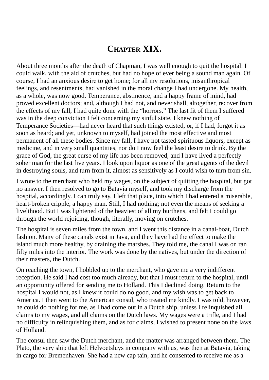## **CHAPTER XIX.**

About three months after the death of Chapman, I was well enough to quit the hospital. I could walk, with the aid of crutches, but had no hope of ever being a sound man again. Of course, I had an anxious desire to get home; for all my resolutions, misanthropical feelings, and resentments, had vanished in the moral change I had undergone. My health, as a whole, was now good. Temperance, abstinence, and a happy frame of mind, had proved excellent doctors; and, although I had not, and never shall, altogether, recover from the effects of my fall, I had quite done with the "horrors." The last fit of them I suffered was in the deep conviction I felt concerning my sinful state. I knew nothing of Temperance Societies—had never heard that such things existed, or, if I had, forgot it as soon as heard; and yet, unknown to myself, had joined the most effective and most permanent of all these bodies. Since my fall, I have not tasted spirituous liquors, except as medicine, and in very small quantities, nor do I now feel the least desire to drink. By the grace of God, the great curse of my life has been removed, and I have lived a perfectly sober man for the last five years. I look upon liquor as one of the great agents of the devil in destroying souls, and turn from it, almost as sensitively as I could wish to turn from sin.

I wrote to the merchant who held my wages, on the subject of quitting the hospital, but got no answer. I then resolved to go to Batavia myself, and took my discharge from the hospital, accordingly. I can truly say, I left that place, into which I had entered a miserable, heart-broken cripple, a happy man. Still, I had nothing; not even the means of seeking a livelihood. But I was lightened of the heaviest of all my burthens, and felt I could go through the world rejoicing, though, literally, moving on crutches.

The hospital is seven miles from the town, and I went this distance in a canal-boat, Dutch fashion. Many of these canals exist in Java, and they have had the effect to make the island much more healthy, by draining the marshes. They told me, the canal I was on ran fifty miles into the interior. The work was done by the natives, but under the direction of their masters, the Dutch.

On reaching the town, I hobbled up to the merchant, who gave me a very indifferent reception. He said I had cost too much already, but that I must return to the hospital, until an opportunity offered for sending me to Holland. This I declined doing. Return to the hospital I would not, as I knew it could do no good, and my wish was to get back to America. I then went to the American consul, who treated me kindly. I was told, however, he could do nothing for me, as I had come out in a Dutch ship, unless I relinquished all claims to my wages, and all claims on the Dutch laws. My wages were a trifle, and I had no difficulty in relinquishing them, and as for claims, I wished to present none on the laws of Holland.

The consul then saw the Dutch merchant, and the matter was arranged between them. The Plato, the very ship that left Helvoetsluys in company with us, was then at Batavia, taking in cargo for Bremenhaven. She had a new cap tain, and he consented to receive me as a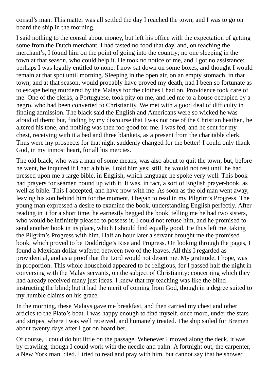consul's man. This matter was all settled the day I reached the town, and I was to go on board the ship in the morning.

I said nothing to the consul about money, but left his office with the expectation of getting some from the Dutch merchant. I had tasted no food that day, and, on reaching the merchant's, I found him on the point of going into the country; no one sleeping in the town at that season, who could help it. He took no notice of me, and I got no assistance; perhaps I was legally entitled to none. I now sat down on some boxes, and thought I would remain at that spot until morning. Sleeping in the open air, on an empty stomach, in that town, and at that season, would probably have proved my death, had I been so fortunate as to escape being murdered by the Malays for the clothes I had on. Providence took care of me. One of the clerks, a Portuguese, took pity on me, and led me to a house occupied by a negro, who had been converted to Christianity. We met with a good deal of difficulty in finding admission. The black said the English and Americans were so wicked he was afraid of them; but, finding by my discourse that I was not one of the Christian heathen, he altered his tone, and nothing was then too good for me. I was fed, and he sent for my chest, receiving with it a bed and three blankets, as a present from the charitable clerk. Thus were my prospects for that night suddenly changed for the better! I could only thank God, in my inmost heart, for all his mercies.

The old black, who was a man of some means, was also about to quit the town; but, before he went, he inquired if I had a bible. I told him yes; still, he would not rest until he had pressed upon me a large bible, in English, which language he spoke very well. This book had prayers for seamen bound up with it. It was, in fact, a sort of English prayer-book, as well as bible. This I accepted, and have now with me. As soon as the old man went away, leaving his son behind him for the moment, I began to read in my Pilgrim's Progress. The young man expressed a desire to examine the book, understanding English perfectly. After reading in it for a short time, he earnestly begged the book, telling me he had two sisters, who would be infinitely pleased to possess it. I could not refuse him, and he promised to send another book in its place, which I should find equally good. He thus left me, taking the Pilgrim's Progress with him. Half an hour later a servant brought me the promised book, which proved to be Doddridge's Rise and Progress. On looking through the pages, I found a Mexican dollar wafered between two of the leaves. All this I regarded as providential, and as a proof that the Lord would not desert me. My gratitude, I hope, was in proportion. This whole household appeared to be religious, for I passed half the night in conversing with the Malay servants, on the subject of Christianity; concerning which they had already received many just ideas. I knew that my teaching was like the blind instructing the blind; but it had the merit of coming from God, though in a degree suited to my humble claims on his grace.

In the morning, these Malays gave me breakfast, and then carried my chest and other articles to the Plato's boat. I was happy enough to find myself, once more, under the stars and stripes, where I was well received, and humanely treated. The ship sailed for Bremen about twenty days after I got on board her.

Of course, I could do but little on the passage. Whenever I moved along the deck, it was by crawling, though I could work with the needle and palm. A fortnight out, the carpenter, a New York man, died. I tried to read and pray with him, but cannot say that he showed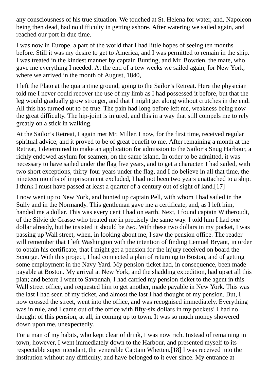any consciousness of his true situation. We touched at St. Helena for water, and, Napoleon being then dead, had no difficulty in getting ashore. After watering we sailed again, and reached our port in due time.

I was now in Europe, a part of the world that I had little hopes of seeing ten months before. Still it was my desire to get to America, and I was permitted to remain in the ship. I was treated in the kindest manner by captain Bunting, and Mr. Bowden, the mate, who gave me everything I needed. At the end of a few weeks we sailed again, for New York, where we arrived in the month of August, 1840,

I left the Plato at the quarantine ground, going to the Sailor's Retreat. Here the physician told me I never could recover the use of my limb as I had possessed it before, but that the leg would gradually grow stronger, and that I might get along without crutches in the end. All this has turned out to be true. The pain had long before left me, weakness being now the great difficulty. The hip-joint is injured, and this in a way that still compels me to rely greatly on a stick in walking.

At the Sailor's Retreat, I again met Mr. Miller. I now, for the first time, received regular spiritual advice, and it proved to be of great benefit to me. After remaining a month at the Retreat, I determined to make an application for admission to the Sailor's Snug Harbour, a richly endowed asylum for seamen, on the same island. In order to be admitted, it was necessary to have sailed under the flag five years, and to get a character. I had sailed, with two short exceptions, thirty-four years under the flag, and I do believe in all that time, the nineteen months of imprisonment excluded, I had not been two years unattached to a ship. I think I must have passed at least a quarter of a century out of sight of land.[17]

I now went up to New York, and hunted up captain Pell, with whom I had sailed in the Sully and in the Normandy. This gentleman gave me a certificate, and, as I left him, handed me a dollar. This was every cent I had on earth. Next, I found captain Witheroudt, of the Silvie de Grasse who treated me in precisely the same way. I told him I had *one* dollar already, but he insisted it should be *two.* With these two dollars in my pocket, I was passing up Wall street, when, in looking about me, I saw the pension office. The reader will remember that I left Washington with the intention of finding Lemuel Bryant, in order to obtain his certificate, that I might get a pension for the injury received on board the Scourge. With this project, I had connected a plan of returning to Boston, and of getting some employment in the Navy Yard. My pension-ticket had, in consequence, been made payable at Boston. My arrival at New York, and the shadding expedition, had upset all this plan; and before I went to Savannah, I had carried my pension-ticket to the agent in this Wall street office, and requested him to get another, made payable in New York. This was the last I had seen of my ticket, and almost the last I had thought of my pension. But, I now crossed the street, went into the office, and was recognised immediately. Everything was in rule, and I came out of the office with fifty-six dollars in my pockets! I had no thought of this pension, at all, in coming up to town. It was so much money showered down upon me, unexpectedly.

For a man of my habits, who kept clear of drink, I was now rich. Instead of remaining in town, however, I went immediately down to the Harbour, and presented myself to its respectable superintendant, the venerable Captain Whetten.[18] I was received into the institution without any difficulty, and have belonged to it ever since. My entrance at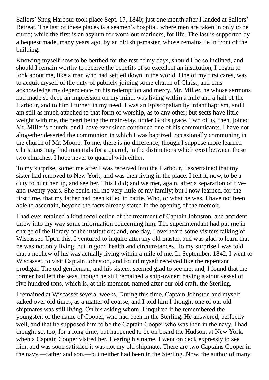Sailors' Snug Harbour took place Sept. 17, 1840; just one month after I landed at Sailors' Retreat. The last of these places is a seamen's hospital, where men are taken in only to be cured; while the first is an asylum for worn-out mariners, for life. The last is supported by a bequest made, many years ago, by an old ship-master, whose remains lie in front of the building.

Knowing myself now to be berthed for the rest of my days, should I be so inclined, and should I remain worthy to receive the benefits of so excellent an institution, I began to look about me, like a man who had settled down in the world. One of my first cares, was to acquit myself of the duty of publicly joining some church of Christ, and thus acknowledge my dependence on his redemption and mercy. Mr. Miller, he whose sermons had made so deep an impression on my mind, was living within a mile and a half of the Harbour, and to him I turned in my need. I was an Episcopalian by infant baptism, and I am still as much attached to that form of worship, as to any other; but sects have little weight with me, the heart being the main-stay, under God's grace. Two of us, then, joined Mr. Miller's church; and I have ever since continued one of his communicants. I have not altogether deserted the communion in which I was baptized; occasionally communing in the church of Mr. Moore. To me, there is no difference; though I suppose more learned Christians may find materials for a quarrel, in the distinctions which exist between these two churches. I hope never to quarrel with either.

To my surprise, sometime after I was received into the Harbour, I ascertained that my sister had removed to New York, and was then living in the place. I felt it, now, to be a duty to hunt her up, and see her. This I did; and we met, again, after a separation of fiveand-twenty years. She could tell me very little of my family; but I now learned, for the first time, that my father had been killed in battle. Who, or what he was, I have not been able to ascertain, beyond the facts already stated in the opening of the memoir.

I had ever retained a kind recollection of the treatment of Captain Johnston, and accident threw into my way some information concerning him. The superintendant had put me in charge of the library of the institution; and, one day, I overheard some visiters talking of Wiscasset. Upon this, I ventured to inquire after my old master, and was glad to learn that he was not only living, but in good health and circumstances. To my surprise I was told that a nephew of his was actually living within a mile of me. In September, 1842, I went to Wiscasset, to visit Captain Johnston, and found myself received like the repentant prodigal. The old gentleman, and his sisters, seemed glad to see me; and, I found that the former had left the seas, though he still remained a ship-owner; having a stout vessel of five hundred tons, which is, at this moment, named after our old craft, the Sterling.

I remained at Wiscasset several weeks. During this time, Captain Johnston and myself talked over old times, as a matter of course, and I told him I thought one of our old shipmates was still living. On his asking whom, I inquired if he remembered the youngster, of the name of Cooper, who had been in the Sterling. He answered, perfectly well, and that he supposed him to be the Captain Cooper who was then in the navy. I had thought so, too, for a long time; but happened to be on board the Hudson, at New York, when a Captain Cooper visited her. Hearing his name, I went on deck expressly to see him, and was soon satisfied it was not my old shipmate. There are two Captains Cooper in the navy,—father and son,—but neither had been in the Sterling. Now, the author of many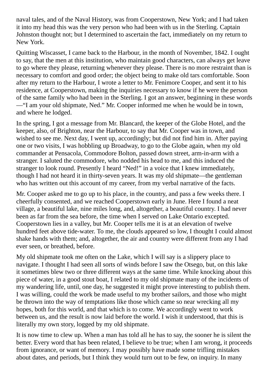naval tales, and of the Naval History, was from Cooperstown, New York; and I had taken it into my head this was the very person who had been with us in the Sterling. Captain Johnston thought not; but I determined to ascertain the fact, immediately on my return to New York.

Quitting Wiscasset, I came back to the Harbour, in the month of November, 1842. I ought to say, that the men at this institution, who maintain good characters, can always get leave to go where they please, returning whenever they please. There is no more restraint than is necessary to comfort and good order; the object being to make old tars comfortable. Soon after my return to the Harbour, I wrote a letter to Mr. Fenimore Cooper, and sent it to his residence, at Cooperstown, making the inquiries necessary to know if he were the person of the same family who had been in the Sterling. I got an answer, beginning in these words —"I am your old shipmate, Ned." Mr. Cooper informed me when he would be in town, and where he lodged.

In the spring, I got a message from Mr. Blancard, the keeper of the Globe Hotel, and the keeper, also, of Brighton, near the Harbour, to say that Mr. Cooper was in town, and wished to see me. Next day, I went up, accordingly; but did not find him in. After paying one or two visits, I was hobbling up Broadway, to go to the Globe again, when my old commander at Pensacola, Commodore Bolton, passed down street, arm-in-arm with a stranger. I saluted the commodore, who nodded his head to me, and this induced the stranger to look round. Presently I heard "Ned!" in a voice that I knew immediately, though I had not heard it in thirty-seven years. It was my old shipmate—the gentleman who has written out this account of my career, from my verbal narrative of the facts.

Mr. Cooper asked me to go up to his place, in the country, and pass a few weeks there. I cheerfully consented, and we reached Cooperstown early in June. Here I found a neat village, a beautiful lake, nine miles long, and, altogether, a beautiful country. I had never been as far from the sea before, the time when I served on Lake Ontario excepted. Cooperstown lies in a valley, but Mr. Cooper tells me it is at an elevation of twelve hundred feet above tide-water. To me, the clouds appeared so low, I thought I could almost shake hands with them; and, altogether, the air and country were different from any I had ever seen, or breathed, before.

My old shipmate took me often on the Lake, which I will say is a slippery place to navigate. I thought I had seen all sorts of winds before I saw the Otsego, but, on this lake it sometimes blew two or three different ways at the same time. While knocking about this piece of water, in a good stout boat, I related to my old shipmate many of the incidents of my wandering life, until, one day, he suggested it might prove interesting to publish them. I was willing, could the work be made useful to my brother sailors, and those who might be thrown into the way of temptations like those which came so near wrecking all my hopes, both for this world, and that which is to come. We accordingly went to work between us, and the result is now laid before the world. I wish it understood, that this is literally my own story, logged by my old shipmate.

It is now time to clew up. When a man has told all he has to say, the sooner he is silent the better. Every word that has been related, I believe to be true; when I am wrong, it proceeds from ignorance, or want of memory. I may possibly have made some trifling mistakes about dates, and periods, but I think they would turn out to be few, on inquiry. In many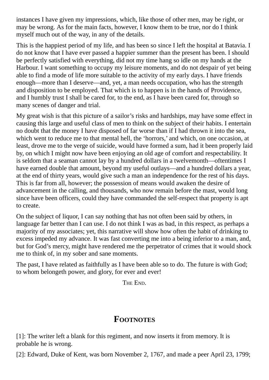instances I have given my impressions, which, like those of other men, may be right, or may be wrong. As for the main facts, however, I know them to be true, nor do I think myself much out of the way, in any of the details.

This is the happiest period of my life, and has been so since I left the hospital at Batavia. I do not know that I have ever passed a happier summer than the present has been. I should be perfectly satisfied with everything, did not my time hang so idle on my hands at the Harbour. I want something to occupy my leisure moments, and do not despair of yet being able to find a mode of life more suitable to the activity of my early days. I have friends enough—more than I deserve—and, yet, a man needs occupation, who has the strength and disposition to be employed. That which is to happen is in the hands of Providence, and I humbly trust I shall be cared for, to the end, as I have been cared for, through so many scenes of danger and trial.

My great wish is that this picture of a sailor's risks and hardships, may have some effect in causing this large and useful class of men to think on the subject of their habits. I entertain no doubt that the money I have disposed of far worse than if I had thrown it into the sea, which went to reduce me to that mental hell, the 'horrors,' and which, on one occasion, at least, drove me to the verge of suicide, would have formed a sum, had it been properly laid by, on which I might now have been enjoying an old age of comfort and respectability. It is seldom that a seaman cannot lay by a hundred dollars in a twelvemonth—oftentimes I have earned double that amount, beyond my useful outlays—and a hundred dollars a year, at the end of thirty years, would give such a man an independence for the rest of his days. This is far from all, however; the possession of means would awaken the desire of advancement in the calling, and thousands, who now remain before the mast, would long since have been officers, could they have commanded the self-respect that property is apt to create.

On the subject of liquor, I can say nothing that has not often been said by others, in language far better than I can use. I do not think I was as bad, in this respect, as perhaps a majority of my associates; yet, this narrative will show how often the habit of drinking to excess impeded my advance. It was fast converting me into a being inferior to a man, and, but for God's mercy, might have rendered me the perpetrator of crimes that it would shock me to think of, in my sober and sane moments.

The past, I have related as faithfully as I have been able so to do. The future is with God; to whom belongeth power, and glory, for ever and ever!

THE END.

## **FOOTNOTES**

[1]: The writer left a blank for this regiment, and now inserts it from memory. It is probable he is wrong.

[2]: Edward, Duke of Kent, was born November 2, 1767, and made a peer April 23, 1799;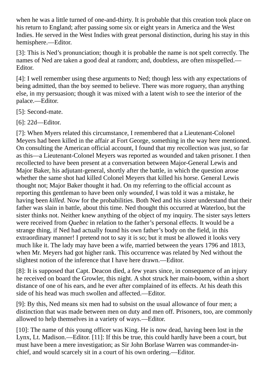when he was a little turned of one-and-thirty. It is probable that this creation took place on his return to England; after passing some six or eight years in America and the West Indies. He served in the West Indies with great personal distinction, during his stay in this hemisphere.—Editor.

[3]: This is Ned's pronunciation; though it is probable the name is not spelt correctly. The names of Ned are taken a good deal at random; and, doubtless, are often misspelled.— Editor.

[4]: I well remember using these arguments to Ned; though less with any expectations of being admitted, than the boy seemed to believe. There was more roguery, than anything else, in my persuasion; though it was mixed with a latent wish to see the interior of the palace.—Editor.

[5]: Second-mate.

[6]: 22d—Editor.

[7]: When Myers related this circumstance, I remembered that a Lieutenant-Colonel Meyers had been killed in the affair at Fort George, something in the way here mentioned. On consulting the American official account, I found that my recollection was just, so far as this—a Lieutenant-Colonel Meyers was reported as wounded and taken prisoner. I then recollected to have been present at a conversation between Major-General Lewis and Major Baker, his adjutant-general, shortly after the battle, in which the question arose whether the same shot had killed Colonel Meyers that killed his horse. General Lewis thought not; Major Baker thought it had. On my referring to the official account as reporting this gentleman to have been only *wounded*, I was told it was a mistake, he having been *killed*. Now for the probabilities. Both Ned and his sister understand that their father was slain in battle, about this time. Ned thought this occurred at Waterloo, but the sister thinks not. Neither knew anything of the object of my inquiry. The sister says letters were received from *Quebec* in relation to the father's personal effects. It would be a strange thing, if Ned had actually found his own father's body on the field, in this extraordinary manner! I pretend not to say it is so; but it must be allowed it looks very much like it. The lady may have been a wife, married between the years 1796 and 1813, when Mr. Meyers had got higher rank. This occurrence was related by Ned without the slightest notion of the inference that I have here drawn.—Editor.

[8]: It is supposed that Capt. Deacon died, a few years since, in consequence of an injury he received on board the Growler, this night. A shot struck her main-boom, within a short distance of one of his ears, and he ever after complained of its effects. At his death this side of his head was much swollen and affected.—Editor.

[9]: By this, Ned means six men had to subsist on the usual allowance of four men; a distinction that was made between men on duty and men off. Prisoners, too, are commonly allowed to help themselves in a variety of ways.—Editor.

[10]: The name of this young officer was King. He is now dead, having been lost in the Lynx, Lt. Madison.—Editor. [11]: If this be true, this could hardly have been a court, but must have been a mere investigation; as Sir John Borlase Warren was commander-inchief, and would scarcely sit in a court of his own ordering.—Editor.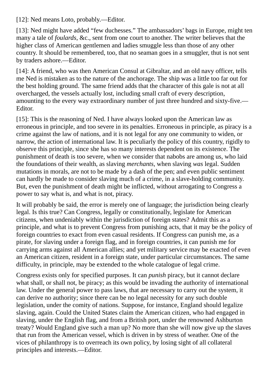[12]: Ned means Loto, probably.—Editor.

[13]: Ned might have added "few duchesses." The ambassadors' bags in Europe, might ten many a tale of *foulards*, &c., sent from one court to another. The writer believes that the higher class of American gentlemen and ladies smuggle less than those of any other country. It should be remembered, too, that no seaman goes in a smuggler, thut is not sent by traders ashore.—Editor.

[14]: A friend, who was then American Consul at Gibraltar, and an old navy officer, tells me Ned is mistaken as to the nature of the anchorage. The ship was a little too far out for the best holding ground. The same friend adds that the character of this gale is not at all overcharged, the vessels actually lost, including small craft of every description, amounting to the every way extraordinary number of just three hundred and sixty-five.— Editor.

[15]: This is the reasoning of Ned. I have always looked upon the American law as erroneous in principle, and too severe in its penalties. Erroneous in principle, as piracy is a crime against the law of nations, and it is not legal for any one community to widen, or narrow, the action of international law. It is peculiarly the policy of this country, rigidly to observe this principle, since she has so many interests dependent on its existence. The punishment of death is too severe, when we consider that nabobs are among us, who laid the foundations of their wealth, as slaving *merchants*, when slaving *was* legal. Sudden mutations in morals, are not to be made by a dash of the pen; and even public sentiment can hardly be made to consider slaving much of a crime, in a slave-holding community. But, even the punishment of death might be inflicted, without arrogating to Congress a power to say what is, and what is not, piracy.

It will probably be said, the error is merely one of language; the jurisdiction being clearly legal. Is this true? Can Congress, legally or constitutionally, legislate for American citizens, when undeniably within the jurisdiction of foreign states? Admit this as a principle, and what is to prevent Congress from punishing acts, that it may be the policy of foreign countries to exact from even casual residents. If Congress can punish me, as a pirate, for slaving under a foreign flag, and in foreign countries, it can punish me for carrying arms against all American allies; and yet military service may be exacted of even an American citizen, resident in a foreign state, under particular circumstances. The same difficulty, in principle, may be extended to the whole catalogue of legal crime.

Congress exists only for specified purposes. It can *punish* piracy, but it cannot declare what shall, or shall not, be piracy; as this would be invading the authority of international law. Under the general power to pass laws, that are necessary to carry out the system, it can derive no authority; since there can be no legal necessity for any such double legislation, under the comity of nations. Suppose, for instance, England should legalize slaving, again. Could the United States claim the American citizen, who had engaged in slaving, under the English flag, and from a British port, under the renowned Ashburton treaty? Would England give such a man up? No more than she will now give up the slaves that run from the American vessel, which is driven in by stress of weather. One of the vices of philanthropy is to overreach its own policy, by losing sight of all collateral principles and interests.—Editor.